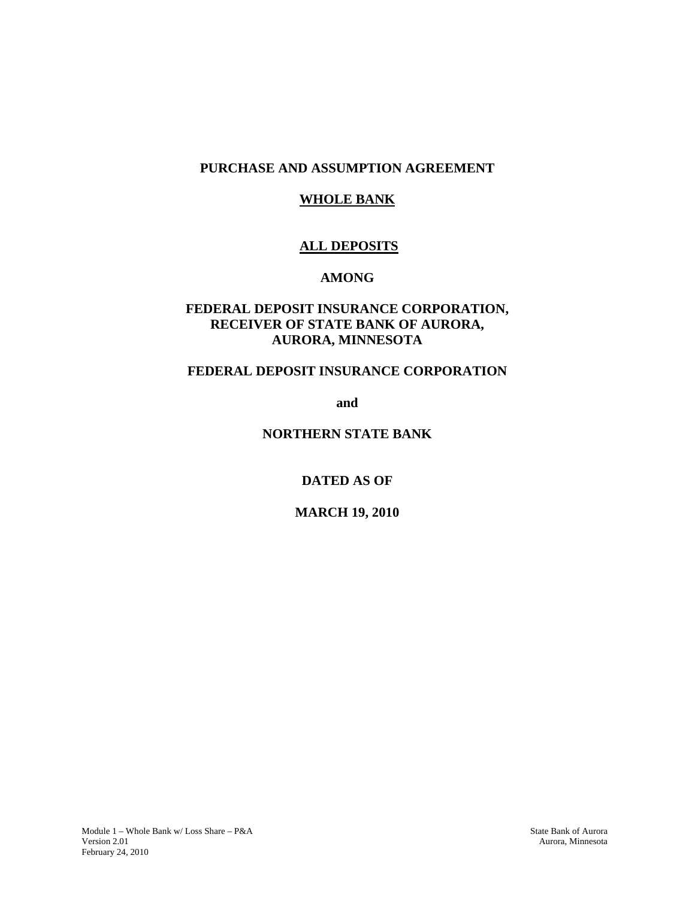#### **PURCHASE AND ASSUMPTION AGREEMENT**

### **WHOLE BANK**

### **ALL DEPOSITS**

### **AMONG**

#### **FEDERAL DEPOSIT INSURANCE CORPORATION, RECEIVER OF STATE BANK OF AURORA, AURORA, MINNESOTA**

#### **FEDERAL DEPOSIT INSURANCE CORPORATION**

**and and and** 

#### **NORTHERN STATE BANK**

 **DATED AS OF**

**MARCH 19, 2010**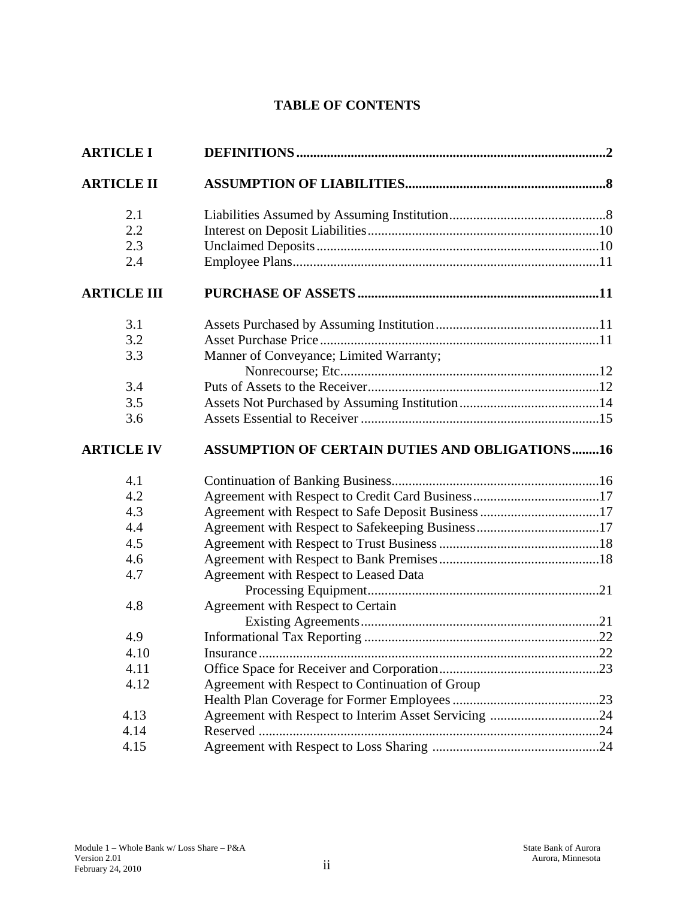# **TABLE OF CONTENTS**

| <b>ARTICLE I</b>   |                                                       |  |
|--------------------|-------------------------------------------------------|--|
| <b>ARTICLE II</b>  |                                                       |  |
| 2.1                |                                                       |  |
| 2.2                |                                                       |  |
| 2.3                |                                                       |  |
| 2.4                |                                                       |  |
| <b>ARTICLE III</b> |                                                       |  |
| 3.1                |                                                       |  |
| 3.2                |                                                       |  |
| 3.3                | Manner of Conveyance; Limited Warranty;               |  |
|                    |                                                       |  |
| 3.4                |                                                       |  |
| 3.5                |                                                       |  |
| 3.6                |                                                       |  |
| <b>ARTICLE IV</b>  | <b>ASSUMPTION OF CERTAIN DUTIES AND OBLIGATIONS16</b> |  |
| 4.1                |                                                       |  |
| 4.2                |                                                       |  |
| 4.3                |                                                       |  |
| 4.4                |                                                       |  |
| 4.5                |                                                       |  |
| 4.6                |                                                       |  |
| 4.7                | Agreement with Respect to Leased Data                 |  |
|                    |                                                       |  |
| 4.8                | Agreement with Respect to Certain                     |  |
|                    |                                                       |  |
| 4.9                |                                                       |  |
| 4.10               |                                                       |  |
| 4.11               |                                                       |  |
| 4.12               | Agreement with Respect to Continuation of Group       |  |
|                    |                                                       |  |
| 4.13               | Agreement with Respect to Interim Asset Servicing 24  |  |
| 4.14               |                                                       |  |
| 4.15               |                                                       |  |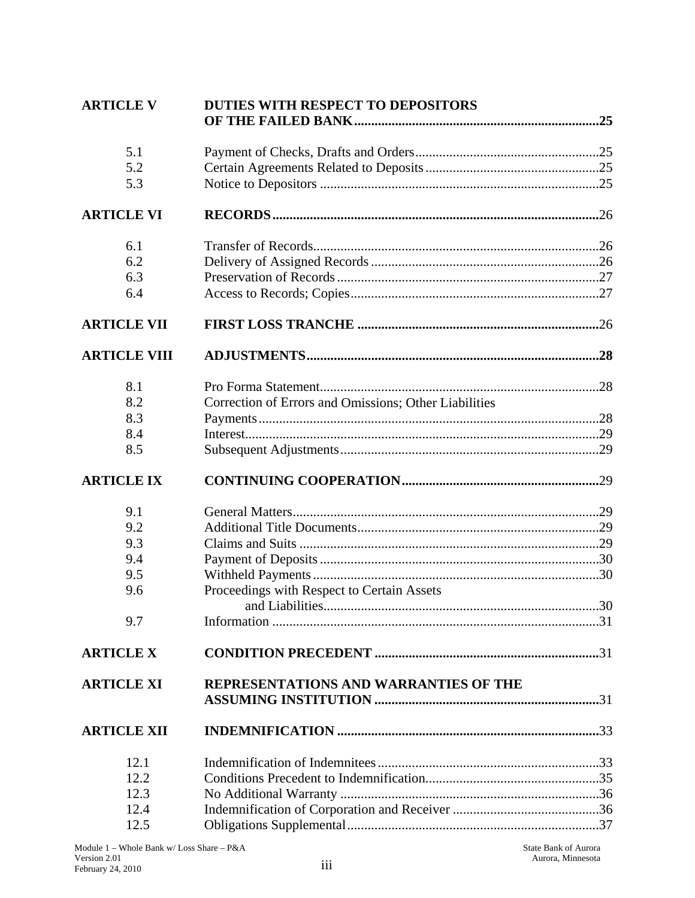| <b>ARTICLE V</b>    | <b>DUTIES WITH RESPECT TO DEPOSITORS</b>              |  |
|---------------------|-------------------------------------------------------|--|
|                     |                                                       |  |
| 5.1                 |                                                       |  |
| 5.2                 |                                                       |  |
| 5.3                 |                                                       |  |
|                     |                                                       |  |
| <b>ARTICLE VI</b>   |                                                       |  |
| 6.1                 |                                                       |  |
| 6.2                 |                                                       |  |
| 6.3                 |                                                       |  |
| 6.4                 |                                                       |  |
| <b>ARTICLE VII</b>  |                                                       |  |
| <b>ARTICLE VIII</b> |                                                       |  |
| 8.1                 |                                                       |  |
| 8.2                 | Correction of Errors and Omissions; Other Liabilities |  |
| 8.3                 |                                                       |  |
| 8.4                 |                                                       |  |
| 8.5                 |                                                       |  |
| <b>ARTICLE IX</b>   |                                                       |  |
| 9.1                 |                                                       |  |
| 9.2                 |                                                       |  |
| 9.3                 |                                                       |  |
| 9.4                 |                                                       |  |
| 9.5                 |                                                       |  |
| 9.6                 | Proceedings with Respect to Certain Assets            |  |
|                     |                                                       |  |
| 9.7                 |                                                       |  |
| <b>ARTICLE X</b>    |                                                       |  |
| <b>ARTICLE XI</b>   | <b>REPRESENTATIONS AND WARRANTIES OF THE</b>          |  |
| <b>ARTICLE XII</b>  |                                                       |  |
| 12.1                |                                                       |  |
| 12.2                |                                                       |  |
| 12.3                |                                                       |  |
| 12.4                |                                                       |  |
| 12.5                |                                                       |  |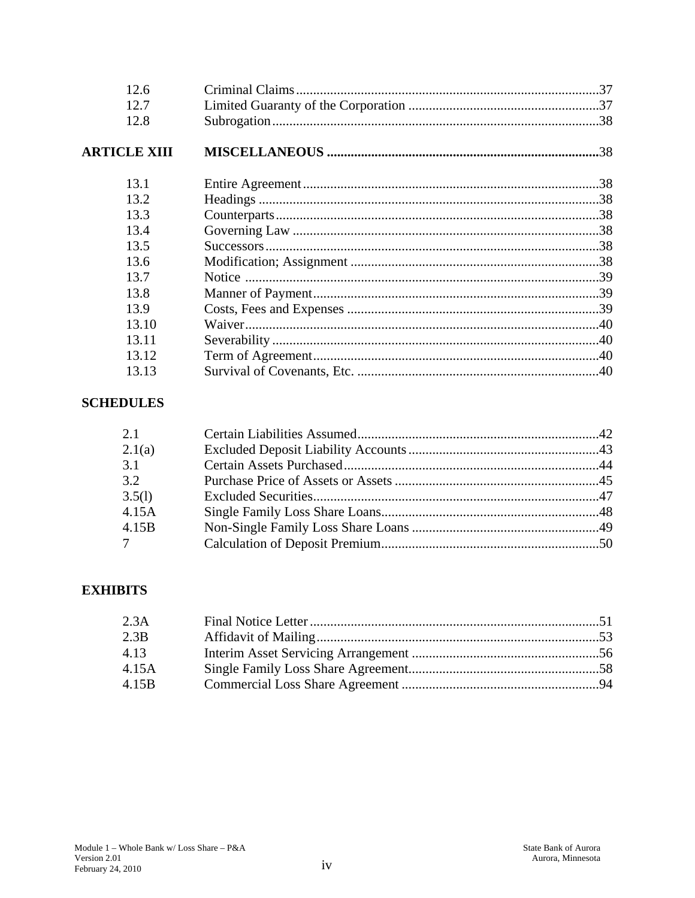| 12.6                |  |
|---------------------|--|
| 12.7                |  |
| 12.8                |  |
| <b>ARTICLE XIII</b> |  |
| 13.1                |  |
| 13.2                |  |
| 13.3                |  |
| 13.4                |  |
| 13.5                |  |
| 13.6                |  |
| 13.7                |  |
| 13.8                |  |
| 13.9                |  |
| 13.10               |  |
| 13.11               |  |
| 13.12               |  |
| 13.13               |  |

### **SCHEDULES**

| 2.1    |  |
|--------|--|
| 2.1(a) |  |
| 3.1    |  |
| 3.2    |  |
| 3.5(l) |  |
| 4.15A  |  |
| 4.15B  |  |
| 7      |  |

## **EXHIBITS**

| 2.3A  |  |
|-------|--|
| 2.3B  |  |
| 4.13  |  |
| 4.15A |  |
| 4.15B |  |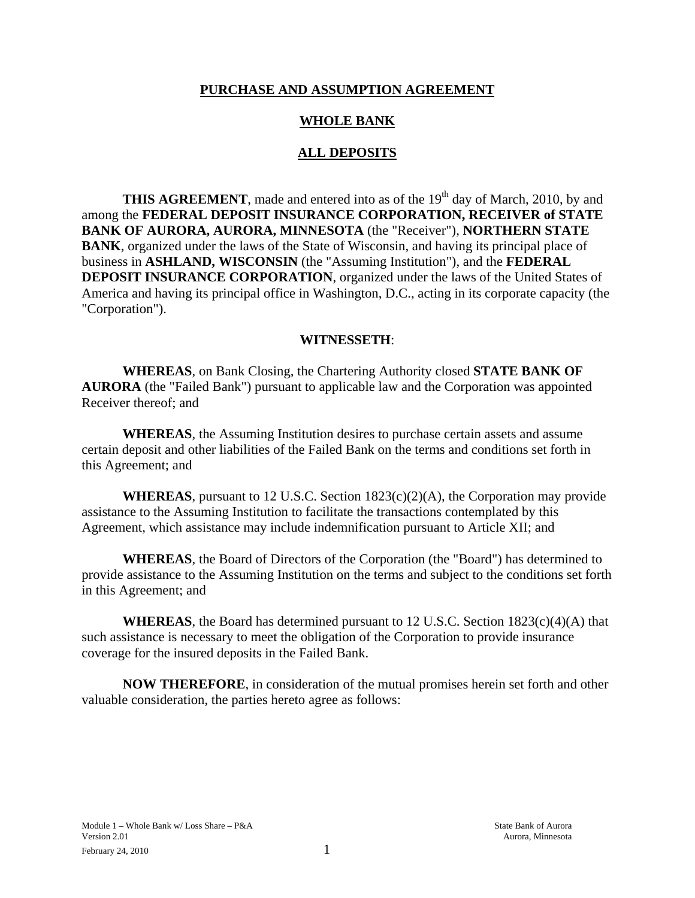#### **PURCHASE AND ASSUMPTION AGREEMENT**

### **WHOLE BANK**

### **ALL DEPOSITS**

**THIS AGREEMENT**, made and entered into as of the 19<sup>th</sup> day of March, 2010, by and among the **FEDERAL DEPOSIT INSURANCE CORPORATION, RECEIVER of STATE BANK OF AURORA, AURORA, MINNESOTA** (the "Receiver"), **NORTHERN STATE BANK**, organized under the laws of the State of Wisconsin, and having its principal place of business in **ASHLAND, WISCONSIN** (the "Assuming Institution"), and the **FEDERAL DEPOSIT INSURANCE CORPORATION**, organized under the laws of the United States of America and having its principal office in Washington, D.C., acting in its corporate capacity (the "Corporation").

#### **WITNESSETH**:

 **WHEREAS**, on Bank Closing, the Chartering Authority closed **STATE BANK OF AURORA** (the "Failed Bank") pursuant to applicable law and the Corporation was appointed Receiver thereof; and

 **WHEREAS**, the Assuming Institution desires to purchase certain assets and assume certain deposit and other liabilities of the Failed Bank on the terms and conditions set forth in this Agreement; and

 **WHEREAS**, pursuant to 12 U.S.C. Section 1823(c)(2)(A), the Corporation may provide assistance to the Assuming Institution to facilitate the transactions contemplated by this Agreement, which assistance may include indemnification pursuant to Article XII; and

 **WHEREAS**, the Board of Directors of the Corporation (the "Board") has determined to provide assistance to the Assuming Institution on the terms and subject to the conditions set forth in this Agreement; and

 **WHEREAS**, the Board has determined pursuant to 12 U.S.C. Section 1823(c)(4)(A) that such assistance is necessary to meet the obligation of the Corporation to provide insurance coverage for the insured deposits in the Failed Bank.

 **NOW THEREFORE**, in consideration of the mutual promises herein set forth and other valuable consideration, the parties hereto agree as follows: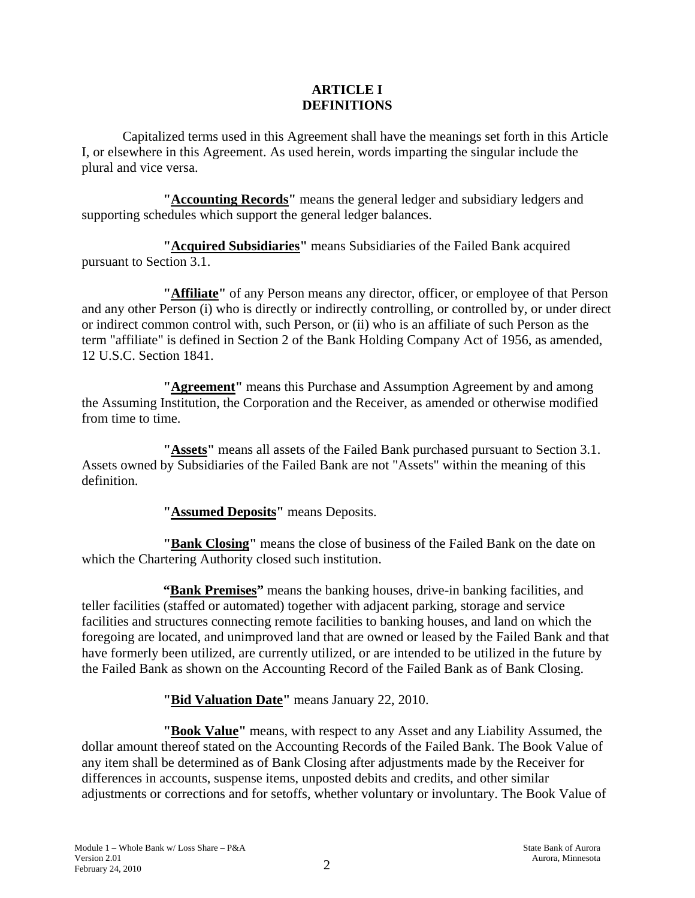#### **ARTICLE I DEFINITIONS**

<span id="page-5-0"></span> Capitalized terms used in this Agreement shall have the meanings set forth in this Article I, or elsewhere in this Agreement. As used herein, words imparting the singular include the plural and vice versa.

 **"Accounting Records"** means the general ledger and subsidiary ledgers and supporting schedules which support the general ledger balances.

 **"Acquired Subsidiaries"** means Subsidiaries of the Failed Bank acquired pursuant to Section 3.1.

 **"Affiliate"** of any Person means any director, officer, or employee of that Person and any other Person (i) who is directly or indirectly controlling, or controlled by, or under direct or indirect common control with, such Person, or (ii) who is an affiliate of such Person as the term "affiliate" is defined in Section 2 of the Bank Holding Company Act of 1956, as amended, 12 U.S.C. Section 1841.

 **"Agreement"** means this Purchase and Assumption Agreement by and among the Assuming Institution, the Corporation and the Receiver, as amended or otherwise modified from time to time.

 **"Assets"** means all assets of the Failed Bank purchased pursuant to Section 3.1. Assets owned by Subsidiaries of the Failed Bank are not "Assets" within the meaning of this definition.

 **"Assumed Deposits"** means Deposits.

 **"Bank Closing"** means the close of business of the Failed Bank on the date on which the Chartering Authority closed such institution.

 **"Bank Premises"** means the banking houses, drive-in banking facilities, and teller facilities (staffed or automated) together with adjacent parking, storage and service facilities and structures connecting remote facilities to banking houses, and land on which the foregoing are located, and unimproved land that are owned or leased by the Failed Bank and that have formerly been utilized, are currently utilized, or are intended to be utilized in the future by the Failed Bank as shown on the Accounting Record of the Failed Bank as of Bank Closing.

**"Bid Valuation Date"** means January 22, 2010.

 **"Book Value"** means, with respect to any Asset and any Liability Assumed, the dollar amount thereof stated on the Accounting Records of the Failed Bank. The Book Value of any item shall be determined as of Bank Closing after adjustments made by the Receiver for differences in accounts, suspense items, unposted debits and credits, and other similar adjustments or corrections and for setoffs, whether voluntary or involuntary. The Book Value of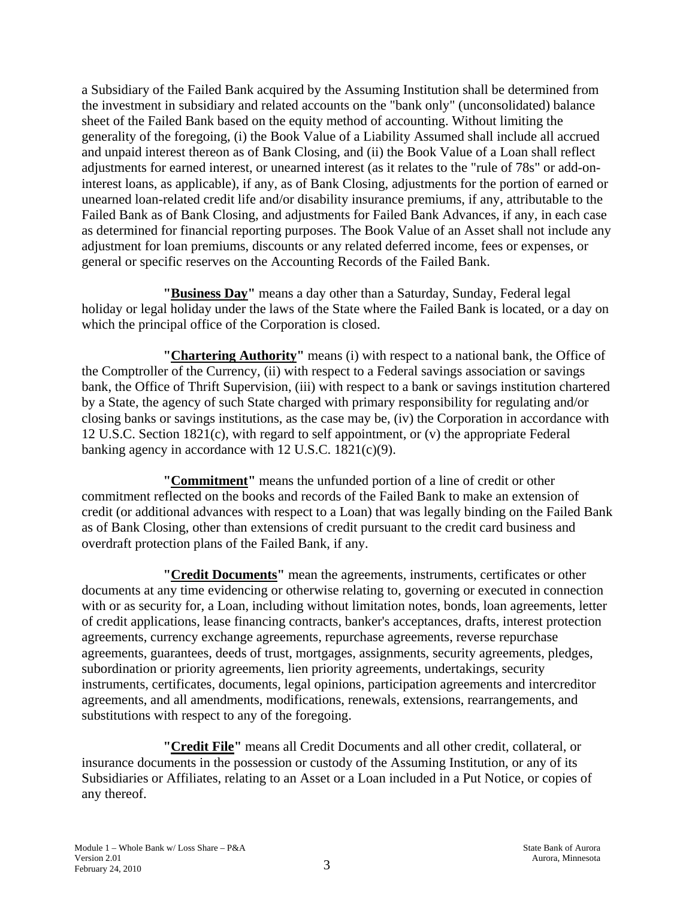a Subsidiary of the Failed Bank acquired by the Assuming Institution shall be determined from the investment in subsidiary and related accounts on the "bank only" (unconsolidated) balance sheet of the Failed Bank based on the equity method of accounting. Without limiting the generality of the foregoing, (i) the Book Value of a Liability Assumed shall include all accrued and unpaid interest thereon as of Bank Closing, and (ii) the Book Value of a Loan shall reflect adjustments for earned interest, or unearned interest (as it relates to the "rule of 78s" or add-oninterest loans, as applicable), if any, as of Bank Closing, adjustments for the portion of earned or unearned loan-related credit life and/or disability insurance premiums, if any, attributable to the Failed Bank as of Bank Closing, and adjustments for Failed Bank Advances, if any, in each case as determined for financial reporting purposes. The Book Value of an Asset shall not include any adjustment for loan premiums, discounts or any related deferred income, fees or expenses, or general or specific reserves on the Accounting Records of the Failed Bank.

 **"Business Day"** means a day other than a Saturday, Sunday, Federal legal holiday or legal holiday under the laws of the State where the Failed Bank is located, or a day on which the principal office of the Corporation is closed.

 **"Chartering Authority"** means (i) with respect to a national bank, the Office of the Comptroller of the Currency, (ii) with respect to a Federal savings association or savings bank, the Office of Thrift Supervision, (iii) with respect to a bank or savings institution chartered by a State, the agency of such State charged with primary responsibility for regulating and/or closing banks or savings institutions, as the case may be, (iv) the Corporation in accordance with 12 U.S.C. Section 1821(c), with regard to self appointment, or (v) the appropriate Federal banking agency in accordance with 12 U.S.C. 1821(c)(9).

 **"Commitment"** means the unfunded portion of a line of credit or other commitment reflected on the books and records of the Failed Bank to make an extension of credit (or additional advances with respect to a Loan) that was legally binding on the Failed Bank as of Bank Closing, other than extensions of credit pursuant to the credit card business and overdraft protection plans of the Failed Bank, if any.

 **"Credit Documents"** mean the agreements, instruments, certificates or other documents at any time evidencing or otherwise relating to, governing or executed in connection with or as security for, a Loan, including without limitation notes, bonds, loan agreements, letter of credit applications, lease financing contracts, banker's acceptances, drafts, interest protection agreements, currency exchange agreements, repurchase agreements, reverse repurchase agreements, guarantees, deeds of trust, mortgages, assignments, security agreements, pledges, subordination or priority agreements, lien priority agreements, undertakings, security instruments, certificates, documents, legal opinions, participation agreements and intercreditor agreements, and all amendments, modifications, renewals, extensions, rearrangements, and substitutions with respect to any of the foregoing.

 **"Credit File"** means all Credit Documents and all other credit, collateral, or insurance documents in the possession or custody of the Assuming Institution, or any of its Subsidiaries or Affiliates, relating to an Asset or a Loan included in a Put Notice, or copies of any thereof.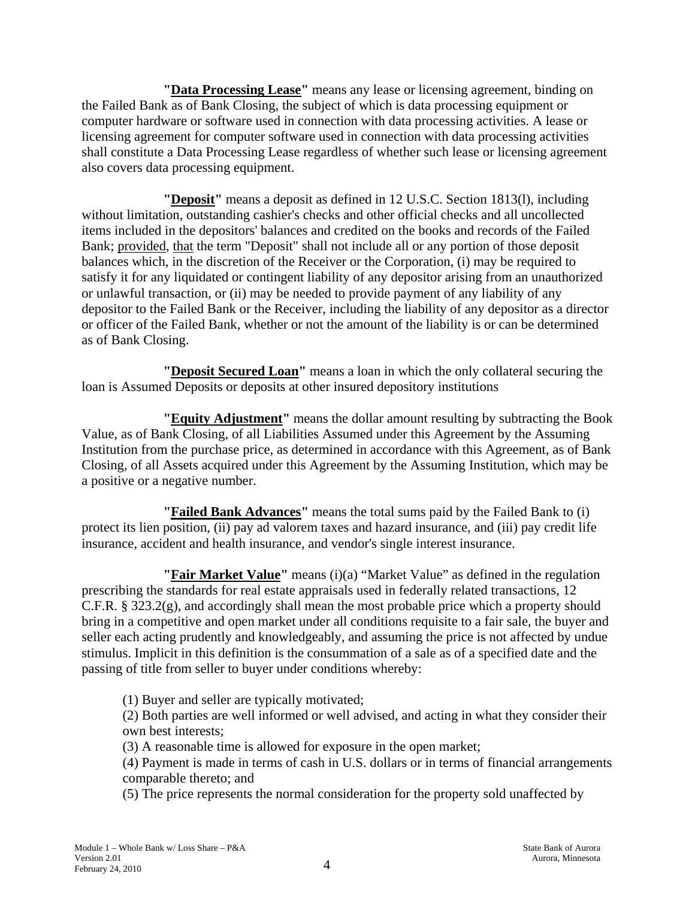**"Data Processing Lease"** means any lease or licensing agreement, binding on the Failed Bank as of Bank Closing, the subject of which is data processing equipment or computer hardware or software used in connection with data processing activities. A lease or licensing agreement for computer software used in connection with data processing activities shall constitute a Data Processing Lease regardless of whether such lease or licensing agreement also covers data processing equipment.

 **"Deposit"** means a deposit as defined in 12 U.S.C. Section 1813(l), including without limitation, outstanding cashier's checks and other official checks and all uncollected items included in the depositors' balances and credited on the books and records of the Failed Bank; provided, that the term "Deposit" shall not include all or any portion of those deposit balances which, in the discretion of the Receiver or the Corporation, (i) may be required to satisfy it for any liquidated or contingent liability of any depositor arising from an unauthorized or unlawful transaction, or (ii) may be needed to provide payment of any liability of any depositor to the Failed Bank or the Receiver, including the liability of any depositor as a director or officer of the Failed Bank, whether or not the amount of the liability is or can be determined as of Bank Closing.

 **"Deposit Secured Loan"** means a loan in which the only collateral securing the loan is Assumed Deposits or deposits at other insured depository institutions

 **"Equity Adjustment"** means the dollar amount resulting by subtracting the Book Value, as of Bank Closing, of all Liabilities Assumed under this Agreement by the Assuming Institution from the purchase price, as determined in accordance with this Agreement, as of Bank Closing, of all Assets acquired under this Agreement by the Assuming Institution, which may be a positive or a negative number.

 **"Failed Bank Advances"** means the total sums paid by the Failed Bank to (i) protect its lien position, (ii) pay ad valorem taxes and hazard insurance, and (iii) pay credit life insurance, accident and health insurance, and vendor's single interest insurance.

**"Fair Market Value"** means (i)(a) "Market Value" as defined in the regulation prescribing the standards for real estate appraisals used in federally related transactions, 12 C.F.R. § 323.2(g), and accordingly shall mean the most probable price which a property should bring in a competitive and open market under all conditions requisite to a fair sale, the buyer and seller each acting prudently and knowledgeably, and assuming the price is not affected by undue stimulus. Implicit in this definition is the consummation of a sale as of a specified date and the passing of title from seller to buyer under conditions whereby:

(1) Buyer and seller are typically motivated;

(2) Both parties are well informed or well advised, and acting in what they consider their own best interests;

(3) A reasonable time is allowed for exposure in the open market;

(4) Payment is made in terms of cash in U.S. dollars or in terms of financial arrangements comparable thereto; and

(5) The price represents the normal consideration for the property sold unaffected by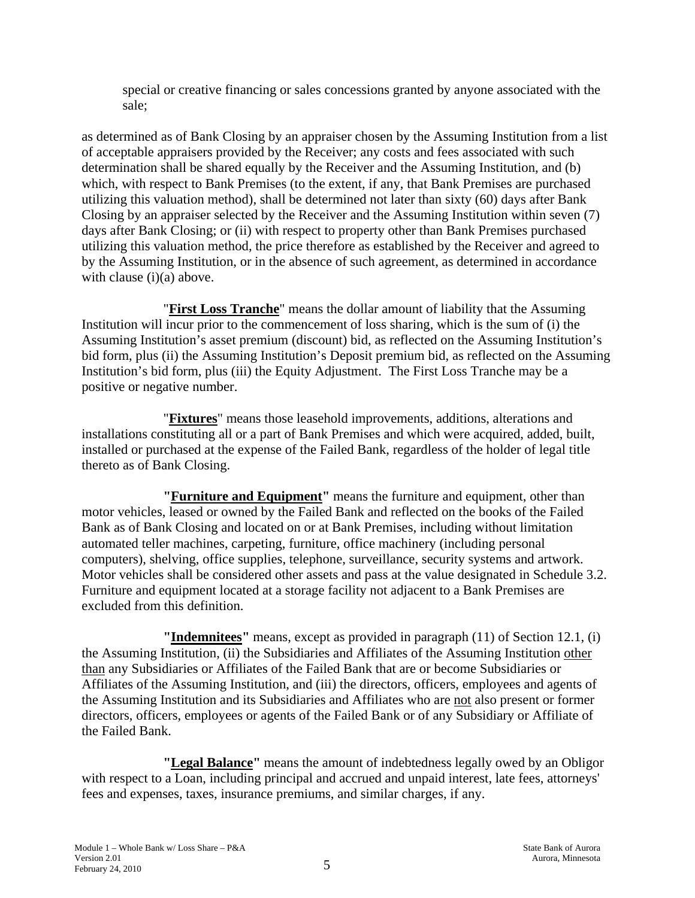special or creative financing or sales concessions granted by anyone associated with the sale;

as determined as of Bank Closing by an appraiser chosen by the Assuming Institution from a list of acceptable appraisers provided by the Receiver; any costs and fees associated with such determination shall be shared equally by the Receiver and the Assuming Institution, and (b) which, with respect to Bank Premises (to the extent, if any, that Bank Premises are purchased utilizing this valuation method), shall be determined not later than sixty (60) days after Bank Closing by an appraiser selected by the Receiver and the Assuming Institution within seven (7) days after Bank Closing; or (ii) with respect to property other than Bank Premises purchased utilizing this valuation method, the price therefore as established by the Receiver and agreed to by the Assuming Institution, or in the absence of such agreement, as determined in accordance with clause (i)(a) above.

 "**First Loss Tranche**" means the dollar amount of liability that the Assuming Institution will incur prior to the commencement of loss sharing, which is the sum of (i) the Assuming Institution's asset premium (discount) bid, as reflected on the Assuming Institution's bid form, plus (ii) the Assuming Institution's Deposit premium bid, as reflected on the Assuming Institution's bid form, plus (iii) the Equity Adjustment. The First Loss Tranche may be a positive or negative number.

 "**Fixtures**" means those leasehold improvements, additions, alterations and installations constituting all or a part of Bank Premises and which were acquired, added, built, installed or purchased at the expense of the Failed Bank, regardless of the holder of legal title thereto as of Bank Closing.

 **"Furniture and Equipment"** means the furniture and equipment, other than motor vehicles, leased or owned by the Failed Bank and reflected on the books of the Failed Bank as of Bank Closing and located on or at Bank Premises, including without limitation automated teller machines, carpeting, furniture, office machinery (including personal computers), shelving, office supplies, telephone, surveillance, security systems and artwork. Motor vehicles shall be considered other assets and pass at the value designated in Schedule 3.2. Furniture and equipment located at a storage facility not adjacent to a Bank Premises are excluded from this definition.

 **"Indemnitees"** means, except as provided in paragraph (11) of Section 12.1, (i) the Assuming Institution, (ii) the Subsidiaries and Affiliates of the Assuming Institution other than any Subsidiaries or Affiliates of the Failed Bank that are or become Subsidiaries or Affiliates of the Assuming Institution, and (iii) the directors, officers, employees and agents of the Assuming Institution and its Subsidiaries and Affiliates who are not also present or former directors, officers, employees or agents of the Failed Bank or of any Subsidiary or Affiliate of the Failed Bank.

 **"Legal Balance"** means the amount of indebtedness legally owed by an Obligor with respect to a Loan, including principal and accrued and unpaid interest, late fees, attorneys' fees and expenses, taxes, insurance premiums, and similar charges, if any.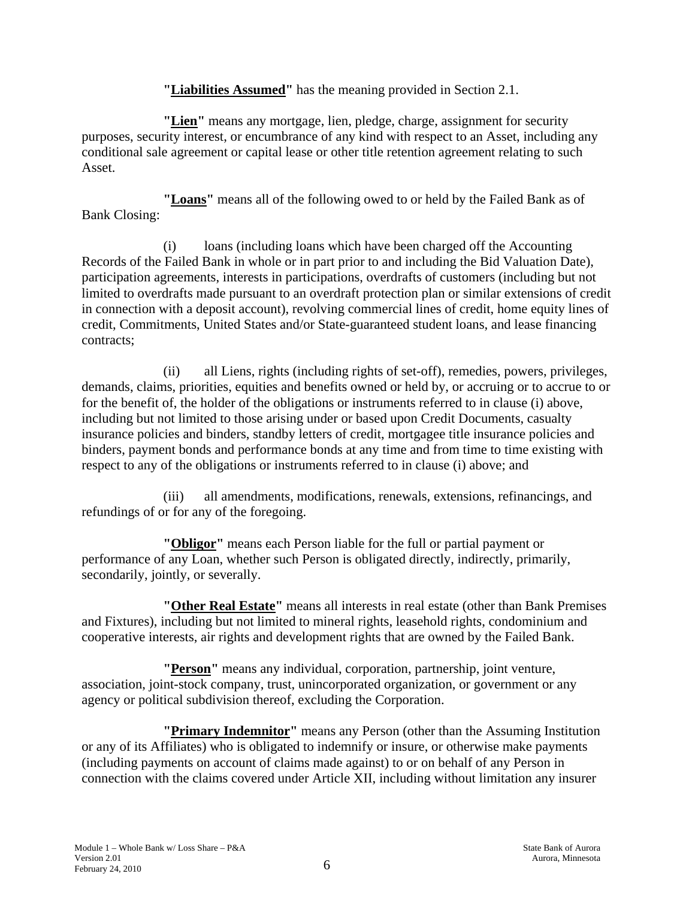**"Liabilities Assumed"** has the meaning provided in Section 2.1.

 **"Lien"** means any mortgage, lien, pledge, charge, assignment for security purposes, security interest, or encumbrance of any kind with respect to an Asset, including any conditional sale agreement or capital lease or other title retention agreement relating to such Asset.

"Loans" means all of the following owed to or held by the Failed Bank as of Bank Closing:

 (i) loans (including loans which have been charged off the Accounting Records of the Failed Bank in whole or in part prior to and including the Bid Valuation Date), participation agreements, interests in participations, overdrafts of customers (including but not limited to overdrafts made pursuant to an overdraft protection plan or similar extensions of credit in connection with a deposit account), revolving commercial lines of credit, home equity lines of credit, Commitments, United States and/or State-guaranteed student loans, and lease financing contracts;

 (ii) all Liens, rights (including rights of set-off), remedies, powers, privileges, demands, claims, priorities, equities and benefits owned or held by, or accruing or to accrue to or for the benefit of, the holder of the obligations or instruments referred to in clause (i) above, including but not limited to those arising under or based upon Credit Documents, casualty insurance policies and binders, standby letters of credit, mortgagee title insurance policies and binders, payment bonds and performance bonds at any time and from time to time existing with respect to any of the obligations or instruments referred to in clause (i) above; and

 (iii) all amendments, modifications, renewals, extensions, refinancings, and refundings of or for any of the foregoing.

 **"Obligor"** means each Person liable for the full or partial payment or performance of any Loan, whether such Person is obligated directly, indirectly, primarily, secondarily, jointly, or severally.

 **"Other Real Estate"** means all interests in real estate (other than Bank Premises and Fixtures), including but not limited to mineral rights, leasehold rights, condominium and cooperative interests, air rights and development rights that are owned by the Failed Bank.

 **"Person"** means any individual, corporation, partnership, joint venture, association, joint-stock company, trust, unincorporated organization, or government or any agency or political subdivision thereof, excluding the Corporation.

 **"Primary Indemnitor"** means any Person (other than the Assuming Institution or any of its Affiliates) who is obligated to indemnify or insure, or otherwise make payments (including payments on account of claims made against) to or on behalf of any Person in connection with the claims covered under Article XII, including without limitation any insurer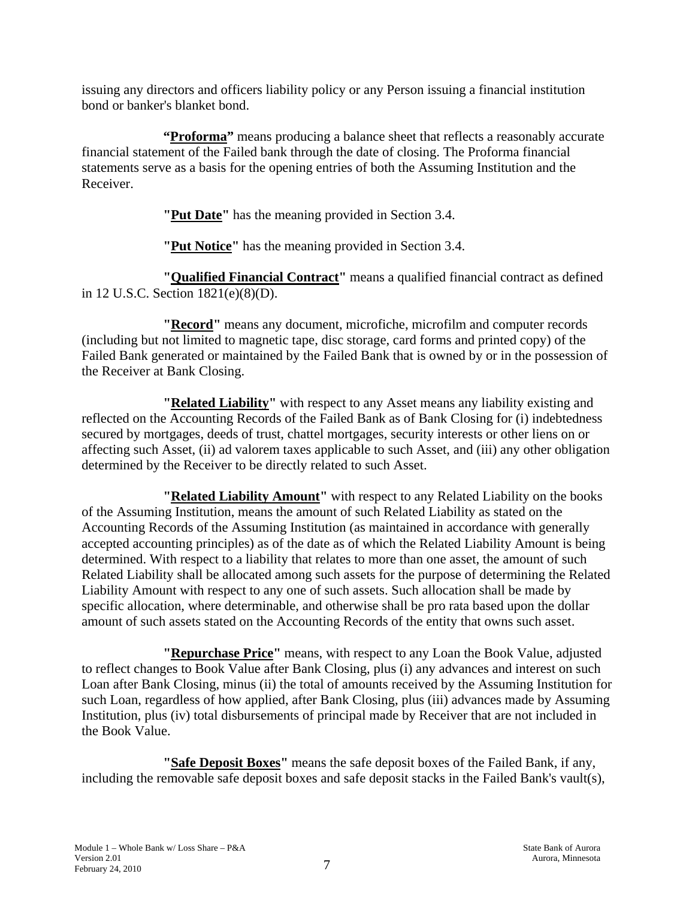issuing any directors and officers liability policy or any Person issuing a financial institution bond or banker's blanket bond.

**"Proforma"** means producing a balance sheet that reflects a reasonably accurate financial statement of the Failed bank through the date of closing. The Proforma financial statements serve as a basis for the opening entries of both the Assuming Institution and the Receiver.

 **"Put Date"** has the meaning provided in Section 3.4.

 **"Put Notice"** has the meaning provided in Section 3.4.

 **"Qualified Financial Contract"** means a qualified financial contract as defined in 12 U.S.C. Section 1821(e)(8)(D).

 **"Record"** means any document, microfiche, microfilm and computer records (including but not limited to magnetic tape, disc storage, card forms and printed copy) of the Failed Bank generated or maintained by the Failed Bank that is owned by or in the possession of the Receiver at Bank Closing.

 **"Related Liability"** with respect to any Asset means any liability existing and reflected on the Accounting Records of the Failed Bank as of Bank Closing for (i) indebtedness secured by mortgages, deeds of trust, chattel mortgages, security interests or other liens on or affecting such Asset, (ii) ad valorem taxes applicable to such Asset, and (iii) any other obligation determined by the Receiver to be directly related to such Asset.

 **"Related Liability Amount"** with respect to any Related Liability on the books of the Assuming Institution, means the amount of such Related Liability as stated on the Accounting Records of the Assuming Institution (as maintained in accordance with generally accepted accounting principles) as of the date as of which the Related Liability Amount is being determined. With respect to a liability that relates to more than one asset, the amount of such Related Liability shall be allocated among such assets for the purpose of determining the Related Liability Amount with respect to any one of such assets. Such allocation shall be made by specific allocation, where determinable, and otherwise shall be pro rata based upon the dollar amount of such assets stated on the Accounting Records of the entity that owns such asset.

 **"Repurchase Price"** means, with respect to any Loan the Book Value, adjusted to reflect changes to Book Value after Bank Closing, plus (i) any advances and interest on such Loan after Bank Closing, minus (ii) the total of amounts received by the Assuming Institution for such Loan, regardless of how applied, after Bank Closing, plus (iii) advances made by Assuming Institution, plus (iv) total disbursements of principal made by Receiver that are not included in the Book Value.

 **"Safe Deposit Boxes"** means the safe deposit boxes of the Failed Bank, if any, including the removable safe deposit boxes and safe deposit stacks in the Failed Bank's vault(s),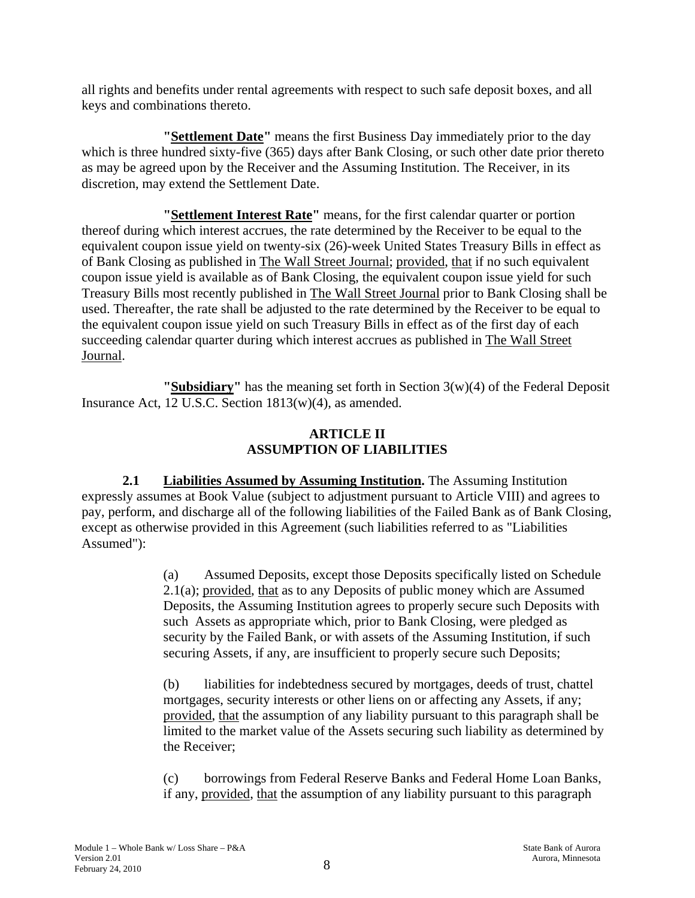all rights and benefits under rental agreements with respect to such safe deposit boxes, and all keys and combinations thereto.

 **"Settlement Date"** means the first Business Day immediately prior to the day which is three hundred sixty-five (365) days after Bank Closing, or such other date prior thereto as may be agreed upon by the Receiver and the Assuming Institution. The Receiver, in its discretion, may extend the Settlement Date.

 **"Settlement Interest Rate"** means, for the first calendar quarter or portion thereof during which interest accrues, the rate determined by the Receiver to be equal to the equivalent coupon issue yield on twenty-six (26)-week United States Treasury Bills in effect as of Bank Closing as published in The Wall Street Journal; provided, that if no such equivalent coupon issue yield is available as of Bank Closing, the equivalent coupon issue yield for such Treasury Bills most recently published in The Wall Street Journal prior to Bank Closing shall be used. Thereafter, the rate shall be adjusted to the rate determined by the Receiver to be equal to the equivalent coupon issue yield on such Treasury Bills in effect as of the first day of each succeeding calendar quarter during which interest accrues as published in The Wall Street Journal.

 **"Subsidiary"** has the meaning set forth in Section 3(w)(4) of the Federal Deposit Insurance Act, 12 U.S.C. Section 1813(w)(4), as amended.

### **ARTICLE II ASSUMPTION OF LIABILITIES**

<span id="page-11-1"></span><span id="page-11-0"></span> **2.1 Liabilities Assumed by Assuming Institution.** The Assuming Institution expressly assumes at Book Value (subject to adjustment pursuant to Article VIII) and agrees to pay, perform, and discharge all of the following liabilities of the Failed Bank as of Bank Closing, except as otherwise provided in this Agreement (such liabilities referred to as "Liabilities Assumed"):

> (a) Assumed Deposits, except those Deposits specifically listed on Schedule 2.1(a); provided, that as to any Deposits of public money which are Assumed Deposits, the Assuming Institution agrees to properly secure such Deposits with such Assets as appropriate which, prior to Bank Closing, were pledged as security by the Failed Bank, or with assets of the Assuming Institution, if such securing Assets, if any, are insufficient to properly secure such Deposits;

> (b) liabilities for indebtedness secured by mortgages, deeds of trust, chattel mortgages, security interests or other liens on or affecting any Assets, if any; provided, that the assumption of any liability pursuant to this paragraph shall be limited to the market value of the Assets securing such liability as determined by the Receiver;

> (c) borrowings from Federal Reserve Banks and Federal Home Loan Banks, if any, provided, that the assumption of any liability pursuant to this paragraph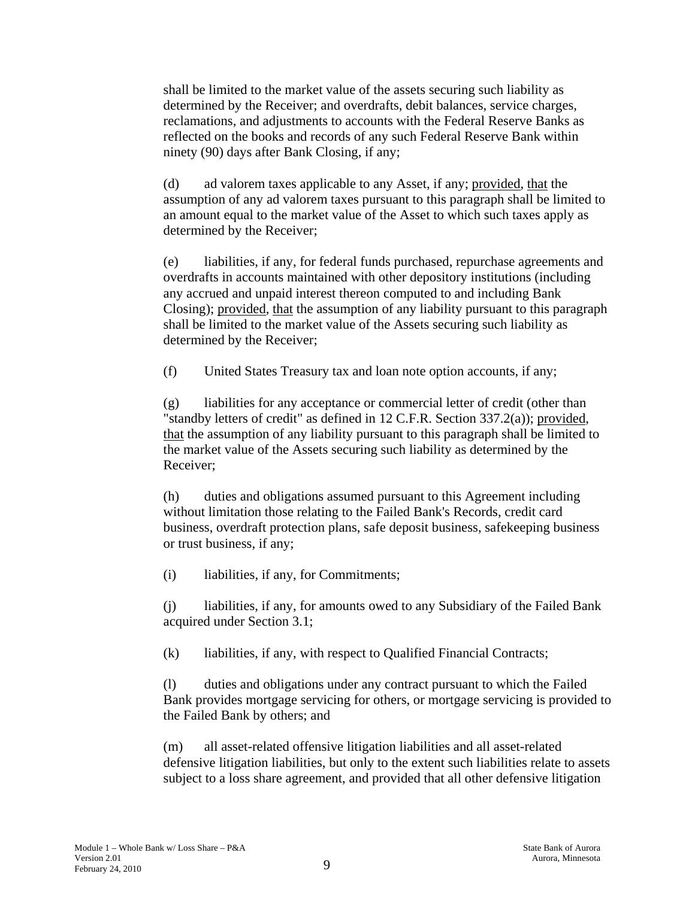shall be limited to the market value of the assets securing such liability as determined by the Receiver; and overdrafts, debit balances, service charges, reclamations, and adjustments to accounts with the Federal Reserve Banks as reflected on the books and records of any such Federal Reserve Bank within ninety (90) days after Bank Closing, if any;

(d) ad valorem taxes applicable to any Asset, if any; provided, that the assumption of any ad valorem taxes pursuant to this paragraph shall be limited to an amount equal to the market value of the Asset to which such taxes apply as determined by the Receiver;

 (e) liabilities, if any, for federal funds purchased, repurchase agreements and overdrafts in accounts maintained with other depository institutions (including any accrued and unpaid interest thereon computed to and including Bank Closing); provided, that the assumption of any liability pursuant to this paragraph shall be limited to the market value of the Assets securing such liability as determined by the Receiver;

(f) United States Treasury tax and loan note option accounts, if any;

 (g) liabilities for any acceptance or commercial letter of credit (other than "standby letters of credit" as defined in 12 C.F.R. Section 337.2(a)); provided, that the assumption of any liability pursuant to this paragraph shall be limited to the market value of the Assets securing such liability as determined by the Receiver;

 (h) duties and obligations assumed pursuant to this Agreement including without limitation those relating to the Failed Bank's Records, credit card business, overdraft protection plans, safe deposit business, safekeeping business or trust business, if any;

(i) liabilities, if any, for Commitments;

 (j) liabilities, if any, for amounts owed to any Subsidiary of the Failed Bank acquired under Section 3.1;

(k) liabilities, if any, with respect to Qualified Financial Contracts;

 (l) duties and obligations under any contract pursuant to which the Failed Bank provides mortgage servicing for others, or mortgage servicing is provided to the Failed Bank by others; and

 (m) all asset-related offensive litigation liabilities and all asset-related defensive litigation liabilities, but only to the extent such liabilities relate to assets subject to a loss share agreement, and provided that all other defensive litigation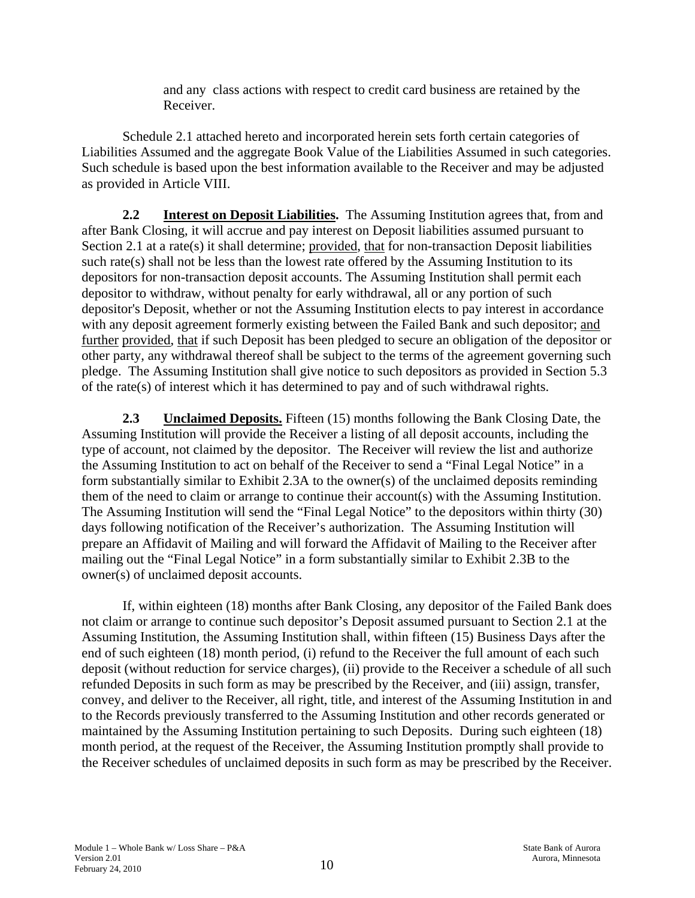and any class actions with respect to credit card business are retained by the Receiver.

Schedule 2.1 attached hereto and incorporated herein sets forth certain categories of Liabilities Assumed and the aggregate Book Value of the Liabilities Assumed in such categories. Such schedule is based upon the best information available to the Receiver and may be adjusted as provided in Article VIII.

<span id="page-13-0"></span>**2.2** Interest on Deposit Liabilities. The Assuming Institution agrees that, from and after Bank Closing, it will accrue and pay interest on Deposit liabilities assumed pursuant to Section 2.1 at a rate(s) it shall determine; provided, that for non-transaction Deposit liabilities such rate(s) shall not be less than the lowest rate offered by the Assuming Institution to its depositors for non-transaction deposit accounts. The Assuming Institution shall permit each depositor to withdraw, without penalty for early withdrawal, all or any portion of such depositor's Deposit, whether or not the Assuming Institution elects to pay interest in accordance with any deposit agreement formerly existing between the Failed Bank and such depositor; and further provided, that if such Deposit has been pledged to secure an obligation of the depositor or other party, any withdrawal thereof shall be subject to the terms of the agreement governing such pledge. The Assuming Institution shall give notice to such depositors as provided in Section 5.3 of the rate(s) of interest which it has determined to pay and of such withdrawal rights.

<span id="page-13-1"></span> **2.3 Unclaimed Deposits.** Fifteen (15) months following the Bank Closing Date, the Assuming Institution will provide the Receiver a listing of all deposit accounts, including the type of account, not claimed by the depositor. The Receiver will review the list and authorize the Assuming Institution to act on behalf of the Receiver to send a "Final Legal Notice" in a form substantially similar to Exhibit 2.3A to the owner(s) of the unclaimed deposits reminding them of the need to claim or arrange to continue their account(s) with the Assuming Institution. The Assuming Institution will send the "Final Legal Notice" to the depositors within thirty (30) days following notification of the Receiver's authorization. The Assuming Institution will prepare an Affidavit of Mailing and will forward the Affidavit of Mailing to the Receiver after mailing out the "Final Legal Notice" in a form substantially similar to Exhibit 2.3B to the owner(s) of unclaimed deposit accounts.

If, within eighteen (18) months after Bank Closing, any depositor of the Failed Bank does not claim or arrange to continue such depositor's Deposit assumed pursuant to Section 2.1 at the Assuming Institution, the Assuming Institution shall, within fifteen (15) Business Days after the end of such eighteen (18) month period, (i) refund to the Receiver the full amount of each such deposit (without reduction for service charges), (ii) provide to the Receiver a schedule of all such refunded Deposits in such form as may be prescribed by the Receiver, and (iii) assign, transfer, convey, and deliver to the Receiver, all right, title, and interest of the Assuming Institution in and to the Records previously transferred to the Assuming Institution and other records generated or maintained by the Assuming Institution pertaining to such Deposits. During such eighteen (18) month period, at the request of the Receiver, the Assuming Institution promptly shall provide to the Receiver schedules of unclaimed deposits in such form as may be prescribed by the Receiver.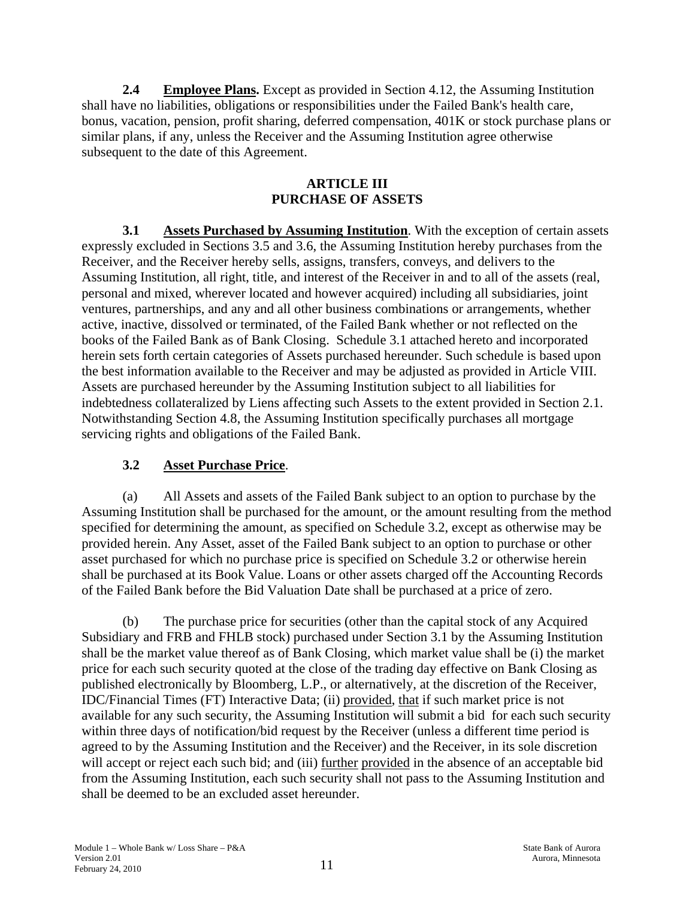<span id="page-14-0"></span>**2.4 Employee Plans.** Except as provided in Section 4.12, the Assuming Institution shall have no liabilities, obligations or responsibilities under the Failed Bank's health care, bonus, vacation, pension, profit sharing, deferred compensation, 401K or stock purchase plans or similar plans, if any, unless the Receiver and the Assuming Institution agree otherwise subsequent to the date of this Agreement.

### **ARTICLE III PURCHASE OF ASSETS**

<span id="page-14-2"></span><span id="page-14-1"></span> **3.1 Assets Purchased by Assuming Institution**. With the exception of certain assets expressly excluded in Sections 3.5 and 3.6, the Assuming Institution hereby purchases from the Receiver, and the Receiver hereby sells, assigns, transfers, conveys, and delivers to the Assuming Institution, all right, title, and interest of the Receiver in and to all of the assets (real, personal and mixed, wherever located and however acquired) including all subsidiaries, joint ventures, partnerships, and any and all other business combinations or arrangements, whether active, inactive, dissolved or terminated, of the Failed Bank whether or not reflected on the books of the Failed Bank as of Bank Closing. Schedule 3.1 attached hereto and incorporated herein sets forth certain categories of Assets purchased hereunder. Such schedule is based upon the best information available to the Receiver and may be adjusted as provided in Article VIII. Assets are purchased hereunder by the Assuming Institution subject to all liabilities for indebtedness collateralized by Liens affecting such Assets to the extent provided in Section 2.1. Notwithstanding Section 4.8, the Assuming Institution specifically purchases all mortgage servicing rights and obligations of the Failed Bank.

## **3.2 Asset Purchase Price**.

<span id="page-14-3"></span> (a) All Assets and assets of the Failed Bank subject to an option to purchase by the Assuming Institution shall be purchased for the amount, or the amount resulting from the method specified for determining the amount, as specified on Schedule 3.2, except as otherwise may be provided herein. Any Asset, asset of the Failed Bank subject to an option to purchase or other asset purchased for which no purchase price is specified on Schedule 3.2 or otherwise herein shall be purchased at its Book Value. Loans or other assets charged off the Accounting Records of the Failed Bank before the Bid Valuation Date shall be purchased at a price of zero.

 (b) The purchase price for securities (other than the capital stock of any Acquired Subsidiary and FRB and FHLB stock) purchased under Section 3.1 by the Assuming Institution shall be the market value thereof as of Bank Closing, which market value shall be (i) the market price for each such security quoted at the close of the trading day effective on Bank Closing as published electronically by Bloomberg, L.P., or alternatively, at the discretion of the Receiver, IDC/Financial Times (FT) Interactive Data; (ii) provided, that if such market price is not available for any such security, the Assuming Institution will submit a bid for each such security within three days of notification/bid request by the Receiver (unless a different time period is agreed to by the Assuming Institution and the Receiver) and the Receiver, in its sole discretion will accept or reject each such bid; and (iii) further provided in the absence of an acceptable bid from the Assuming Institution, each such security shall not pass to the Assuming Institution and shall be deemed to be an excluded asset hereunder.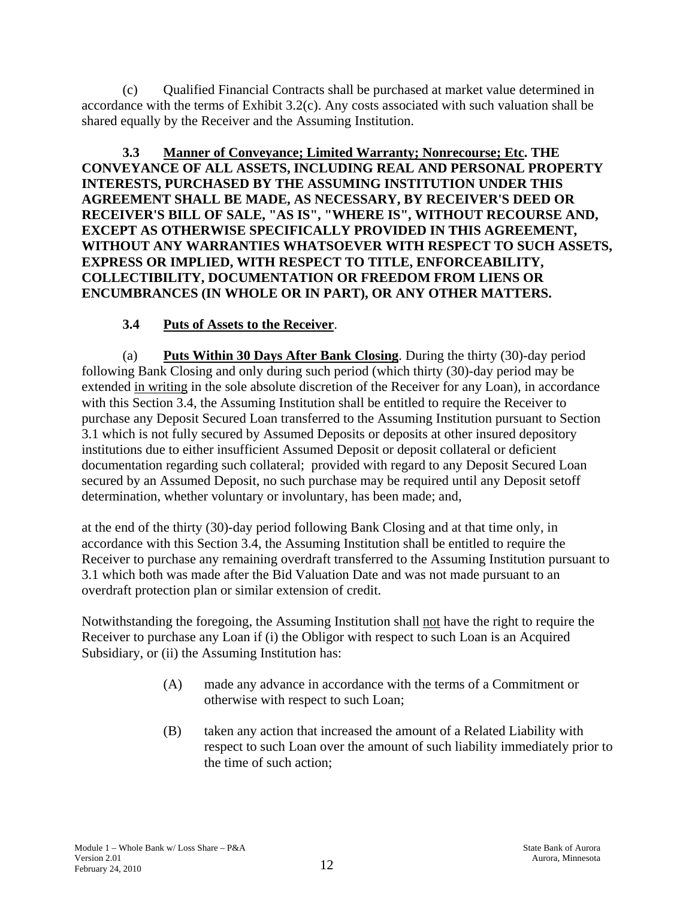(c) Qualified Financial Contracts shall be purchased at market value determined in accordance with the terms of Exhibit 3.2(c). Any costs associated with such valuation shall be shared equally by the Receiver and the Assuming Institution.

<span id="page-15-0"></span> **3.3 Manner of Conveyance; Limited Warranty; Nonrecourse; Etc. THE CONVEYANCE OF ALL ASSETS, INCLUDING REAL AND PERSONAL PROPERTY INTERESTS, PURCHASED BY THE ASSUMING INSTITUTION UNDER THIS AGREEMENT SHALL BE MADE, AS NECESSARY, BY RECEIVER'S DEED OR RECEIVER'S BILL OF SALE, "AS IS", "WHERE IS", WITHOUT RECOURSE AND, EXCEPT AS OTHERWISE SPECIFICALLY PROVIDED IN THIS AGREEMENT, WITHOUT ANY WARRANTIES WHATSOEVER WITH RESPECT TO SUCH ASSETS, EXPRESS OR IMPLIED, WITH RESPECT TO TITLE, ENFORCEABILITY, COLLECTIBILITY, DOCUMENTATION OR FREEDOM FROM LIENS OR ENCUMBRANCES (IN WHOLE OR IN PART), OR ANY OTHER MATTERS.** 

### **3.4 Puts of Assets to the Receiver**.

<span id="page-15-1"></span> (a) **Puts Within 30 Days After Bank Closing**. During the thirty (30)-day period following Bank Closing and only during such period (which thirty (30)-day period may be extended in writing in the sole absolute discretion of the Receiver for any Loan), in accordance with this Section 3.4, the Assuming Institution shall be entitled to require the Receiver to purchase any Deposit Secured Loan transferred to the Assuming Institution pursuant to Section 3.1 which is not fully secured by Assumed Deposits or deposits at other insured depository institutions due to either insufficient Assumed Deposit or deposit collateral or deficient documentation regarding such collateral; provided with regard to any Deposit Secured Loan secured by an Assumed Deposit, no such purchase may be required until any Deposit setoff determination, whether voluntary or involuntary, has been made; and,

at the end of the thirty (30)-day period following Bank Closing and at that time only, in accordance with this Section 3.4, the Assuming Institution shall be entitled to require the Receiver to purchase any remaining overdraft transferred to the Assuming Institution pursuant to 3.1 which both was made after the Bid Valuation Date and was not made pursuant to an overdraft protection plan or similar extension of credit.

Notwithstanding the foregoing, the Assuming Institution shall not have the right to require the Receiver to purchase any Loan if (i) the Obligor with respect to such Loan is an Acquired Subsidiary, or (ii) the Assuming Institution has:

- (A) made any advance in accordance with the terms of a Commitment or otherwise with respect to such Loan;
- (B) taken any action that increased the amount of a Related Liability with respect to such Loan over the amount of such liability immediately prior to the time of such action;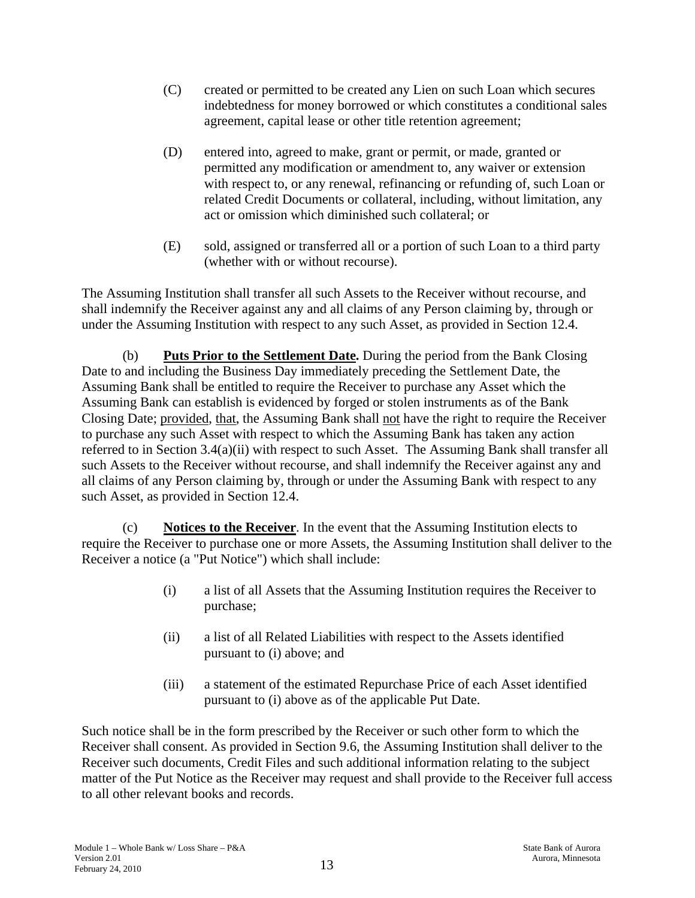- (C) created or permitted to be created any Lien on such Loan which secures indebtedness for money borrowed or which constitutes a conditional sales agreement, capital lease or other title retention agreement;
- (D) entered into, agreed to make, grant or permit, or made, granted or permitted any modification or amendment to, any waiver or extension with respect to, or any renewal, refinancing or refunding of, such Loan or related Credit Documents or collateral, including, without limitation, any act or omission which diminished such collateral; or
- (E) sold, assigned or transferred all or a portion of such Loan to a third party (whether with or without recourse).

The Assuming Institution shall transfer all such Assets to the Receiver without recourse, and shall indemnify the Receiver against any and all claims of any Person claiming by, through or under the Assuming Institution with respect to any such Asset, as provided in Section 12.4.

 (b) **Puts Prior to the Settlement Date.** During the period from the Bank Closing Date to and including the Business Day immediately preceding the Settlement Date, the Assuming Bank shall be entitled to require the Receiver to purchase any Asset which the Assuming Bank can establish is evidenced by forged or stolen instruments as of the Bank Closing Date; provided, that, the Assuming Bank shall not have the right to require the Receiver to purchase any such Asset with respect to which the Assuming Bank has taken any action referred to in Section 3.4(a)(ii) with respect to such Asset. The Assuming Bank shall transfer all such Assets to the Receiver without recourse, and shall indemnify the Receiver against any and all claims of any Person claiming by, through or under the Assuming Bank with respect to any such Asset, as provided in Section 12.4.

 (c) **Notices to the Receiver**. In the event that the Assuming Institution elects to require the Receiver to purchase one or more Assets, the Assuming Institution shall deliver to the Receiver a notice (a "Put Notice") which shall include:

- (i) a list of all Assets that the Assuming Institution requires the Receiver to purchase;
- (ii) a list of all Related Liabilities with respect to the Assets identified pursuant to (i) above; and
- (iii) a statement of the estimated Repurchase Price of each Asset identified pursuant to (i) above as of the applicable Put Date.

Such notice shall be in the form prescribed by the Receiver or such other form to which the Receiver shall consent. As provided in Section 9.6, the Assuming Institution shall deliver to the Receiver such documents, Credit Files and such additional information relating to the subject matter of the Put Notice as the Receiver may request and shall provide to the Receiver full access to all other relevant books and records.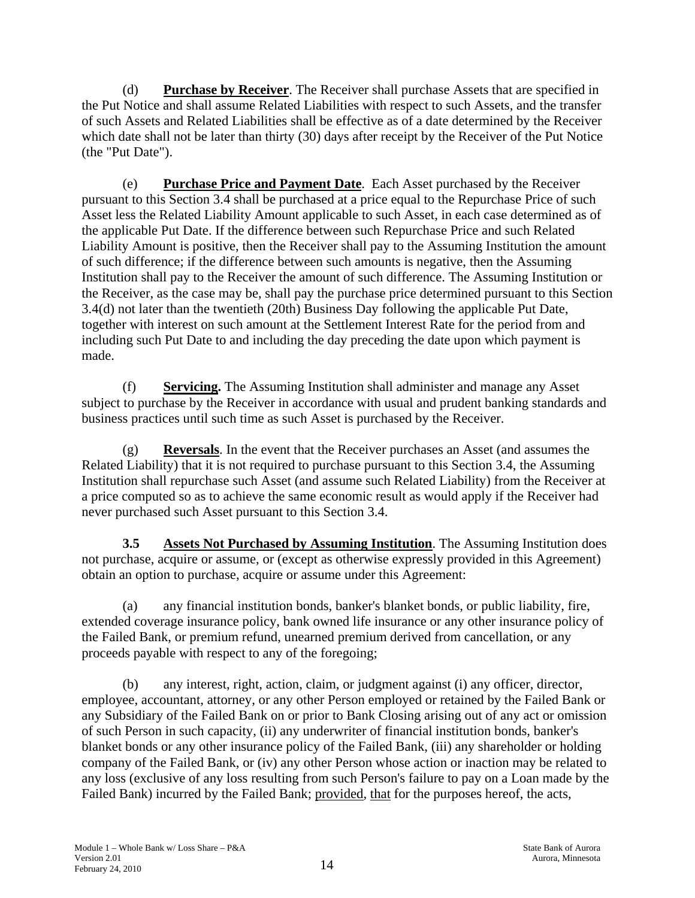(d) **Purchase by Receiver**. The Receiver shall purchase Assets that are specified in the Put Notice and shall assume Related Liabilities with respect to such Assets, and the transfer of such Assets and Related Liabilities shall be effective as of a date determined by the Receiver which date shall not be later than thirty (30) days after receipt by the Receiver of the Put Notice (the "Put Date").

 (e) **Purchase Price and Payment Date**. Each Asset purchased by the Receiver pursuant to this Section 3.4 shall be purchased at a price equal to the Repurchase Price of such Asset less the Related Liability Amount applicable to such Asset, in each case determined as of the applicable Put Date. If the difference between such Repurchase Price and such Related Liability Amount is positive, then the Receiver shall pay to the Assuming Institution the amount of such difference; if the difference between such amounts is negative, then the Assuming Institution shall pay to the Receiver the amount of such difference. The Assuming Institution or the Receiver, as the case may be, shall pay the purchase price determined pursuant to this Section 3.4(d) not later than the twentieth (20th) Business Day following the applicable Put Date, together with interest on such amount at the Settlement Interest Rate for the period from and including such Put Date to and including the day preceding the date upon which payment is made.

 (f) **Servicing.** The Assuming Institution shall administer and manage any Asset subject to purchase by the Receiver in accordance with usual and prudent banking standards and business practices until such time as such Asset is purchased by the Receiver.

 (g) **Reversals**. In the event that the Receiver purchases an Asset (and assumes the Related Liability) that it is not required to purchase pursuant to this Section 3.4, the Assuming Institution shall repurchase such Asset (and assume such Related Liability) from the Receiver at a price computed so as to achieve the same economic result as would apply if the Receiver had never purchased such Asset pursuant to this Section 3.4.

<span id="page-17-0"></span> **3.5 Assets Not Purchased by Assuming Institution**. The Assuming Institution does not purchase, acquire or assume, or (except as otherwise expressly provided in this Agreement) obtain an option to purchase, acquire or assume under this Agreement:

 (a) any financial institution bonds, banker's blanket bonds, or public liability, fire, extended coverage insurance policy, bank owned life insurance or any other insurance policy of the Failed Bank, or premium refund, unearned premium derived from cancellation, or any proceeds payable with respect to any of the foregoing;

 (b) any interest, right, action, claim, or judgment against (i) any officer, director, employee, accountant, attorney, or any other Person employed or retained by the Failed Bank or any Subsidiary of the Failed Bank on or prior to Bank Closing arising out of any act or omission of such Person in such capacity, (ii) any underwriter of financial institution bonds, banker's blanket bonds or any other insurance policy of the Failed Bank, (iii) any shareholder or holding company of the Failed Bank, or (iv) any other Person whose action or inaction may be related to any loss (exclusive of any loss resulting from such Person's failure to pay on a Loan made by the Failed Bank) incurred by the Failed Bank; provided, that for the purposes hereof, the acts,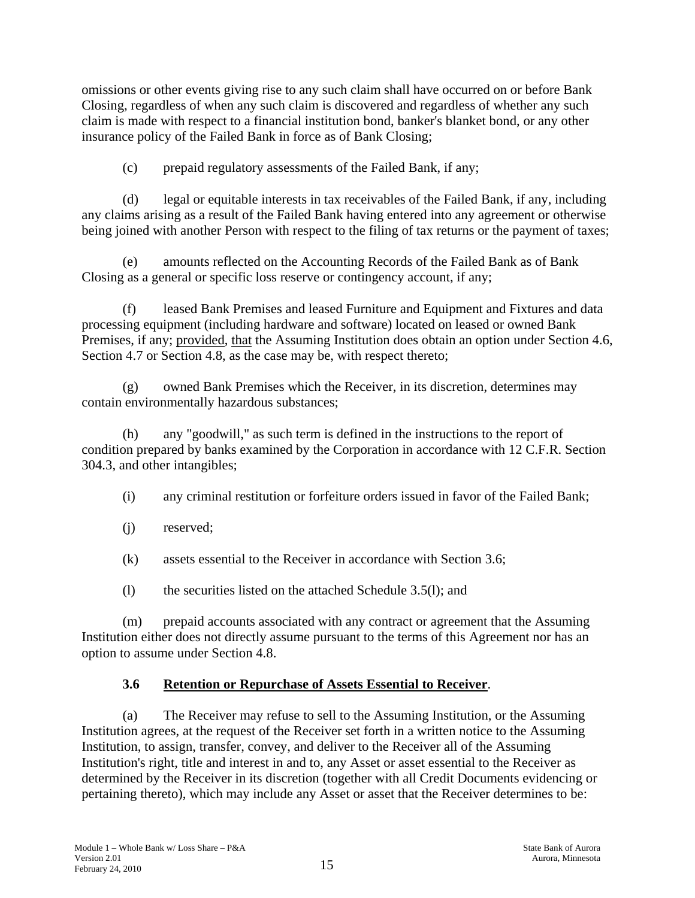omissions or other events giving rise to any such claim shall have occurred on or before Bank Closing, regardless of when any such claim is discovered and regardless of whether any such claim is made with respect to a financial institution bond, banker's blanket bond, or any other insurance policy of the Failed Bank in force as of Bank Closing;

(c) prepaid regulatory assessments of the Failed Bank, if any;

 (d) legal or equitable interests in tax receivables of the Failed Bank, if any, including any claims arising as a result of the Failed Bank having entered into any agreement or otherwise being joined with another Person with respect to the filing of tax returns or the payment of taxes;

 (e) amounts reflected on the Accounting Records of the Failed Bank as of Bank Closing as a general or specific loss reserve or contingency account, if any;

 (f) leased Bank Premises and leased Furniture and Equipment and Fixtures and data processing equipment (including hardware and software) located on leased or owned Bank Premises, if any; provided, that the Assuming Institution does obtain an option under Section 4.6, Section 4.7 or Section 4.8, as the case may be, with respect thereto;

 (g) owned Bank Premises which the Receiver, in its discretion, determines may contain environmentally hazardous substances;

 (h) any "goodwill," as such term is defined in the instructions to the report of condition prepared by banks examined by the Corporation in accordance with 12 C.F.R. Section 304.3, and other intangibles;

- (i) any criminal restitution or forfeiture orders issued in favor of the Failed Bank;
- (j) reserved;
- (k) assets essential to the Receiver in accordance with Section 3.6;
- (l) the securities listed on the attached Schedule 3.5(l); and

 (m) prepaid accounts associated with any contract or agreement that the Assuming Institution either does not directly assume pursuant to the terms of this Agreement nor has an option to assume under Section 4.8.

## **3.6 Retention or Repurchase of Assets Essential to Receiver**.

<span id="page-18-0"></span> (a) The Receiver may refuse to sell to the Assuming Institution, or the Assuming Institution agrees, at the request of the Receiver set forth in a written notice to the Assuming Institution, to assign, transfer, convey, and deliver to the Receiver all of the Assuming Institution's right, title and interest in and to, any Asset or asset essential to the Receiver as determined by the Receiver in its discretion (together with all Credit Documents evidencing or pertaining thereto), which may include any Asset or asset that the Receiver determines to be: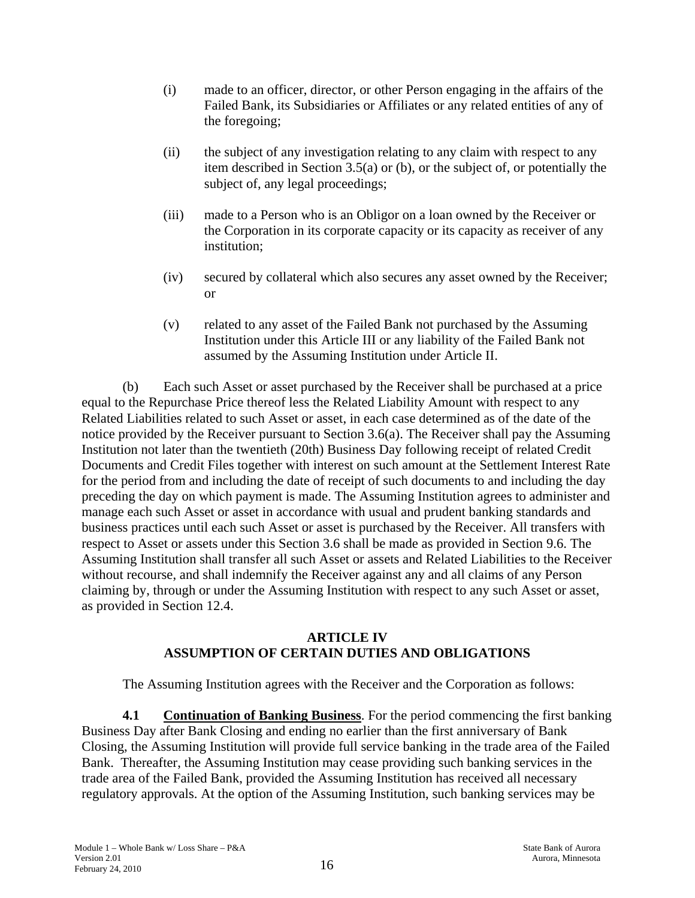- (i) made to an officer, director, or other Person engaging in the affairs of the Failed Bank, its Subsidiaries or Affiliates or any related entities of any of the foregoing;
- (ii) the subject of any investigation relating to any claim with respect to any item described in Section 3.5(a) or (b), or the subject of, or potentially the subject of, any legal proceedings;
- (iii) made to a Person who is an Obligor on a loan owned by the Receiver or the Corporation in its corporate capacity or its capacity as receiver of any institution;
- (iv) secured by collateral which also secures any asset owned by the Receiver; or
- (v) related to any asset of the Failed Bank not purchased by the Assuming Institution under this Article III or any liability of the Failed Bank not assumed by the Assuming Institution under Article II.

 (b) Each such Asset or asset purchased by the Receiver shall be purchased at a price equal to the Repurchase Price thereof less the Related Liability Amount with respect to any Related Liabilities related to such Asset or asset, in each case determined as of the date of the notice provided by the Receiver pursuant to Section 3.6(a). The Receiver shall pay the Assuming Institution not later than the twentieth (20th) Business Day following receipt of related Credit Documents and Credit Files together with interest on such amount at the Settlement Interest Rate for the period from and including the date of receipt of such documents to and including the day preceding the day on which payment is made. The Assuming Institution agrees to administer and manage each such Asset or asset in accordance with usual and prudent banking standards and business practices until each such Asset or asset is purchased by the Receiver. All transfers with respect to Asset or assets under this Section 3.6 shall be made as provided in Section 9.6. The Assuming Institution shall transfer all such Asset or assets and Related Liabilities to the Receiver without recourse, and shall indemnify the Receiver against any and all claims of any Person claiming by, through or under the Assuming Institution with respect to any such Asset or asset, as provided in Section 12.4.

### **ARTICLE IV ASSUMPTION OF CERTAIN DUTIES AND OBLIGATIONS**

The Assuming Institution agrees with the Receiver and the Corporation as follows:

<span id="page-19-1"></span><span id="page-19-0"></span> **4.1 Continuation of Banking Business**. For the period commencing the first banking Business Day after Bank Closing and ending no earlier than the first anniversary of Bank Closing, the Assuming Institution will provide full service banking in the trade area of the Failed Bank. Thereafter, the Assuming Institution may cease providing such banking services in the trade area of the Failed Bank, provided the Assuming Institution has received all necessary regulatory approvals. At the option of the Assuming Institution, such banking services may be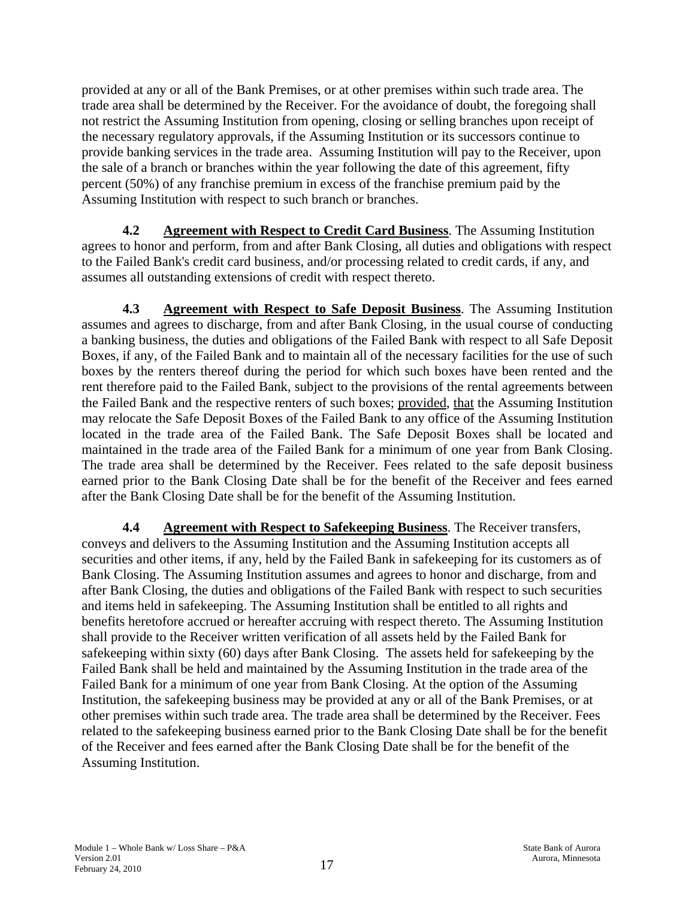provided at any or all of the Bank Premises, or at other premises within such trade area. The trade area shall be determined by the Receiver. For the avoidance of doubt, the foregoing shall not restrict the Assuming Institution from opening, closing or selling branches upon receipt of the necessary regulatory approvals, if the Assuming Institution or its successors continue to provide banking services in the trade area. Assuming Institution will pay to the Receiver, upon the sale of a branch or branches within the year following the date of this agreement, fifty percent (50%) of any franchise premium in excess of the franchise premium paid by the Assuming Institution with respect to such branch or branches.

 **4.2 Agreement with Respect to Credit Card Business**. The Assuming Institution agrees to honor and perform, from and after Bank Closing, all duties and obligations with respect to the Failed Bank's credit card business, and/or processing related to credit cards, if any, and assumes all outstanding extensions of credit with respect thereto.

**4.3 Agreement with Respect to Safe Deposit Business**. The Assuming Institution assumes and agrees to discharge, from and after Bank Closing, in the usual course of conducting a banking business, the duties and obligations of the Failed Bank with respect to all Safe Deposit Boxes, if any, of the Failed Bank and to maintain all of the necessary facilities for the use of such boxes by the renters thereof during the period for which such boxes have been rented and the rent therefore paid to the Failed Bank, subject to the provisions of the rental agreements between the Failed Bank and the respective renters of such boxes; provided, that the Assuming Institution may relocate the Safe Deposit Boxes of the Failed Bank to any office of the Assuming Institution located in the trade area of the Failed Bank. The Safe Deposit Boxes shall be located and maintained in the trade area of the Failed Bank for a minimum of one year from Bank Closing. The trade area shall be determined by the Receiver. Fees related to the safe deposit business earned prior to the Bank Closing Date shall be for the benefit of the Receiver and fees earned after the Bank Closing Date shall be for the benefit of the Assuming Institution.

**4.4 Agreement with Respect to Safekeeping Business**. The Receiver transfers, conveys and delivers to the Assuming Institution and the Assuming Institution accepts all securities and other items, if any, held by the Failed Bank in safekeeping for its customers as of Bank Closing. The Assuming Institution assumes and agrees to honor and discharge, from and after Bank Closing, the duties and obligations of the Failed Bank with respect to such securities and items held in safekeeping. The Assuming Institution shall be entitled to all rights and benefits heretofore accrued or hereafter accruing with respect thereto. The Assuming Institution shall provide to the Receiver written verification of all assets held by the Failed Bank for safekeeping within sixty (60) days after Bank Closing. The assets held for safekeeping by the Failed Bank shall be held and maintained by the Assuming Institution in the trade area of the Failed Bank for a minimum of one year from Bank Closing. At the option of the Assuming Institution, the safekeeping business may be provided at any or all of the Bank Premises, or at other premises within such trade area. The trade area shall be determined by the Receiver. Fees related to the safekeeping business earned prior to the Bank Closing Date shall be for the benefit of the Receiver and fees earned after the Bank Closing Date shall be for the benefit of the Assuming Institution.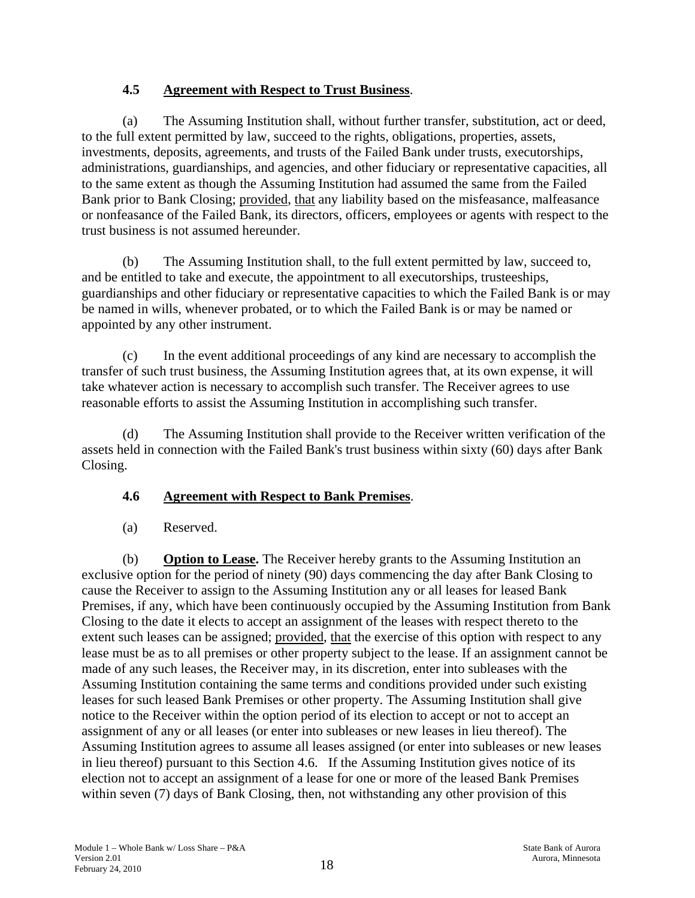### **4.5 Agreement with Respect to Trust Business**.

<span id="page-21-0"></span> (a) The Assuming Institution shall, without further transfer, substitution, act or deed, to the full extent permitted by law, succeed to the rights, obligations, properties, assets, investments, deposits, agreements, and trusts of the Failed Bank under trusts, executorships, administrations, guardianships, and agencies, and other fiduciary or representative capacities, all to the same extent as though the Assuming Institution had assumed the same from the Failed Bank prior to Bank Closing; provided, that any liability based on the misfeasance, malfeasance or nonfeasance of the Failed Bank, its directors, officers, employees or agents with respect to the trust business is not assumed hereunder.

 (b) The Assuming Institution shall, to the full extent permitted by law, succeed to, and be entitled to take and execute, the appointment to all executorships, trusteeships, guardianships and other fiduciary or representative capacities to which the Failed Bank is or may be named in wills, whenever probated, or to which the Failed Bank is or may be named or appointed by any other instrument.

 (c) In the event additional proceedings of any kind are necessary to accomplish the transfer of such trust business, the Assuming Institution agrees that, at its own expense, it will take whatever action is necessary to accomplish such transfer. The Receiver agrees to use reasonable efforts to assist the Assuming Institution in accomplishing such transfer.

 (d) The Assuming Institution shall provide to the Receiver written verification of the assets held in connection with the Failed Bank's trust business within sixty (60) days after Bank Closing.

## **4.6 Agreement with Respect to Bank Premises**.

(a) Reserved.

<span id="page-21-1"></span> (b) **Option to Lease.** The Receiver hereby grants to the Assuming Institution an exclusive option for the period of ninety (90) days commencing the day after Bank Closing to cause the Receiver to assign to the Assuming Institution any or all leases for leased Bank Premises, if any, which have been continuously occupied by the Assuming Institution from Bank Closing to the date it elects to accept an assignment of the leases with respect thereto to the extent such leases can be assigned; provided, that the exercise of this option with respect to any lease must be as to all premises or other property subject to the lease. If an assignment cannot be made of any such leases, the Receiver may, in its discretion, enter into subleases with the Assuming Institution containing the same terms and conditions provided under such existing leases for such leased Bank Premises or other property. The Assuming Institution shall give notice to the Receiver within the option period of its election to accept or not to accept an assignment of any or all leases (or enter into subleases or new leases in lieu thereof). The Assuming Institution agrees to assume all leases assigned (or enter into subleases or new leases in lieu thereof) pursuant to this Section 4.6. If the Assuming Institution gives notice of its election not to accept an assignment of a lease for one or more of the leased Bank Premises within seven (7) days of Bank Closing, then, not withstanding any other provision of this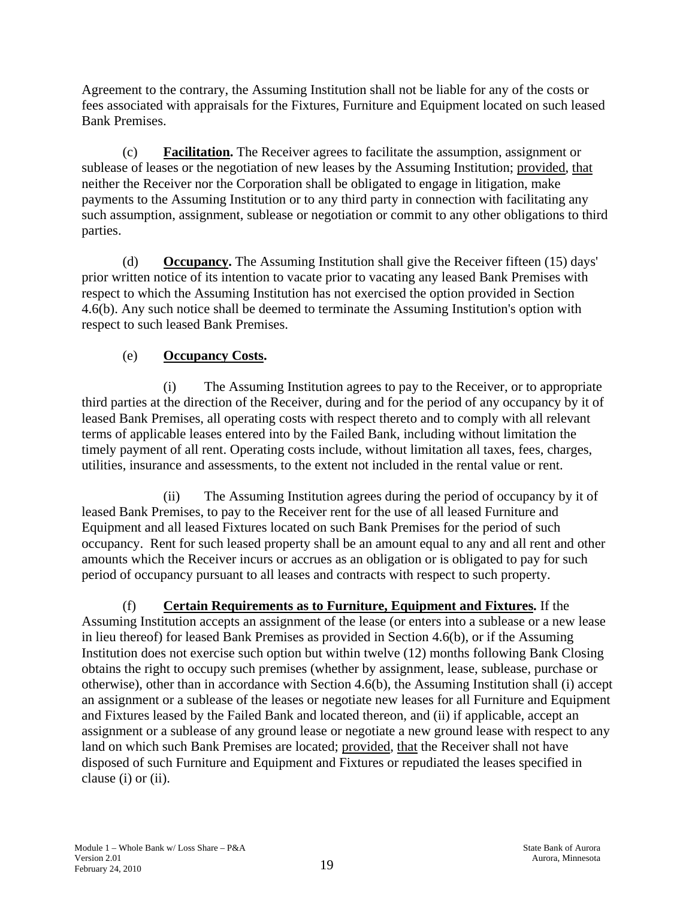Agreement to the contrary, the Assuming Institution shall not be liable for any of the costs or fees associated with appraisals for the Fixtures, Furniture and Equipment located on such leased Bank Premises.

 (c) **Facilitation.** The Receiver agrees to facilitate the assumption, assignment or sublease of leases or the negotiation of new leases by the Assuming Institution; provided, that neither the Receiver nor the Corporation shall be obligated to engage in litigation, make payments to the Assuming Institution or to any third party in connection with facilitating any such assumption, assignment, sublease or negotiation or commit to any other obligations to third parties.

 (d) **Occupancy.** The Assuming Institution shall give the Receiver fifteen (15) days' prior written notice of its intention to vacate prior to vacating any leased Bank Premises with respect to which the Assuming Institution has not exercised the option provided in Section 4.6(b). Any such notice shall be deemed to terminate the Assuming Institution's option with respect to such leased Bank Premises.

## (e) **Occupancy Costs.**

(i) The Assuming Institution agrees to pay to the Receiver, or to appropriate third parties at the direction of the Receiver, during and for the period of any occupancy by it of leased Bank Premises, all operating costs with respect thereto and to comply with all relevant terms of applicable leases entered into by the Failed Bank, including without limitation the timely payment of all rent. Operating costs include, without limitation all taxes, fees, charges, utilities, insurance and assessments, to the extent not included in the rental value or rent.

 (ii) The Assuming Institution agrees during the period of occupancy by it of leased Bank Premises, to pay to the Receiver rent for the use of all leased Furniture and Equipment and all leased Fixtures located on such Bank Premises for the period of such occupancy. Rent for such leased property shall be an amount equal to any and all rent and other amounts which the Receiver incurs or accrues as an obligation or is obligated to pay for such period of occupancy pursuant to all leases and contracts with respect to such property.

 (f) **Certain Requirements as to Furniture, Equipment and Fixtures.** If the Assuming Institution accepts an assignment of the lease (or enters into a sublease or a new lease in lieu thereof) for leased Bank Premises as provided in Section 4.6(b), or if the Assuming Institution does not exercise such option but within twelve (12) months following Bank Closing obtains the right to occupy such premises (whether by assignment, lease, sublease, purchase or otherwise), other than in accordance with Section 4.6(b), the Assuming Institution shall (i) accept an assignment or a sublease of the leases or negotiate new leases for all Furniture and Equipment and Fixtures leased by the Failed Bank and located thereon, and (ii) if applicable, accept an assignment or a sublease of any ground lease or negotiate a new ground lease with respect to any land on which such Bank Premises are located; provided, that the Receiver shall not have disposed of such Furniture and Equipment and Fixtures or repudiated the leases specified in clause (i) or (ii).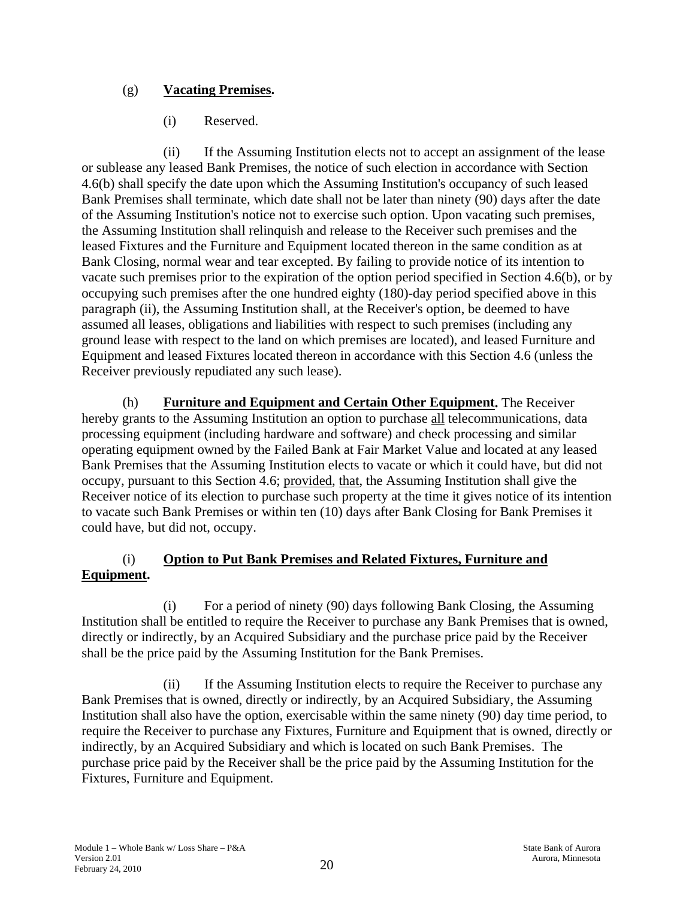### (g) **Vacating Premises.**

(i) Reserved.

 (ii) If the Assuming Institution elects not to accept an assignment of the lease or sublease any leased Bank Premises, the notice of such election in accordance with Section 4.6(b) shall specify the date upon which the Assuming Institution's occupancy of such leased Bank Premises shall terminate, which date shall not be later than ninety (90) days after the date of the Assuming Institution's notice not to exercise such option. Upon vacating such premises, the Assuming Institution shall relinquish and release to the Receiver such premises and the leased Fixtures and the Furniture and Equipment located thereon in the same condition as at Bank Closing, normal wear and tear excepted. By failing to provide notice of its intention to vacate such premises prior to the expiration of the option period specified in Section 4.6(b), or by occupying such premises after the one hundred eighty (180)-day period specified above in this paragraph (ii), the Assuming Institution shall, at the Receiver's option, be deemed to have assumed all leases, obligations and liabilities with respect to such premises (including any ground lease with respect to the land on which premises are located), and leased Furniture and Equipment and leased Fixtures located thereon in accordance with this Section 4.6 (unless the Receiver previously repudiated any such lease).

 (h) **Furniture and Equipment and Certain Other Equipment.** The Receiver hereby grants to the Assuming Institution an option to purchase all telecommunications, data processing equipment (including hardware and software) and check processing and similar operating equipment owned by the Failed Bank at Fair Market Value and located at any leased Bank Premises that the Assuming Institution elects to vacate or which it could have, but did not occupy, pursuant to this Section 4.6; provided, that, the Assuming Institution shall give the Receiver notice of its election to purchase such property at the time it gives notice of its intention to vacate such Bank Premises or within ten (10) days after Bank Closing for Bank Premises it could have, but did not, occupy.

### (i) **Option to Put Bank Premises and Related Fixtures, Furniture and Equipment.**

 (i) For a period of ninety (90) days following Bank Closing, the Assuming Institution shall be entitled to require the Receiver to purchase any Bank Premises that is owned, directly or indirectly, by an Acquired Subsidiary and the purchase price paid by the Receiver shall be the price paid by the Assuming Institution for the Bank Premises.

 (ii) If the Assuming Institution elects to require the Receiver to purchase any Bank Premises that is owned, directly or indirectly, by an Acquired Subsidiary, the Assuming Institution shall also have the option, exercisable within the same ninety (90) day time period, to require the Receiver to purchase any Fixtures, Furniture and Equipment that is owned, directly or indirectly, by an Acquired Subsidiary and which is located on such Bank Premises. The purchase price paid by the Receiver shall be the price paid by the Assuming Institution for the Fixtures, Furniture and Equipment.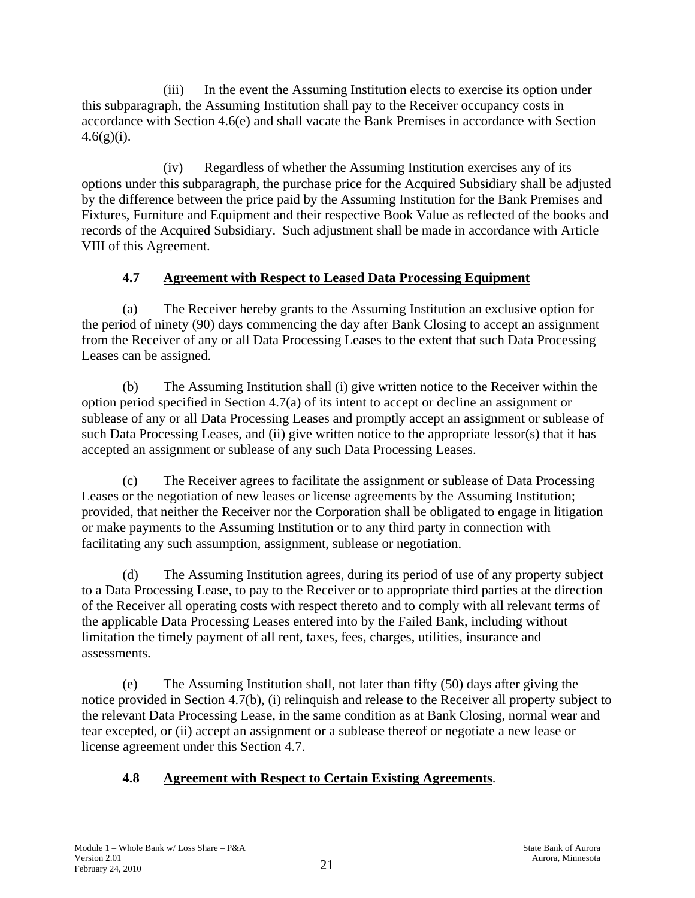(iii) In the event the Assuming Institution elects to exercise its option under this subparagraph, the Assuming Institution shall pay to the Receiver occupancy costs in accordance with Section 4.6(e) and shall vacate the Bank Premises in accordance with Section  $4.6(g)(i)$ .

 (iv) Regardless of whether the Assuming Institution exercises any of its options under this subparagraph, the purchase price for the Acquired Subsidiary shall be adjusted by the difference between the price paid by the Assuming Institution for the Bank Premises and Fixtures, Furniture and Equipment and their respective Book Value as reflected of the books and records of the Acquired Subsidiary. Such adjustment shall be made in accordance with Article VIII of this Agreement.

## **4.7 Agreement with Respect to Leased Data Processing Equipment**

<span id="page-24-0"></span> (a) The Receiver hereby grants to the Assuming Institution an exclusive option for the period of ninety (90) days commencing the day after Bank Closing to accept an assignment from the Receiver of any or all Data Processing Leases to the extent that such Data Processing Leases can be assigned.

 (b) The Assuming Institution shall (i) give written notice to the Receiver within the option period specified in Section 4.7(a) of its intent to accept or decline an assignment or sublease of any or all Data Processing Leases and promptly accept an assignment or sublease of such Data Processing Leases, and (ii) give written notice to the appropriate lessor(s) that it has accepted an assignment or sublease of any such Data Processing Leases.

 (c) The Receiver agrees to facilitate the assignment or sublease of Data Processing Leases or the negotiation of new leases or license agreements by the Assuming Institution; provided, that neither the Receiver nor the Corporation shall be obligated to engage in litigation or make payments to the Assuming Institution or to any third party in connection with facilitating any such assumption, assignment, sublease or negotiation.

 (d) The Assuming Institution agrees, during its period of use of any property subject to a Data Processing Lease, to pay to the Receiver or to appropriate third parties at the direction of the Receiver all operating costs with respect thereto and to comply with all relevant terms of the applicable Data Processing Leases entered into by the Failed Bank, including without limitation the timely payment of all rent, taxes, fees, charges, utilities, insurance and assessments.

<span id="page-24-1"></span> (e) The Assuming Institution shall, not later than fifty (50) days after giving the notice provided in Section 4.7(b), (i) relinquish and release to the Receiver all property subject to the relevant Data Processing Lease, in the same condition as at Bank Closing, normal wear and tear excepted, or (ii) accept an assignment or a sublease thereof or negotiate a new lease or license agreement under this Section 4.7.

## **4.8 Agreement with Respect to Certain Existing Agreements**.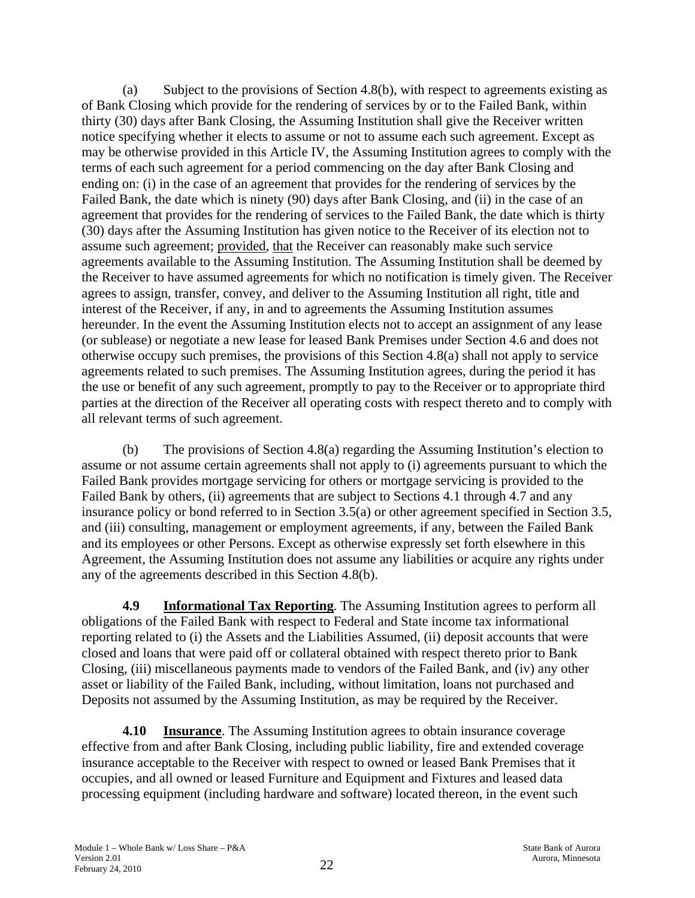(a) Subject to the provisions of Section 4.8(b), with respect to agreements existing as of Bank Closing which provide for the rendering of services by or to the Failed Bank, within thirty (30) days after Bank Closing, the Assuming Institution shall give the Receiver written notice specifying whether it elects to assume or not to assume each such agreement. Except as may be otherwise provided in this Article IV, the Assuming Institution agrees to comply with the terms of each such agreement for a period commencing on the day after Bank Closing and ending on: (i) in the case of an agreement that provides for the rendering of services by the Failed Bank, the date which is ninety (90) days after Bank Closing, and (ii) in the case of an agreement that provides for the rendering of services to the Failed Bank, the date which is thirty (30) days after the Assuming Institution has given notice to the Receiver of its election not to assume such agreement; provided, that the Receiver can reasonably make such service agreements available to the Assuming Institution. The Assuming Institution shall be deemed by the Receiver to have assumed agreements for which no notification is timely given. The Receiver agrees to assign, transfer, convey, and deliver to the Assuming Institution all right, title and interest of the Receiver, if any, in and to agreements the Assuming Institution assumes hereunder. In the event the Assuming Institution elects not to accept an assignment of any lease (or sublease) or negotiate a new lease for leased Bank Premises under Section 4.6 and does not otherwise occupy such premises, the provisions of this Section 4.8(a) shall not apply to service agreements related to such premises. The Assuming Institution agrees, during the period it has the use or benefit of any such agreement, promptly to pay to the Receiver or to appropriate third parties at the direction of the Receiver all operating costs with respect thereto and to comply with all relevant terms of such agreement.

 (b) The provisions of Section 4.8(a) regarding the Assuming Institution's election to assume or not assume certain agreements shall not apply to (i) agreements pursuant to which the Failed Bank provides mortgage servicing for others or mortgage servicing is provided to the Failed Bank by others, (ii) agreements that are subject to Sections 4.1 through 4.7 and any insurance policy or bond referred to in Section 3.5(a) or other agreement specified in Section 3.5, and (iii) consulting, management or employment agreements, if any, between the Failed Bank and its employees or other Persons. Except as otherwise expressly set forth elsewhere in this Agreement, the Assuming Institution does not assume any liabilities or acquire any rights under any of the agreements described in this Section 4.8(b).

<span id="page-25-0"></span> **4.9 Informational Tax Reporting**. The Assuming Institution agrees to perform all obligations of the Failed Bank with respect to Federal and State income tax informational reporting related to (i) the Assets and the Liabilities Assumed, (ii) deposit accounts that were closed and loans that were paid off or collateral obtained with respect thereto prior to Bank Closing, (iii) miscellaneous payments made to vendors of the Failed Bank, and (iv) any other asset or liability of the Failed Bank, including, without limitation, loans not purchased and Deposits not assumed by the Assuming Institution, as may be required by the Receiver.

<span id="page-25-1"></span> **4.10 Insurance**. The Assuming Institution agrees to obtain insurance coverage effective from and after Bank Closing, including public liability, fire and extended coverage insurance acceptable to the Receiver with respect to owned or leased Bank Premises that it occupies, and all owned or leased Furniture and Equipment and Fixtures and leased data processing equipment (including hardware and software) located thereon, in the event such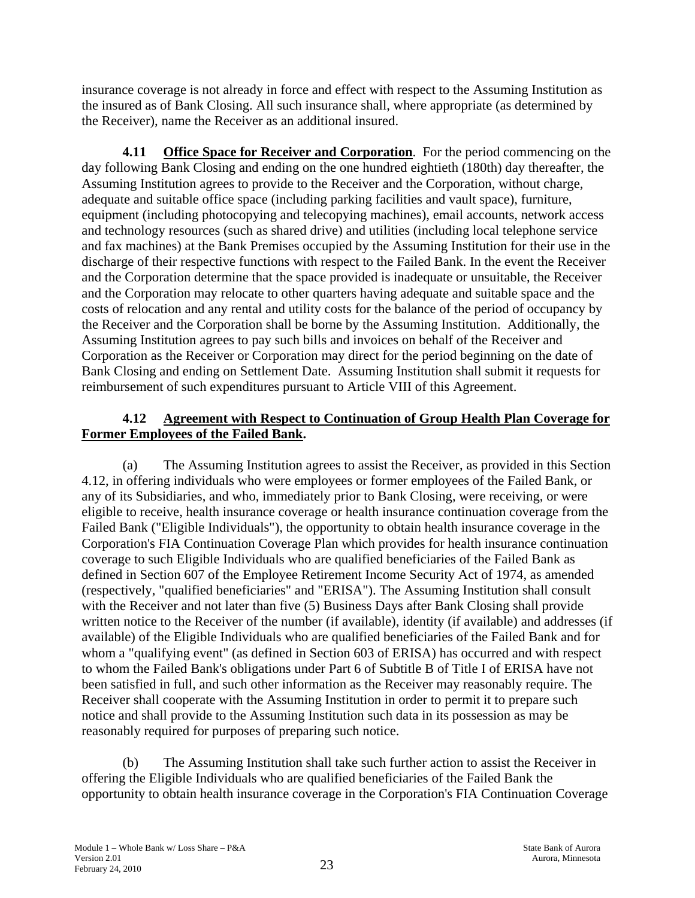insurance coverage is not already in force and effect with respect to the Assuming Institution as the insured as of Bank Closing. All such insurance shall, where appropriate (as determined by the Receiver), name the Receiver as an additional insured.

<span id="page-26-0"></span> **4.11 Office Space for Receiver and Corporation**. For the period commencing on the day following Bank Closing and ending on the one hundred eightieth (180th) day thereafter, the Assuming Institution agrees to provide to the Receiver and the Corporation, without charge, adequate and suitable office space (including parking facilities and vault space), furniture, equipment (including photocopying and telecopying machines), email accounts, network access and technology resources (such as shared drive) and utilities (including local telephone service and fax machines) at the Bank Premises occupied by the Assuming Institution for their use in the discharge of their respective functions with respect to the Failed Bank. In the event the Receiver and the Corporation determine that the space provided is inadequate or unsuitable, the Receiver and the Corporation may relocate to other quarters having adequate and suitable space and the costs of relocation and any rental and utility costs for the balance of the period of occupancy by the Receiver and the Corporation shall be borne by the Assuming Institution. Additionally, the Assuming Institution agrees to pay such bills and invoices on behalf of the Receiver and Corporation as the Receiver or Corporation may direct for the period beginning on the date of Bank Closing and ending on Settlement Date. Assuming Institution shall submit it requests for reimbursement of such expenditures pursuant to Article VIII of this Agreement.

### <span id="page-26-1"></span> **4.12 Agreement with Respect to Continuation of Group Health Plan Coverage for Former Employees of the Failed Bank.**

 (a) The Assuming Institution agrees to assist the Receiver, as provided in this Section 4.12, in offering individuals who were employees or former employees of the Failed Bank, or any of its Subsidiaries, and who, immediately prior to Bank Closing, were receiving, or were eligible to receive, health insurance coverage or health insurance continuation coverage from the Failed Bank ("Eligible Individuals"), the opportunity to obtain health insurance coverage in the Corporation's FIA Continuation Coverage Plan which provides for health insurance continuation coverage to such Eligible Individuals who are qualified beneficiaries of the Failed Bank as defined in Section 607 of the Employee Retirement Income Security Act of 1974, as amended (respectively, "qualified beneficiaries" and "ERISA"). The Assuming Institution shall consult with the Receiver and not later than five (5) Business Days after Bank Closing shall provide written notice to the Receiver of the number (if available), identity (if available) and addresses (if available) of the Eligible Individuals who are qualified beneficiaries of the Failed Bank and for whom a "qualifying event" (as defined in Section 603 of ERISA) has occurred and with respect to whom the Failed Bank's obligations under Part 6 of Subtitle B of Title I of ERISA have not been satisfied in full, and such other information as the Receiver may reasonably require. The Receiver shall cooperate with the Assuming Institution in order to permit it to prepare such notice and shall provide to the Assuming Institution such data in its possession as may be reasonably required for purposes of preparing such notice.

 (b) The Assuming Institution shall take such further action to assist the Receiver in offering the Eligible Individuals who are qualified beneficiaries of the Failed Bank the opportunity to obtain health insurance coverage in the Corporation's FIA Continuation Coverage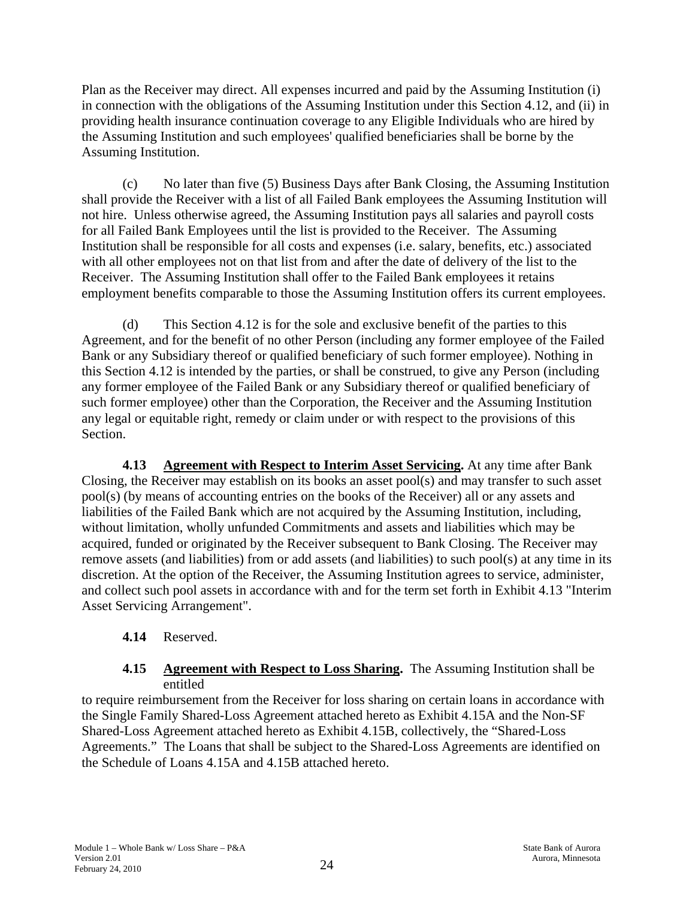Plan as the Receiver may direct. All expenses incurred and paid by the Assuming Institution (i) in connection with the obligations of the Assuming Institution under this Section 4.12, and (ii) in providing health insurance continuation coverage to any Eligible Individuals who are hired by the Assuming Institution and such employees' qualified beneficiaries shall be borne by the Assuming Institution.

 (c) No later than five (5) Business Days after Bank Closing, the Assuming Institution shall provide the Receiver with a list of all Failed Bank employees the Assuming Institution will not hire. Unless otherwise agreed, the Assuming Institution pays all salaries and payroll costs for all Failed Bank Employees until the list is provided to the Receiver. The Assuming Institution shall be responsible for all costs and expenses (i.e. salary, benefits, etc.) associated with all other employees not on that list from and after the date of delivery of the list to the Receiver. The Assuming Institution shall offer to the Failed Bank employees it retains employment benefits comparable to those the Assuming Institution offers its current employees.

 (d) This Section 4.12 is for the sole and exclusive benefit of the parties to this Agreement, and for the benefit of no other Person (including any former employee of the Failed Bank or any Subsidiary thereof or qualified beneficiary of such former employee). Nothing in this Section 4.12 is intended by the parties, or shall be construed, to give any Person (including any former employee of the Failed Bank or any Subsidiary thereof or qualified beneficiary of such former employee) other than the Corporation, the Receiver and the Assuming Institution any legal or equitable right, remedy or claim under or with respect to the provisions of this Section.

<span id="page-27-0"></span>**4.13 Agreement with Respect to Interim Asset Servicing.** At any time after Bank Closing, the Receiver may establish on its books an asset pool(s) and may transfer to such asset pool(s) (by means of accounting entries on the books of the Receiver) all or any assets and liabilities of the Failed Bank which are not acquired by the Assuming Institution, including, without limitation, wholly unfunded Commitments and assets and liabilities which may be acquired, funded or originated by the Receiver subsequent to Bank Closing. The Receiver may remove assets (and liabilities) from or add assets (and liabilities) to such pool(s) at any time in its discretion. At the option of the Receiver, the Assuming Institution agrees to service, administer, and collect such pool assets in accordance with and for the term set forth in Exhibit 4.13 "Interim Asset Servicing Arrangement".

### **4.14** Reserved.

### **4.15 Agreement with Respect to Loss Sharing.** The Assuming Institution shall be entitled

to require reimbursement from the Receiver for loss sharing on certain loans in accordance with the Single Family Shared-Loss Agreement attached hereto as Exhibit 4.15A and the Non-SF Shared-Loss Agreement attached hereto as Exhibit 4.15B, collectively, the "Shared-Loss Agreements." The Loans that shall be subject to the Shared-Loss Agreements are identified on the Schedule of Loans 4.15A and 4.15B attached hereto.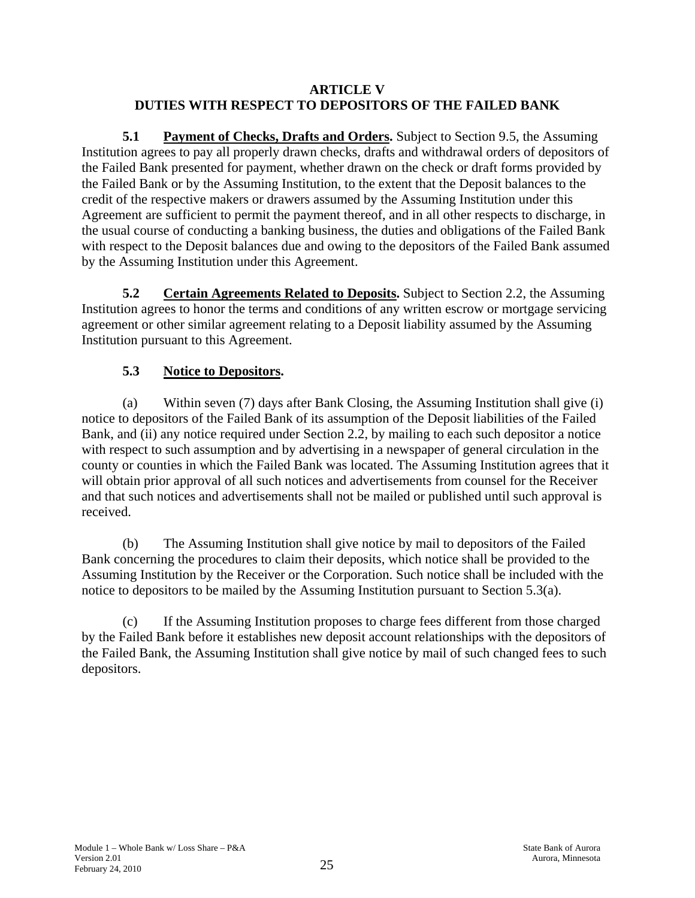#### **ARTICLE V DUTIES WITH RESPECT TO DEPOSITORS OF THE FAILED BANK**

<span id="page-28-1"></span><span id="page-28-0"></span>**5.1 Payment of Checks, Drafts and Orders.** Subject to Section 9.5, the Assuming Institution agrees to pay all properly drawn checks, drafts and withdrawal orders of depositors of the Failed Bank presented for payment, whether drawn on the check or draft forms provided by the Failed Bank or by the Assuming Institution, to the extent that the Deposit balances to the credit of the respective makers or drawers assumed by the Assuming Institution under this Agreement are sufficient to permit the payment thereof, and in all other respects to discharge, in the usual course of conducting a banking business, the duties and obligations of the Failed Bank with respect to the Deposit balances due and owing to the depositors of the Failed Bank assumed by the Assuming Institution under this Agreement.

<span id="page-28-2"></span> **5.2 Certain Agreements Related to Deposits.** Subject to Section 2.2, the Assuming Institution agrees to honor the terms and conditions of any written escrow or mortgage servicing agreement or other similar agreement relating to a Deposit liability assumed by the Assuming Institution pursuant to this Agreement.

### **5.3 Notice to Depositors.**

<span id="page-28-3"></span> (a) Within seven (7) days after Bank Closing, the Assuming Institution shall give (i) notice to depositors of the Failed Bank of its assumption of the Deposit liabilities of the Failed Bank, and (ii) any notice required under Section 2.2, by mailing to each such depositor a notice with respect to such assumption and by advertising in a newspaper of general circulation in the county or counties in which the Failed Bank was located. The Assuming Institution agrees that it will obtain prior approval of all such notices and advertisements from counsel for the Receiver and that such notices and advertisements shall not be mailed or published until such approval is received.

 (b) The Assuming Institution shall give notice by mail to depositors of the Failed Bank concerning the procedures to claim their deposits, which notice shall be provided to the Assuming Institution by the Receiver or the Corporation. Such notice shall be included with the notice to depositors to be mailed by the Assuming Institution pursuant to Section 5.3(a).

 (c) If the Assuming Institution proposes to charge fees different from those charged by the Failed Bank before it establishes new deposit account relationships with the depositors of the Failed Bank, the Assuming Institution shall give notice by mail of such changed fees to such depositors.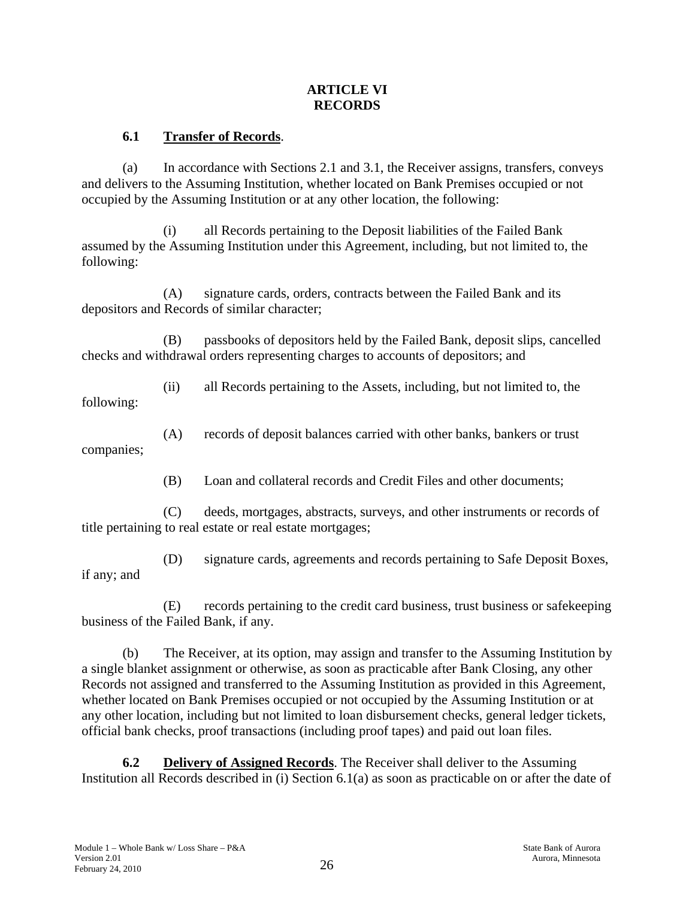### **ARTICLE VI RECORDS**

### **6.1 Transfer of Records**.

<span id="page-29-1"></span><span id="page-29-0"></span> (a) In accordance with Sections 2.1 and 3.1, the Receiver assigns, transfers, conveys and delivers to the Assuming Institution, whether located on Bank Premises occupied or not occupied by the Assuming Institution or at any other location, the following:

 (i) all Records pertaining to the Deposit liabilities of the Failed Bank assumed by the Assuming Institution under this Agreement, including, but not limited to, the following:

 (A) signature cards, orders, contracts between the Failed Bank and its depositors and Records of similar character;

 (B) passbooks of depositors held by the Failed Bank, deposit slips, cancelled checks and withdrawal orders representing charges to accounts of depositors; and

 (ii) all Records pertaining to the Assets, including, but not limited to, the following:

 (A) records of deposit balances carried with other banks, bankers or trust companies;

(B) Loan and collateral records and Credit Files and other documents;

 (C) deeds, mortgages, abstracts, surveys, and other instruments or records of title pertaining to real estate or real estate mortgages;

 (D) signature cards, agreements and records pertaining to Safe Deposit Boxes, if any; and

 (E) records pertaining to the credit card business, trust business or safekeeping business of the Failed Bank, if any.

 (b) The Receiver, at its option, may assign and transfer to the Assuming Institution by a single blanket assignment or otherwise, as soon as practicable after Bank Closing, any other Records not assigned and transferred to the Assuming Institution as provided in this Agreement, whether located on Bank Premises occupied or not occupied by the Assuming Institution or at any other location, including but not limited to loan disbursement checks, general ledger tickets, official bank checks, proof transactions (including proof tapes) and paid out loan files.

<span id="page-29-2"></span> **6.2 Delivery of Assigned Records**. The Receiver shall deliver to the Assuming Institution all Records described in (i) Section 6.1(a) as soon as practicable on or after the date of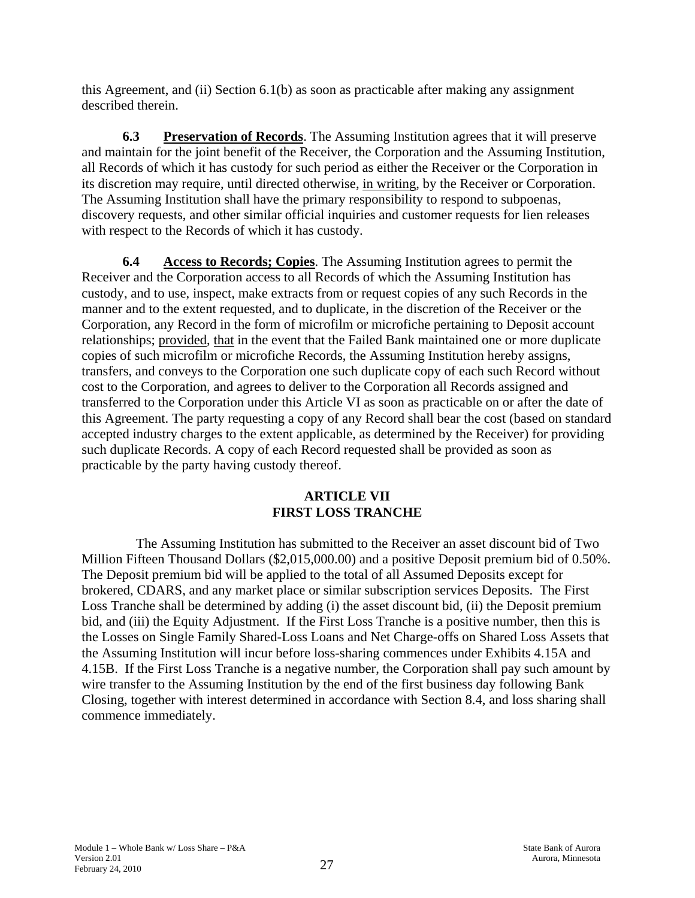this Agreement, and (ii) Section 6.1(b) as soon as practicable after making any assignment described therein.

<span id="page-30-0"></span>**6.3 Preservation of Records**. The Assuming Institution agrees that it will preserve and maintain for the joint benefit of the Receiver, the Corporation and the Assuming Institution, all Records of which it has custody for such period as either the Receiver or the Corporation in its discretion may require, until directed otherwise, in writing, by the Receiver or Corporation. The Assuming Institution shall have the primary responsibility to respond to subpoenas, discovery requests, and other similar official inquiries and customer requests for lien releases with respect to the Records of which it has custody.

 **6.4 Access to Records; Copies**. The Assuming Institution agrees to permit the Receiver and the Corporation access to all Records of which the Assuming Institution has custody, and to use, inspect, make extracts from or request copies of any such Records in the manner and to the extent requested, and to duplicate, in the discretion of the Receiver or the Corporation, any Record in the form of microfilm or microfiche pertaining to Deposit account relationships; provided, that in the event that the Failed Bank maintained one or more duplicate copies of such microfilm or microfiche Records, the Assuming Institution hereby assigns, transfers, and conveys to the Corporation one such duplicate copy of each such Record without cost to the Corporation, and agrees to deliver to the Corporation all Records assigned and transferred to the Corporation under this Article VI as soon as practicable on or after the date of this Agreement. The party requesting a copy of any Record shall bear the cost (based on standard accepted industry charges to the extent applicable, as determined by the Receiver) for providing such duplicate Records. A copy of each Record requested shall be provided as soon as practicable by the party having custody thereof.

### **ARTICLE VII FIRST LOSS TRANCHE**

 The Assuming Institution has submitted to the Receiver an asset discount bid of Two Million Fifteen Thousand Dollars (\$2,015,000.00) and a positive Deposit premium bid of 0.50%. The Deposit premium bid will be applied to the total of all Assumed Deposits except for brokered, CDARS, and any market place or similar subscription services Deposits. The First Loss Tranche shall be determined by adding (i) the asset discount bid, (ii) the Deposit premium bid, and (iii) the Equity Adjustment. If the First Loss Tranche is a positive number, then this is the Losses on Single Family Shared-Loss Loans and Net Charge-offs on Shared Loss Assets that the Assuming Institution will incur before loss-sharing commences under Exhibits 4.15A and 4.15B. If the First Loss Tranche is a negative number, the Corporation shall pay such amount by wire transfer to the Assuming Institution by the end of the first business day following Bank Closing, together with interest determined in accordance with Section 8.4, and loss sharing shall commence immediately.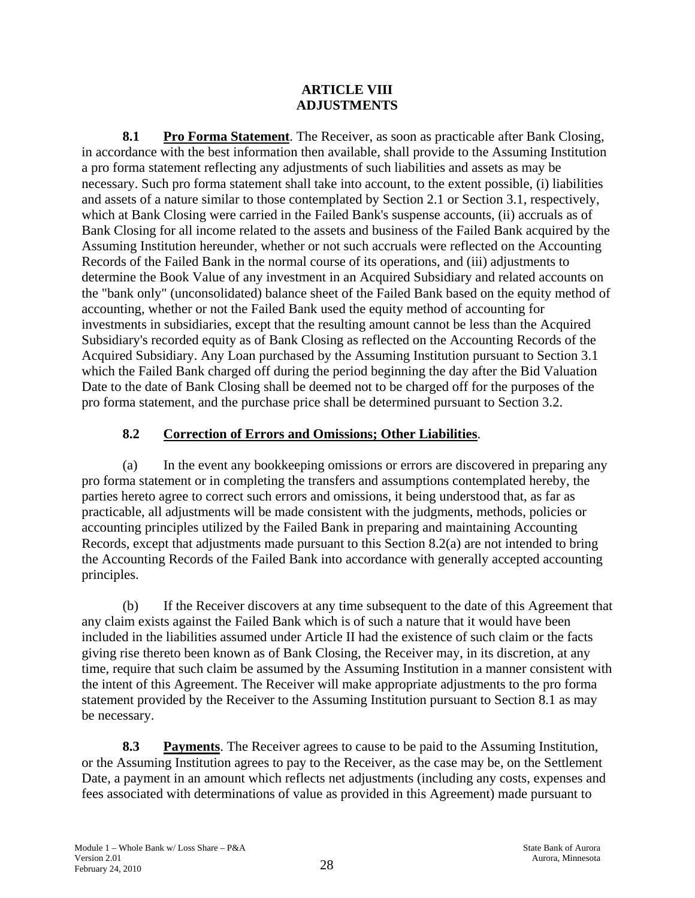#### **ARTICLE VIII ADJUSTMENTS**

<span id="page-31-1"></span><span id="page-31-0"></span>**8.1** Pro Forma Statement. The Receiver, as soon as practicable after Bank Closing, in accordance with the best information then available, shall provide to the Assuming Institution a pro forma statement reflecting any adjustments of such liabilities and assets as may be necessary. Such pro forma statement shall take into account, to the extent possible, (i) liabilities and assets of a nature similar to those contemplated by Section 2.1 or Section 3.1, respectively, which at Bank Closing were carried in the Failed Bank's suspense accounts, (ii) accruals as of Bank Closing for all income related to the assets and business of the Failed Bank acquired by the Assuming Institution hereunder, whether or not such accruals were reflected on the Accounting Records of the Failed Bank in the normal course of its operations, and (iii) adjustments to determine the Book Value of any investment in an Acquired Subsidiary and related accounts on the "bank only" (unconsolidated) balance sheet of the Failed Bank based on the equity method of accounting, whether or not the Failed Bank used the equity method of accounting for investments in subsidiaries, except that the resulting amount cannot be less than the Acquired Subsidiary's recorded equity as of Bank Closing as reflected on the Accounting Records of the Acquired Subsidiary. Any Loan purchased by the Assuming Institution pursuant to Section 3.1 which the Failed Bank charged off during the period beginning the day after the Bid Valuation Date to the date of Bank Closing shall be deemed not to be charged off for the purposes of the pro forma statement, and the purchase price shall be determined pursuant to Section 3.2.

## **8.2 Correction of Errors and Omissions; Other Liabilities**.

 (a) In the event any bookkeeping omissions or errors are discovered in preparing any pro forma statement or in completing the transfers and assumptions contemplated hereby, the parties hereto agree to correct such errors and omissions, it being understood that, as far as practicable, all adjustments will be made consistent with the judgments, methods, policies or accounting principles utilized by the Failed Bank in preparing and maintaining Accounting Records, except that adjustments made pursuant to this Section 8.2(a) are not intended to bring the Accounting Records of the Failed Bank into accordance with generally accepted accounting principles.

 (b) If the Receiver discovers at any time subsequent to the date of this Agreement that any claim exists against the Failed Bank which is of such a nature that it would have been included in the liabilities assumed under Article II had the existence of such claim or the facts giving rise thereto been known as of Bank Closing, the Receiver may, in its discretion, at any time, require that such claim be assumed by the Assuming Institution in a manner consistent with the intent of this Agreement. The Receiver will make appropriate adjustments to the pro forma statement provided by the Receiver to the Assuming Institution pursuant to Section 8.1 as may be necessary.

<span id="page-31-2"></span>**8.3 Payments**. The Receiver agrees to cause to be paid to the Assuming Institution, or the Assuming Institution agrees to pay to the Receiver, as the case may be, on the Settlement Date, a payment in an amount which reflects net adjustments (including any costs, expenses and fees associated with determinations of value as provided in this Agreement) made pursuant to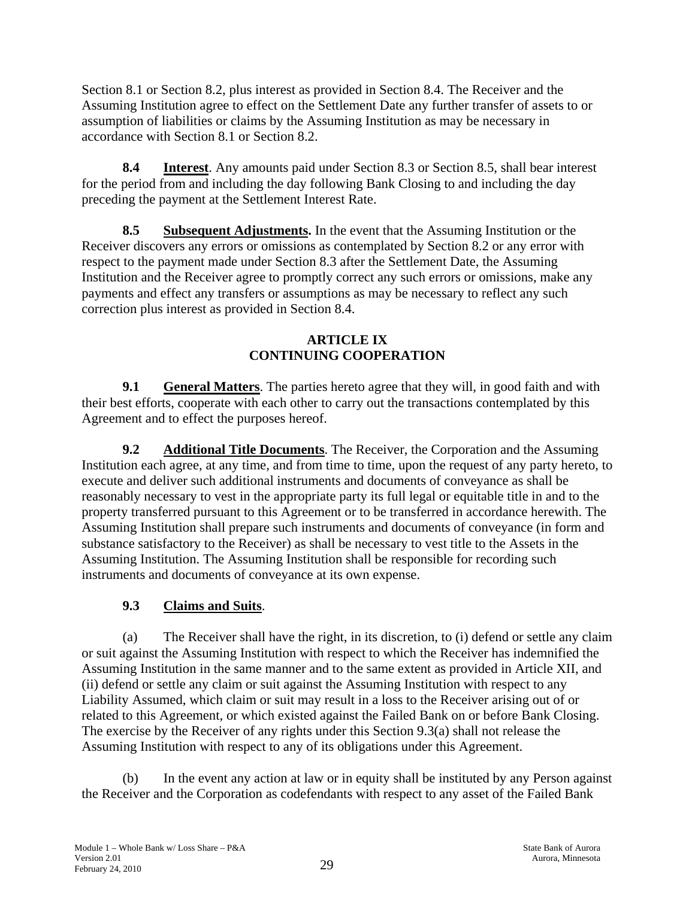Section 8.1 or Section 8.2, plus interest as provided in Section 8.4. The Receiver and the Assuming Institution agree to effect on the Settlement Date any further transfer of assets to or assumption of liabilities or claims by the Assuming Institution as may be necessary in accordance with Section 8.1 or Section 8.2.

<span id="page-32-0"></span>**8.4 Interest**. Any amounts paid under Section 8.3 or Section 8.5, shall bear interest for the period from and including the day following Bank Closing to and including the day preceding the payment at the Settlement Interest Rate.

<span id="page-32-1"></span>**8.5 Subsequent Adjustments.** In the event that the Assuming Institution or the Receiver discovers any errors or omissions as contemplated by Section 8.2 or any error with respect to the payment made under Section 8.3 after the Settlement Date, the Assuming Institution and the Receiver agree to promptly correct any such errors or omissions, make any payments and effect any transfers or assumptions as may be necessary to reflect any such correction plus interest as provided in Section 8.4.

## **ARTICLE IX CONTINUING COOPERATION**

<span id="page-32-3"></span><span id="page-32-2"></span>**9.1** General Matters. The parties hereto agree that they will, in good faith and with their best efforts, cooperate with each other to carry out the transactions contemplated by this Agreement and to effect the purposes hereof.

<span id="page-32-4"></span> **9.2 Additional Title Documents**. The Receiver, the Corporation and the Assuming Institution each agree, at any time, and from time to time, upon the request of any party hereto, to execute and deliver such additional instruments and documents of conveyance as shall be reasonably necessary to vest in the appropriate party its full legal or equitable title in and to the property transferred pursuant to this Agreement or to be transferred in accordance herewith. The Assuming Institution shall prepare such instruments and documents of conveyance (in form and substance satisfactory to the Receiver) as shall be necessary to vest title to the Assets in the Assuming Institution. The Assuming Institution shall be responsible for recording such instruments and documents of conveyance at its own expense.

## **9.3 Claims and Suits**.

<span id="page-32-5"></span> (a) The Receiver shall have the right, in its discretion, to (i) defend or settle any claim or suit against the Assuming Institution with respect to which the Receiver has indemnified the Assuming Institution in the same manner and to the same extent as provided in Article XII, and (ii) defend or settle any claim or suit against the Assuming Institution with respect to any Liability Assumed, which claim or suit may result in a loss to the Receiver arising out of or related to this Agreement, or which existed against the Failed Bank on or before Bank Closing. The exercise by the Receiver of any rights under this Section 9.3(a) shall not release the Assuming Institution with respect to any of its obligations under this Agreement.

 (b) In the event any action at law or in equity shall be instituted by any Person against the Receiver and the Corporation as codefendants with respect to any asset of the Failed Bank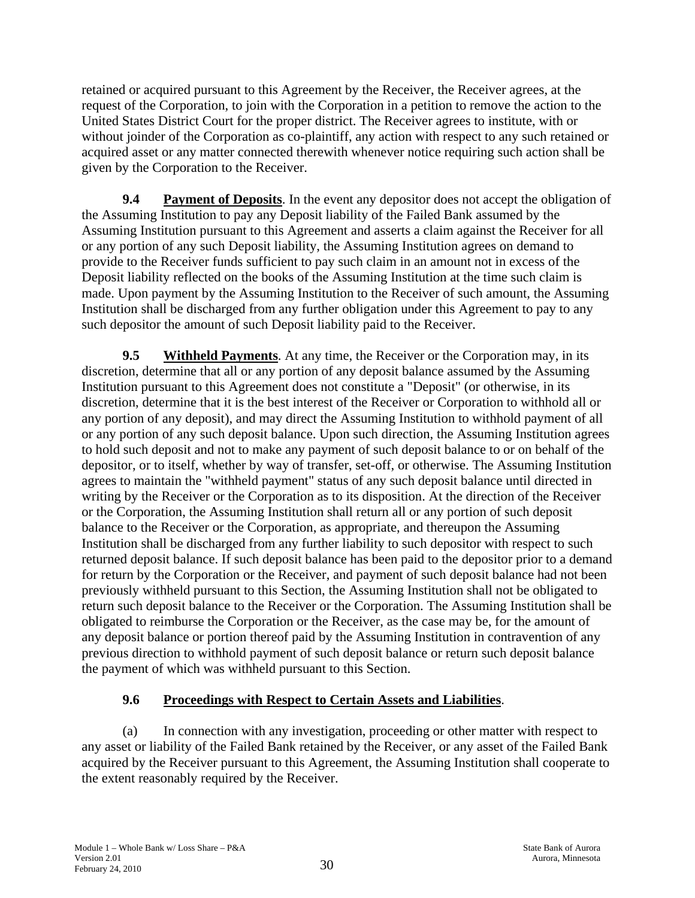retained or acquired pursuant to this Agreement by the Receiver, the Receiver agrees, at the request of the Corporation, to join with the Corporation in a petition to remove the action to the United States District Court for the proper district. The Receiver agrees to institute, with or without joinder of the Corporation as co-plaintiff, any action with respect to any such retained or acquired asset or any matter connected therewith whenever notice requiring such action shall be given by the Corporation to the Receiver.

<span id="page-33-0"></span>**9.4 Payment of Deposits**. In the event any depositor does not accept the obligation of the Assuming Institution to pay any Deposit liability of the Failed Bank assumed by the Assuming Institution pursuant to this Agreement and asserts a claim against the Receiver for all or any portion of any such Deposit liability, the Assuming Institution agrees on demand to provide to the Receiver funds sufficient to pay such claim in an amount not in excess of the Deposit liability reflected on the books of the Assuming Institution at the time such claim is made. Upon payment by the Assuming Institution to the Receiver of such amount, the Assuming Institution shall be discharged from any further obligation under this Agreement to pay to any such depositor the amount of such Deposit liability paid to the Receiver.

<span id="page-33-1"></span> **9.5 Withheld Payments**. At any time, the Receiver or the Corporation may, in its discretion, determine that all or any portion of any deposit balance assumed by the Assuming Institution pursuant to this Agreement does not constitute a "Deposit" (or otherwise, in its discretion, determine that it is the best interest of the Receiver or Corporation to withhold all or any portion of any deposit), and may direct the Assuming Institution to withhold payment of all or any portion of any such deposit balance. Upon such direction, the Assuming Institution agrees to hold such deposit and not to make any payment of such deposit balance to or on behalf of the depositor, or to itself, whether by way of transfer, set-off, or otherwise. The Assuming Institution agrees to maintain the "withheld payment" status of any such deposit balance until directed in writing by the Receiver or the Corporation as to its disposition. At the direction of the Receiver or the Corporation, the Assuming Institution shall return all or any portion of such deposit balance to the Receiver or the Corporation, as appropriate, and thereupon the Assuming Institution shall be discharged from any further liability to such depositor with respect to such returned deposit balance. If such deposit balance has been paid to the depositor prior to a demand for return by the Corporation or the Receiver, and payment of such deposit balance had not been previously withheld pursuant to this Section, the Assuming Institution shall not be obligated to return such deposit balance to the Receiver or the Corporation. The Assuming Institution shall be obligated to reimburse the Corporation or the Receiver, as the case may be, for the amount of any deposit balance or portion thereof paid by the Assuming Institution in contravention of any previous direction to withhold payment of such deposit balance or return such deposit balance the payment of which was withheld pursuant to this Section.

### **9.6 Proceedings with Respect to Certain Assets and Liabilities**.

<span id="page-33-2"></span> (a) In connection with any investigation, proceeding or other matter with respect to any asset or liability of the Failed Bank retained by the Receiver, or any asset of the Failed Bank acquired by the Receiver pursuant to this Agreement, the Assuming Institution shall cooperate to the extent reasonably required by the Receiver.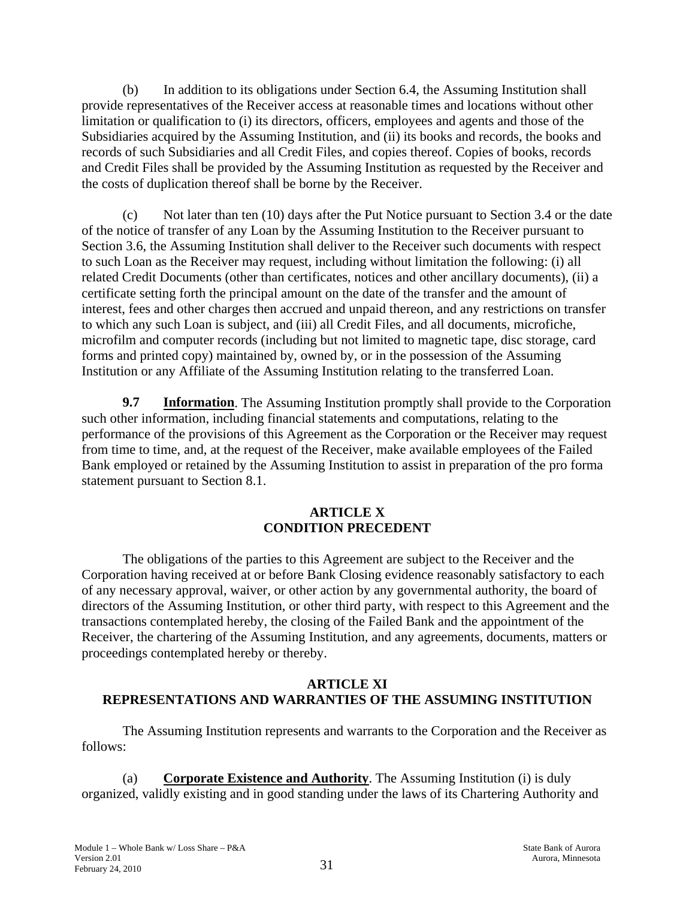(b) In addition to its obligations under Section 6.4, the Assuming Institution shall provide representatives of the Receiver access at reasonable times and locations without other limitation or qualification to (i) its directors, officers, employees and agents and those of the Subsidiaries acquired by the Assuming Institution, and (ii) its books and records, the books and records of such Subsidiaries and all Credit Files, and copies thereof. Copies of books, records and Credit Files shall be provided by the Assuming Institution as requested by the Receiver and the costs of duplication thereof shall be borne by the Receiver.

 (c) Not later than ten (10) days after the Put Notice pursuant to Section 3.4 or the date of the notice of transfer of any Loan by the Assuming Institution to the Receiver pursuant to Section 3.6, the Assuming Institution shall deliver to the Receiver such documents with respect to such Loan as the Receiver may request, including without limitation the following: (i) all related Credit Documents (other than certificates, notices and other ancillary documents), (ii) a certificate setting forth the principal amount on the date of the transfer and the amount of interest, fees and other charges then accrued and unpaid thereon, and any restrictions on transfer to which any such Loan is subject, and (iii) all Credit Files, and all documents, microfiche, microfilm and computer records (including but not limited to magnetic tape, disc storage, card forms and printed copy) maintained by, owned by, or in the possession of the Assuming Institution or any Affiliate of the Assuming Institution relating to the transferred Loan.

<span id="page-34-0"></span>**9.7 Information**. The Assuming Institution promptly shall provide to the Corporation such other information, including financial statements and computations, relating to the performance of the provisions of this Agreement as the Corporation or the Receiver may request from time to time, and, at the request of the Receiver, make available employees of the Failed Bank employed or retained by the Assuming Institution to assist in preparation of the pro forma statement pursuant to Section 8.1.

### **ARTICLE X CONDITION PRECEDENT**

<span id="page-34-1"></span> The obligations of the parties to this Agreement are subject to the Receiver and the Corporation having received at or before Bank Closing evidence reasonably satisfactory to each of any necessary approval, waiver, or other action by any governmental authority, the board of directors of the Assuming Institution, or other third party, with respect to this Agreement and the transactions contemplated hereby, the closing of the Failed Bank and the appointment of the Receiver, the chartering of the Assuming Institution, and any agreements, documents, matters or proceedings contemplated hereby or thereby.

### **ARTICLE XI REPRESENTATIONS AND WARRANTIES OF THE ASSUMING INSTITUTION**

<span id="page-34-2"></span> The Assuming Institution represents and warrants to the Corporation and the Receiver as follows:

 (a) **Corporate Existence and Authority**. The Assuming Institution (i) is duly organized, validly existing and in good standing under the laws of its Chartering Authority and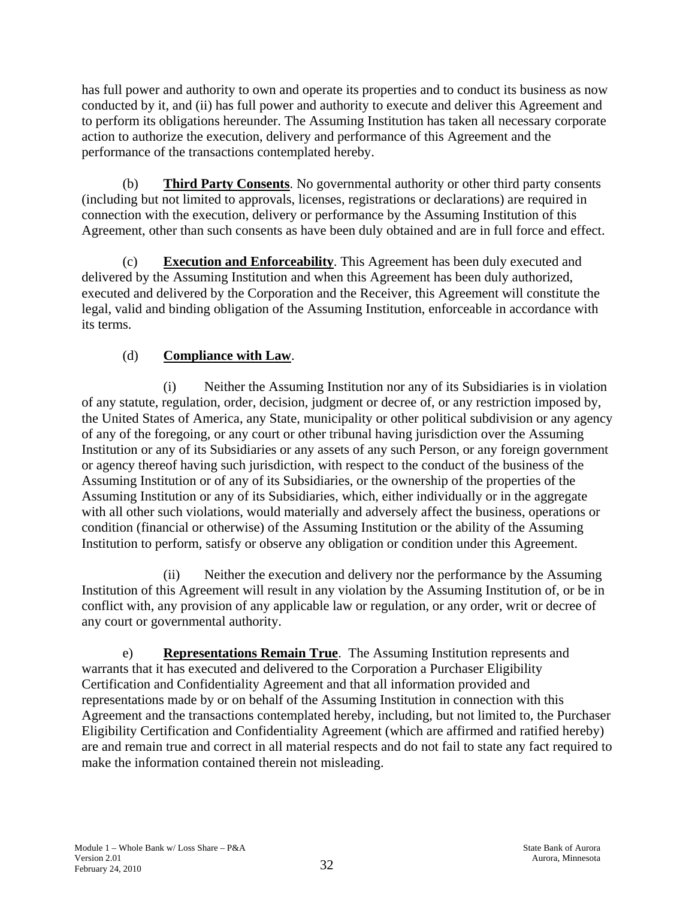has full power and authority to own and operate its properties and to conduct its business as now conducted by it, and (ii) has full power and authority to execute and deliver this Agreement and to perform its obligations hereunder. The Assuming Institution has taken all necessary corporate action to authorize the execution, delivery and performance of this Agreement and the performance of the transactions contemplated hereby.

 (b) **Third Party Consents**. No governmental authority or other third party consents (including but not limited to approvals, licenses, registrations or declarations) are required in connection with the execution, delivery or performance by the Assuming Institution of this Agreement, other than such consents as have been duly obtained and are in full force and effect.

 (c) **Execution and Enforceability**. This Agreement has been duly executed and delivered by the Assuming Institution and when this Agreement has been duly authorized, executed and delivered by the Corporation and the Receiver, this Agreement will constitute the legal, valid and binding obligation of the Assuming Institution, enforceable in accordance with its terms.

## (d) **Compliance with Law**.

 (i) Neither the Assuming Institution nor any of its Subsidiaries is in violation of any statute, regulation, order, decision, judgment or decree of, or any restriction imposed by, the United States of America, any State, municipality or other political subdivision or any agency of any of the foregoing, or any court or other tribunal having jurisdiction over the Assuming Institution or any of its Subsidiaries or any assets of any such Person, or any foreign government or agency thereof having such jurisdiction, with respect to the conduct of the business of the Assuming Institution or of any of its Subsidiaries, or the ownership of the properties of the Assuming Institution or any of its Subsidiaries, which, either individually or in the aggregate with all other such violations, would materially and adversely affect the business, operations or condition (financial or otherwise) of the Assuming Institution or the ability of the Assuming Institution to perform, satisfy or observe any obligation or condition under this Agreement.

 (ii) Neither the execution and delivery nor the performance by the Assuming Institution of this Agreement will result in any violation by the Assuming Institution of, or be in conflict with, any provision of any applicable law or regulation, or any order, writ or decree of any court or governmental authority.

 e) **Representations Remain True**. The Assuming Institution represents and warrants that it has executed and delivered to the Corporation a Purchaser Eligibility Certification and Confidentiality Agreement and that all information provided and representations made by or on behalf of the Assuming Institution in connection with this Agreement and the transactions contemplated hereby, including, but not limited to, the Purchaser Eligibility Certification and Confidentiality Agreement (which are affirmed and ratified hereby) are and remain true and correct in all material respects and do not fail to state any fact required to make the information contained therein not misleading.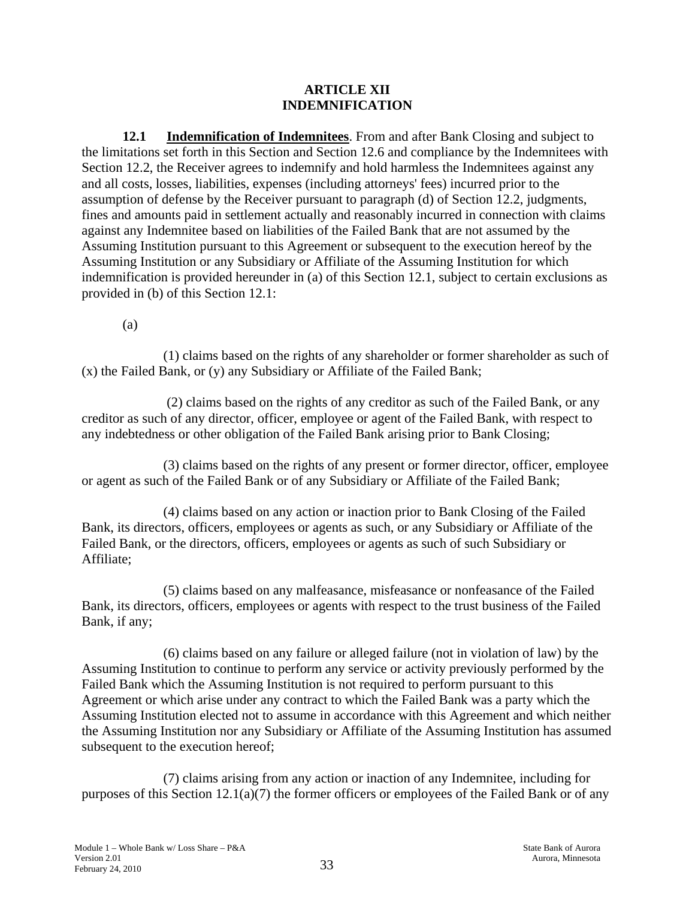#### **ARTICLE XII INDEMNIFICATION**

**12.1 Indemnification of Indemnitees**. From and after Bank Closing and subject to the limitations set forth in this Section and Section 12.6 and compliance by the Indemnitees with Section 12.2, the Receiver agrees to indemnify and hold harmless the Indemnitees against any and all costs, losses, liabilities, expenses (including attorneys' fees) incurred prior to the assumption of defense by the Receiver pursuant to paragraph (d) of Section 12.2, judgments, fines and amounts paid in settlement actually and reasonably incurred in connection with claims against any Indemnitee based on liabilities of the Failed Bank that are not assumed by the Assuming Institution pursuant to this Agreement or subsequent to the execution hereof by the Assuming Institution or any Subsidiary or Affiliate of the Assuming Institution for which indemnification is provided hereunder in (a) of this Section 12.1, subject to certain exclusions as provided in (b) of this Section 12.1:

(a)

 (1) claims based on the rights of any shareholder or former shareholder as such of (x) the Failed Bank, or (y) any Subsidiary or Affiliate of the Failed Bank;

 (2) claims based on the rights of any creditor as such of the Failed Bank, or any creditor as such of any director, officer, employee or agent of the Failed Bank, with respect to any indebtedness or other obligation of the Failed Bank arising prior to Bank Closing;

(3) claims based on the rights of any present or former director, officer, employee or agent as such of the Failed Bank or of any Subsidiary or Affiliate of the Failed Bank;

(4) claims based on any action or inaction prior to Bank Closing of the Failed Bank, its directors, officers, employees or agents as such, or any Subsidiary or Affiliate of the Failed Bank, or the directors, officers, employees or agents as such of such Subsidiary or Affiliate;

(5) claims based on any malfeasance, misfeasance or nonfeasance of the Failed Bank, its directors, officers, employees or agents with respect to the trust business of the Failed Bank, if any;

(6) claims based on any failure or alleged failure (not in violation of law) by the Assuming Institution to continue to perform any service or activity previously performed by the Failed Bank which the Assuming Institution is not required to perform pursuant to this Agreement or which arise under any contract to which the Failed Bank was a party which the Assuming Institution elected not to assume in accordance with this Agreement and which neither the Assuming Institution nor any Subsidiary or Affiliate of the Assuming Institution has assumed subsequent to the execution hereof;

 (7) claims arising from any action or inaction of any Indemnitee, including for purposes of this Section 12.1(a)(7) the former officers or employees of the Failed Bank or of any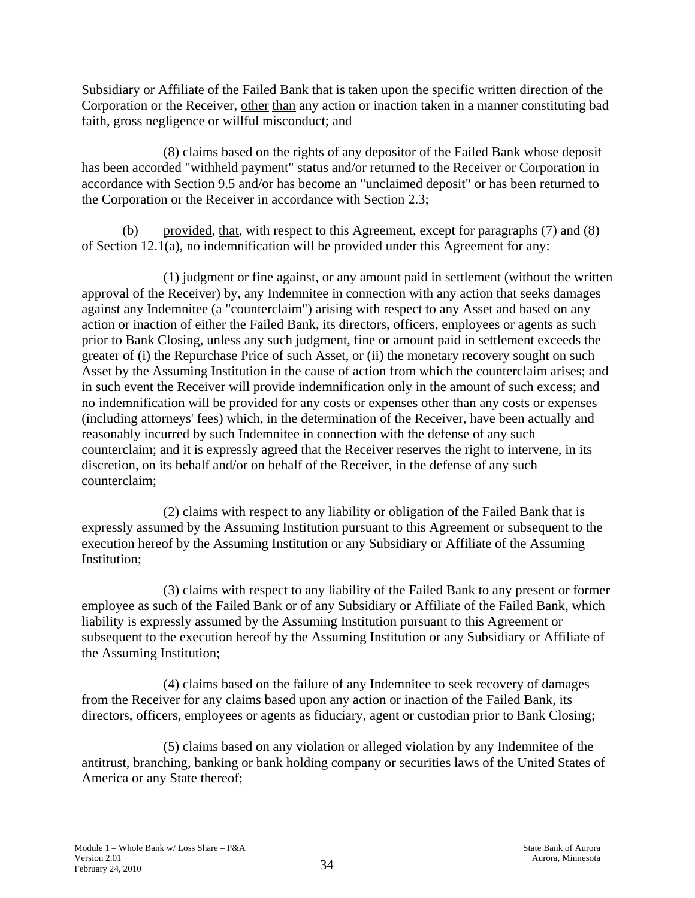Subsidiary or Affiliate of the Failed Bank that is taken upon the specific written direction of the Corporation or the Receiver, other than any action or inaction taken in a manner constituting bad faith, gross negligence or willful misconduct; and

(8) claims based on the rights of any depositor of the Failed Bank whose deposit has been accorded "withheld payment" status and/or returned to the Receiver or Corporation in accordance with Section 9.5 and/or has become an "unclaimed deposit" or has been returned to the Corporation or the Receiver in accordance with Section 2.3;

 (b) provided, that, with respect to this Agreement, except for paragraphs (7) and (8) of Section 12.1(a), no indemnification will be provided under this Agreement for any:

(1) judgment or fine against, or any amount paid in settlement (without the written approval of the Receiver) by, any Indemnitee in connection with any action that seeks damages against any Indemnitee (a "counterclaim") arising with respect to any Asset and based on any action or inaction of either the Failed Bank, its directors, officers, employees or agents as such prior to Bank Closing, unless any such judgment, fine or amount paid in settlement exceeds the greater of (i) the Repurchase Price of such Asset, or (ii) the monetary recovery sought on such Asset by the Assuming Institution in the cause of action from which the counterclaim arises; and in such event the Receiver will provide indemnification only in the amount of such excess; and no indemnification will be provided for any costs or expenses other than any costs or expenses (including attorneys' fees) which, in the determination of the Receiver, have been actually and reasonably incurred by such Indemnitee in connection with the defense of any such counterclaim; and it is expressly agreed that the Receiver reserves the right to intervene, in its discretion, on its behalf and/or on behalf of the Receiver, in the defense of any such counterclaim;

(2) claims with respect to any liability or obligation of the Failed Bank that is expressly assumed by the Assuming Institution pursuant to this Agreement or subsequent to the execution hereof by the Assuming Institution or any Subsidiary or Affiliate of the Assuming Institution;

(3) claims with respect to any liability of the Failed Bank to any present or former employee as such of the Failed Bank or of any Subsidiary or Affiliate of the Failed Bank, which liability is expressly assumed by the Assuming Institution pursuant to this Agreement or subsequent to the execution hereof by the Assuming Institution or any Subsidiary or Affiliate of the Assuming Institution;

(4) claims based on the failure of any Indemnitee to seek recovery of damages from the Receiver for any claims based upon any action or inaction of the Failed Bank, its directors, officers, employees or agents as fiduciary, agent or custodian prior to Bank Closing;

(5) claims based on any violation or alleged violation by any Indemnitee of the antitrust, branching, banking or bank holding company or securities laws of the United States of America or any State thereof;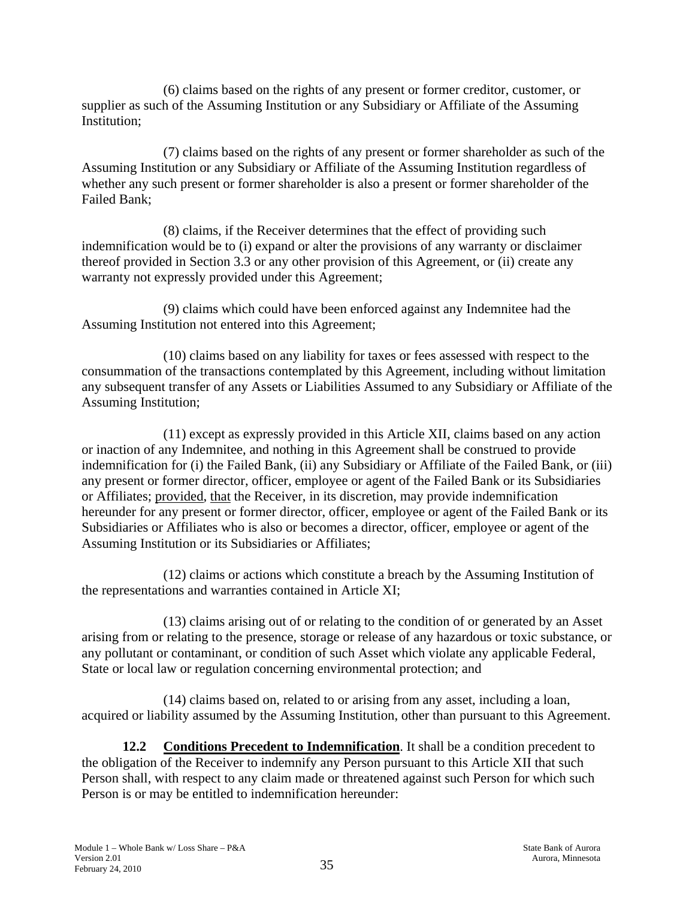(6) claims based on the rights of any present or former creditor, customer, or supplier as such of the Assuming Institution or any Subsidiary or Affiliate of the Assuming Institution;

(7) claims based on the rights of any present or former shareholder as such of the Assuming Institution or any Subsidiary or Affiliate of the Assuming Institution regardless of whether any such present or former shareholder is also a present or former shareholder of the Failed Bank;

(8) claims, if the Receiver determines that the effect of providing such indemnification would be to (i) expand or alter the provisions of any warranty or disclaimer thereof provided in Section 3.3 or any other provision of this Agreement, or (ii) create any warranty not expressly provided under this Agreement;

(9) claims which could have been enforced against any Indemnitee had the Assuming Institution not entered into this Agreement;

(10) claims based on any liability for taxes or fees assessed with respect to the consummation of the transactions contemplated by this Agreement, including without limitation any subsequent transfer of any Assets or Liabilities Assumed to any Subsidiary or Affiliate of the Assuming Institution;

(11) except as expressly provided in this Article XII, claims based on any action or inaction of any Indemnitee, and nothing in this Agreement shall be construed to provide indemnification for (i) the Failed Bank, (ii) any Subsidiary or Affiliate of the Failed Bank, or (iii) any present or former director, officer, employee or agent of the Failed Bank or its Subsidiaries or Affiliates; provided, that the Receiver, in its discretion, may provide indemnification hereunder for any present or former director, officer, employee or agent of the Failed Bank or its Subsidiaries or Affiliates who is also or becomes a director, officer, employee or agent of the Assuming Institution or its Subsidiaries or Affiliates;

(12) claims or actions which constitute a breach by the Assuming Institution of the representations and warranties contained in Article XI;

(13) claims arising out of or relating to the condition of or generated by an Asset arising from or relating to the presence, storage or release of any hazardous or toxic substance, or any pollutant or contaminant, or condition of such Asset which violate any applicable Federal, State or local law or regulation concerning environmental protection; and

(14) claims based on, related to or arising from any asset, including a loan, acquired or liability assumed by the Assuming Institution, other than pursuant to this Agreement.

 **12.2 Conditions Precedent to Indemnification**. It shall be a condition precedent to the obligation of the Receiver to indemnify any Person pursuant to this Article XII that such Person shall, with respect to any claim made or threatened against such Person for which such Person is or may be entitled to indemnification hereunder: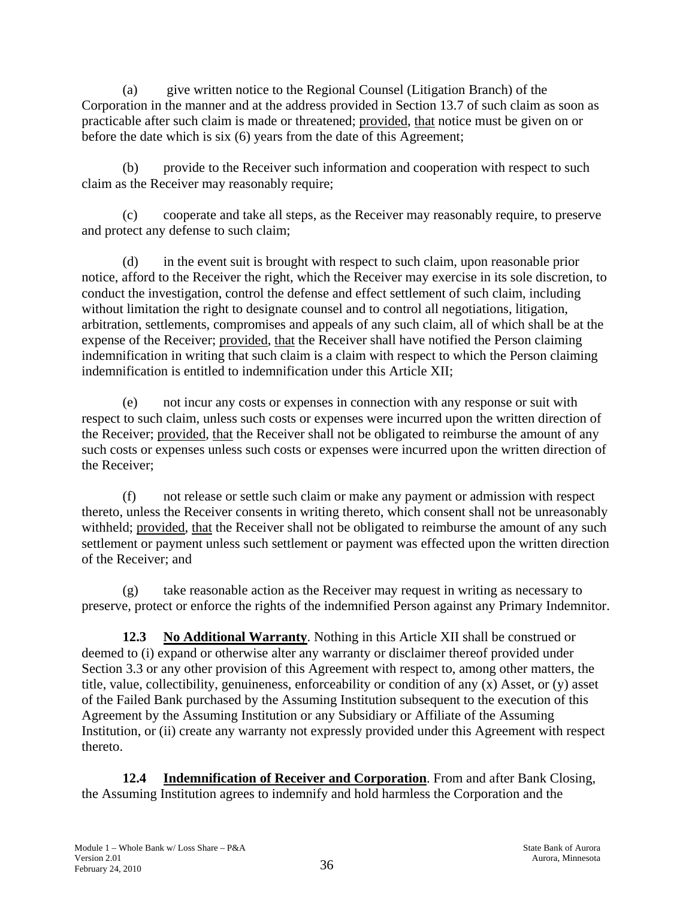(a) give written notice to the Regional Counsel (Litigation Branch) of the Corporation in the manner and at the address provided in Section 13.7 of such claim as soon as practicable after such claim is made or threatened; provided, that notice must be given on or before the date which is six (6) years from the date of this Agreement;

 (b) provide to the Receiver such information and cooperation with respect to such claim as the Receiver may reasonably require;

 (c) cooperate and take all steps, as the Receiver may reasonably require, to preserve and protect any defense to such claim;

 (d) in the event suit is brought with respect to such claim, upon reasonable prior notice, afford to the Receiver the right, which the Receiver may exercise in its sole discretion, to conduct the investigation, control the defense and effect settlement of such claim, including without limitation the right to designate counsel and to control all negotiations, litigation, arbitration, settlements, compromises and appeals of any such claim, all of which shall be at the expense of the Receiver; provided, that the Receiver shall have notified the Person claiming indemnification in writing that such claim is a claim with respect to which the Person claiming indemnification is entitled to indemnification under this Article XII;

 (e) not incur any costs or expenses in connection with any response or suit with respect to such claim, unless such costs or expenses were incurred upon the written direction of the Receiver; provided, that the Receiver shall not be obligated to reimburse the amount of any such costs or expenses unless such costs or expenses were incurred upon the written direction of the Receiver;

 (f) not release or settle such claim or make any payment or admission with respect thereto, unless the Receiver consents in writing thereto, which consent shall not be unreasonably withheld; provided, that the Receiver shall not be obligated to reimburse the amount of any such settlement or payment unless such settlement or payment was effected upon the written direction of the Receiver; and

 (g) take reasonable action as the Receiver may request in writing as necessary to preserve, protect or enforce the rights of the indemnified Person against any Primary Indemnitor.

**12.3 No Additional Warranty**. Nothing in this Article XII shall be construed or deemed to (i) expand or otherwise alter any warranty or disclaimer thereof provided under Section 3.3 or any other provision of this Agreement with respect to, among other matters, the title, value, collectibility, genuineness, enforceability or condition of any (x) Asset, or (y) asset of the Failed Bank purchased by the Assuming Institution subsequent to the execution of this Agreement by the Assuming Institution or any Subsidiary or Affiliate of the Assuming Institution, or (ii) create any warranty not expressly provided under this Agreement with respect thereto.

**12.4 Indemnification of Receiver and Corporation**. From and after Bank Closing, the Assuming Institution agrees to indemnify and hold harmless the Corporation and the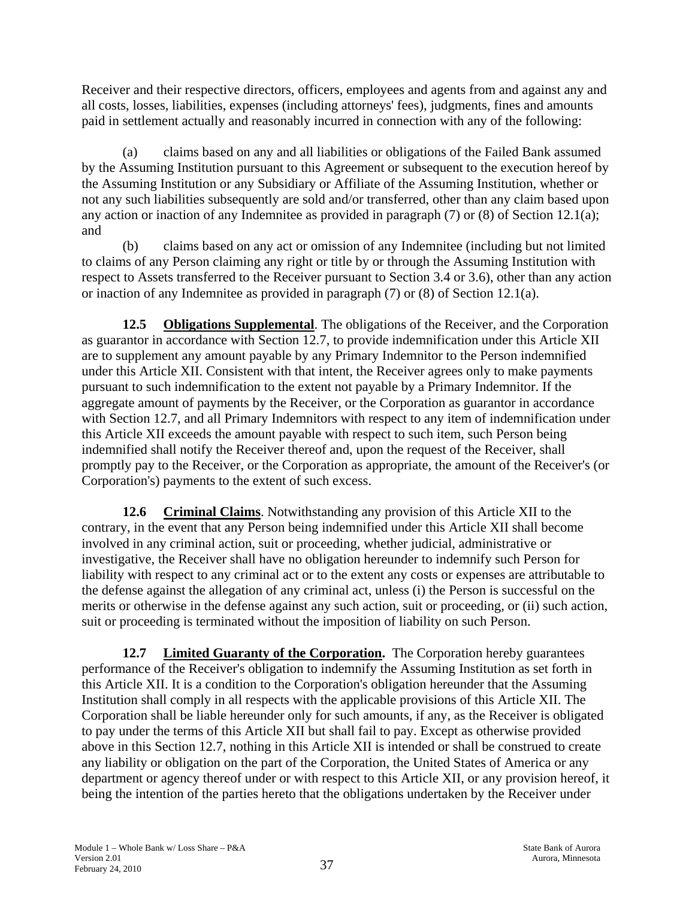Receiver and their respective directors, officers, employees and agents from and against any and all costs, losses, liabilities, expenses (including attorneys' fees), judgments, fines and amounts paid in settlement actually and reasonably incurred in connection with any of the following:

(a) claims based on any and all liabilities or obligations of the Failed Bank assumed by the Assuming Institution pursuant to this Agreement or subsequent to the execution hereof by the Assuming Institution or any Subsidiary or Affiliate of the Assuming Institution, whether or not any such liabilities subsequently are sold and/or transferred, other than any claim based upon any action or inaction of any Indemnitee as provided in paragraph (7) or (8) of Section 12.1(a); and

(b) claims based on any act or omission of any Indemnitee (including but not limited to claims of any Person claiming any right or title by or through the Assuming Institution with respect to Assets transferred to the Receiver pursuant to Section 3.4 or 3.6), other than any action or inaction of any Indemnitee as provided in paragraph (7) or (8) of Section 12.1(a).

**12.5 Obligations Supplemental**. The obligations of the Receiver, and the Corporation as guarantor in accordance with Section 12.7, to provide indemnification under this Article XII are to supplement any amount payable by any Primary Indemnitor to the Person indemnified under this Article XII. Consistent with that intent, the Receiver agrees only to make payments pursuant to such indemnification to the extent not payable by a Primary Indemnitor. If the aggregate amount of payments by the Receiver, or the Corporation as guarantor in accordance with Section 12.7, and all Primary Indemnitors with respect to any item of indemnification under this Article XII exceeds the amount payable with respect to such item, such Person being indemnified shall notify the Receiver thereof and, upon the request of the Receiver, shall promptly pay to the Receiver, or the Corporation as appropriate, the amount of the Receiver's (or Corporation's) payments to the extent of such excess.

**12.6 Criminal Claims**. Notwithstanding any provision of this Article XII to the contrary, in the event that any Person being indemnified under this Article XII shall become involved in any criminal action, suit or proceeding, whether judicial, administrative or investigative, the Receiver shall have no obligation hereunder to indemnify such Person for liability with respect to any criminal act or to the extent any costs or expenses are attributable to the defense against the allegation of any criminal act, unless (i) the Person is successful on the merits or otherwise in the defense against any such action, suit or proceeding, or (ii) such action, suit or proceeding is terminated without the imposition of liability on such Person.

**12.7 Limited Guaranty of the Corporation.** The Corporation hereby guarantees performance of the Receiver's obligation to indemnify the Assuming Institution as set forth in this Article XII. It is a condition to the Corporation's obligation hereunder that the Assuming Institution shall comply in all respects with the applicable provisions of this Article XII. The Corporation shall be liable hereunder only for such amounts, if any, as the Receiver is obligated to pay under the terms of this Article XII but shall fail to pay. Except as otherwise provided above in this Section 12.7, nothing in this Article XII is intended or shall be construed to create any liability or obligation on the part of the Corporation, the United States of America or any department or agency thereof under or with respect to this Article XII, or any provision hereof, it being the intention of the parties hereto that the obligations undertaken by the Receiver under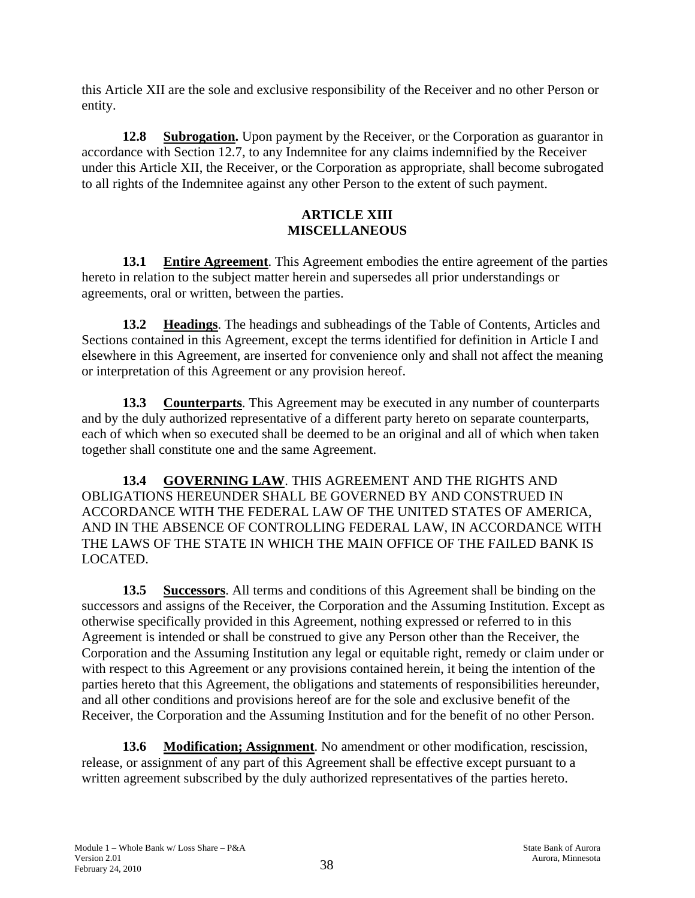this Article XII are the sole and exclusive responsibility of the Receiver and no other Person or entity.

12.8 Subrogation. Upon payment by the Receiver, or the Corporation as guarantor in accordance with Section 12.7, to any Indemnitee for any claims indemnified by the Receiver under this Article XII, the Receiver, or the Corporation as appropriate, shall become subrogated to all rights of the Indemnitee against any other Person to the extent of such payment.

## **ARTICLE XIII MISCELLANEOUS**

**13.1** Entire Agreement. This Agreement embodies the entire agreement of the parties hereto in relation to the subject matter herein and supersedes all prior understandings or agreements, oral or written, between the parties.

 **13.2 Headings**. The headings and subheadings of the Table of Contents, Articles and Sections contained in this Agreement, except the terms identified for definition in Article I and elsewhere in this Agreement, are inserted for convenience only and shall not affect the meaning or interpretation of this Agreement or any provision hereof.

 **13.3 Counterparts**. This Agreement may be executed in any number of counterparts and by the duly authorized representative of a different party hereto on separate counterparts, each of which when so executed shall be deemed to be an original and all of which when taken together shall constitute one and the same Agreement.

 **13.4 GOVERNING LAW**. THIS AGREEMENT AND THE RIGHTS AND OBLIGATIONS HEREUNDER SHALL BE GOVERNED BY AND CONSTRUED IN ACCORDANCE WITH THE FEDERAL LAW OF THE UNITED STATES OF AMERICA, AND IN THE ABSENCE OF CONTROLLING FEDERAL LAW, IN ACCORDANCE WITH THE LAWS OF THE STATE IN WHICH THE MAIN OFFICE OF THE FAILED BANK IS LOCATED.

 **13.5 Successors**. All terms and conditions of this Agreement shall be binding on the successors and assigns of the Receiver, the Corporation and the Assuming Institution. Except as otherwise specifically provided in this Agreement, nothing expressed or referred to in this Agreement is intended or shall be construed to give any Person other than the Receiver, the Corporation and the Assuming Institution any legal or equitable right, remedy or claim under or with respect to this Agreement or any provisions contained herein, it being the intention of the parties hereto that this Agreement, the obligations and statements of responsibilities hereunder, and all other conditions and provisions hereof are for the sole and exclusive benefit of the Receiver, the Corporation and the Assuming Institution and for the benefit of no other Person.

 **13.6 Modification; Assignment**. No amendment or other modification, rescission, release, or assignment of any part of this Agreement shall be effective except pursuant to a written agreement subscribed by the duly authorized representatives of the parties hereto.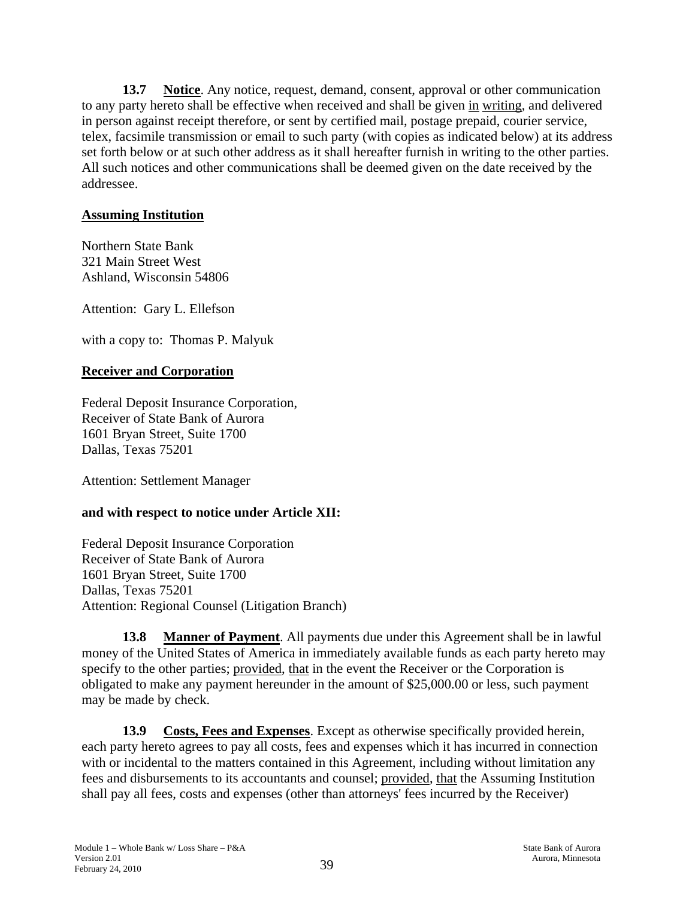**13.7** Notice. Any notice, request, demand, consent, approval or other communication to any party hereto shall be effective when received and shall be given in writing, and delivered in person against receipt therefore, or sent by certified mail, postage prepaid, courier service, telex, facsimile transmission or email to such party (with copies as indicated below) at its address set forth below or at such other address as it shall hereafter furnish in writing to the other parties. All such notices and other communications shall be deemed given on the date received by the addressee.

## **Assuming Institution**

Northern State Bank 321 Main Street West Ashland, Wisconsin 54806

Attention: Gary L. Ellefson

with a copy to: Thomas P. Malyuk

# **Receiver and Corporation**

Federal Deposit Insurance Corporation, Receiver of State Bank of Aurora 1601 Bryan Street, Suite 1700 Dallas, Texas 75201

Attention: Settlement Manager

# **and with respect to notice under Article XII:**

Federal Deposit Insurance Corporation Receiver of State Bank of Aurora 1601 Bryan Street, Suite 1700 Dallas, Texas 75201 Attention: Regional Counsel (Litigation Branch)

 **13.8 Manner of Payment**. All payments due under this Agreement shall be in lawful money of the United States of America in immediately available funds as each party hereto may specify to the other parties; provided, that in the event the Receiver or the Corporation is obligated to make any payment hereunder in the amount of \$25,000.00 or less, such payment may be made by check.

 **13.9 Costs, Fees and Expenses**. Except as otherwise specifically provided herein, each party hereto agrees to pay all costs, fees and expenses which it has incurred in connection with or incidental to the matters contained in this Agreement, including without limitation any fees and disbursements to its accountants and counsel; provided, that the Assuming Institution shall pay all fees, costs and expenses (other than attorneys' fees incurred by the Receiver)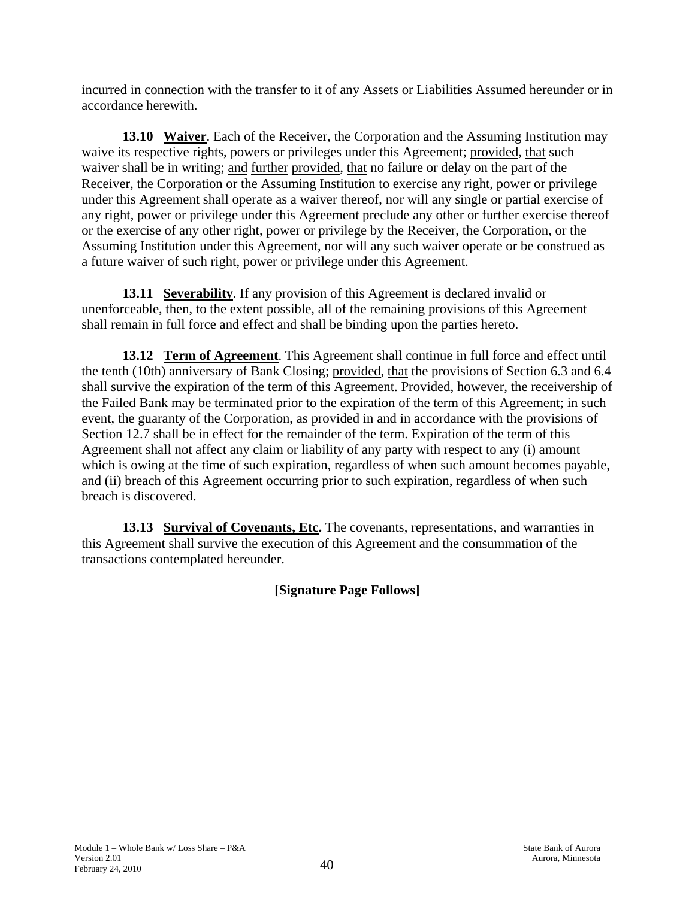incurred in connection with the transfer to it of any Assets or Liabilities Assumed hereunder or in accordance herewith.

 **13.10 Waiver**. Each of the Receiver, the Corporation and the Assuming Institution may waive its respective rights, powers or privileges under this Agreement; provided, that such waiver shall be in writing; and further provided, that no failure or delay on the part of the Receiver, the Corporation or the Assuming Institution to exercise any right, power or privilege under this Agreement shall operate as a waiver thereof, nor will any single or partial exercise of any right, power or privilege under this Agreement preclude any other or further exercise thereof or the exercise of any other right, power or privilege by the Receiver, the Corporation, or the Assuming Institution under this Agreement, nor will any such waiver operate or be construed as a future waiver of such right, power or privilege under this Agreement.

**13.11 Severability**. If any provision of this Agreement is declared invalid or unenforceable, then, to the extent possible, all of the remaining provisions of this Agreement shall remain in full force and effect and shall be binding upon the parties hereto.

 **13.12 Term of Agreement**. This Agreement shall continue in full force and effect until the tenth (10th) anniversary of Bank Closing; provided, that the provisions of Section 6.3 and 6.4 shall survive the expiration of the term of this Agreement. Provided, however, the receivership of the Failed Bank may be terminated prior to the expiration of the term of this Agreement; in such event, the guaranty of the Corporation, as provided in and in accordance with the provisions of Section 12.7 shall be in effect for the remainder of the term. Expiration of the term of this Agreement shall not affect any claim or liability of any party with respect to any (i) amount which is owing at the time of such expiration, regardless of when such amount becomes payable, and (ii) breach of this Agreement occurring prior to such expiration, regardless of when such breach is discovered.

**13.13 Survival of Covenants, Etc.** The covenants, representations, and warranties in this Agreement shall survive the execution of this Agreement and the consummation of the transactions contemplated hereunder.

# **[Signature Page Follows]**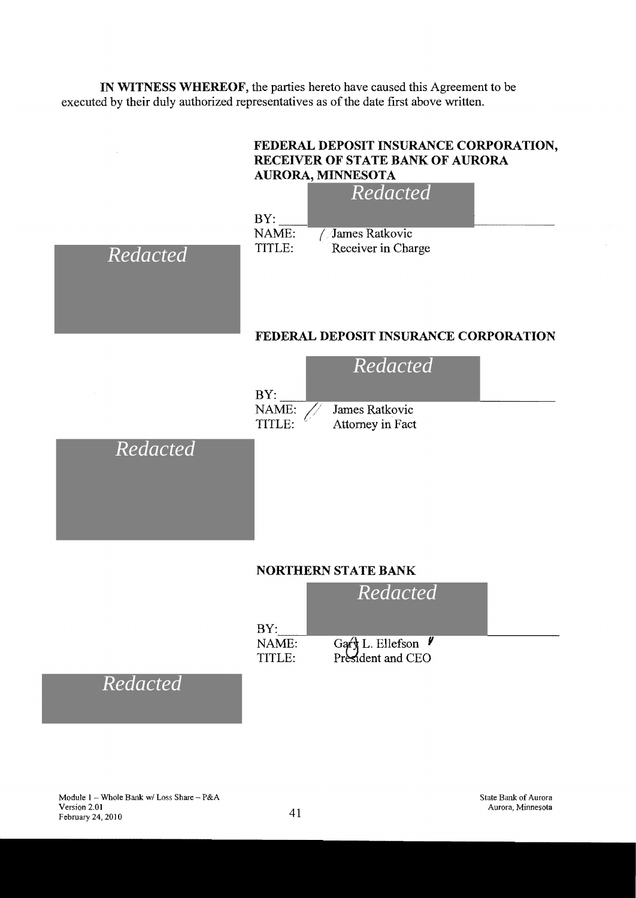**IN WITNESS WHEREOF,** the parties hereto have caused this Agreement to be executed by their duly authorized representatives as of the date first above written.

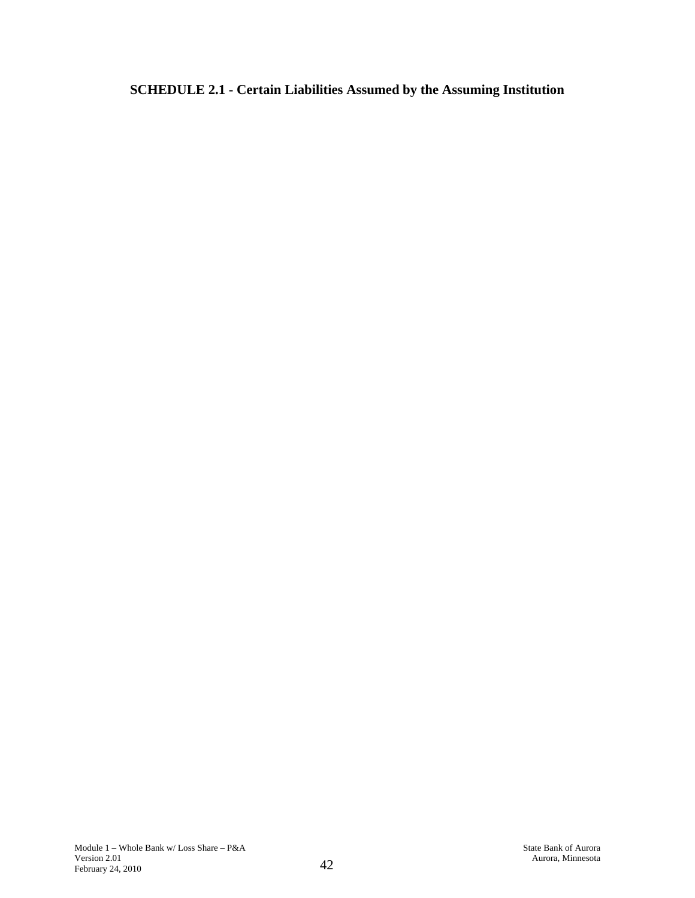**SCHEDULE 2.1 - Certain Liabilities Assumed by the Assuming Institution**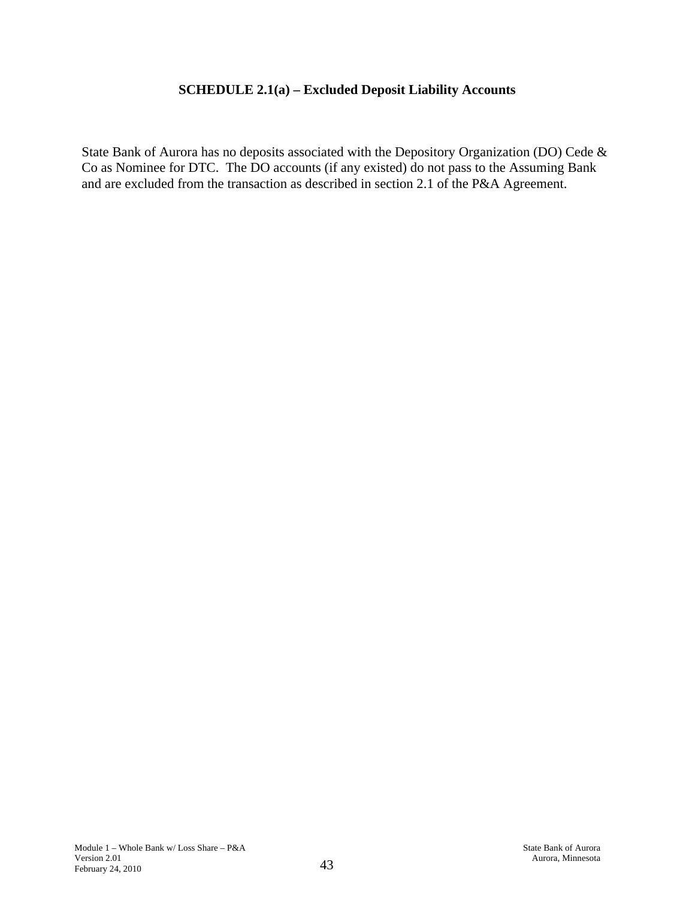## **SCHEDULE 2.1(a) – Excluded Deposit Liability Accounts**

State Bank of Aurora has no deposits associated with the Depository Organization (DO) Cede & Co as Nominee for DTC. The DO accounts (if any existed) do not pass to the Assuming Bank and are excluded from the transaction as described in section 2.1 of the P&A Agreement.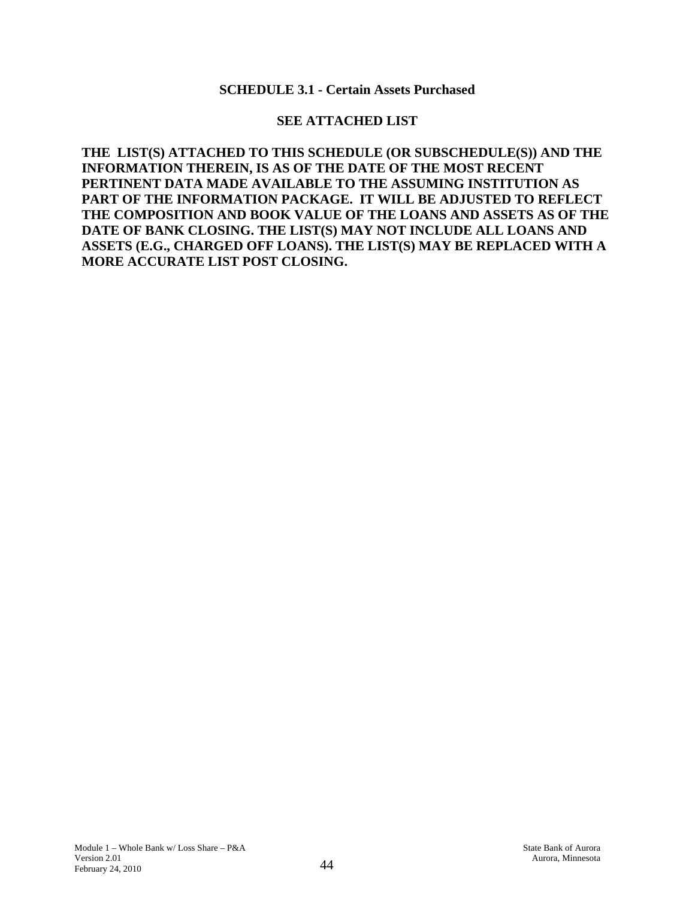#### **SCHEDULE 3.1 - Certain Assets Purchased**

#### **SEE ATTACHED LIST**

**THE LIST(S) ATTACHED TO THIS SCHEDULE (OR SUBSCHEDULE(S)) AND THE INFORMATION THEREIN, IS AS OF THE DATE OF THE MOST RECENT PERTINENT DATA MADE AVAILABLE TO THE ASSUMING INSTITUTION AS PART OF THE INFORMATION PACKAGE. IT WILL BE ADJUSTED TO REFLECT THE COMPOSITION AND BOOK VALUE OF THE LOANS AND ASSETS AS OF THE DATE OF BANK CLOSING. THE LIST(S) MAY NOT INCLUDE ALL LOANS AND ASSETS (E.G., CHARGED OFF LOANS). THE LIST(S) MAY BE REPLACED WITH A MORE ACCURATE LIST POST CLOSING.**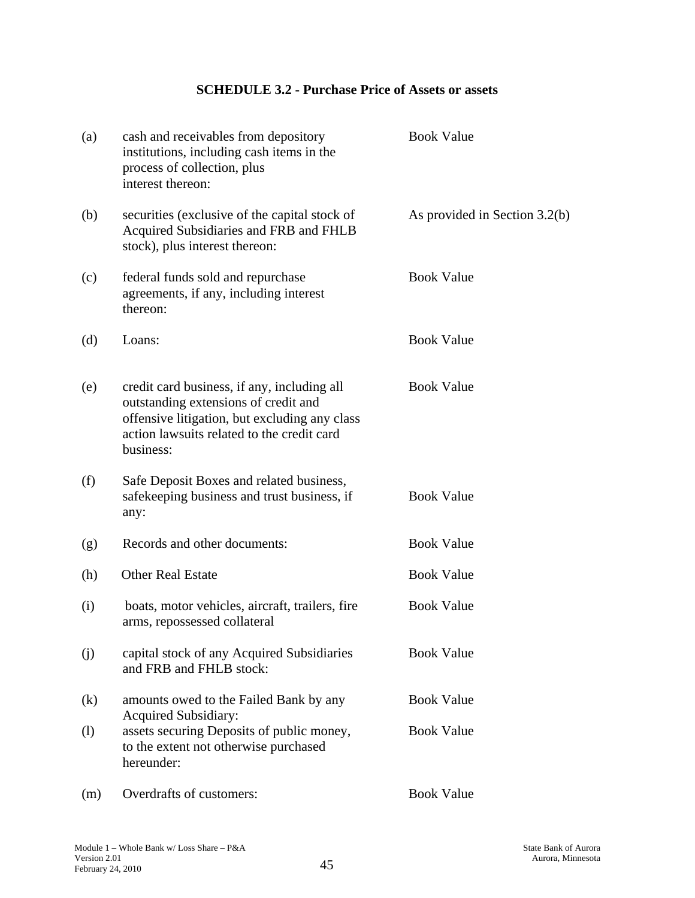# **SCHEDULE 3.2 - Purchase Price of Assets or assets**

| (a)                        | cash and receivables from depository<br>institutions, including cash items in the<br>process of collection, plus<br>interest thereon:                                                           | <b>Book Value</b>               |
|----------------------------|-------------------------------------------------------------------------------------------------------------------------------------------------------------------------------------------------|---------------------------------|
| (b)                        | securities (exclusive of the capital stock of<br>Acquired Subsidiaries and FRB and FHLB<br>stock), plus interest thereon:                                                                       | As provided in Section $3.2(b)$ |
| (c)                        | federal funds sold and repurchase<br>agreements, if any, including interest<br>thereon:                                                                                                         | <b>Book Value</b>               |
| (d)                        | Loans:                                                                                                                                                                                          | <b>Book Value</b>               |
| (e)                        | credit card business, if any, including all<br>outstanding extensions of credit and<br>offensive litigation, but excluding any class<br>action lawsuits related to the credit card<br>business: | <b>Book Value</b>               |
| (f)                        | Safe Deposit Boxes and related business,<br>safekeeping business and trust business, if<br>any:                                                                                                 | <b>Book Value</b>               |
| (g)                        | Records and other documents:                                                                                                                                                                    | <b>Book Value</b>               |
| (h)                        | <b>Other Real Estate</b>                                                                                                                                                                        | <b>Book Value</b>               |
| (i)                        | boats, motor vehicles, aircraft, trailers, fire<br>arms, repossessed collateral                                                                                                                 | <b>Book Value</b>               |
| (j)                        | capital stock of any Acquired Subsidiaries<br>and FRB and FHLB stock:                                                                                                                           | <b>Book Value</b>               |
| (k)                        | amounts owed to the Failed Bank by any                                                                                                                                                          | <b>Book Value</b>               |
| $\left( \mathrm{l}\right)$ | <b>Acquired Subsidiary:</b><br>assets securing Deposits of public money,<br>to the extent not otherwise purchased<br>hereunder:                                                                 | <b>Book Value</b>               |
| (m)                        | Overdrafts of customers:                                                                                                                                                                        | <b>Book Value</b>               |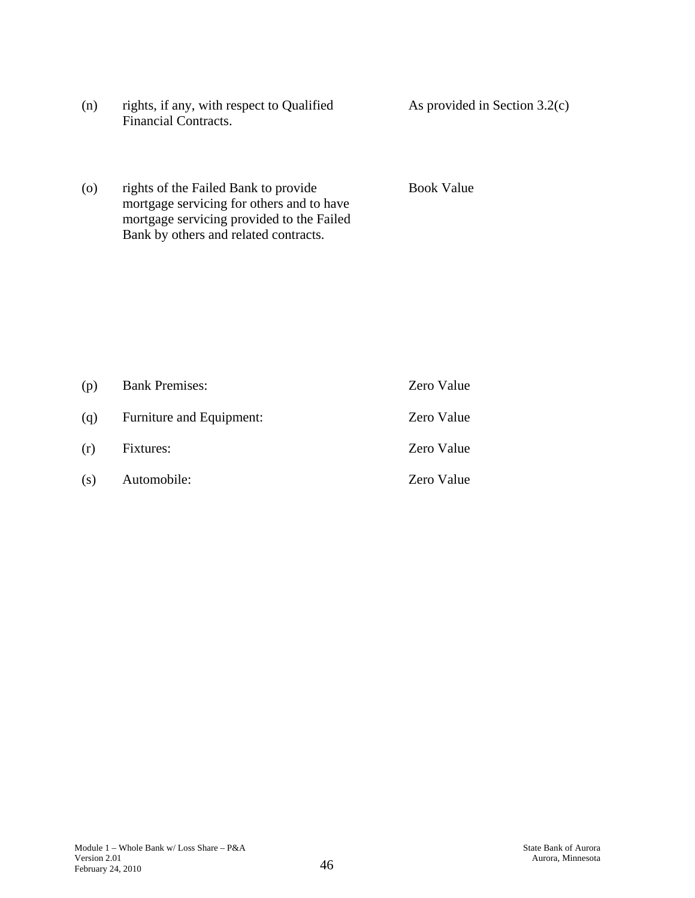(n) rights, if any, with respect to Qualified Financial Contracts.

As provided in Section 3.2(c)

(o) rights of the Failed Bank to provide mortgage servicing for others and to have mortgage servicing provided to the Failed Bank by others and related contracts. Book Value

| (p) | <b>Bank Premises:</b>    | Zero Value |
|-----|--------------------------|------------|
| (q) | Furniture and Equipment: | Zero Value |
| (r) | Fixtures:                | Zero Value |
|     | (s) Automobile:          | Zero Value |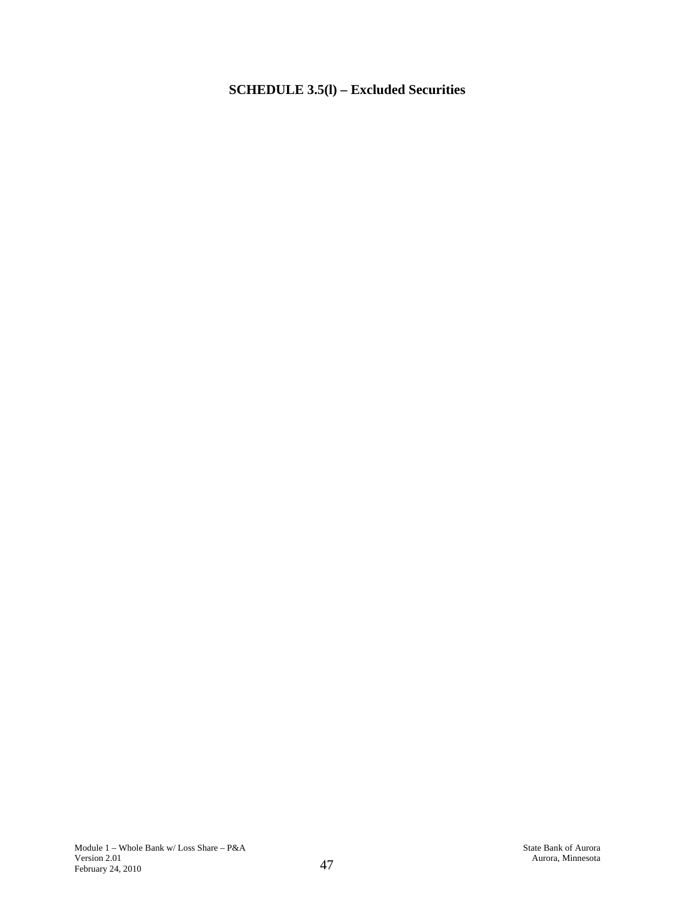# **SCHEDULE 3.5(l) – Excluded Securities**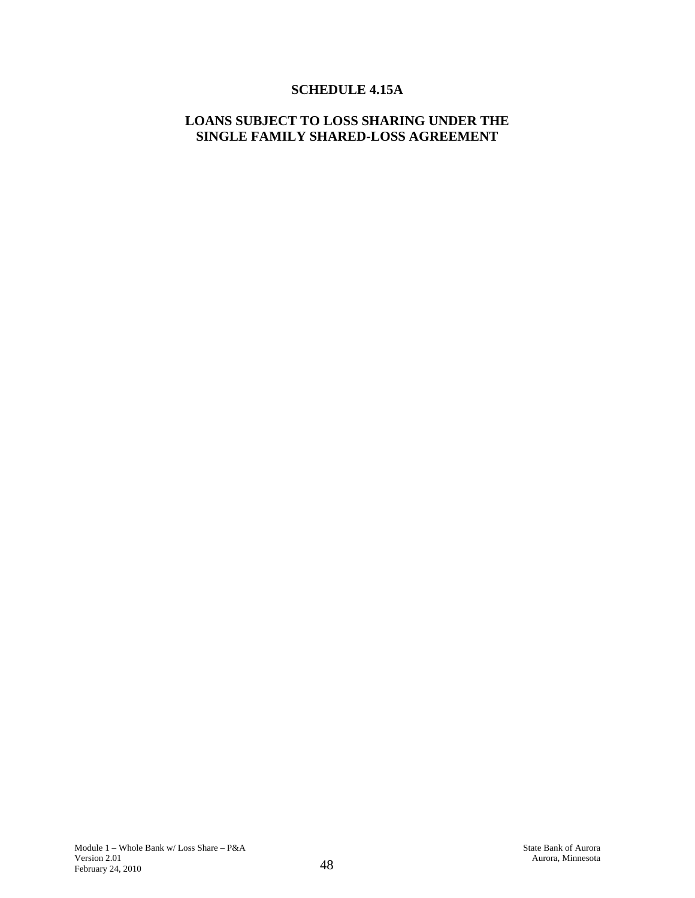## **SCHEDULE 4.15A**

## **LOANS SUBJECT TO LOSS SHARING UNDER THE SINGLE FAMILY SHARED-LOSS AGREEMENT**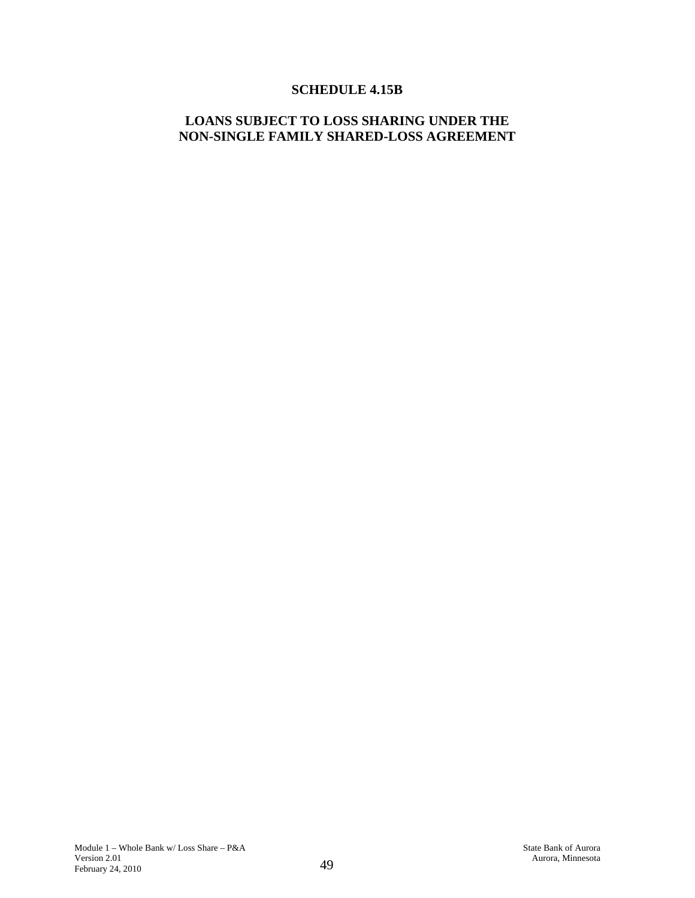## **SCHEDULE 4.15B**

## **LOANS SUBJECT TO LOSS SHARING UNDER THE NON-SINGLE FAMILY SHARED-LOSS AGREEMENT**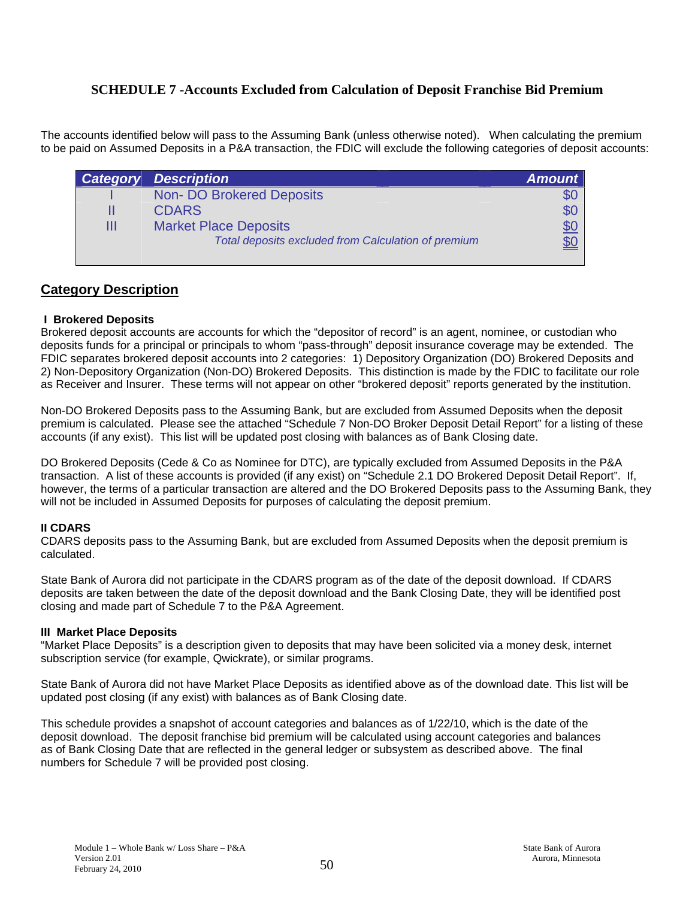### **SCHEDULE 7 -Accounts Excluded from Calculation of Deposit Franchise Bid Premium**

The accounts identified below will pass to the Assuming Bank (unless otherwise noted). When calculating the premium to be paid on Assumed Deposits in a P&A transaction, the FDIC will exclude the following categories of deposit accounts:

|   | <b>Category Description</b>                         | <b>Amount</b> |
|---|-----------------------------------------------------|---------------|
|   | <b>Non-DO Brokered Deposits</b>                     | \$C           |
|   | <b>CDARS</b>                                        | \$C           |
| Ш | <b>Market Place Deposits</b>                        | PC            |
|   | Total deposits excluded from Calculation of premium |               |
|   |                                                     |               |

### **Category Description**

#### **I Brokered Deposits**

Brokered deposit accounts are accounts for which the "depositor of record" is an agent, nominee, or custodian who deposits funds for a principal or principals to whom "pass-through" deposit insurance coverage may be extended. The FDIC separates brokered deposit accounts into 2 categories: 1) Depository Organization (DO) Brokered Deposits and 2) Non-Depository Organization (Non-DO) Brokered Deposits. This distinction is made by the FDIC to facilitate our role as Receiver and Insurer. These terms will not appear on other "brokered deposit" reports generated by the institution.

Non-DO Brokered Deposits pass to the Assuming Bank, but are excluded from Assumed Deposits when the deposit premium is calculated. Please see the attached "Schedule 7 Non-DO Broker Deposit Detail Report" for a listing of these accounts (if any exist). This list will be updated post closing with balances as of Bank Closing date.

DO Brokered Deposits (Cede & Co as Nominee for DTC), are typically excluded from Assumed Deposits in the P&A transaction. A list of these accounts is provided (if any exist) on "Schedule 2.1 DO Brokered Deposit Detail Report". If, however, the terms of a particular transaction are altered and the DO Brokered Deposits pass to the Assuming Bank, they will not be included in Assumed Deposits for purposes of calculating the deposit premium.

#### **II CDARS**

CDARS deposits pass to the Assuming Bank, but are excluded from Assumed Deposits when the deposit premium is calculated.

State Bank of Aurora did not participate in the CDARS program as of the date of the deposit download. If CDARS deposits are taken between the date of the deposit download and the Bank Closing Date, they will be identified post closing and made part of Schedule 7 to the P&A Agreement.

#### **III Market Place Deposits**

"Market Place Deposits" is a description given to deposits that may have been solicited via a money desk, internet subscription service (for example, Qwickrate), or similar programs.

State Bank of Aurora did not have Market Place Deposits as identified above as of the download date. This list will be updated post closing (if any exist) with balances as of Bank Closing date.

This schedule provides a snapshot of account categories and balances as of 1/22/10, which is the date of the deposit download. The deposit franchise bid premium will be calculated using account categories and balances as of Bank Closing Date that are reflected in the general ledger or subsystem as described above. The final numbers for Schedule 7 will be provided post closing.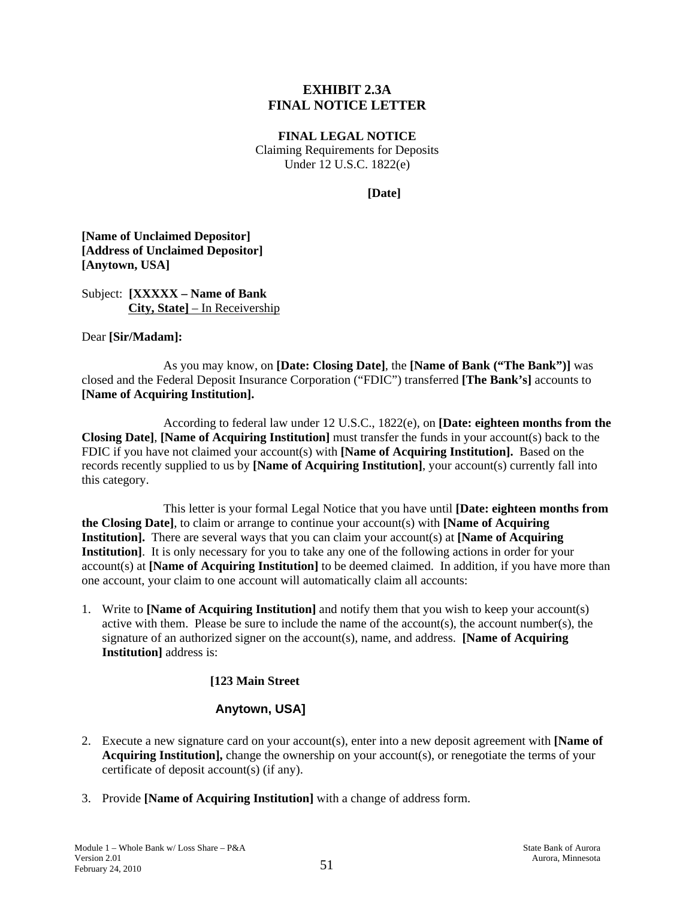### **EXHIBIT 2.3A FINAL NOTICE LETTER**

#### **FINAL LEGAL NOTICE**

Claiming Requirements for Deposits Under 12 U.S.C. 1822(e)

**[Date]** 

**[Name of Unclaimed Depositor] [Address of Unclaimed Depositor] [Anytown, USA]**

Subject: **[XXXXX – Name of Bank City, State]** – In Receivership

Dear **[Sir/Madam]:**

 As you may know, on **[Date: Closing Date]**, the **[Name of Bank ("The Bank")]** was closed and the Federal Deposit Insurance Corporation ("FDIC") transferred **[The Bank's]** accounts to **[Name of Acquiring Institution].**

According to federal law under 12 U.S.C., 1822(e), on **[Date: eighteen months from the Closing Date]**, **[Name of Acquiring Institution]** must transfer the funds in your account(s) back to the FDIC if you have not claimed your account(s) with **[Name of Acquiring Institution].** Based on the records recently supplied to us by **[Name of Acquiring Institution]**, your account(s) currently fall into this category.

This letter is your formal Legal Notice that you have until **[Date: eighteen months from the Closing Date]**, to claim or arrange to continue your account(s) with **[Name of Acquiring Institution].** There are several ways that you can claim your account(s) at **[Name of Acquiring Institution]**. It is only necessary for you to take any one of the following actions in order for your account(s) at **[Name of Acquiring Institution]** to be deemed claimed. In addition, if you have more than one account, your claim to one account will automatically claim all accounts:

1. Write to **[Name of Acquiring Institution]** and notify them that you wish to keep your account(s) active with them. Please be sure to include the name of the account(s), the account number(s), the signature of an authorized signer on the account(s), name, and address. **[Name of Acquiring Institution]** address is:

#### **[123 Main Street**

## **Anytown, USA]**

- 2. Execute a new signature card on your account(s), enter into a new deposit agreement with **[Name of Acquiring Institution],** change the ownership on your account(s), or renegotiate the terms of your certificate of deposit account(s) (if any).
- 3. Provide **[Name of Acquiring Institution]** with a change of address form.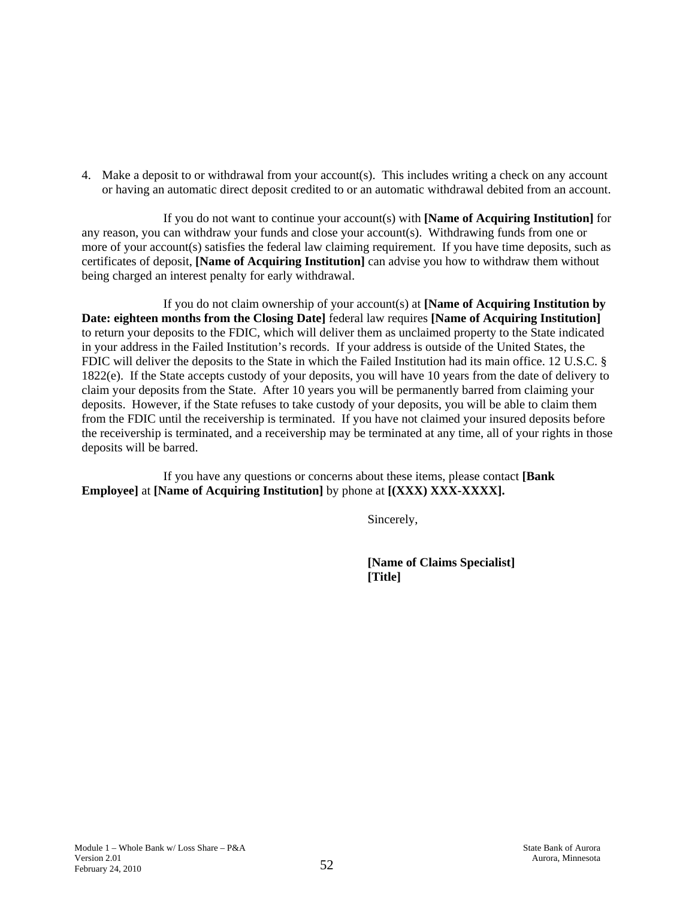4. Make a deposit to or withdrawal from your account(s). This includes writing a check on any account or having an automatic direct deposit credited to or an automatic withdrawal debited from an account.

 If you do not want to continue your account(s) with **[Name of Acquiring Institution]** for any reason, you can withdraw your funds and close your account(s). Withdrawing funds from one or more of your account(s) satisfies the federal law claiming requirement. If you have time deposits, such as certificates of deposit, **[Name of Acquiring Institution]** can advise you how to withdraw them without being charged an interest penalty for early withdrawal.

 If you do not claim ownership of your account(s) at **[Name of Acquiring Institution by Date: eighteen months from the Closing Date]** federal law requires **[Name of Acquiring Institution]** to return your deposits to the FDIC, which will deliver them as unclaimed property to the State indicated in your address in the Failed Institution's records. If your address is outside of the United States, the FDIC will deliver the deposits to the State in which the Failed Institution had its main office. 12 U.S.C. § 1822(e). If the State accepts custody of your deposits, you will have 10 years from the date of delivery to claim your deposits from the State. After 10 years you will be permanently barred from claiming your deposits. However, if the State refuses to take custody of your deposits, you will be able to claim them from the FDIC until the receivership is terminated. If you have not claimed your insured deposits before the receivership is terminated, and a receivership may be terminated at any time, all of your rights in those deposits will be barred.

 If you have any questions or concerns about these items, please contact **[Bank Employee]** at **[Name of Acquiring Institution]** by phone at **[(XXX) XXX-XXXX].**

Sincerely,

 **[Name of Claims Specialist] [Title]**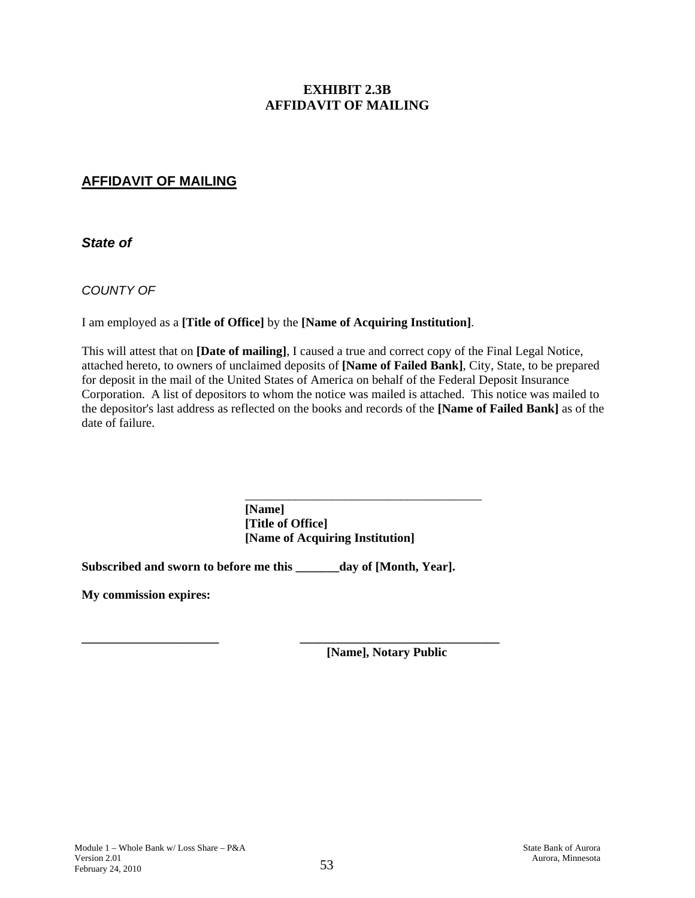## **EXHIBIT 2.3B AFFIDAVIT OF MAILING**

## **AFFIDAVIT OF MAILING**

*State of* 

*COUNTY OF* 

I am employed as a **[Title of Office]** by the **[Name of Acquiring Institution]**.

This will attest that on **[Date of mailing]**, I caused a true and correct copy of the Final Legal Notice, attached hereto, to owners of unclaimed deposits of **[Name of Failed Bank]**, City, State, to be prepared for deposit in the mail of the United States of America on behalf of the Federal Deposit Insurance Corporation. A list of depositors to whom the notice was mailed is attached. This notice was mailed to the depositor's last address as reflected on the books and records of the **[Name of Failed Bank]** as of the date of failure.

 $\overline{\phantom{a}}$  , and the contract of the contract of the contract of the contract of the contract of the contract of the contract of the contract of the contract of the contract of the contract of the contract of the contrac **[Name] [Title of Office] [Name of Acquiring Institution]** 

**Subscribed and sworn to before me this \_\_\_\_\_\_\_day of [Month, Year].** 

**My commission expires:** 

**\_\_\_\_\_\_\_\_\_\_\_\_\_\_\_\_\_\_\_\_\_\_ \_\_\_\_\_\_\_\_\_\_\_\_\_\_\_\_\_\_\_\_\_\_\_\_\_\_\_\_\_\_\_\_ [Name], Notary Public**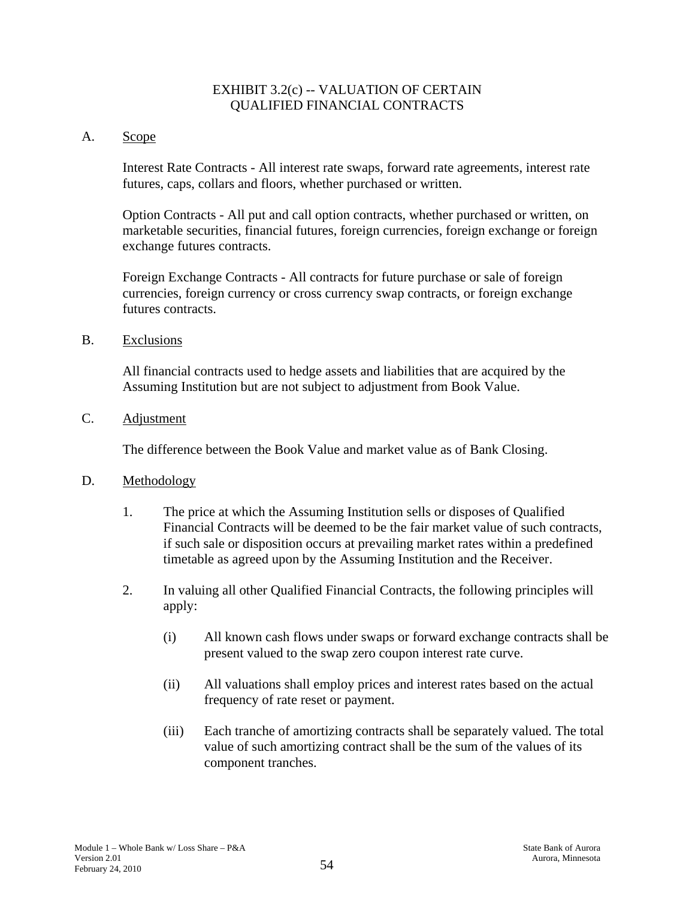### EXHIBIT 3.2(c) -- VALUATION OF CERTAIN QUALIFIED FINANCIAL CONTRACTS

### A. Scope

 Interest Rate Contracts - All interest rate swaps, forward rate agreements, interest rate futures, caps, collars and floors, whether purchased or written.

 Option Contracts - All put and call option contracts, whether purchased or written, on marketable securities, financial futures, foreign currencies, foreign exchange or foreign exchange futures contracts.

 Foreign Exchange Contracts - All contracts for future purchase or sale of foreign currencies, foreign currency or cross currency swap contracts, or foreign exchange futures contracts.

B. Exclusions

 All financial contracts used to hedge assets and liabilities that are acquired by the Assuming Institution but are not subject to adjustment from Book Value.

C. Adjustment

The difference between the Book Value and market value as of Bank Closing.

- D. Methodology
	- 1. The price at which the Assuming Institution sells or disposes of Qualified Financial Contracts will be deemed to be the fair market value of such contracts, if such sale or disposition occurs at prevailing market rates within a predefined timetable as agreed upon by the Assuming Institution and the Receiver.
	- 2. In valuing all other Qualified Financial Contracts, the following principles will apply:
		- (i) All known cash flows under swaps or forward exchange contracts shall be present valued to the swap zero coupon interest rate curve.
		- (ii) All valuations shall employ prices and interest rates based on the actual frequency of rate reset or payment.
		- (iii) Each tranche of amortizing contracts shall be separately valued. The total value of such amortizing contract shall be the sum of the values of its component tranches.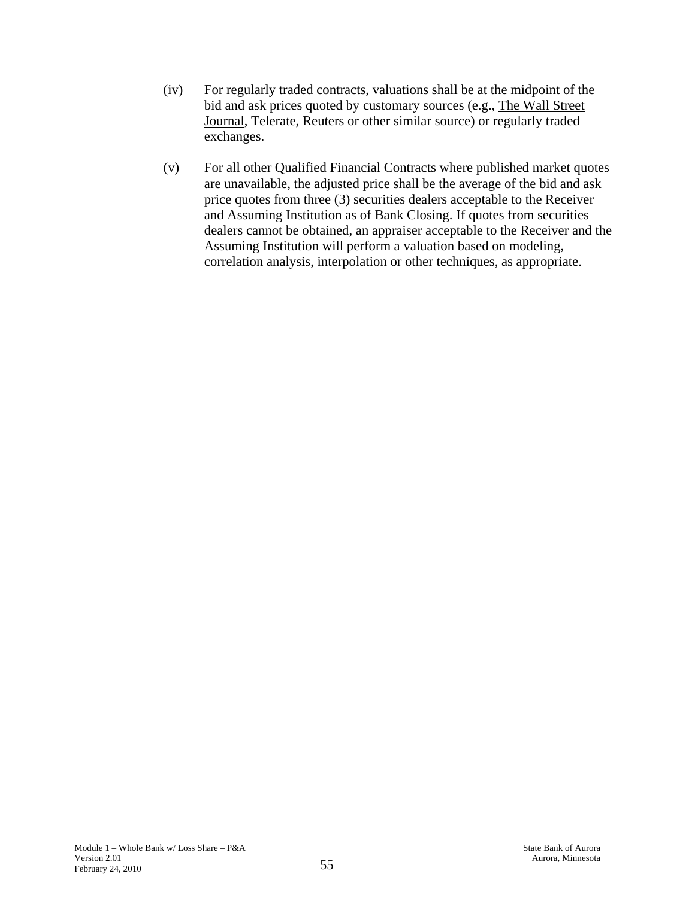- (iv) For regularly traded contracts, valuations shall be at the midpoint of the bid and ask prices quoted by customary sources (e.g., The Wall Street Journal, Telerate, Reuters or other similar source) or regularly traded exchanges.
- (v) For all other Qualified Financial Contracts where published market quotes are unavailable, the adjusted price shall be the average of the bid and ask price quotes from three (3) securities dealers acceptable to the Receiver and Assuming Institution as of Bank Closing. If quotes from securities dealers cannot be obtained, an appraiser acceptable to the Receiver and the Assuming Institution will perform a valuation based on modeling, correlation analysis, interpolation or other techniques, as appropriate.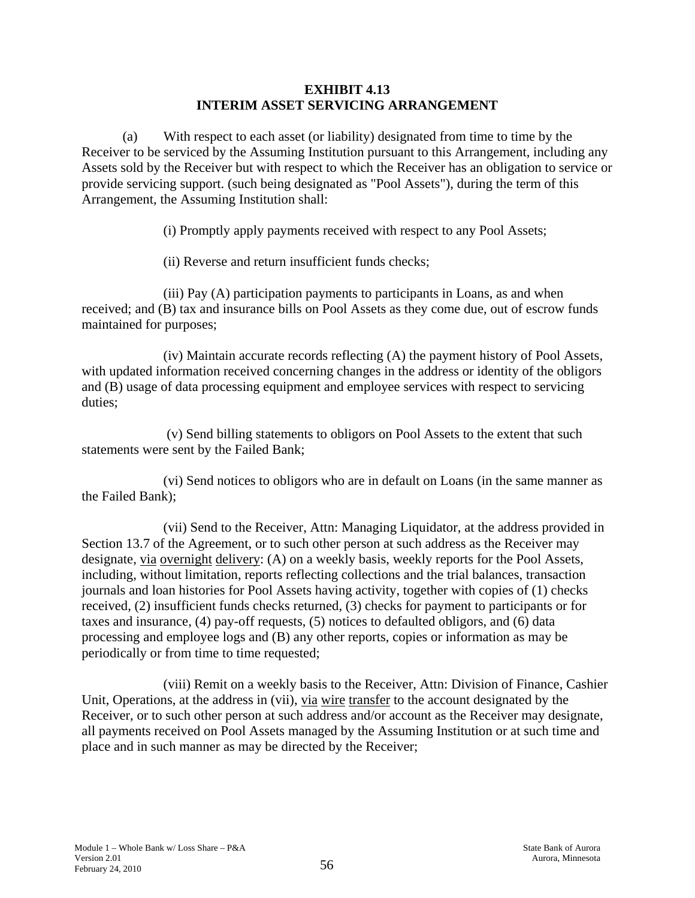#### **EXHIBIT 4.13 INTERIM ASSET SERVICING ARRANGEMENT**

 (a) With respect to each asset (or liability) designated from time to time by the Receiver to be serviced by the Assuming Institution pursuant to this Arrangement, including any Assets sold by the Receiver but with respect to which the Receiver has an obligation to service or provide servicing support. (such being designated as "Pool Assets"), during the term of this Arrangement, the Assuming Institution shall:

(i) Promptly apply payments received with respect to any Pool Assets;

(ii) Reverse and return insufficient funds checks;

(iii) Pay (A) participation payments to participants in Loans, as and when received; and (B) tax and insurance bills on Pool Assets as they come due, out of escrow funds maintained for purposes;

(iv) Maintain accurate records reflecting (A) the payment history of Pool Assets, with updated information received concerning changes in the address or identity of the obligors and (B) usage of data processing equipment and employee services with respect to servicing duties;

 (v) Send billing statements to obligors on Pool Assets to the extent that such statements were sent by the Failed Bank;

(vi) Send notices to obligors who are in default on Loans (in the same manner as the Failed Bank);

 (vii) Send to the Receiver, Attn: Managing Liquidator, at the address provided in Section 13.7 of the Agreement, or to such other person at such address as the Receiver may designate, via overnight delivery: (A) on a weekly basis, weekly reports for the Pool Assets, including, without limitation, reports reflecting collections and the trial balances, transaction journals and loan histories for Pool Assets having activity, together with copies of (1) checks received, (2) insufficient funds checks returned, (3) checks for payment to participants or for taxes and insurance, (4) pay-off requests, (5) notices to defaulted obligors, and (6) data processing and employee logs and (B) any other reports, copies or information as may be periodically or from time to time requested;

 (viii) Remit on a weekly basis to the Receiver, Attn: Division of Finance, Cashier Unit, Operations, at the address in (vii), via wire transfer to the account designated by the Receiver, or to such other person at such address and/or account as the Receiver may designate, all payments received on Pool Assets managed by the Assuming Institution or at such time and place and in such manner as may be directed by the Receiver;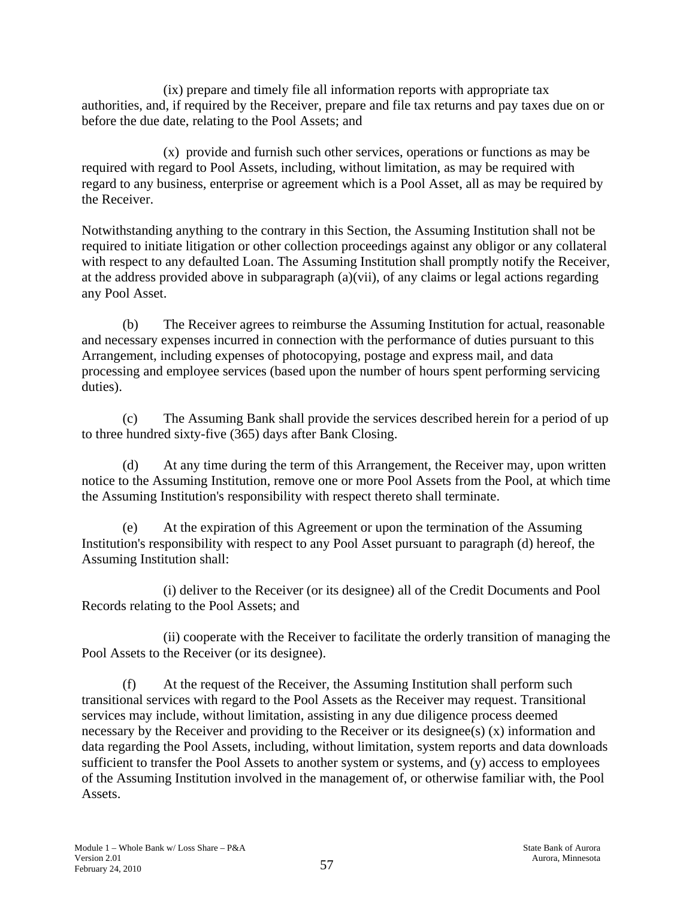(ix) prepare and timely file all information reports with appropriate tax authorities, and, if required by the Receiver, prepare and file tax returns and pay taxes due on or before the due date, relating to the Pool Assets; and

(x) provide and furnish such other services, operations or functions as may be required with regard to Pool Assets, including, without limitation, as may be required with regard to any business, enterprise or agreement which is a Pool Asset, all as may be required by the Receiver.

Notwithstanding anything to the contrary in this Section, the Assuming Institution shall not be required to initiate litigation or other collection proceedings against any obligor or any collateral with respect to any defaulted Loan. The Assuming Institution shall promptly notify the Receiver, at the address provided above in subparagraph (a)(vii), of any claims or legal actions regarding any Pool Asset.

 (b) The Receiver agrees to reimburse the Assuming Institution for actual, reasonable and necessary expenses incurred in connection with the performance of duties pursuant to this Arrangement, including expenses of photocopying, postage and express mail, and data processing and employee services (based upon the number of hours spent performing servicing duties).

 (c) The Assuming Bank shall provide the services described herein for a period of up to three hundred sixty-five (365) days after Bank Closing.

 (d) At any time during the term of this Arrangement, the Receiver may, upon written notice to the Assuming Institution, remove one or more Pool Assets from the Pool, at which time the Assuming Institution's responsibility with respect thereto shall terminate.

 (e) At the expiration of this Agreement or upon the termination of the Assuming Institution's responsibility with respect to any Pool Asset pursuant to paragraph (d) hereof, the Assuming Institution shall:

(i) deliver to the Receiver (or its designee) all of the Credit Documents and Pool Records relating to the Pool Assets; and

(ii) cooperate with the Receiver to facilitate the orderly transition of managing the Pool Assets to the Receiver (or its designee).

 (f) At the request of the Receiver, the Assuming Institution shall perform such transitional services with regard to the Pool Assets as the Receiver may request. Transitional services may include, without limitation, assisting in any due diligence process deemed necessary by the Receiver and providing to the Receiver or its designee(s) (x) information and data regarding the Pool Assets, including, without limitation, system reports and data downloads sufficient to transfer the Pool Assets to another system or systems, and (y) access to employees of the Assuming Institution involved in the management of, or otherwise familiar with, the Pool Assets.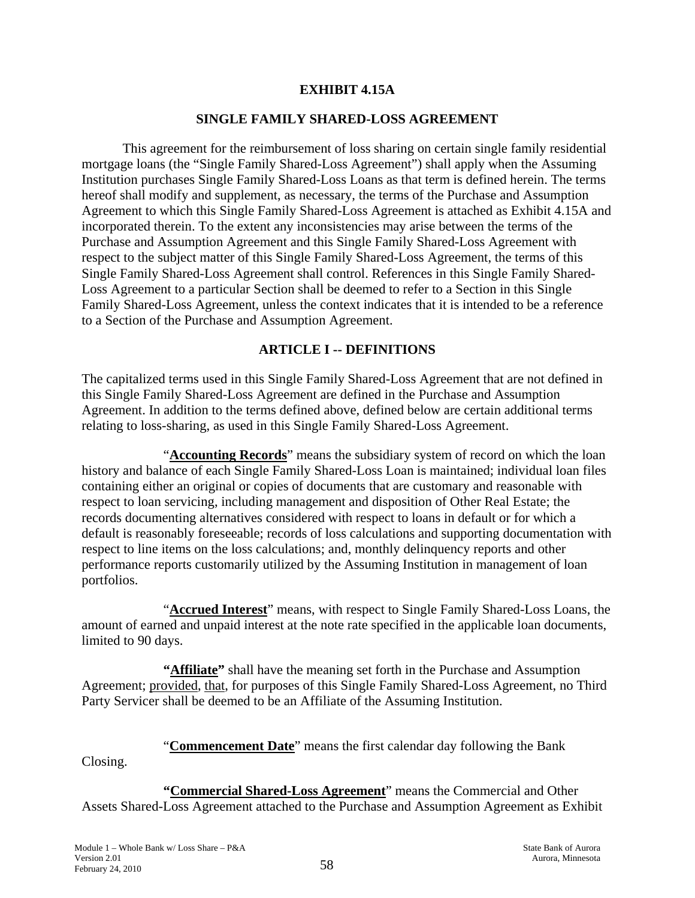#### **EXHIBIT 4.15A**

#### **SINGLE FAMILY SHARED-LOSS AGREEMENT**

This agreement for the reimbursement of loss sharing on certain single family residential mortgage loans (the "Single Family Shared-Loss Agreement") shall apply when the Assuming Institution purchases Single Family Shared-Loss Loans as that term is defined herein. The terms hereof shall modify and supplement, as necessary, the terms of the Purchase and Assumption Agreement to which this Single Family Shared-Loss Agreement is attached as Exhibit 4.15A and incorporated therein. To the extent any inconsistencies may arise between the terms of the Purchase and Assumption Agreement and this Single Family Shared-Loss Agreement with respect to the subject matter of this Single Family Shared-Loss Agreement, the terms of this Single Family Shared-Loss Agreement shall control. References in this Single Family Shared-Loss Agreement to a particular Section shall be deemed to refer to a Section in this Single Family Shared-Loss Agreement, unless the context indicates that it is intended to be a reference to a Section of the Purchase and Assumption Agreement.

### **ARTICLE I -- DEFINITIONS**

The capitalized terms used in this Single Family Shared-Loss Agreement that are not defined in this Single Family Shared-Loss Agreement are defined in the Purchase and Assumption Agreement. In addition to the terms defined above, defined below are certain additional terms relating to loss-sharing, as used in this Single Family Shared-Loss Agreement.

"**Accounting Records**" means the subsidiary system of record on which the loan history and balance of each Single Family Shared-Loss Loan is maintained; individual loan files containing either an original or copies of documents that are customary and reasonable with respect to loan servicing, including management and disposition of Other Real Estate; the records documenting alternatives considered with respect to loans in default or for which a default is reasonably foreseeable; records of loss calculations and supporting documentation with respect to line items on the loss calculations; and, monthly delinquency reports and other performance reports customarily utilized by the Assuming Institution in management of loan portfolios.

"**Accrued Interest**" means, with respect to Single Family Shared-Loss Loans, the amount of earned and unpaid interest at the note rate specified in the applicable loan documents, limited to 90 days.

**"Affiliate"** shall have the meaning set forth in the Purchase and Assumption Agreement; provided, that, for purposes of this Single Family Shared-Loss Agreement, no Third Party Servicer shall be deemed to be an Affiliate of the Assuming Institution.

"**Commencement Date**" means the first calendar day following the Bank

Closing.

**"Commercial Shared-Loss Agreement**" means the Commercial and Other Assets Shared-Loss Agreement attached to the Purchase and Assumption Agreement as Exhibit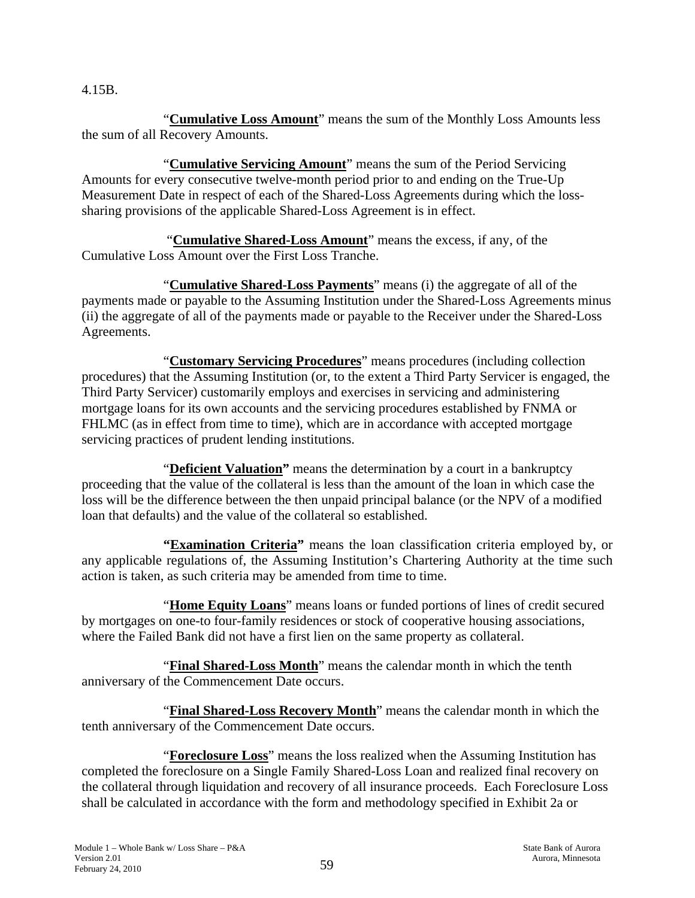4.15B.

"**Cumulative Loss Amount**" means the sum of the Monthly Loss Amounts less the sum of all Recovery Amounts.

 "**Cumulative Servicing Amount**" means the sum of the Period Servicing Amounts for every consecutive twelve-month period prior to and ending on the True-Up Measurement Date in respect of each of the Shared-Loss Agreements during which the losssharing provisions of the applicable Shared-Loss Agreement is in effect.

 "**Cumulative Shared-Loss Amount**" means the excess, if any, of the Cumulative Loss Amount over the First Loss Tranche.

"**Cumulative Shared-Loss Payments**" means (i) the aggregate of all of the payments made or payable to the Assuming Institution under the Shared-Loss Agreements minus (ii) the aggregate of all of the payments made or payable to the Receiver under the Shared-Loss Agreements.

"**Customary Servicing Procedures**" means procedures (including collection procedures) that the Assuming Institution (or, to the extent a Third Party Servicer is engaged, the Third Party Servicer) customarily employs and exercises in servicing and administering mortgage loans for its own accounts and the servicing procedures established by FNMA or FHLMC (as in effect from time to time), which are in accordance with accepted mortgage servicing practices of prudent lending institutions.

"**Deficient Valuation"** means the determination by a court in a bankruptcy proceeding that the value of the collateral is less than the amount of the loan in which case the loss will be the difference between the then unpaid principal balance (or the NPV of a modified loan that defaults) and the value of the collateral so established.

**"Examination Criteria"** means the loan classification criteria employed by, or any applicable regulations of, the Assuming Institution's Chartering Authority at the time such action is taken, as such criteria may be amended from time to time.

"**Home Equity Loans**" means loans or funded portions of lines of credit secured by mortgages on one-to four-family residences or stock of cooperative housing associations, where the Failed Bank did not have a first lien on the same property as collateral.

"**Final Shared-Loss Month**" means the calendar month in which the tenth anniversary of the Commencement Date occurs.

"**Final Shared-Loss Recovery Month**" means the calendar month in which the tenth anniversary of the Commencement Date occurs.

"**Foreclosure Loss**" means the loss realized when the Assuming Institution has completed the foreclosure on a Single Family Shared-Loss Loan and realized final recovery on the collateral through liquidation and recovery of all insurance proceeds. Each Foreclosure Loss shall be calculated in accordance with the form and methodology specified in Exhibit 2a or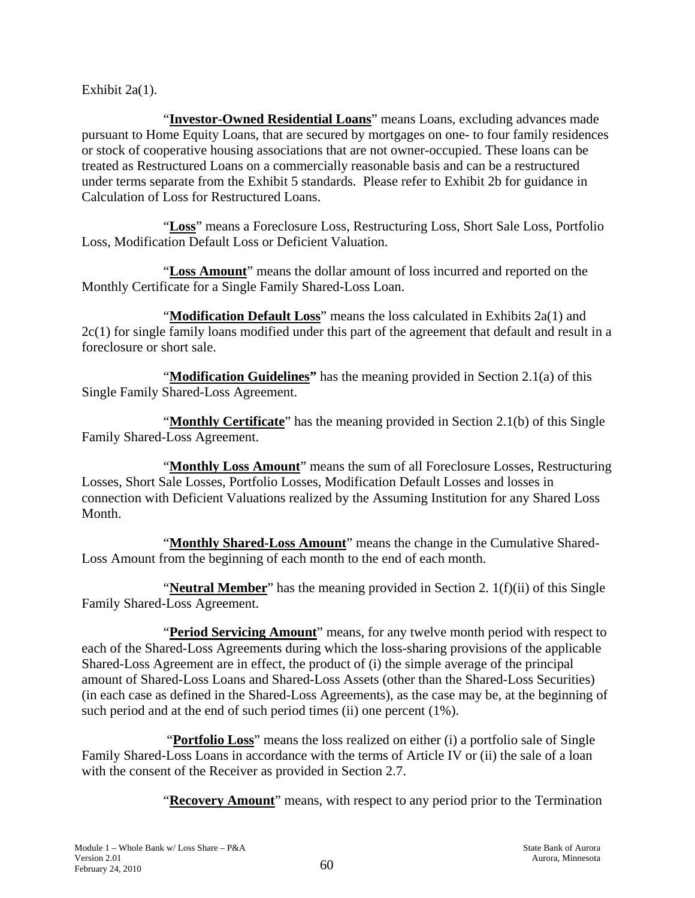Exhibit 2a(1).

"**Investor-Owned Residential Loans**" means Loans, excluding advances made pursuant to Home Equity Loans, that are secured by mortgages on one- to four family residences or stock of cooperative housing associations that are not owner-occupied. These loans can be treated as Restructured Loans on a commercially reasonable basis and can be a restructured under terms separate from the Exhibit 5 standards. Please refer to Exhibit 2b for guidance in Calculation of Loss for Restructured Loans.

"**Loss**" means a Foreclosure Loss, Restructuring Loss, Short Sale Loss, Portfolio Loss, Modification Default Loss or Deficient Valuation.

"**Loss Amount**" means the dollar amount of loss incurred and reported on the Monthly Certificate for a Single Family Shared-Loss Loan.

"**Modification Default Loss**" means the loss calculated in Exhibits 2a(1) and 2c(1) for single family loans modified under this part of the agreement that default and result in a foreclosure or short sale.

"**Modification Guidelines"** has the meaning provided in Section 2.1(a) of this Single Family Shared-Loss Agreement.

"**Monthly Certificate**" has the meaning provided in Section 2.1(b) of this Single Family Shared-Loss Agreement.

"**Monthly Loss Amount**" means the sum of all Foreclosure Losses, Restructuring Losses, Short Sale Losses, Portfolio Losses, Modification Default Losses and losses in connection with Deficient Valuations realized by the Assuming Institution for any Shared Loss Month.

"**Monthly Shared-Loss Amount**" means the change in the Cumulative Shared-Loss Amount from the beginning of each month to the end of each month.

"**Neutral Member**" has the meaning provided in Section 2. 1(f)(ii) of this Single Family Shared-Loss Agreement.

 "**Period Servicing Amount**" means, for any twelve month period with respect to each of the Shared-Loss Agreements during which the loss-sharing provisions of the applicable Shared-Loss Agreement are in effect, the product of (i) the simple average of the principal amount of Shared-Loss Loans and Shared-Loss Assets (other than the Shared-Loss Securities) (in each case as defined in the Shared-Loss Agreements), as the case may be, at the beginning of such period and at the end of such period times (ii) one percent (1%).

 "**Portfolio Loss**" means the loss realized on either (i) a portfolio sale of Single Family Shared-Loss Loans in accordance with the terms of Article IV or (ii) the sale of a loan with the consent of the Receiver as provided in Section 2.7.

"**Recovery Amount**" means, with respect to any period prior to the Termination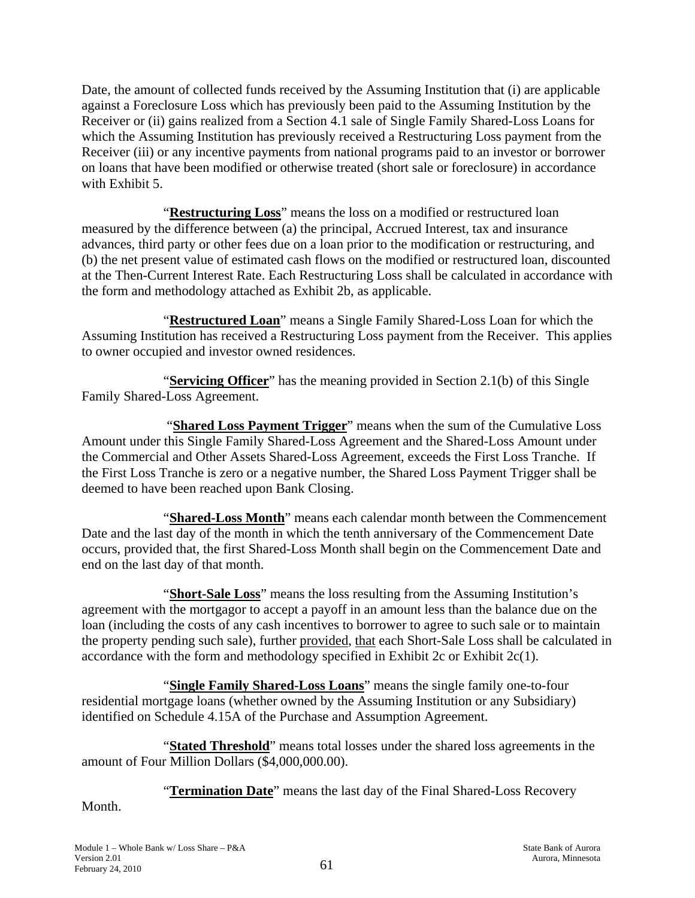Date, the amount of collected funds received by the Assuming Institution that (i) are applicable against a Foreclosure Loss which has previously been paid to the Assuming Institution by the Receiver or (ii) gains realized from a Section 4.1 sale of Single Family Shared-Loss Loans for which the Assuming Institution has previously received a Restructuring Loss payment from the Receiver (iii) or any incentive payments from national programs paid to an investor or borrower on loans that have been modified or otherwise treated (short sale or foreclosure) in accordance with Exhibit 5.

"**Restructuring Loss**" means the loss on a modified or restructured loan measured by the difference between (a) the principal, Accrued Interest, tax and insurance advances, third party or other fees due on a loan prior to the modification or restructuring, and (b) the net present value of estimated cash flows on the modified or restructured loan, discounted at the Then-Current Interest Rate. Each Restructuring Loss shall be calculated in accordance with the form and methodology attached as Exhibit 2b, as applicable.

"**Restructured Loan**" means a Single Family Shared-Loss Loan for which the Assuming Institution has received a Restructuring Loss payment from the Receiver. This applies to owner occupied and investor owned residences.

"**Servicing Officer**" has the meaning provided in Section 2.1(b) of this Single Family Shared-Loss Agreement.

"Shared Loss Payment Trigger" means when the sum of the Cumulative Loss Amount under this Single Family Shared-Loss Agreement and the Shared-Loss Amount under the Commercial and Other Assets Shared-Loss Agreement, exceeds the First Loss Tranche. If the First Loss Tranche is zero or a negative number, the Shared Loss Payment Trigger shall be deemed to have been reached upon Bank Closing.

"**Shared-Loss Month**" means each calendar month between the Commencement Date and the last day of the month in which the tenth anniversary of the Commencement Date occurs, provided that, the first Shared-Loss Month shall begin on the Commencement Date and end on the last day of that month.

"**Short-Sale Loss**" means the loss resulting from the Assuming Institution's agreement with the mortgagor to accept a payoff in an amount less than the balance due on the loan (including the costs of any cash incentives to borrower to agree to such sale or to maintain the property pending such sale), further provided, that each Short-Sale Loss shall be calculated in accordance with the form and methodology specified in Exhibit 2c or Exhibit 2c(1).

"**Single Family Shared-Loss Loans**" means the single family one-to-four residential mortgage loans (whether owned by the Assuming Institution or any Subsidiary) identified on Schedule 4.15A of the Purchase and Assumption Agreement.

"**Stated Threshold**" means total losses under the shared loss agreements in the amount of Four Million Dollars (\$4,000,000.00).

"**Termination Date**" means the last day of the Final Shared-Loss Recovery

Month.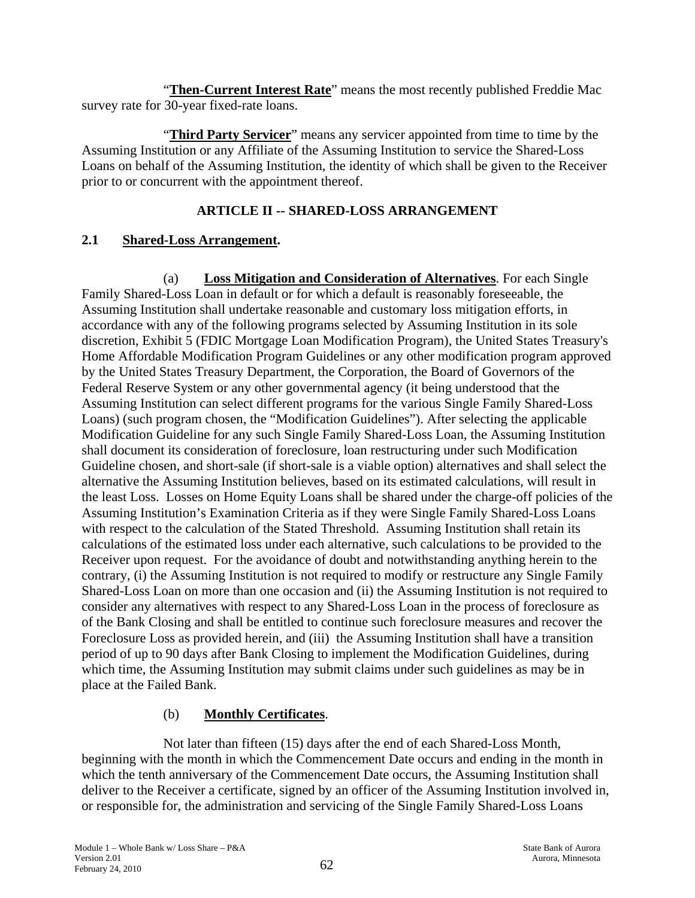"**Then-Current Interest Rate**" means the most recently published Freddie Mac survey rate for 30-year fixed-rate loans.

"**Third Party Servicer**" means any servicer appointed from time to time by the Assuming Institution or any Affiliate of the Assuming Institution to service the Shared-Loss Loans on behalf of the Assuming Institution, the identity of which shall be given to the Receiver prior to or concurrent with the appointment thereof.

## **ARTICLE II -- SHARED-LOSS ARRANGEMENT**

# **2.1 Shared-Loss Arrangement.**

(a) **Loss Mitigation and Consideration of Alternatives**. For each Single Family Shared-Loss Loan in default or for which a default is reasonably foreseeable, the Assuming Institution shall undertake reasonable and customary loss mitigation efforts, in accordance with any of the following programs selected by Assuming Institution in its sole discretion, Exhibit 5 (FDIC Mortgage Loan Modification Program), the United States Treasury's Home Affordable Modification Program Guidelines or any other modification program approved by the United States Treasury Department, the Corporation, the Board of Governors of the Federal Reserve System or any other governmental agency (it being understood that the Assuming Institution can select different programs for the various Single Family Shared-Loss Loans) (such program chosen, the "Modification Guidelines"). After selecting the applicable Modification Guideline for any such Single Family Shared-Loss Loan, the Assuming Institution shall document its consideration of foreclosure, loan restructuring under such Modification Guideline chosen, and short-sale (if short-sale is a viable option) alternatives and shall select the alternative the Assuming Institution believes, based on its estimated calculations, will result in the least Loss. Losses on Home Equity Loans shall be shared under the charge-off policies of the Assuming Institution's Examination Criteria as if they were Single Family Shared-Loss Loans with respect to the calculation of the Stated Threshold. Assuming Institution shall retain its calculations of the estimated loss under each alternative, such calculations to be provided to the Receiver upon request. For the avoidance of doubt and notwithstanding anything herein to the contrary, (i) the Assuming Institution is not required to modify or restructure any Single Family Shared-Loss Loan on more than one occasion and (ii) the Assuming Institution is not required to consider any alternatives with respect to any Shared-Loss Loan in the process of foreclosure as of the Bank Closing and shall be entitled to continue such foreclosure measures and recover the Foreclosure Loss as provided herein, and (iii) the Assuming Institution shall have a transition period of up to 90 days after Bank Closing to implement the Modification Guidelines, during which time, the Assuming Institution may submit claims under such guidelines as may be in place at the Failed Bank.

# (b) **Monthly Certificates**.

Not later than fifteen (15) days after the end of each Shared-Loss Month, beginning with the month in which the Commencement Date occurs and ending in the month in which the tenth anniversary of the Commencement Date occurs, the Assuming Institution shall deliver to the Receiver a certificate, signed by an officer of the Assuming Institution involved in, or responsible for, the administration and servicing of the Single Family Shared-Loss Loans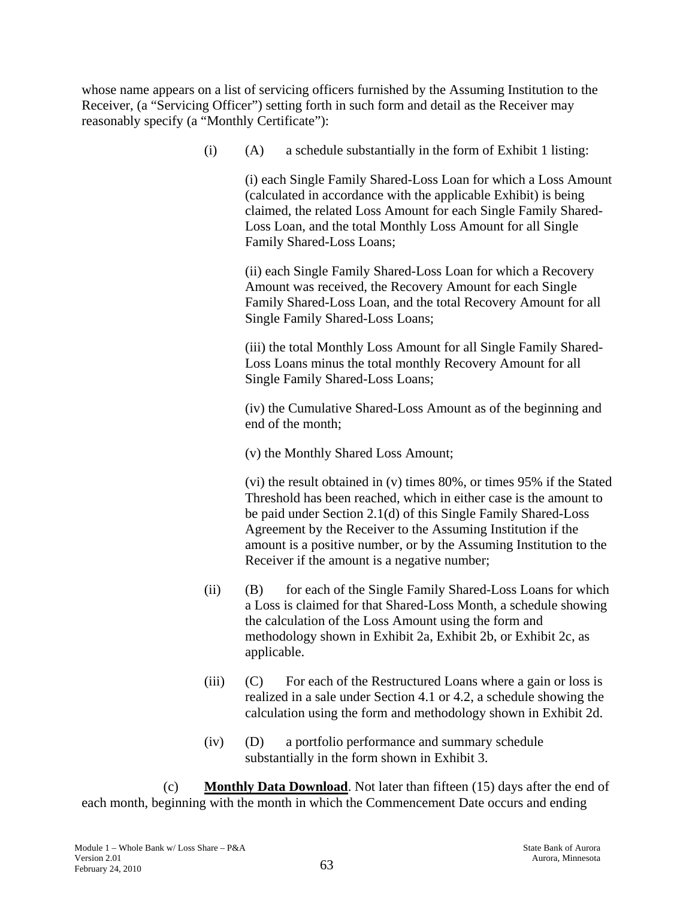whose name appears on a list of servicing officers furnished by the Assuming Institution to the Receiver, (a "Servicing Officer") setting forth in such form and detail as the Receiver may reasonably specify (a "Monthly Certificate"):

(i) (A) a schedule substantially in the form of Exhibit 1 listing:

(i) each Single Family Shared-Loss Loan for which a Loss Amount (calculated in accordance with the applicable Exhibit) is being claimed, the related Loss Amount for each Single Family Shared-Loss Loan, and the total Monthly Loss Amount for all Single Family Shared-Loss Loans;

(ii) each Single Family Shared-Loss Loan for which a Recovery Amount was received, the Recovery Amount for each Single Family Shared-Loss Loan, and the total Recovery Amount for all Single Family Shared-Loss Loans;

(iii) the total Monthly Loss Amount for all Single Family Shared-Loss Loans minus the total monthly Recovery Amount for all Single Family Shared-Loss Loans;

(iv) the Cumulative Shared-Loss Amount as of the beginning and end of the month;

(v) the Monthly Shared Loss Amount;

(vi) the result obtained in (v) times 80%, or times 95% if the Stated Threshold has been reached, which in either case is the amount to be paid under Section 2.1(d) of this Single Family Shared-Loss Agreement by the Receiver to the Assuming Institution if the amount is a positive number, or by the Assuming Institution to the Receiver if the amount is a negative number;

- (ii) (B) for each of the Single Family Shared-Loss Loans for which a Loss is claimed for that Shared-Loss Month, a schedule showing the calculation of the Loss Amount using the form and methodology shown in Exhibit 2a, Exhibit 2b, or Exhibit 2c, as applicable.
- (iii) (C) For each of the Restructured Loans where a gain or loss is realized in a sale under Section 4.1 or 4.2, a schedule showing the calculation using the form and methodology shown in Exhibit 2d.
- (iv) (D) a portfolio performance and summary schedule substantially in the form shown in Exhibit 3.

(c) **Monthly Data Download**. Not later than fifteen (15) days after the end of each month, beginning with the month in which the Commencement Date occurs and ending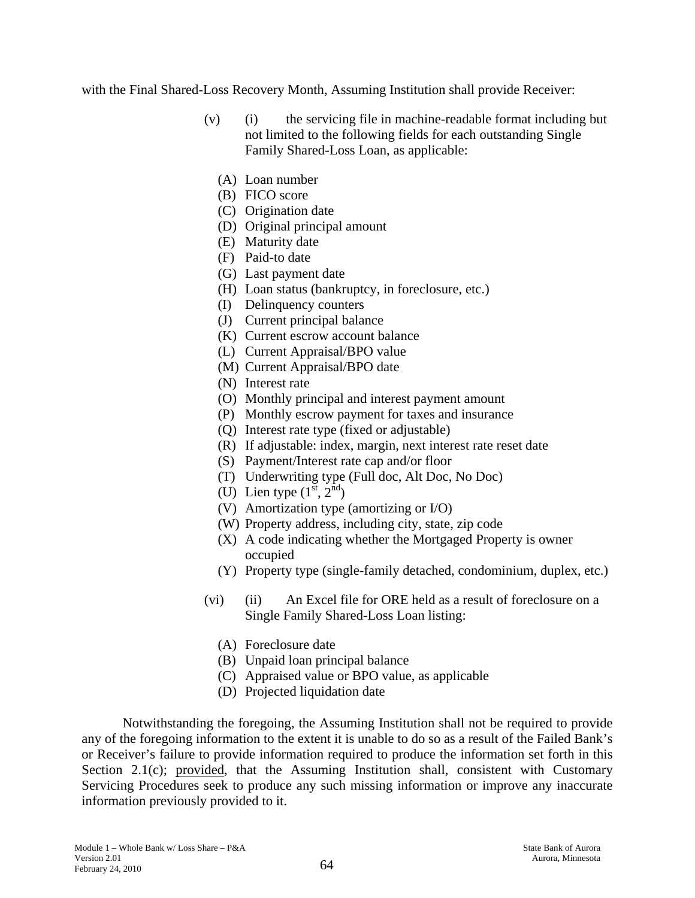with the Final Shared-Loss Recovery Month, Assuming Institution shall provide Receiver:

- (v) (i) the servicing file in machine-readable format including but not limited to the following fields for each outstanding Single Family Shared-Loss Loan, as applicable:
	- (A) Loan number
	- (B) FICO score
	- (C) Origination date
	- (D) Original principal amount
	- (E) Maturity date
	- (F) Paid-to date
	- (G) Last payment date
	- (H) Loan status (bankruptcy, in foreclosure, etc.)
	- (I) Delinquency counters
	- (J) Current principal balance
	- (K) Current escrow account balance
	- (L) Current Appraisal/BPO value
	- (M) Current Appraisal/BPO date
	- (N) Interest rate
	- (O) Monthly principal and interest payment amount
	- (P) Monthly escrow payment for taxes and insurance
	- (Q) Interest rate type (fixed or adjustable)
	- (R) If adjustable: index, margin, next interest rate reset date
	- (S) Payment/Interest rate cap and/or floor
	- (T) Underwriting type (Full doc, Alt Doc, No Doc)
	- (U) Lien type  $(1<sup>st</sup>, 2<sup>nd</sup>)$
	- (V) Amortization type (amortizing or I/O)
	- (W) Property address, including city, state, zip code
	- (X) A code indicating whether the Mortgaged Property is owner occupied
	- (Y) Property type (single-family detached, condominium, duplex, etc.)
- (vi) (ii) An Excel file for ORE held as a result of foreclosure on a Single Family Shared-Loss Loan listing:
	- (A) Foreclosure date
	- (B) Unpaid loan principal balance
	- (C) Appraised value or BPO value, as applicable
	- (D) Projected liquidation date

 Notwithstanding the foregoing, the Assuming Institution shall not be required to provide any of the foregoing information to the extent it is unable to do so as a result of the Failed Bank's or Receiver's failure to provide information required to produce the information set forth in this Section 2.1(c); provided, that the Assuming Institution shall, consistent with Customary Servicing Procedures seek to produce any such missing information or improve any inaccurate information previously provided to it.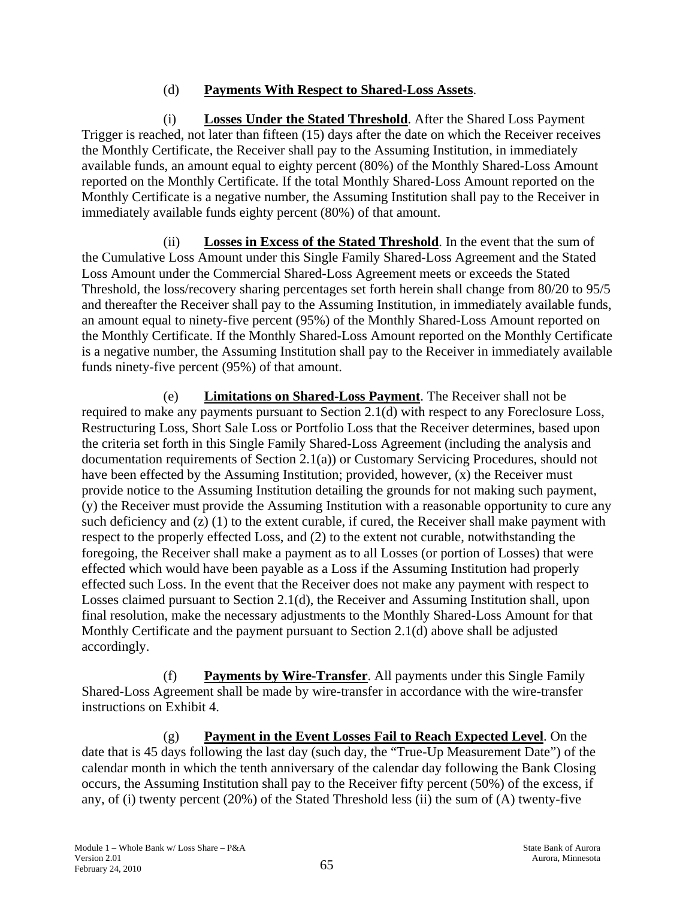## (d) **Payments With Respect to Shared-Loss Assets**.

(i) **Losses Under the Stated Threshold**. After the Shared Loss Payment Trigger is reached, not later than fifteen (15) days after the date on which the Receiver receives the Monthly Certificate, the Receiver shall pay to the Assuming Institution, in immediately available funds, an amount equal to eighty percent (80%) of the Monthly Shared-Loss Amount reported on the Monthly Certificate. If the total Monthly Shared-Loss Amount reported on the Monthly Certificate is a negative number, the Assuming Institution shall pay to the Receiver in immediately available funds eighty percent (80%) of that amount.

(ii) **Losses in Excess of the Stated Threshold**. In the event that the sum of the Cumulative Loss Amount under this Single Family Shared-Loss Agreement and the Stated Loss Amount under the Commercial Shared-Loss Agreement meets or exceeds the Stated Threshold, the loss/recovery sharing percentages set forth herein shall change from 80/20 to 95/5 and thereafter the Receiver shall pay to the Assuming Institution, in immediately available funds, an amount equal to ninety-five percent (95%) of the Monthly Shared-Loss Amount reported on the Monthly Certificate. If the Monthly Shared-Loss Amount reported on the Monthly Certificate is a negative number, the Assuming Institution shall pay to the Receiver in immediately available funds ninety-five percent (95%) of that amount.

(e) **Limitations on Shared-Loss Payment**. The Receiver shall not be required to make any payments pursuant to Section 2.1(d) with respect to any Foreclosure Loss, Restructuring Loss, Short Sale Loss or Portfolio Loss that the Receiver determines, based upon the criteria set forth in this Single Family Shared-Loss Agreement (including the analysis and documentation requirements of Section 2.1(a)) or Customary Servicing Procedures, should not have been effected by the Assuming Institution; provided, however, (x) the Receiver must provide notice to the Assuming Institution detailing the grounds for not making such payment, (y) the Receiver must provide the Assuming Institution with a reasonable opportunity to cure any such deficiency and  $(z)$  (1) to the extent curable, if cured, the Receiver shall make payment with respect to the properly effected Loss, and (2) to the extent not curable, notwithstanding the foregoing, the Receiver shall make a payment as to all Losses (or portion of Losses) that were effected which would have been payable as a Loss if the Assuming Institution had properly effected such Loss. In the event that the Receiver does not make any payment with respect to Losses claimed pursuant to Section 2.1(d), the Receiver and Assuming Institution shall, upon final resolution, make the necessary adjustments to the Monthly Shared-Loss Amount for that Monthly Certificate and the payment pursuant to Section 2.1(d) above shall be adjusted accordingly.

(f) **Payments by Wire-Transfer**. All payments under this Single Family Shared-Loss Agreement shall be made by wire-transfer in accordance with the wire-transfer instructions on Exhibit 4.

 (g) **Payment in the Event Losses Fail to Reach Expected Level**. On the date that is 45 days following the last day (such day, the "True-Up Measurement Date") of the calendar month in which the tenth anniversary of the calendar day following the Bank Closing occurs, the Assuming Institution shall pay to the Receiver fifty percent (50%) of the excess, if any, of (i) twenty percent (20%) of the Stated Threshold less (ii) the sum of (A) twenty-five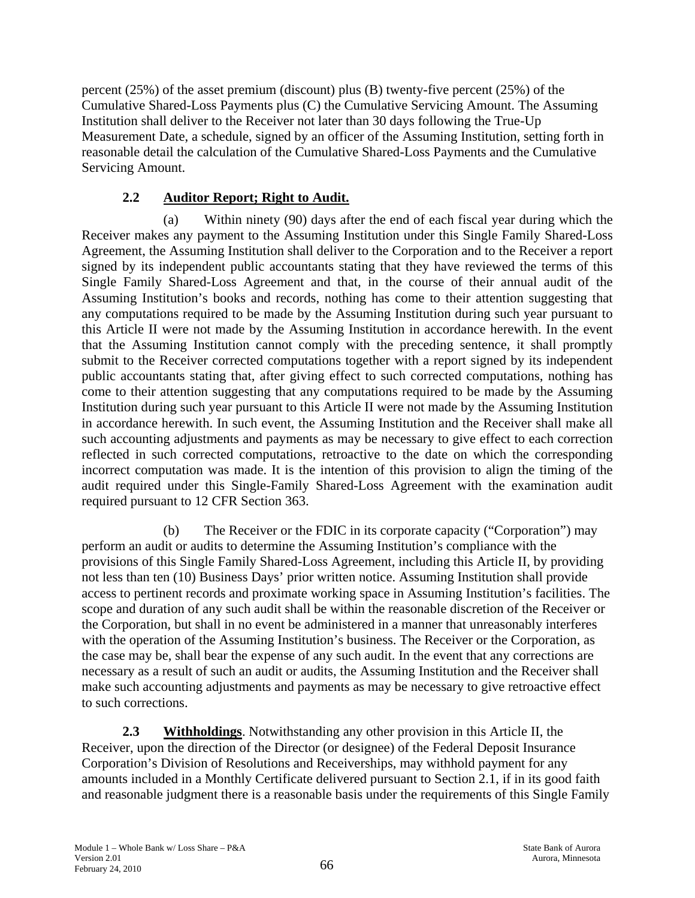percent (25%) of the asset premium (discount) plus (B) twenty-five percent (25%) of the Cumulative Shared-Loss Payments plus (C) the Cumulative Servicing Amount. The Assuming Institution shall deliver to the Receiver not later than 30 days following the True-Up Measurement Date, a schedule, signed by an officer of the Assuming Institution, setting forth in reasonable detail the calculation of the Cumulative Shared-Loss Payments and the Cumulative Servicing Amount.

# **2.2 Auditor Report; Right to Audit.**

(a) Within ninety (90) days after the end of each fiscal year during which the Receiver makes any payment to the Assuming Institution under this Single Family Shared-Loss Agreement, the Assuming Institution shall deliver to the Corporation and to the Receiver a report signed by its independent public accountants stating that they have reviewed the terms of this Single Family Shared-Loss Agreement and that, in the course of their annual audit of the Assuming Institution's books and records, nothing has come to their attention suggesting that any computations required to be made by the Assuming Institution during such year pursuant to this Article II were not made by the Assuming Institution in accordance herewith. In the event that the Assuming Institution cannot comply with the preceding sentence, it shall promptly submit to the Receiver corrected computations together with a report signed by its independent public accountants stating that, after giving effect to such corrected computations, nothing has come to their attention suggesting that any computations required to be made by the Assuming Institution during such year pursuant to this Article II were not made by the Assuming Institution in accordance herewith. In such event, the Assuming Institution and the Receiver shall make all such accounting adjustments and payments as may be necessary to give effect to each correction reflected in such corrected computations, retroactive to the date on which the corresponding incorrect computation was made. It is the intention of this provision to align the timing of the audit required under this Single-Family Shared-Loss Agreement with the examination audit required pursuant to 12 CFR Section 363.

(b) The Receiver or the FDIC in its corporate capacity ("Corporation") may perform an audit or audits to determine the Assuming Institution's compliance with the provisions of this Single Family Shared-Loss Agreement, including this Article II, by providing not less than ten (10) Business Days' prior written notice. Assuming Institution shall provide access to pertinent records and proximate working space in Assuming Institution's facilities. The scope and duration of any such audit shall be within the reasonable discretion of the Receiver or the Corporation, but shall in no event be administered in a manner that unreasonably interferes with the operation of the Assuming Institution's business. The Receiver or the Corporation, as the case may be, shall bear the expense of any such audit. In the event that any corrections are necessary as a result of such an audit or audits, the Assuming Institution and the Receiver shall make such accounting adjustments and payments as may be necessary to give retroactive effect to such corrections.

**2.3 Withholdings**. Notwithstanding any other provision in this Article II, the Receiver, upon the direction of the Director (or designee) of the Federal Deposit Insurance Corporation's Division of Resolutions and Receiverships, may withhold payment for any amounts included in a Monthly Certificate delivered pursuant to Section 2.1, if in its good faith and reasonable judgment there is a reasonable basis under the requirements of this Single Family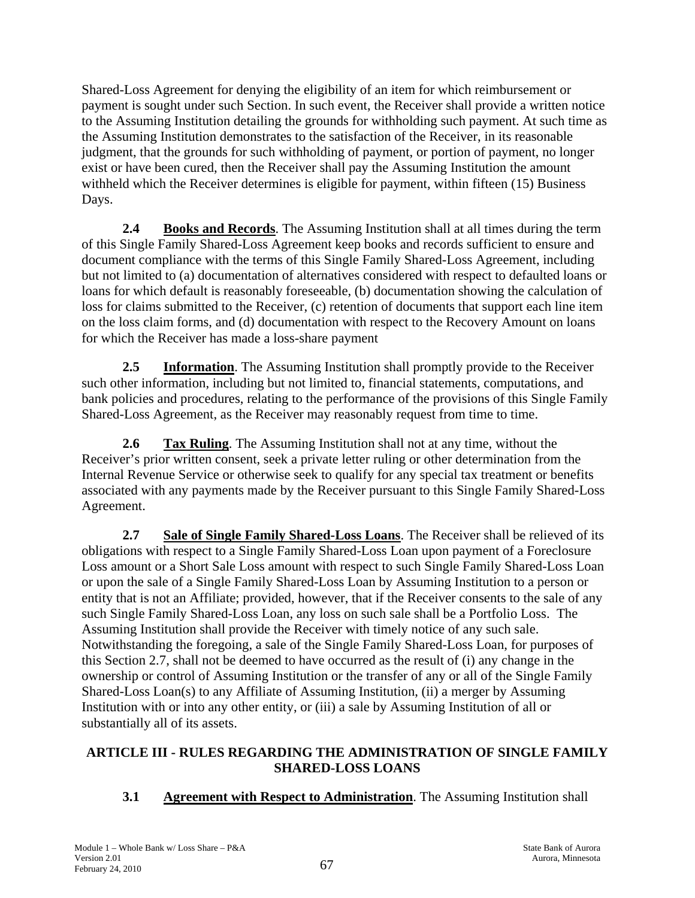Shared-Loss Agreement for denying the eligibility of an item for which reimbursement or payment is sought under such Section. In such event, the Receiver shall provide a written notice to the Assuming Institution detailing the grounds for withholding such payment. At such time as the Assuming Institution demonstrates to the satisfaction of the Receiver, in its reasonable judgment, that the grounds for such withholding of payment, or portion of payment, no longer exist or have been cured, then the Receiver shall pay the Assuming Institution the amount withheld which the Receiver determines is eligible for payment, within fifteen (15) Business Days.

**2.4 Books and Records**. The Assuming Institution shall at all times during the term of this Single Family Shared-Loss Agreement keep books and records sufficient to ensure and document compliance with the terms of this Single Family Shared-Loss Agreement, including but not limited to (a) documentation of alternatives considered with respect to defaulted loans or loans for which default is reasonably foreseeable, (b) documentation showing the calculation of loss for claims submitted to the Receiver, (c) retention of documents that support each line item on the loss claim forms, and (d) documentation with respect to the Recovery Amount on loans for which the Receiver has made a loss-share payment

**2.5 Information**. The Assuming Institution shall promptly provide to the Receiver such other information, including but not limited to, financial statements, computations, and bank policies and procedures, relating to the performance of the provisions of this Single Family Shared-Loss Agreement, as the Receiver may reasonably request from time to time.

**2.6 Tax Ruling**. The Assuming Institution shall not at any time, without the Receiver's prior written consent, seek a private letter ruling or other determination from the Internal Revenue Service or otherwise seek to qualify for any special tax treatment or benefits associated with any payments made by the Receiver pursuant to this Single Family Shared-Loss Agreement.

**2.7 Sale of Single Family Shared-Loss Loans**. The Receiver shall be relieved of its obligations with respect to a Single Family Shared-Loss Loan upon payment of a Foreclosure Loss amount or a Short Sale Loss amount with respect to such Single Family Shared-Loss Loan or upon the sale of a Single Family Shared-Loss Loan by Assuming Institution to a person or entity that is not an Affiliate; provided, however, that if the Receiver consents to the sale of any such Single Family Shared-Loss Loan, any loss on such sale shall be a Portfolio Loss. The Assuming Institution shall provide the Receiver with timely notice of any such sale. Notwithstanding the foregoing, a sale of the Single Family Shared-Loss Loan, for purposes of this Section 2.7, shall not be deemed to have occurred as the result of (i) any change in the ownership or control of Assuming Institution or the transfer of any or all of the Single Family Shared-Loss Loan(s) to any Affiliate of Assuming Institution, (ii) a merger by Assuming Institution with or into any other entity, or (iii) a sale by Assuming Institution of all or substantially all of its assets.

## **ARTICLE III - RULES REGARDING THE ADMINISTRATION OF SINGLE FAMILY SHARED-LOSS LOANS**

**3.1** Agreement with Respect to Administration. The Assuming Institution shall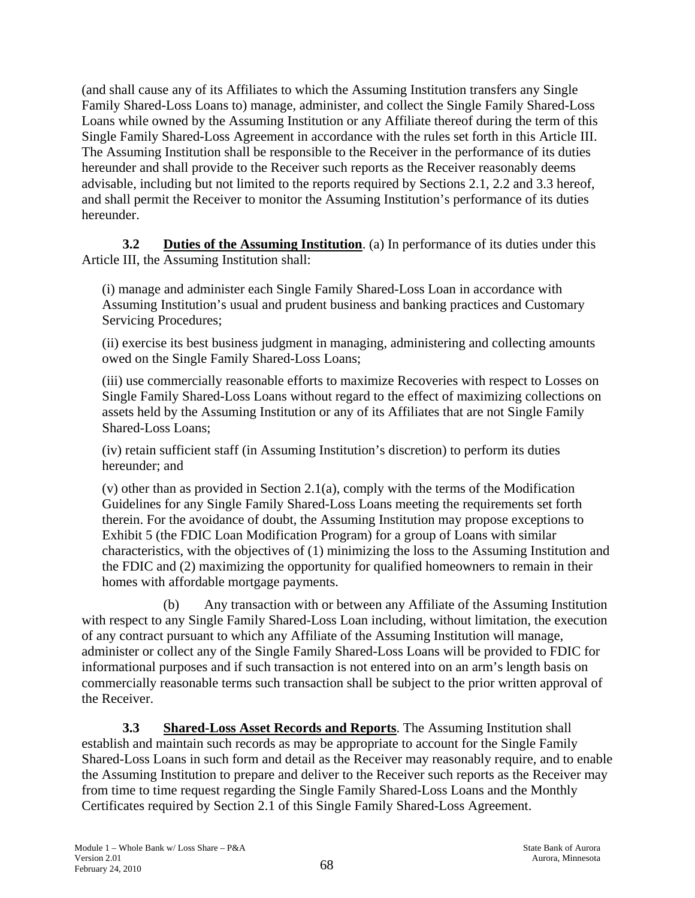(and shall cause any of its Affiliates to which the Assuming Institution transfers any Single Family Shared-Loss Loans to) manage, administer, and collect the Single Family Shared-Loss Loans while owned by the Assuming Institution or any Affiliate thereof during the term of this Single Family Shared-Loss Agreement in accordance with the rules set forth in this Article III. The Assuming Institution shall be responsible to the Receiver in the performance of its duties hereunder and shall provide to the Receiver such reports as the Receiver reasonably deems advisable, including but not limited to the reports required by Sections 2.1, 2.2 and 3.3 hereof, and shall permit the Receiver to monitor the Assuming Institution's performance of its duties hereunder.

**3.2 Duties of the Assuming Institution**. (a) In performance of its duties under this Article III, the Assuming Institution shall:

(i) manage and administer each Single Family Shared-Loss Loan in accordance with Assuming Institution's usual and prudent business and banking practices and Customary Servicing Procedures;

(ii) exercise its best business judgment in managing, administering and collecting amounts owed on the Single Family Shared-Loss Loans;

(iii) use commercially reasonable efforts to maximize Recoveries with respect to Losses on Single Family Shared-Loss Loans without regard to the effect of maximizing collections on assets held by the Assuming Institution or any of its Affiliates that are not Single Family Shared-Loss Loans;

(iv) retain sufficient staff (in Assuming Institution's discretion) to perform its duties hereunder; and

(v) other than as provided in Section 2.1(a), comply with the terms of the Modification Guidelines for any Single Family Shared-Loss Loans meeting the requirements set forth therein. For the avoidance of doubt, the Assuming Institution may propose exceptions to Exhibit 5 (the FDIC Loan Modification Program) for a group of Loans with similar characteristics, with the objectives of (1) minimizing the loss to the Assuming Institution and the FDIC and (2) maximizing the opportunity for qualified homeowners to remain in their homes with affordable mortgage payments.

(b) Any transaction with or between any Affiliate of the Assuming Institution with respect to any Single Family Shared-Loss Loan including, without limitation, the execution of any contract pursuant to which any Affiliate of the Assuming Institution will manage, administer or collect any of the Single Family Shared-Loss Loans will be provided to FDIC for informational purposes and if such transaction is not entered into on an arm's length basis on commercially reasonable terms such transaction shall be subject to the prior written approval of the Receiver.

**3.3** Shared-Loss Asset Records and Reports. The Assuming Institution shall establish and maintain such records as may be appropriate to account for the Single Family Shared-Loss Loans in such form and detail as the Receiver may reasonably require, and to enable the Assuming Institution to prepare and deliver to the Receiver such reports as the Receiver may from time to time request regarding the Single Family Shared-Loss Loans and the Monthly Certificates required by Section 2.1 of this Single Family Shared-Loss Agreement.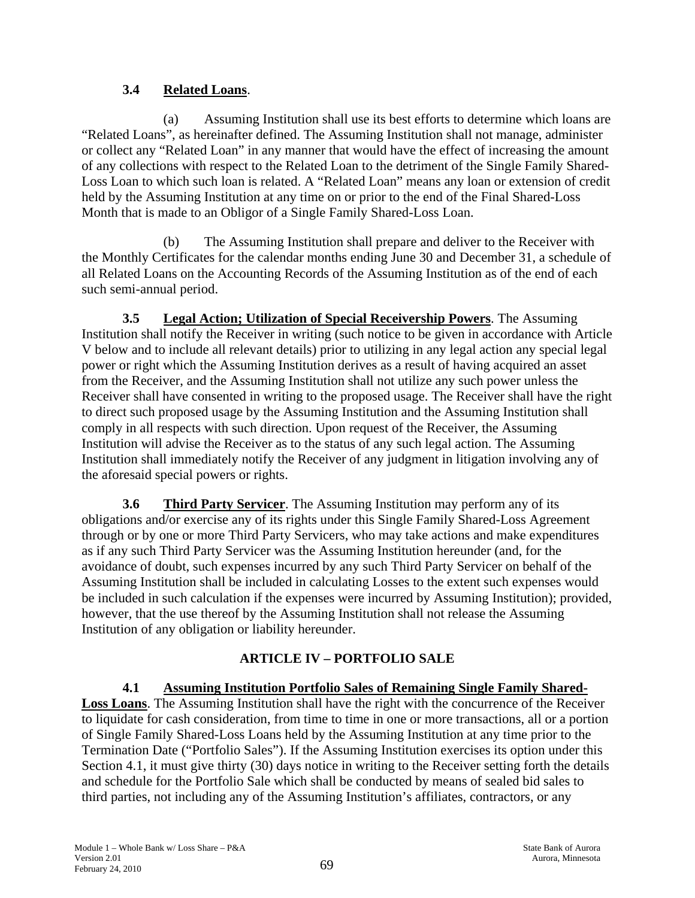## **3.4 Related Loans**.

(a) Assuming Institution shall use its best efforts to determine which loans are "Related Loans", as hereinafter defined. The Assuming Institution shall not manage, administer or collect any "Related Loan" in any manner that would have the effect of increasing the amount of any collections with respect to the Related Loan to the detriment of the Single Family Shared-Loss Loan to which such loan is related. A "Related Loan" means any loan or extension of credit held by the Assuming Institution at any time on or prior to the end of the Final Shared-Loss Month that is made to an Obligor of a Single Family Shared-Loss Loan.

(b) The Assuming Institution shall prepare and deliver to the Receiver with the Monthly Certificates for the calendar months ending June 30 and December 31, a schedule of all Related Loans on the Accounting Records of the Assuming Institution as of the end of each such semi-annual period.

**3.5 Legal Action; Utilization of Special Receivership Powers**. The Assuming Institution shall notify the Receiver in writing (such notice to be given in accordance with Article V below and to include all relevant details) prior to utilizing in any legal action any special legal power or right which the Assuming Institution derives as a result of having acquired an asset from the Receiver, and the Assuming Institution shall not utilize any such power unless the Receiver shall have consented in writing to the proposed usage. The Receiver shall have the right to direct such proposed usage by the Assuming Institution and the Assuming Institution shall comply in all respects with such direction. Upon request of the Receiver, the Assuming Institution will advise the Receiver as to the status of any such legal action. The Assuming Institution shall immediately notify the Receiver of any judgment in litigation involving any of the aforesaid special powers or rights.

**3.6** Third Party Servicer. The Assuming Institution may perform any of its obligations and/or exercise any of its rights under this Single Family Shared-Loss Agreement through or by one or more Third Party Servicers, who may take actions and make expenditures as if any such Third Party Servicer was the Assuming Institution hereunder (and, for the avoidance of doubt, such expenses incurred by any such Third Party Servicer on behalf of the Assuming Institution shall be included in calculating Losses to the extent such expenses would be included in such calculation if the expenses were incurred by Assuming Institution); provided, however, that the use thereof by the Assuming Institution shall not release the Assuming Institution of any obligation or liability hereunder.

# **ARTICLE IV – PORTFOLIO SALE**

## **4.1 Assuming Institution Portfolio Sales of Remaining Single Family Shared-**

**Loss Loans**. The Assuming Institution shall have the right with the concurrence of the Receiver to liquidate for cash consideration, from time to time in one or more transactions, all or a portion of Single Family Shared-Loss Loans held by the Assuming Institution at any time prior to the Termination Date ("Portfolio Sales"). If the Assuming Institution exercises its option under this Section 4.1, it must give thirty (30) days notice in writing to the Receiver setting forth the details and schedule for the Portfolio Sale which shall be conducted by means of sealed bid sales to third parties, not including any of the Assuming Institution's affiliates, contractors, or any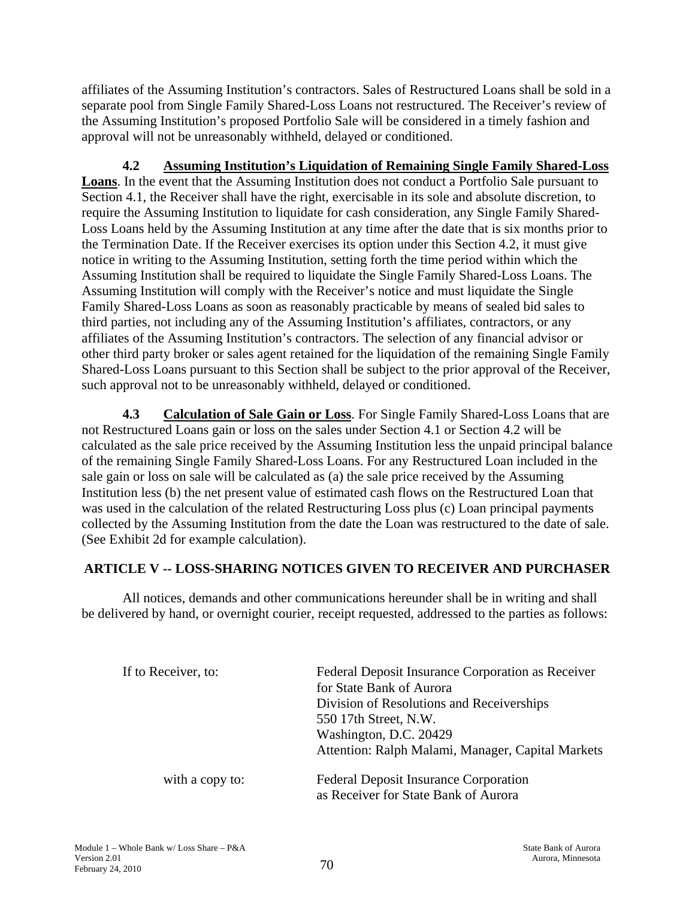affiliates of the Assuming Institution's contractors. Sales of Restructured Loans shall be sold in a separate pool from Single Family Shared-Loss Loans not restructured. The Receiver's review of the Assuming Institution's proposed Portfolio Sale will be considered in a timely fashion and approval will not be unreasonably withheld, delayed or conditioned.

### **4.2 Assuming Institution's Liquidation of Remaining Single Family Shared-Loss Loans**. In the event that the Assuming Institution does not conduct a Portfolio Sale pursuant to Section 4.1, the Receiver shall have the right, exercisable in its sole and absolute discretion, to require the Assuming Institution to liquidate for cash consideration, any Single Family Shared-Loss Loans held by the Assuming Institution at any time after the date that is six months prior to the Termination Date. If the Receiver exercises its option under this Section 4.2, it must give notice in writing to the Assuming Institution, setting forth the time period within which the Assuming Institution shall be required to liquidate the Single Family Shared-Loss Loans. The Assuming Institution will comply with the Receiver's notice and must liquidate the Single Family Shared-Loss Loans as soon as reasonably practicable by means of sealed bid sales to third parties, not including any of the Assuming Institution's affiliates, contractors, or any affiliates of the Assuming Institution's contractors. The selection of any financial advisor or other third party broker or sales agent retained for the liquidation of the remaining Single Family Shared-Loss Loans pursuant to this Section shall be subject to the prior approval of the Receiver, such approval not to be unreasonably withheld, delayed or conditioned.

**4.3 Calculation of Sale Gain or Loss**. For Single Family Shared-Loss Loans that are not Restructured Loans gain or loss on the sales under Section 4.1 or Section 4.2 will be calculated as the sale price received by the Assuming Institution less the unpaid principal balance of the remaining Single Family Shared-Loss Loans. For any Restructured Loan included in the sale gain or loss on sale will be calculated as (a) the sale price received by the Assuming Institution less (b) the net present value of estimated cash flows on the Restructured Loan that was used in the calculation of the related Restructuring Loss plus (c) Loan principal payments collected by the Assuming Institution from the date the Loan was restructured to the date of sale. (See Exhibit 2d for example calculation).

## **ARTICLE V -- LOSS-SHARING NOTICES GIVEN TO RECEIVER AND PURCHASER**

All notices, demands and other communications hereunder shall be in writing and shall be delivered by hand, or overnight courier, receipt requested, addressed to the parties as follows:

| If to Receiver, to: | Federal Deposit Insurance Corporation as Receiver<br>for State Bank of Aurora<br>Division of Resolutions and Receiverships<br>550 17th Street, N.W.<br>Washington, D.C. 20429<br>Attention: Ralph Malami, Manager, Capital Markets |
|---------------------|------------------------------------------------------------------------------------------------------------------------------------------------------------------------------------------------------------------------------------|
| with a copy to:     | <b>Federal Deposit Insurance Corporation</b><br>as Receiver for State Bank of Aurora                                                                                                                                               |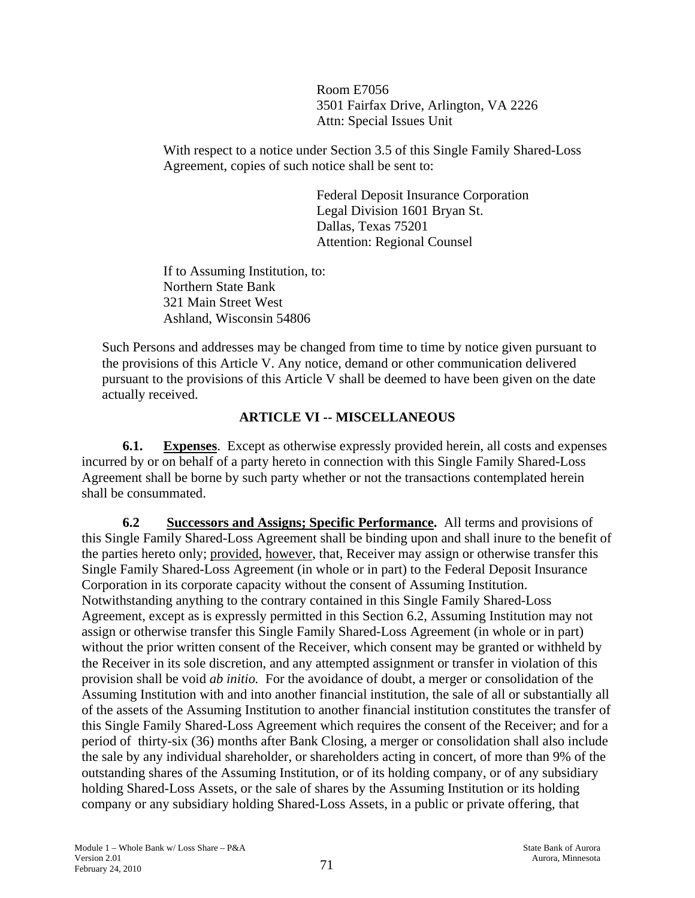Room E7056 3501 Fairfax Drive, Arlington, VA 2226 Attn: Special Issues Unit

With respect to a notice under Section 3.5 of this Single Family Shared-Loss Agreement, copies of such notice shall be sent to:

> Federal Deposit Insurance Corporation Legal Division 1601 Bryan St. Dallas, Texas 75201 Attention: Regional Counsel

If to Assuming Institution, to: Northern State Bank 321 Main Street West Ashland, Wisconsin 54806

Such Persons and addresses may be changed from time to time by notice given pursuant to the provisions of this Article V. Any notice, demand or other communication delivered pursuant to the provisions of this Article V shall be deemed to have been given on the date actually received.

### **ARTICLE VI -- MISCELLANEOUS**

**6.1. Expenses**. Except as otherwise expressly provided herein, all costs and expenses incurred by or on behalf of a party hereto in connection with this Single Family Shared-Loss Agreement shall be borne by such party whether or not the transactions contemplated herein shall be consummated.

**6.2 Successors and Assigns; Specific Performance.** All terms and provisions of this Single Family Shared-Loss Agreement shall be binding upon and shall inure to the benefit of the parties hereto only; provided, however, that, Receiver may assign or otherwise transfer this Single Family Shared-Loss Agreement (in whole or in part) to the Federal Deposit Insurance Corporation in its corporate capacity without the consent of Assuming Institution. Notwithstanding anything to the contrary contained in this Single Family Shared-Loss Agreement, except as is expressly permitted in this Section 6.2, Assuming Institution may not assign or otherwise transfer this Single Family Shared-Loss Agreement (in whole or in part) without the prior written consent of the Receiver, which consent may be granted or withheld by the Receiver in its sole discretion, and any attempted assignment or transfer in violation of this provision shall be void *ab initio.* For the avoidance of doubt, a merger or consolidation of the Assuming Institution with and into another financial institution, the sale of all or substantially all of the assets of the Assuming Institution to another financial institution constitutes the transfer of this Single Family Shared-Loss Agreement which requires the consent of the Receiver; and for a period of thirty-six (36) months after Bank Closing, a merger or consolidation shall also include the sale by any individual shareholder, or shareholders acting in concert, of more than 9% of the outstanding shares of the Assuming Institution, or of its holding company, or of any subsidiary holding Shared-Loss Assets, or the sale of shares by the Assuming Institution or its holding company or any subsidiary holding Shared-Loss Assets, in a public or private offering, that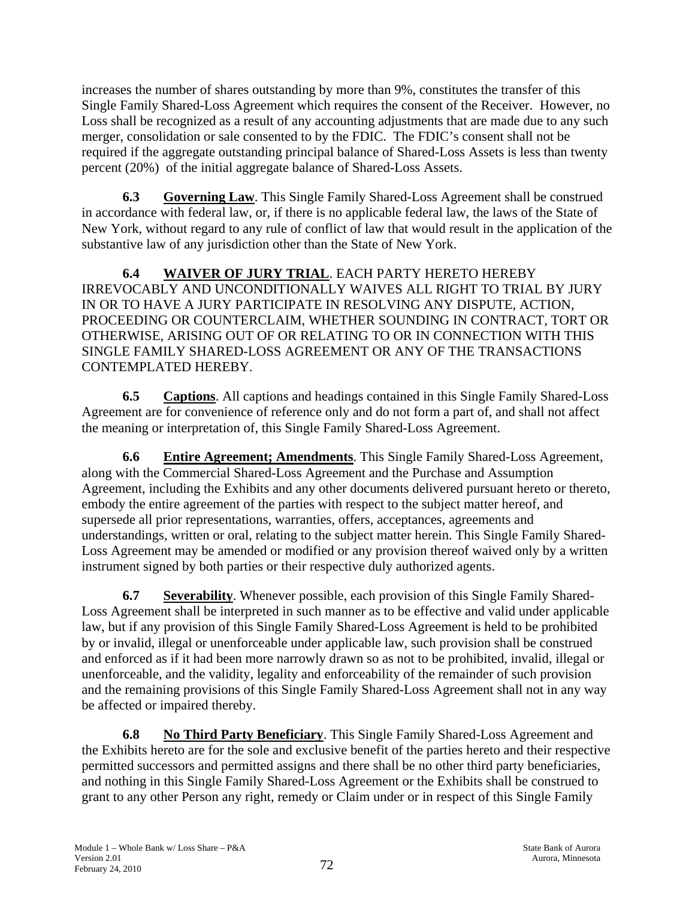increases the number of shares outstanding by more than 9%, constitutes the transfer of this Single Family Shared-Loss Agreement which requires the consent of the Receiver. However, no Loss shall be recognized as a result of any accounting adjustments that are made due to any such merger, consolidation or sale consented to by the FDIC. The FDIC's consent shall not be required if the aggregate outstanding principal balance of Shared-Loss Assets is less than twenty percent (20%) of the initial aggregate balance of Shared-Loss Assets.

**6.3** Governing Law. This Single Family Shared-Loss Agreement shall be construed in accordance with federal law, or, if there is no applicable federal law, the laws of the State of New York, without regard to any rule of conflict of law that would result in the application of the substantive law of any jurisdiction other than the State of New York.

**6.4 WAIVER OF JURY TRIAL**. EACH PARTY HERETO HEREBY IRREVOCABLY AND UNCONDITIONALLY WAIVES ALL RIGHT TO TRIAL BY JURY IN OR TO HAVE A JURY PARTICIPATE IN RESOLVING ANY DISPUTE, ACTION, PROCEEDING OR COUNTERCLAIM, WHETHER SOUNDING IN CONTRACT, TORT OR OTHERWISE, ARISING OUT OF OR RELATING TO OR IN CONNECTION WITH THIS SINGLE FAMILY SHARED-LOSS AGREEMENT OR ANY OF THE TRANSACTIONS CONTEMPLATED HEREBY.

**6.5 Captions**. All captions and headings contained in this Single Family Shared-Loss Agreement are for convenience of reference only and do not form a part of, and shall not affect the meaning or interpretation of, this Single Family Shared-Loss Agreement.

**6.6 Entire Agreement; Amendments**. This Single Family Shared-Loss Agreement, along with the Commercial Shared-Loss Agreement and the Purchase and Assumption Agreement, including the Exhibits and any other documents delivered pursuant hereto or thereto, embody the entire agreement of the parties with respect to the subject matter hereof, and supersede all prior representations, warranties, offers, acceptances, agreements and understandings, written or oral, relating to the subject matter herein. This Single Family Shared-Loss Agreement may be amended or modified or any provision thereof waived only by a written instrument signed by both parties or their respective duly authorized agents.

**6.7 Severability**. Whenever possible, each provision of this Single Family Shared-Loss Agreement shall be interpreted in such manner as to be effective and valid under applicable law, but if any provision of this Single Family Shared-Loss Agreement is held to be prohibited by or invalid, illegal or unenforceable under applicable law, such provision shall be construed and enforced as if it had been more narrowly drawn so as not to be prohibited, invalid, illegal or unenforceable, and the validity, legality and enforceability of the remainder of such provision and the remaining provisions of this Single Family Shared-Loss Agreement shall not in any way be affected or impaired thereby.

**6.8 No Third Party Beneficiary.** This Single Family Shared-Loss Agreement and the Exhibits hereto are for the sole and exclusive benefit of the parties hereto and their respective permitted successors and permitted assigns and there shall be no other third party beneficiaries, and nothing in this Single Family Shared-Loss Agreement or the Exhibits shall be construed to grant to any other Person any right, remedy or Claim under or in respect of this Single Family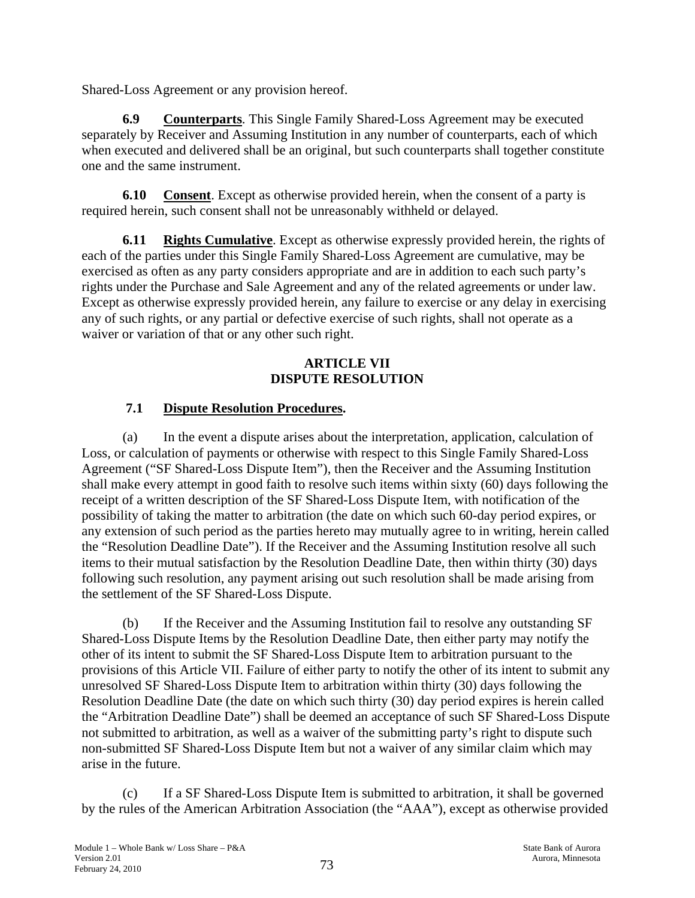Shared-Loss Agreement or any provision hereof.

**6.9 Counterparts**. This Single Family Shared-Loss Agreement may be executed separately by Receiver and Assuming Institution in any number of counterparts, each of which when executed and delivered shall be an original, but such counterparts shall together constitute one and the same instrument.

**6.10 Consent**. Except as otherwise provided herein, when the consent of a party is required herein, such consent shall not be unreasonably withheld or delayed.

**6.11 Rights Cumulative**. Except as otherwise expressly provided herein, the rights of each of the parties under this Single Family Shared-Loss Agreement are cumulative, may be exercised as often as any party considers appropriate and are in addition to each such party's rights under the Purchase and Sale Agreement and any of the related agreements or under law. Except as otherwise expressly provided herein, any failure to exercise or any delay in exercising any of such rights, or any partial or defective exercise of such rights, shall not operate as a waiver or variation of that or any other such right.

## **ARTICLE VII DISPUTE RESOLUTION**

# **7.1 Dispute Resolution Procedures.**

(a) In the event a dispute arises about the interpretation, application, calculation of Loss, or calculation of payments or otherwise with respect to this Single Family Shared-Loss Agreement ("SF Shared-Loss Dispute Item"), then the Receiver and the Assuming Institution shall make every attempt in good faith to resolve such items within sixty (60) days following the receipt of a written description of the SF Shared-Loss Dispute Item, with notification of the possibility of taking the matter to arbitration (the date on which such 60-day period expires, or any extension of such period as the parties hereto may mutually agree to in writing, herein called the "Resolution Deadline Date"). If the Receiver and the Assuming Institution resolve all such items to their mutual satisfaction by the Resolution Deadline Date, then within thirty (30) days following such resolution, any payment arising out such resolution shall be made arising from the settlement of the SF Shared-Loss Dispute.

(b) If the Receiver and the Assuming Institution fail to resolve any outstanding SF Shared-Loss Dispute Items by the Resolution Deadline Date, then either party may notify the other of its intent to submit the SF Shared-Loss Dispute Item to arbitration pursuant to the provisions of this Article VII. Failure of either party to notify the other of its intent to submit any unresolved SF Shared-Loss Dispute Item to arbitration within thirty (30) days following the Resolution Deadline Date (the date on which such thirty (30) day period expires is herein called the "Arbitration Deadline Date") shall be deemed an acceptance of such SF Shared-Loss Dispute not submitted to arbitration, as well as a waiver of the submitting party's right to dispute such non-submitted SF Shared-Loss Dispute Item but not a waiver of any similar claim which may arise in the future.

(c) If a SF Shared-Loss Dispute Item is submitted to arbitration, it shall be governed by the rules of the American Arbitration Association (the "AAA"), except as otherwise provided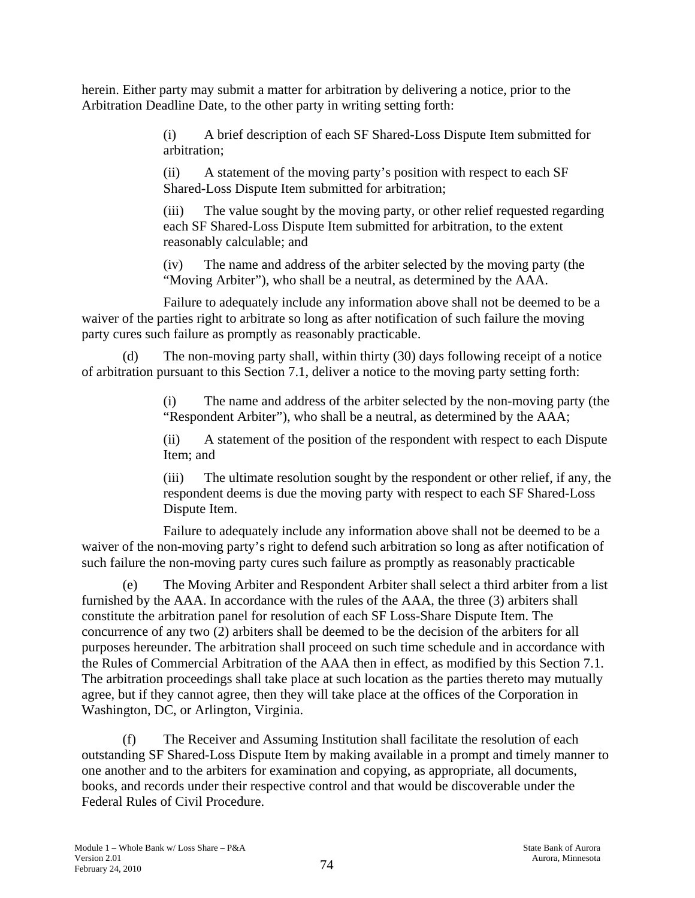herein. Either party may submit a matter for arbitration by delivering a notice, prior to the Arbitration Deadline Date, to the other party in writing setting forth:

> (i) A brief description of each SF Shared-Loss Dispute Item submitted for arbitration;

(ii) A statement of the moving party's position with respect to each SF Shared-Loss Dispute Item submitted for arbitration;

(iii) The value sought by the moving party, or other relief requested regarding each SF Shared-Loss Dispute Item submitted for arbitration, to the extent reasonably calculable; and

(iv) The name and address of the arbiter selected by the moving party (the "Moving Arbiter"), who shall be a neutral, as determined by the AAA.

Failure to adequately include any information above shall not be deemed to be a waiver of the parties right to arbitrate so long as after notification of such failure the moving party cures such failure as promptly as reasonably practicable.

(d) The non-moving party shall, within thirty (30) days following receipt of a notice of arbitration pursuant to this Section 7.1, deliver a notice to the moving party setting forth:

> (i) The name and address of the arbiter selected by the non-moving party (the "Respondent Arbiter"), who shall be a neutral, as determined by the AAA;

> (ii) A statement of the position of the respondent with respect to each Dispute Item; and

> (iii) The ultimate resolution sought by the respondent or other relief, if any, the respondent deems is due the moving party with respect to each SF Shared-Loss Dispute Item.

Failure to adequately include any information above shall not be deemed to be a waiver of the non-moving party's right to defend such arbitration so long as after notification of such failure the non-moving party cures such failure as promptly as reasonably practicable

(e) The Moving Arbiter and Respondent Arbiter shall select a third arbiter from a list furnished by the AAA. In accordance with the rules of the AAA, the three (3) arbiters shall constitute the arbitration panel for resolution of each SF Loss-Share Dispute Item. The concurrence of any two (2) arbiters shall be deemed to be the decision of the arbiters for all purposes hereunder. The arbitration shall proceed on such time schedule and in accordance with the Rules of Commercial Arbitration of the AAA then in effect, as modified by this Section 7.1. The arbitration proceedings shall take place at such location as the parties thereto may mutually agree, but if they cannot agree, then they will take place at the offices of the Corporation in Washington, DC, or Arlington, Virginia.

(f) The Receiver and Assuming Institution shall facilitate the resolution of each outstanding SF Shared-Loss Dispute Item by making available in a prompt and timely manner to one another and to the arbiters for examination and copying, as appropriate, all documents, books, and records under their respective control and that would be discoverable under the Federal Rules of Civil Procedure.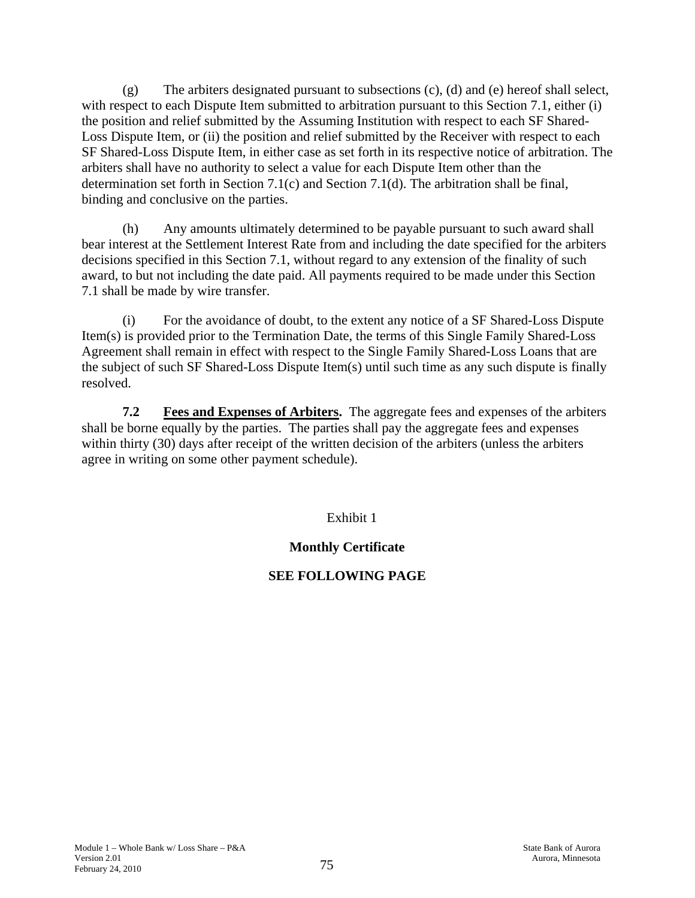$(g)$  The arbiters designated pursuant to subsections  $(c)$ ,  $(d)$  and  $(e)$  hereof shall select, with respect to each Dispute Item submitted to arbitration pursuant to this Section 7.1, either (i) the position and relief submitted by the Assuming Institution with respect to each SF Shared-Loss Dispute Item, or (ii) the position and relief submitted by the Receiver with respect to each SF Shared-Loss Dispute Item, in either case as set forth in its respective notice of arbitration. The arbiters shall have no authority to select a value for each Dispute Item other than the determination set forth in Section 7.1(c) and Section 7.1(d). The arbitration shall be final, binding and conclusive on the parties.

(h) Any amounts ultimately determined to be payable pursuant to such award shall bear interest at the Settlement Interest Rate from and including the date specified for the arbiters decisions specified in this Section 7.1, without regard to any extension of the finality of such award, to but not including the date paid. All payments required to be made under this Section 7.1 shall be made by wire transfer.

(i) For the avoidance of doubt, to the extent any notice of a SF Shared-Loss Dispute Item(s) is provided prior to the Termination Date, the terms of this Single Family Shared-Loss Agreement shall remain in effect with respect to the Single Family Shared-Loss Loans that are the subject of such SF Shared-Loss Dispute Item(s) until such time as any such dispute is finally resolved.

**7.2 Fees and Expenses of Arbiters.** The aggregate fees and expenses of the arbiters shall be borne equally by the parties. The parties shall pay the aggregate fees and expenses within thirty (30) days after receipt of the written decision of the arbiters (unless the arbiters agree in writing on some other payment schedule).

Exhibit 1

# **Monthly Certificate**

# **SEE FOLLOWING PAGE**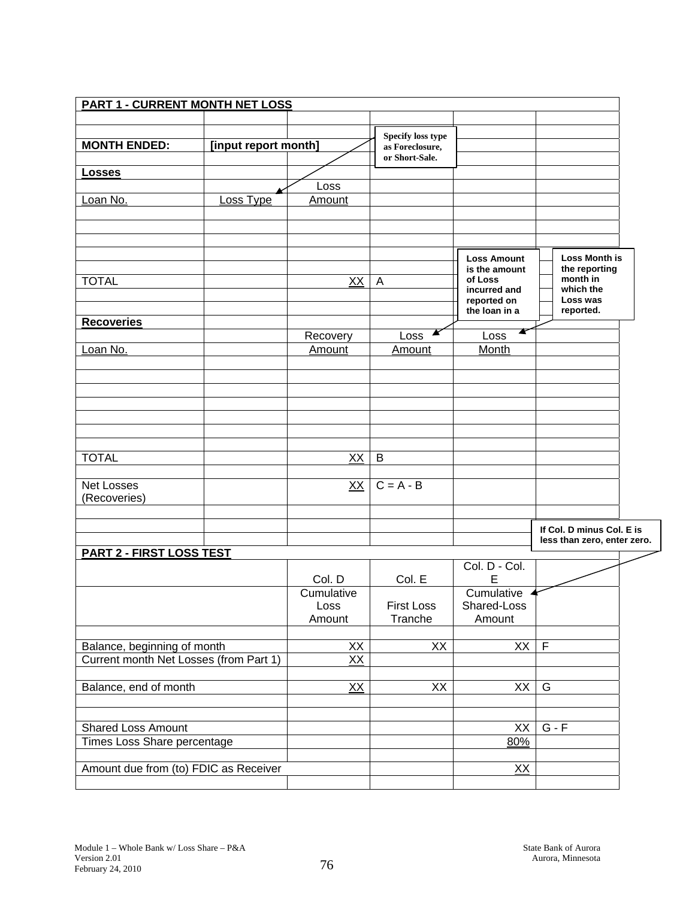| <b>PART 1 - CURRENT MONTH NET LOSS</b> |                      |            |                                   |                         |                             |
|----------------------------------------|----------------------|------------|-----------------------------------|-------------------------|-----------------------------|
|                                        |                      |            |                                   |                         |                             |
|                                        |                      |            | <b>Specify loss type</b>          |                         |                             |
| <b>MONTH ENDED:</b>                    | [input report month] |            | as Foreclosure,<br>or Short-Sale. |                         |                             |
| <b>Losses</b>                          |                      |            |                                   |                         |                             |
|                                        |                      | Loss       |                                   |                         |                             |
| Loan No.                               | Loss Type            | Amount     |                                   |                         |                             |
|                                        |                      |            |                                   |                         |                             |
|                                        |                      |            |                                   |                         |                             |
|                                        |                      |            |                                   |                         |                             |
|                                        |                      |            |                                   | <b>Loss Amount</b>      | <b>Loss Month is</b>        |
|                                        |                      |            |                                   | is the amount           | the reporting               |
| <b>TOTAL</b>                           |                      | XX         | A                                 | of Loss<br>incurred and | month in<br>which the       |
|                                        |                      |            |                                   | reported on             | Loss was                    |
|                                        |                      |            |                                   | the loan in a           | reported.                   |
| <b>Recoveries</b>                      |                      |            | $Loss \nightharpoonup$            | ×                       |                             |
| Loan No.                               |                      | Recovery   |                                   | Loss<br>Month           |                             |
|                                        |                      | Amount     | Amount                            |                         |                             |
|                                        |                      |            |                                   |                         |                             |
|                                        |                      |            |                                   |                         |                             |
|                                        |                      |            |                                   |                         |                             |
|                                        |                      |            |                                   |                         |                             |
|                                        |                      |            |                                   |                         |                             |
|                                        |                      |            |                                   |                         |                             |
| <b>TOTAL</b>                           |                      | XX         | $\mathsf B$                       |                         |                             |
|                                        |                      |            |                                   |                         |                             |
| <b>Net Losses</b>                      |                      | XX         | $C = A - B$                       |                         |                             |
| (Recoveries)                           |                      |            |                                   |                         |                             |
|                                        |                      |            |                                   |                         |                             |
|                                        |                      |            |                                   |                         | If Col. D minus Col. E is   |
|                                        |                      |            |                                   |                         | less than zero, enter zero. |
| <b>PART 2 - FIRST LOSS TEST</b>        |                      |            |                                   |                         |                             |
|                                        |                      | Col. D     | Col. E                            | Col. D - Col.<br>Е      |                             |
|                                        |                      | Cumulative |                                   | Cumulative              |                             |
|                                        |                      | Loss       | <b>First Loss</b>                 | Shared-Loss             |                             |
|                                        |                      | Amount     | Tranche                           | Amount                  |                             |
|                                        |                      |            |                                   |                         |                             |
| Balance, beginning of month            |                      | XX         | XX                                | XX                      | $\mathsf F$                 |
| Current month Net Losses (from Part 1) |                      | XX         |                                   |                         |                             |
|                                        |                      |            |                                   |                         |                             |
| Balance, end of month                  |                      | XX         | XX                                | XX                      | G                           |
|                                        |                      |            |                                   |                         |                             |
|                                        |                      |            |                                   |                         |                             |
| Shared Loss Amount                     |                      |            |                                   | XX                      | $G - F$                     |
| Times Loss Share percentage            |                      |            |                                   | 80%                     |                             |
|                                        |                      |            |                                   |                         |                             |
| Amount due from (to) FDIC as Receiver  |                      |            |                                   | XX                      |                             |
|                                        |                      |            |                                   |                         |                             |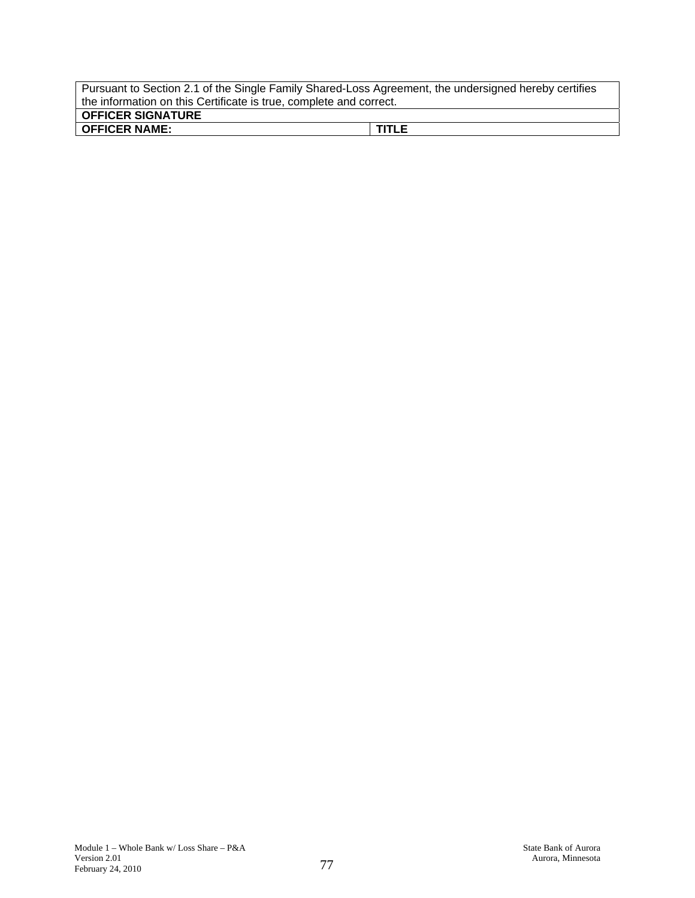| Pursuant to Section 2.1 of the Single Family Shared-Loss Agreement, the undersigned hereby certifies |              |  |  |
|------------------------------------------------------------------------------------------------------|--------------|--|--|
| the information on this Certificate is true, complete and correct.                                   |              |  |  |
| <b>OFFICER SIGNATURE</b>                                                                             |              |  |  |
| <b>OFFICER NAME:</b>                                                                                 | <b>TITLE</b> |  |  |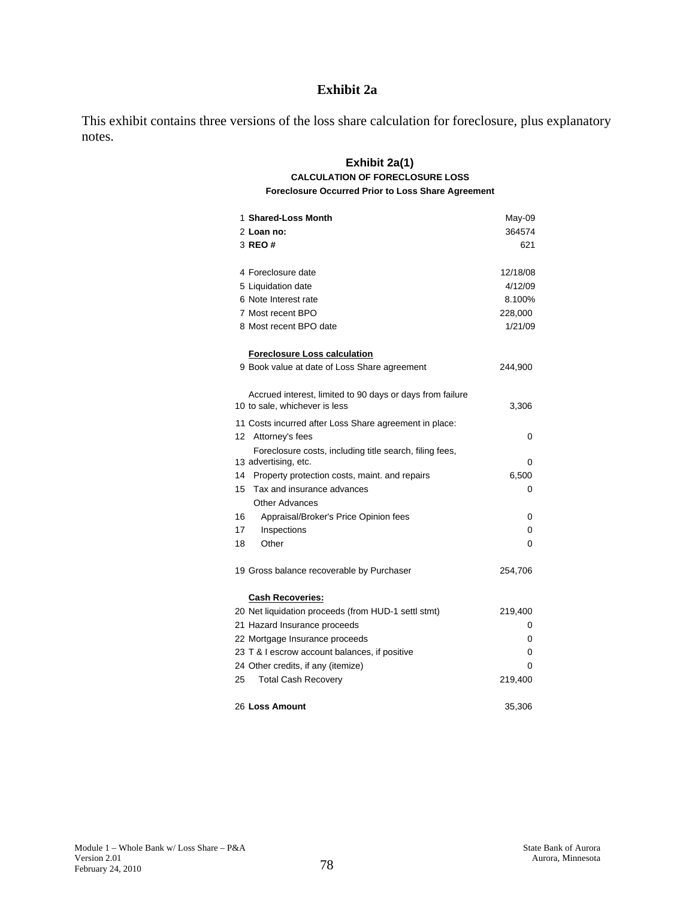### **Exhibit 2a**

This exhibit contains three versions of the loss share calculation for foreclosure, plus explanatory notes.

#### **Foreclosure Occurred Prior to Loss Share Agreement Exhibit 2a(1) CALCULATION OF FORECLOSURE LOSS**

| 1 Shared-Loss Month<br>2 Loan no:<br>3 REO #              | May-09<br>364574<br>621 |
|-----------------------------------------------------------|-------------------------|
| 4 Foreclosure date                                        | 12/18/08                |
| 5 Liquidation date                                        | 4/12/09                 |
| 6 Note Interest rate                                      | 8.100%                  |
| 7 Most recent BPO                                         | 228,000                 |
| 8 Most recent BPO date                                    | 1/21/09                 |
| <b>Foreclosure Loss calculation</b>                       |                         |
| 9 Book value at date of Loss Share agreement              | 244,900                 |
| Accrued interest, limited to 90 days or days from failure |                         |
| 10 to sale, whichever is less                             | 3,306                   |
| 11 Costs incurred after Loss Share agreement in place:    |                         |
| 12<br>Attorney's fees                                     | 0                       |
| Foreclosure costs, including title search, filing fees,   |                         |
| 13 advertising, etc.                                      | 0                       |
| 14<br>Property protection costs, maint. and repairs       | 6,500                   |
| Tax and insurance advances<br>15                          | 0                       |
| <b>Other Advances</b>                                     |                         |
| 16<br>Appraisal/Broker's Price Opinion fees               | 0                       |
| 17<br>Inspections                                         | 0                       |
| Other<br>18                                               | 0                       |
| 19 Gross balance recoverable by Purchaser                 | 254,706                 |
| <b>Cash Recoveries:</b>                                   |                         |
| 20 Net liquidation proceeds (from HUD-1 settl stmt)       | 219,400                 |
| 21 Hazard Insurance proceeds                              | 0                       |
| 22 Mortgage Insurance proceeds                            | 0                       |
| 23 T & I escrow account balances, if positive             | 0                       |
| 24 Other credits, if any (itemize)                        | 0                       |
| 25<br><b>Total Cash Recovery</b>                          | 219,400                 |
| 26 Loss Amount                                            | 35,306                  |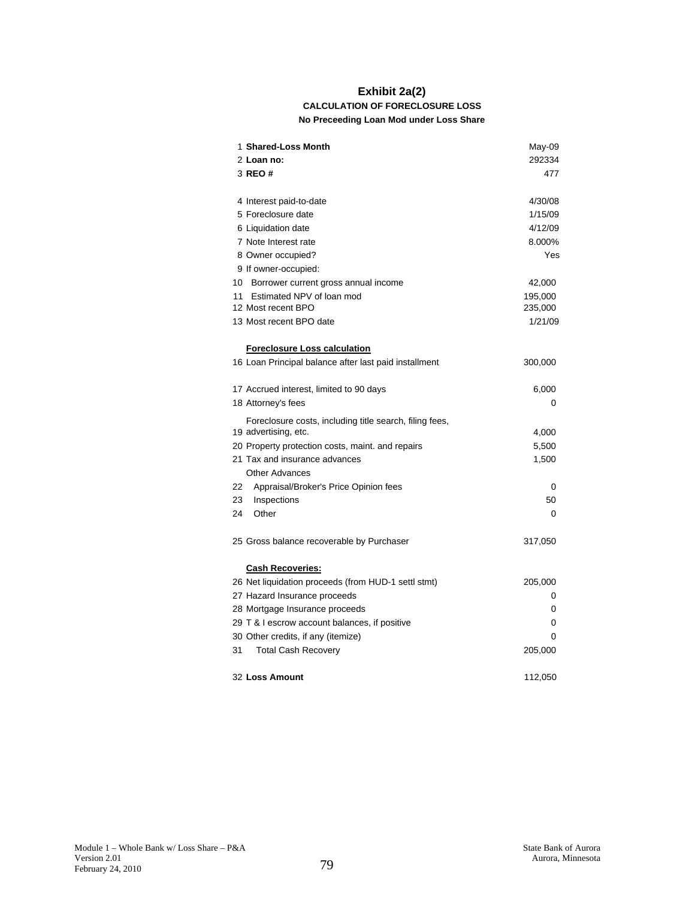#### **Exhibit 2a(2)**

#### **CALCULATION OF FORECLOSURE LOSS**

#### **No Preceeding Loan Mod under Loss Share**

| 1 Shared-Loss Month                                     | May-09  |
|---------------------------------------------------------|---------|
| 2 Loan no:                                              | 292334  |
| 3 REO #                                                 | 477     |
| 4 Interest paid-to-date                                 | 4/30/08 |
| 5 Foreclosure date                                      | 1/15/09 |
| 6 Liquidation date                                      | 4/12/09 |
| 7 Note Interest rate                                    | 8.000%  |
| 8 Owner occupied?                                       | Yes     |
| 9 If owner-occupied:                                    |         |
| Borrower current gross annual income<br>10              | 42,000  |
| Estimated NPV of loan mod<br>11                         | 195,000 |
| 12 Most recent BPO                                      | 235,000 |
| 13 Most recent BPO date                                 | 1/21/09 |
| <b>Foreclosure Loss calculation</b>                     |         |
| 16 Loan Principal balance after last paid installment   | 300,000 |
| 17 Accrued interest, limited to 90 days                 | 6,000   |
| 18 Attorney's fees                                      | 0       |
| Foreclosure costs, including title search, filing fees, |         |
| 19 advertising, etc.                                    | 4,000   |
| 20 Property protection costs, maint. and repairs        | 5,500   |
| 21 Tax and insurance advances                           | 1,500   |
| <b>Other Advances</b>                                   |         |
| 22<br>Appraisal/Broker's Price Opinion fees             | 0       |
| 23<br>Inspections                                       | 50      |
| 24<br>Other                                             | 0       |
| 25 Gross balance recoverable by Purchaser               | 317,050 |
| <b>Cash Recoveries:</b>                                 |         |
| 26 Net liquidation proceeds (from HUD-1 settl stmt)     | 205,000 |
| 27 Hazard Insurance proceeds                            | 0       |
| 28 Mortgage Insurance proceeds                          | 0       |
| 29 T & I escrow account balances, if positive           | 0       |
| 30 Other credits, if any (itemize)                      | 0       |
| 31<br><b>Total Cash Recovery</b>                        | 205,000 |
| 32 Loss Amount                                          | 112,050 |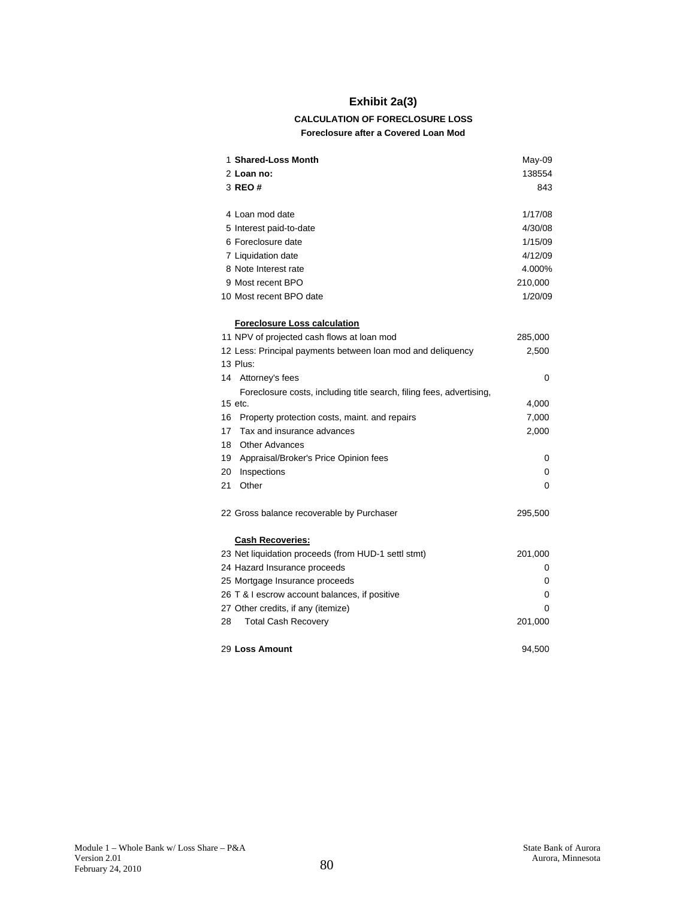### **Exhibit 2a(3)**

#### **CALCULATION OF FORECLOSURE LOSS Foreclosure after a Covered Loan Mod**

| 1 Shared-Loss Month                                                  | May-09  |
|----------------------------------------------------------------------|---------|
| 2 Loan no:                                                           | 138554  |
| 3 REO #                                                              | 843     |
|                                                                      |         |
| 4 Loan mod date                                                      | 1/17/08 |
| 5 Interest paid-to-date                                              | 4/30/08 |
| 6 Foreclosure date                                                   | 1/15/09 |
| 7 Liquidation date                                                   | 4/12/09 |
| 8 Note Interest rate                                                 | 4.000%  |
| 9 Most recent BPO                                                    | 210,000 |
| 10 Most recent BPO date                                              | 1/20/09 |
|                                                                      |         |
| <b>Foreclosure Loss calculation</b>                                  |         |
| 11 NPV of projected cash flows at loan mod                           | 285,000 |
| 12 Less: Principal payments between loan mod and deliquency          | 2,500   |
| 13 Plus:                                                             |         |
| 14<br>Attorney's fees                                                | 0       |
| Foreclosure costs, including title search, filing fees, advertising, |         |
| 15 etc.                                                              | 4,000   |
| 16<br>Property protection costs, maint. and repairs                  | 7,000   |
| 17<br>Tax and insurance advances                                     | 2,000   |
| 18<br><b>Other Advances</b>                                          |         |
| 19 Appraisal/Broker's Price Opinion fees                             | 0       |
| 20<br>Inspections                                                    | 0       |
| 21<br>Other                                                          | 0       |
|                                                                      |         |
| 22 Gross balance recoverable by Purchaser                            | 295,500 |
|                                                                      |         |
| <b>Cash Recoveries:</b>                                              |         |
| 23 Net liquidation proceeds (from HUD-1 settl stmt)                  | 201,000 |
| 24 Hazard Insurance proceeds                                         | 0       |
| 25 Mortgage Insurance proceeds                                       | 0       |
| 26 T & I escrow account balances, if positive                        | 0       |
| 27 Other credits, if any (itemize)                                   | 0       |
| 28<br><b>Total Cash Recovery</b>                                     | 201,000 |
|                                                                      |         |
| 29 Loss Amount                                                       | 94,500  |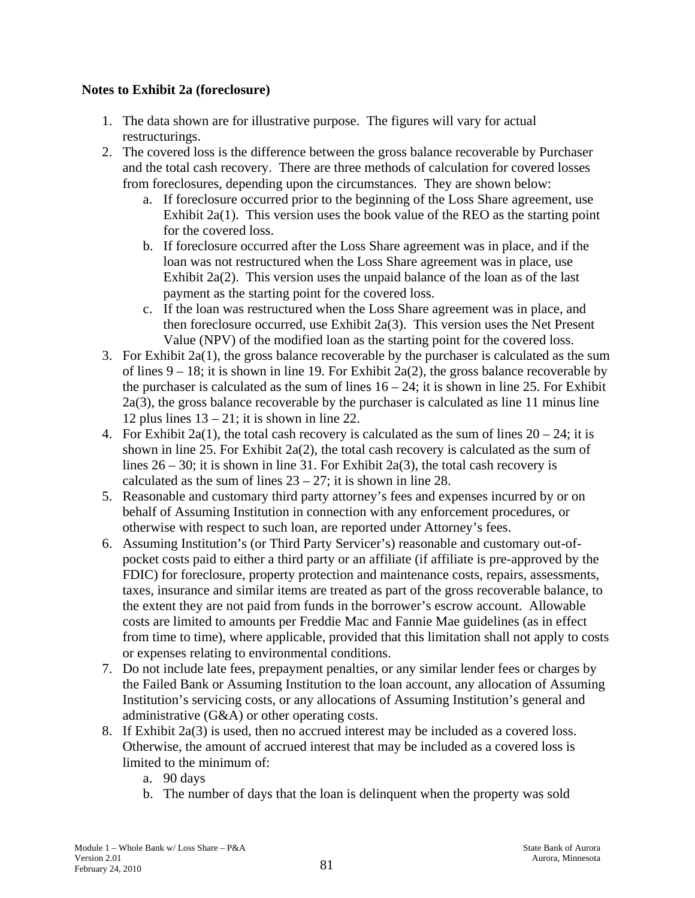### **Notes to Exhibit 2a (foreclosure)**

- 1. The data shown are for illustrative purpose. The figures will vary for actual restructurings.
- 2. The covered loss is the difference between the gross balance recoverable by Purchaser and the total cash recovery. There are three methods of calculation for covered losses from foreclosures, depending upon the circumstances. They are shown below:
	- a. If foreclosure occurred prior to the beginning of the Loss Share agreement, use Exhibit 2a(1). This version uses the book value of the REO as the starting point for the covered loss.
	- b. If foreclosure occurred after the Loss Share agreement was in place, and if the loan was not restructured when the Loss Share agreement was in place, use Exhibit 2a(2). This version uses the unpaid balance of the loan as of the last payment as the starting point for the covered loss.
	- c. If the loan was restructured when the Loss Share agreement was in place, and then foreclosure occurred, use Exhibit 2a(3). This version uses the Net Present Value (NPV) of the modified loan as the starting point for the covered loss.
- 3. For Exhibit 2a(1), the gross balance recoverable by the purchaser is calculated as the sum of lines  $9 - 18$ ; it is shown in line 19. For Exhibit 2a(2), the gross balance recoverable by the purchaser is calculated as the sum of lines  $16 - 24$ ; it is shown in line 25. For Exhibit 2a(3), the gross balance recoverable by the purchaser is calculated as line 11 minus line 12 plus lines  $13 - 21$ ; it is shown in line 22.
- 4. For Exhibit 2a(1), the total cash recovery is calculated as the sum of lines  $20 24$ ; it is shown in line 25. For Exhibit 2a(2), the total cash recovery is calculated as the sum of lines  $26 - 30$ ; it is shown in line 31. For Exhibit 2a(3), the total cash recovery is calculated as the sum of lines  $23 - 27$ ; it is shown in line 28.
- 5. Reasonable and customary third party attorney's fees and expenses incurred by or on behalf of Assuming Institution in connection with any enforcement procedures, or otherwise with respect to such loan, are reported under Attorney's fees.
- 6. Assuming Institution's (or Third Party Servicer's) reasonable and customary out-ofpocket costs paid to either a third party or an affiliate (if affiliate is pre-approved by the FDIC) for foreclosure, property protection and maintenance costs, repairs, assessments, taxes, insurance and similar items are treated as part of the gross recoverable balance, to the extent they are not paid from funds in the borrower's escrow account. Allowable costs are limited to amounts per Freddie Mac and Fannie Mae guidelines (as in effect from time to time), where applicable, provided that this limitation shall not apply to costs or expenses relating to environmental conditions.
- 7. Do not include late fees, prepayment penalties, or any similar lender fees or charges by the Failed Bank or Assuming Institution to the loan account, any allocation of Assuming Institution's servicing costs, or any allocations of Assuming Institution's general and administrative (G&A) or other operating costs.
- 8. If Exhibit 2a(3) is used, then no accrued interest may be included as a covered loss. Otherwise, the amount of accrued interest that may be included as a covered loss is limited to the minimum of:
	- a. 90 days
	- b. The number of days that the loan is delinquent when the property was sold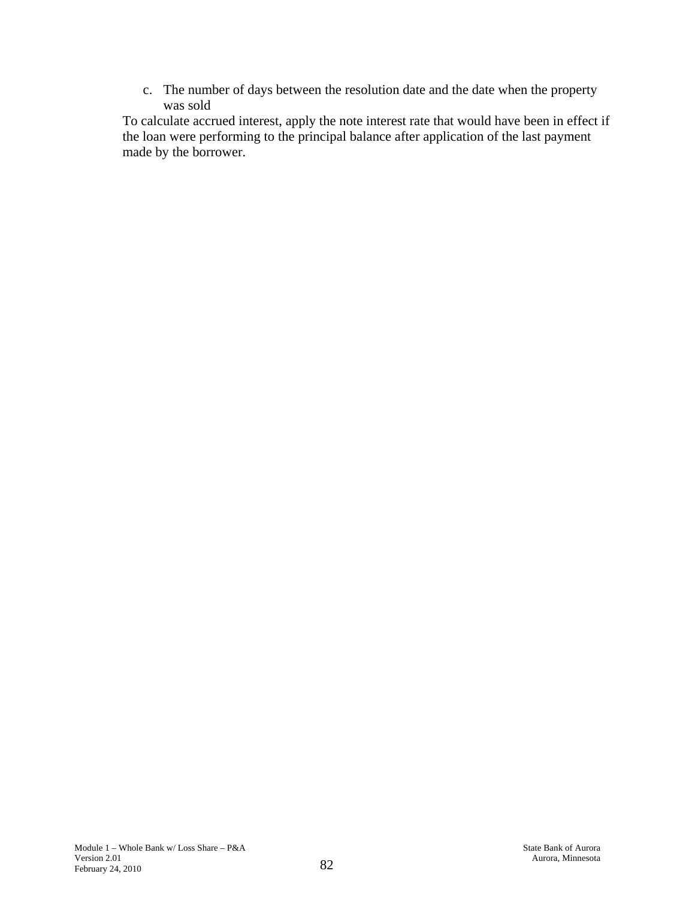c. The number of days between the resolution date and the date when the property was sold

To calculate accrued interest, apply the note interest rate that would have been in effect if the loan were performing to the principal balance after application of the last payment made by the borrower.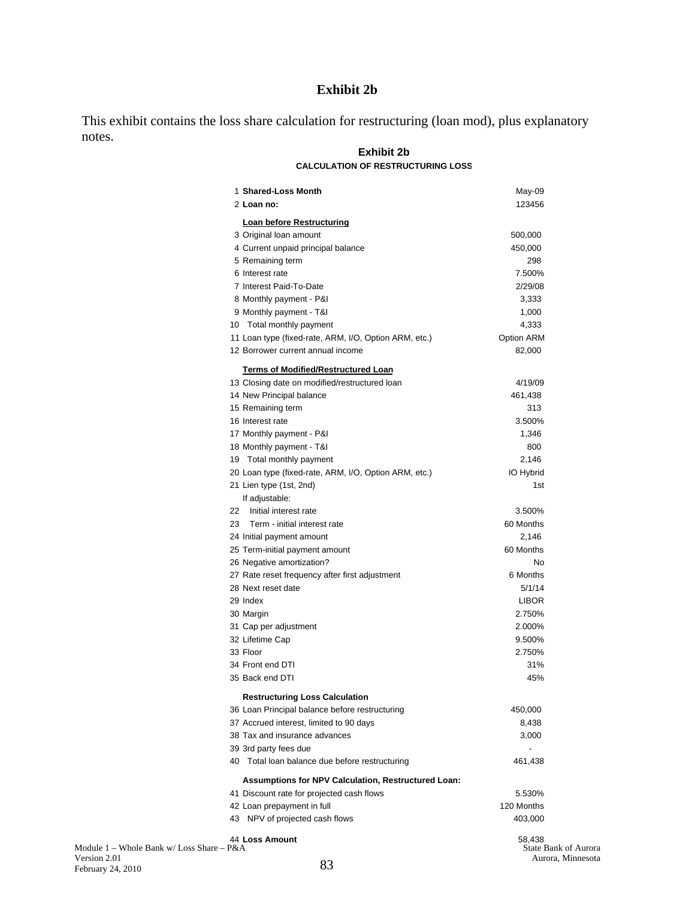## **Exhibit 2b**

This exhibit contains the loss share calculation for restructuring (loan mod), plus explanatory notes.

#### **Exhibit 2b CALCULATION OF RESTRUCTURING LOS S**

|                                           | 1 Shared-Loss Month                                   | May-09                                |
|-------------------------------------------|-------------------------------------------------------|---------------------------------------|
|                                           | 2 Loan no:                                            | 123456                                |
|                                           | <b>Loan before Restructuring</b>                      |                                       |
|                                           | 3 Original loan amount                                | 500,000                               |
|                                           | 4 Current unpaid principal balance                    | 450,000                               |
|                                           | 5 Remaining term                                      | 298                                   |
|                                           | 6 Interest rate                                       | 7.500%                                |
|                                           | 7 Interest Paid-To-Date                               | 2/29/08                               |
|                                           | 8 Monthly payment - P&I                               | 3,333                                 |
|                                           | 9 Monthly payment - T&I                               | 1,000                                 |
|                                           | 10 Total monthly payment                              | 4,333                                 |
|                                           | 11 Loan type (fixed-rate, ARM, I/O, Option ARM, etc.) | <b>Option ARM</b>                     |
|                                           | 12 Borrower current annual income                     | 82,000                                |
|                                           | <b>Terms of Modified/Restructured Loan</b>            |                                       |
|                                           | 13 Closing date on modified/restructured loan         | 4/19/09                               |
|                                           | 14 New Principal balance                              | 461,438                               |
|                                           | 15 Remaining term                                     | 313                                   |
|                                           | 16 Interest rate                                      | 3.500%                                |
|                                           | 17 Monthly payment - P&I                              | 1,346                                 |
|                                           | 18 Monthly payment - T&I                              | 800                                   |
|                                           | 19 Total monthly payment                              | 2,146                                 |
|                                           | 20 Loan type (fixed-rate, ARM, I/O, Option ARM, etc.) | IO Hybrid                             |
|                                           | 21 Lien type (1st, 2nd)                               | 1st                                   |
|                                           | If adjustable:                                        |                                       |
|                                           | 22 Initial interest rate                              | 3.500%                                |
|                                           | 23<br>Term - initial interest rate                    | 60 Months                             |
|                                           | 24 Initial payment amount                             | 2,146                                 |
|                                           | 25 Term-initial payment amount                        | 60 Months                             |
|                                           | 26 Negative amortization?                             | No                                    |
|                                           | 27 Rate reset frequency after first adjustment        | 6 Months                              |
|                                           | 28 Next reset date                                    | 5/1/14                                |
|                                           | 29 Index                                              | <b>LIBOR</b>                          |
|                                           | 30 Margin                                             | 2.750%                                |
|                                           | 31 Cap per adjustment                                 | 2.000%                                |
|                                           | 32 Lifetime Cap                                       | 9.500%                                |
|                                           | 33 Floor                                              | 2.750%                                |
|                                           | 34 Front end DTI                                      | 31%                                   |
|                                           | 35 Back end DTI                                       | 45%                                   |
|                                           | <b>Restructuring Loss Calculation</b>                 |                                       |
|                                           | 36 Loan Principal balance before restructuring        | 450,000                               |
|                                           | 37 Accrued interest, limited to 90 days               | 8,438                                 |
|                                           | 38 Tax and insurance advances                         | 3,000                                 |
|                                           | 39 3rd party fees due                                 |                                       |
|                                           | 40 Total loan balance due before restructuring        | 461,438                               |
|                                           | Assumptions for NPV Calculation, Restructured Loan:   |                                       |
|                                           | 41 Discount rate for projected cash flows             | 5.530%                                |
|                                           | 42 Loan prepayment in full                            | 120 Months                            |
|                                           | 43 NPV of projected cash flows                        | 403,000                               |
|                                           | 44 Loss Amount                                        |                                       |
| Module 1 – Whole Bank w/ Loss Share – P&A |                                                       | 58,438<br><b>State Bank of Aurora</b> |
| Version 2.01                              | 83                                                    | Aurora, Minnesota                     |
| February 24, 2010                         |                                                       |                                       |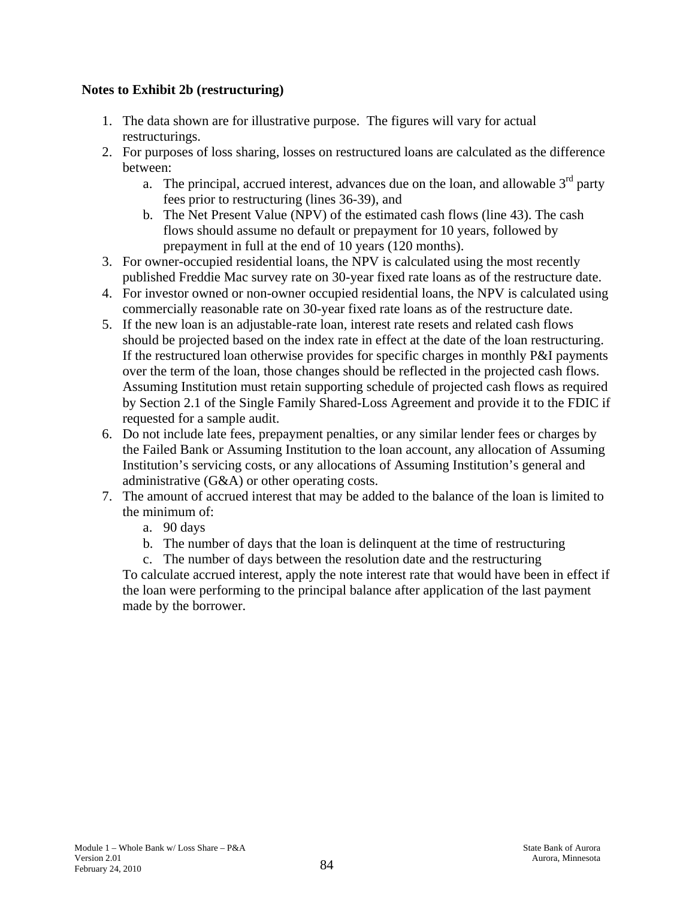### **Notes to Exhibit 2b (restructuring)**

- 1. The data shown are for illustrative purpose. The figures will vary for actual restructurings.
- 2. For purposes of loss sharing, losses on restructured loans are calculated as the difference between:
	- a. The principal, accrued interest, advances due on the loan, and allowable  $3<sup>rd</sup>$  party fees prior to restructuring (lines 36-39), and
	- b. The Net Present Value (NPV) of the estimated cash flows (line 43). The cash flows should assume no default or prepayment for 10 years, followed by prepayment in full at the end of 10 years (120 months).
- 3. For owner-occupied residential loans, the NPV is calculated using the most recently published Freddie Mac survey rate on 30-year fixed rate loans as of the restructure date.
- 4. For investor owned or non-owner occupied residential loans, the NPV is calculated using commercially reasonable rate on 30-year fixed rate loans as of the restructure date.
- 5. If the new loan is an adjustable-rate loan, interest rate resets and related cash flows should be projected based on the index rate in effect at the date of the loan restructuring. If the restructured loan otherwise provides for specific charges in monthly P&I payments over the term of the loan, those changes should be reflected in the projected cash flows. Assuming Institution must retain supporting schedule of projected cash flows as required by Section 2.1 of the Single Family Shared-Loss Agreement and provide it to the FDIC if requested for a sample audit.
- 6. Do not include late fees, prepayment penalties, or any similar lender fees or charges by the Failed Bank or Assuming Institution to the loan account, any allocation of Assuming Institution's servicing costs, or any allocations of Assuming Institution's general and administrative (G&A) or other operating costs.
- 7. The amount of accrued interest that may be added to the balance of the loan is limited to the minimum of:
	- a. 90 days
	- b. The number of days that the loan is delinquent at the time of restructuring

c. The number of days between the resolution date and the restructuring To calculate accrued interest, apply the note interest rate that would have been in effect if the loan were performing to the principal balance after application of the last payment made by the borrower.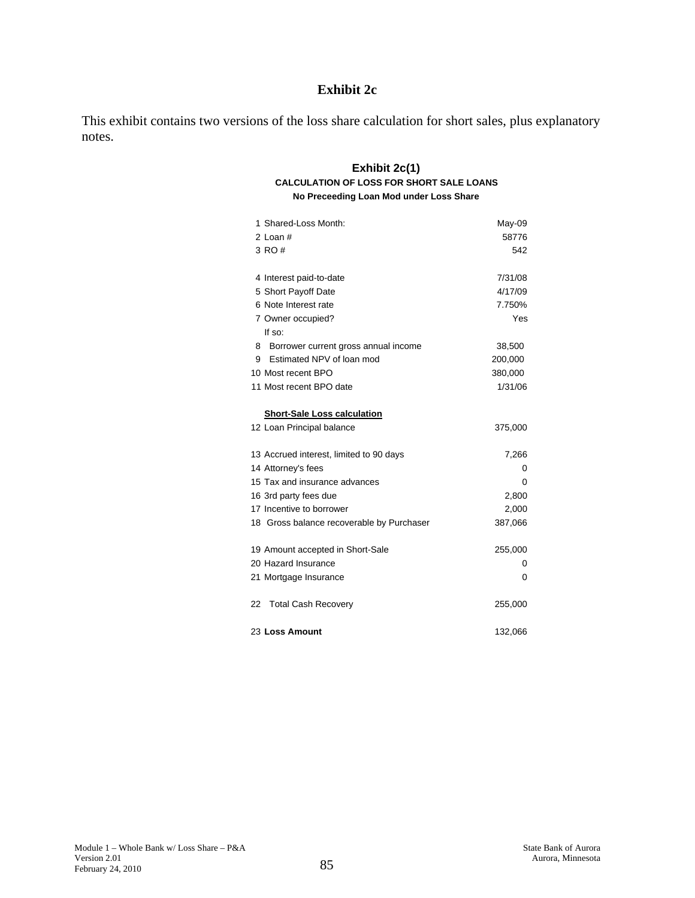### **Exhibit 2c**

This exhibit contains two versions of the loss share calculation for short sales, plus explanatory notes.

#### **Exhibit 2c(1) CALCULATION OF LOSS FOR SHORT SALE LOANS No Preceeding Loan Mod under Loss Share**

| 1 Shared-Loss Month:<br>2 Loan $#$<br>3 RO #                    | May-09<br>58776<br>542 |
|-----------------------------------------------------------------|------------------------|
| 4 Interest paid-to-date                                         | 7/31/08                |
| 5 Short Payoff Date                                             | 4/17/09                |
| 6 Note Interest rate                                            | 7.750%                 |
| 7 Owner occupied?                                               | Yes                    |
| If so:                                                          |                        |
| Borrower current gross annual income<br>8                       | 38,500                 |
| Estimated NPV of loan mod<br>9                                  | 200,000                |
| 10 Most recent BPO                                              | 380,000                |
| 11 Most recent BPO date                                         | 1/31/06                |
| <b>Short-Sale Loss calculation</b><br>12 Loan Principal balance | 375,000                |
| 13 Accrued interest, limited to 90 days                         | 7,266                  |
| 14 Attorney's fees                                              | 0                      |
| 15 Tax and insurance advances                                   | 0                      |
| 16 3rd party fees due                                           | 2,800                  |
| 17 Incentive to borrower                                        | 2,000                  |
| 18 Gross balance recoverable by Purchaser                       | 387,066                |
|                                                                 |                        |
| 19 Amount accepted in Short-Sale                                | 255,000                |
| 20 Hazard Insurance                                             | 0                      |
| 21 Mortgage Insurance                                           | 0                      |
| 22 Total Cash Recovery                                          | 255,000                |
| 23 Loss Amount                                                  | 132,066                |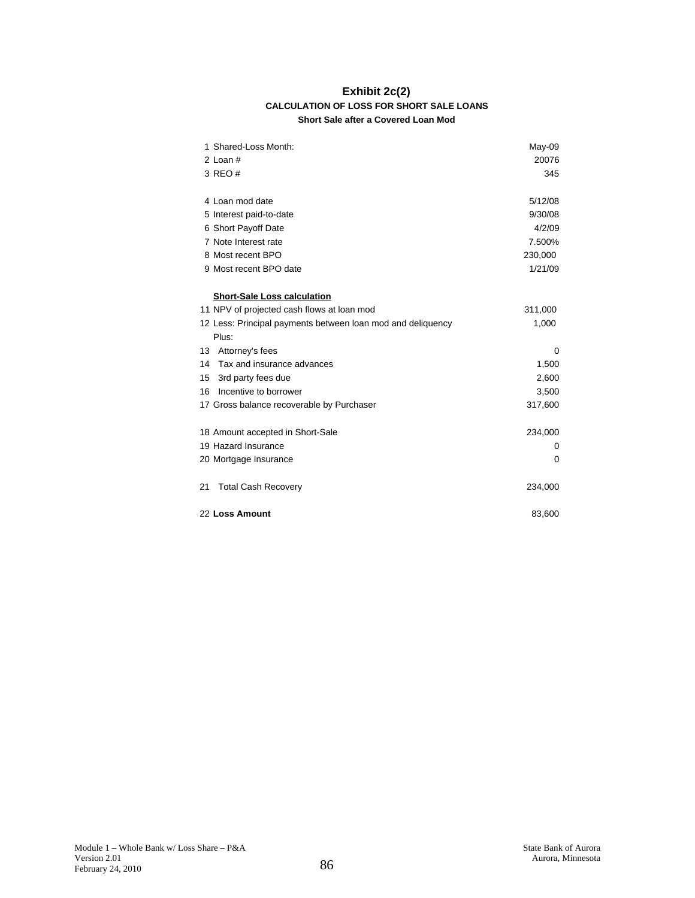#### **Short Sale after a Covered Loan Mod Exhibit 2c(2) CALCULATION OF LOSS FOR SHORT SALE LOANS**

| 1 Shared-Loss Month:                                        | May-09  |
|-------------------------------------------------------------|---------|
| 2 Loan $#$                                                  | 20076   |
| 3 REO #                                                     | 345     |
|                                                             |         |
| 4 Loan mod date                                             | 5/12/08 |
| 5 Interest paid-to-date                                     | 9/30/08 |
| 6 Short Payoff Date                                         | 4/2/09  |
| 7 Note Interest rate                                        | 7.500%  |
| 8 Most recent BPO                                           | 230,000 |
| 9 Most recent BPO date                                      | 1/21/09 |
|                                                             |         |
| <b>Short-Sale Loss calculation</b>                          |         |
| 11 NPV of projected cash flows at loan mod                  | 311,000 |
| 12 Less: Principal payments between loan mod and deliquency | 1,000   |
| Plus:                                                       |         |
| Attorney's fees<br>13                                       | 0       |
| Tax and insurance advances<br>14                            | 1,500   |
| 3rd party fees due<br>15                                    | 2,600   |
| 16<br>Incentive to borrower                                 | 3,500   |
| 17 Gross balance recoverable by Purchaser                   | 317,600 |
|                                                             |         |
| 18 Amount accepted in Short-Sale                            | 234,000 |
| 19 Hazard Insurance                                         | 0       |
| 20 Mortgage Insurance                                       | 0       |
|                                                             |         |
| <b>Total Cash Recovery</b><br>21                            | 234,000 |
|                                                             |         |
| 22 Loss Amount                                              | 83,600  |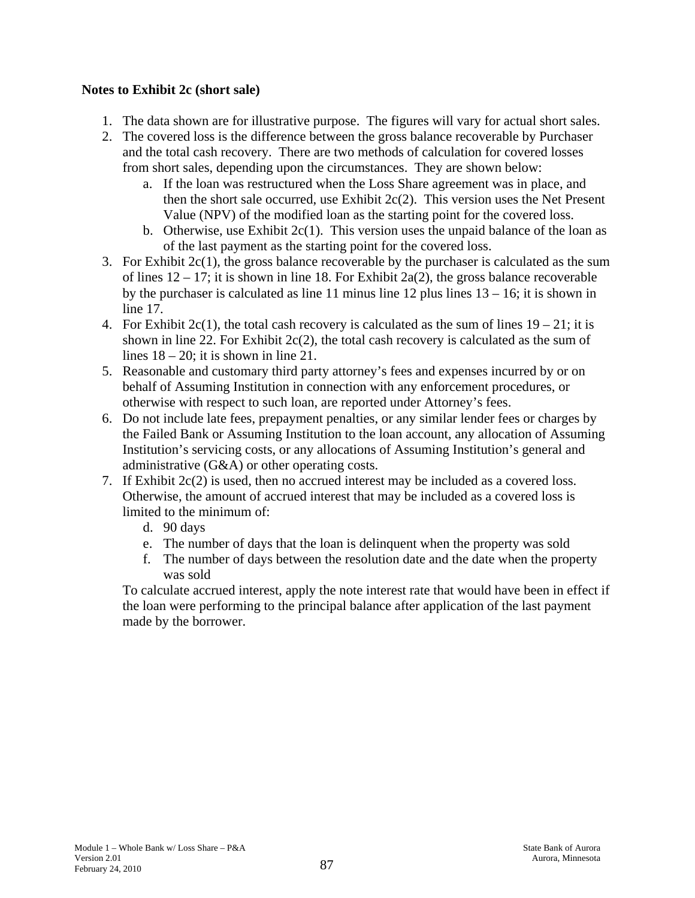### **Notes to Exhibit 2c (short sale)**

- 1. The data shown are for illustrative purpose. The figures will vary for actual short sales.
- 2. The covered loss is the difference between the gross balance recoverable by Purchaser and the total cash recovery. There are two methods of calculation for covered losses from short sales, depending upon the circumstances. They are shown below:
	- a. If the loan was restructured when the Loss Share agreement was in place, and then the short sale occurred, use Exhibit  $2c(2)$ . This version uses the Net Present Value (NPV) of the modified loan as the starting point for the covered loss.
	- b. Otherwise, use Exhibit  $2c(1)$ . This version uses the unpaid balance of the loan as of the last payment as the starting point for the covered loss.
- 3. For Exhibit  $2c(1)$ , the gross balance recoverable by the purchaser is calculated as the sum of lines  $12 - 17$ ; it is shown in line 18. For Exhibit 2a(2), the gross balance recoverable by the purchaser is calculated as line 11 minus line 12 plus lines 13 – 16; it is shown in line 17.
- 4. For Exhibit 2c(1), the total cash recovery is calculated as the sum of lines  $19 21$ ; it is shown in line 22. For Exhibit  $2c(2)$ , the total cash recovery is calculated as the sum of lines  $18 - 20$ ; it is shown in line 21.
- 5. Reasonable and customary third party attorney's fees and expenses incurred by or on behalf of Assuming Institution in connection with any enforcement procedures, or otherwise with respect to such loan, are reported under Attorney's fees.
- 6. Do not include late fees, prepayment penalties, or any similar lender fees or charges by the Failed Bank or Assuming Institution to the loan account, any allocation of Assuming Institution's servicing costs, or any allocations of Assuming Institution's general and administrative (G&A) or other operating costs.
- 7. If Exhibit 2c(2) is used, then no accrued interest may be included as a covered loss. Otherwise, the amount of accrued interest that may be included as a covered loss is limited to the minimum of:
	- d. 90 days
	- e. The number of days that the loan is delinquent when the property was sold
	- f. The number of days between the resolution date and the date when the property was sold

To calculate accrued interest, apply the note interest rate that would have been in effect if the loan were performing to the principal balance after application of the last payment made by the borrower.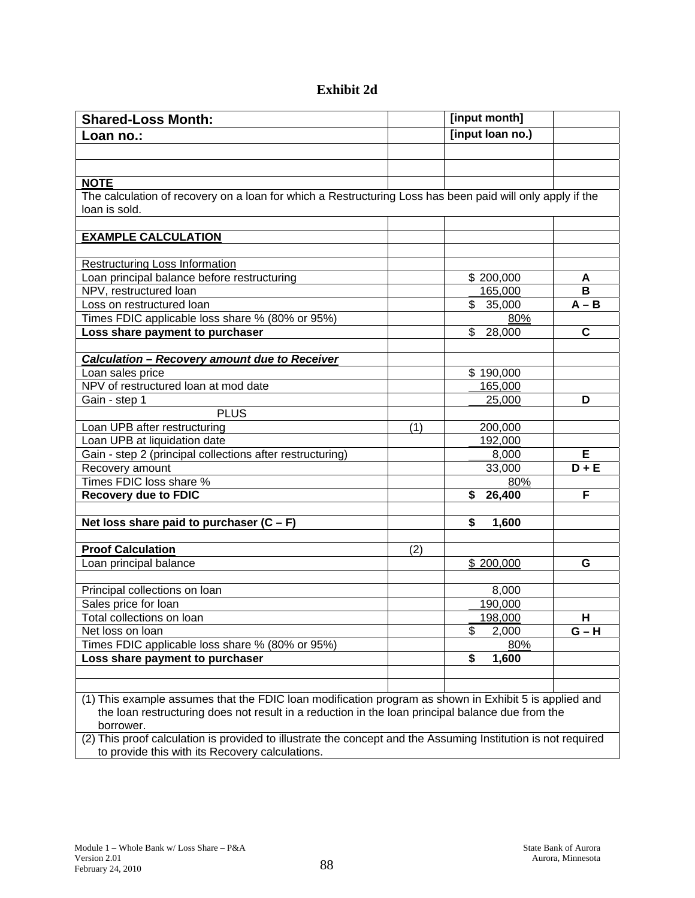## **Exhibit 2d**

| [input month]<br><b>Shared-Loss Month:</b>                                                                    |                  |              |         |
|---------------------------------------------------------------------------------------------------------------|------------------|--------------|---------|
| Loan no.:                                                                                                     | [input loan no.) |              |         |
|                                                                                                               |                  |              |         |
|                                                                                                               |                  |              |         |
| <b>NOTE</b>                                                                                                   |                  |              |         |
| The calculation of recovery on a loan for which a Restructuring Loss has been paid will only apply if the     |                  |              |         |
| loan is sold.                                                                                                 |                  |              |         |
|                                                                                                               |                  |              |         |
| <b>EXAMPLE CALCULATION</b>                                                                                    |                  |              |         |
|                                                                                                               |                  |              |         |
| <b>Restructuring Loss Information</b>                                                                         |                  |              |         |
| Loan principal balance before restructuring                                                                   |                  | \$200,000    | A       |
| NPV, restructured loan                                                                                        |                  | 165,000      | в       |
| Loss on restructured loan                                                                                     |                  | \$35,000     | $A - B$ |
| Times FDIC applicable loss share % (80% or 95%)                                                               |                  | 80%          |         |
| Loss share payment to purchaser                                                                               |                  | \$28,000     | C       |
|                                                                                                               |                  |              |         |
| Calculation - Recovery amount due to Receiver                                                                 |                  |              |         |
| Loan sales price                                                                                              |                  | \$190,000    |         |
| NPV of restructured loan at mod date                                                                          |                  | 165,000      |         |
| Gain - step 1                                                                                                 |                  | 25,000       | D       |
| <b>PLUS</b>                                                                                                   |                  |              |         |
| Loan UPB after restructuring                                                                                  | (1)              | 200,000      |         |
| Loan UPB at liquidation date                                                                                  |                  | 192,000      |         |
| Gain - step 2 (principal collections after restructuring)                                                     |                  | 8,000        | Е       |
| Recovery amount                                                                                               |                  | 33,000       | $D + E$ |
| Times FDIC loss share %                                                                                       |                  | 80%          |         |
| <b>Recovery due to FDIC</b>                                                                                   |                  | 26,400<br>\$ | F       |
| Net loss share paid to purchaser $(C - F)$                                                                    |                  | 1,600<br>\$  |         |
|                                                                                                               |                  |              |         |
| <b>Proof Calculation</b>                                                                                      | (2)              |              |         |
| Loan principal balance                                                                                        |                  | \$200,000    | G       |
|                                                                                                               |                  |              |         |
| Principal collections on loan                                                                                 |                  | 8,000        |         |
| Sales price for loan                                                                                          |                  | 190,000      |         |
| Total collections on loan                                                                                     |                  | 198,000      | H       |
| Net loss on loan                                                                                              |                  | \$<br>2,000  | $G - H$ |
| Times FDIC applicable loss share % (80% or 95%)                                                               |                  | 80%          |         |
| Loss share payment to purchaser                                                                               |                  | 1,600<br>\$  |         |
|                                                                                                               |                  |              |         |
|                                                                                                               |                  |              |         |
| (1) This example assumes that the FDIC loan modification program as shown in Exhibit 5 is applied and         |                  |              |         |
| the loan restructuring does not result in a reduction in the loan principal balance due from the              |                  |              |         |
| borrower.                                                                                                     |                  |              |         |
| (2) This proof calculation is provided to illustrate the concept and the Assuming Institution is not required |                  |              |         |
| to provide this with its Recovery calculations.                                                               |                  |              |         |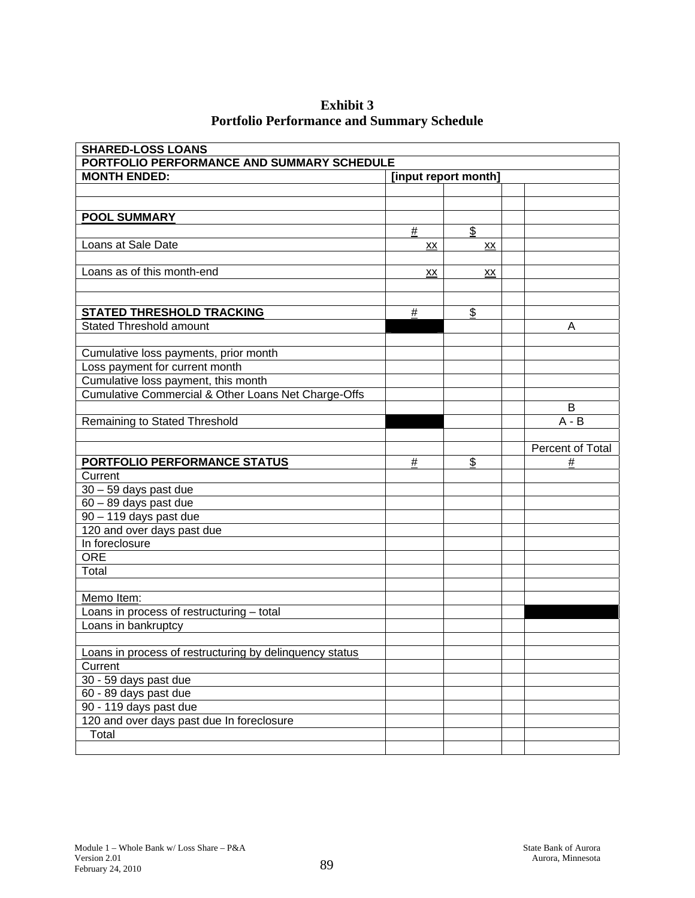| <b>SHARED-LOSS LOANS</b><br>PORTFOLIO PERFORMANCE AND SUMMARY SCHEDULE |                      |               |                  |
|------------------------------------------------------------------------|----------------------|---------------|------------------|
| <b>MONTH ENDED:</b>                                                    | [input report month] |               |                  |
|                                                                        |                      |               |                  |
|                                                                        |                      |               |                  |
| <b>POOL SUMMARY</b>                                                    |                      |               |                  |
|                                                                        | #                    | $\frac{6}{2}$ |                  |
| Loans at Sale Date                                                     | XX                   | XX            |                  |
|                                                                        |                      |               |                  |
| Loans as of this month-end                                             | XX                   | XX            |                  |
| <b>STATED THRESHOLD TRACKING</b>                                       | $\#$                 | $\frac{6}{5}$ |                  |
| <b>Stated Threshold amount</b>                                         |                      |               | A                |
|                                                                        |                      |               |                  |
| Cumulative loss payments, prior month                                  |                      |               |                  |
| Loss payment for current month                                         |                      |               |                  |
| Cumulative loss payment, this month                                    |                      |               |                  |
| Cumulative Commercial & Other Loans Net Charge-Offs                    |                      |               |                  |
|                                                                        |                      |               | B                |
| Remaining to Stated Threshold                                          |                      |               | $A - B$          |
|                                                                        |                      |               |                  |
|                                                                        |                      |               | Percent of Total |
| <b>PORTFOLIO PERFORMANCE STATUS</b>                                    | $\#$                 | $\frac{6}{5}$ | #                |
| Current                                                                |                      |               |                  |
| $30 - 59$ days past due                                                |                      |               |                  |
| $60 - 89$ days past due                                                |                      |               |                  |
| $90 - 119$ days past due                                               |                      |               |                  |
| 120 and over days past due                                             |                      |               |                  |
| In foreclosure<br><b>ORE</b>                                           |                      |               |                  |
| Total                                                                  |                      |               |                  |
|                                                                        |                      |               |                  |
| Memo Item:                                                             |                      |               |                  |
| Loans in process of restructuring - total                              |                      |               |                  |
| Loans in bankruptcy                                                    |                      |               |                  |
|                                                                        |                      |               |                  |
| Loans in process of restructuring by delinquency status                |                      |               |                  |
| Current                                                                |                      |               |                  |
| 30 - 59 days past due                                                  |                      |               |                  |
| 60 - 89 days past due                                                  |                      |               |                  |
| 90 - 119 days past due                                                 |                      |               |                  |
| 120 and over days past due In foreclosure                              |                      |               |                  |
| Total                                                                  |                      |               |                  |
|                                                                        |                      |               |                  |

## **Exhibit 3 Portfolio Performance and Summary Schedule**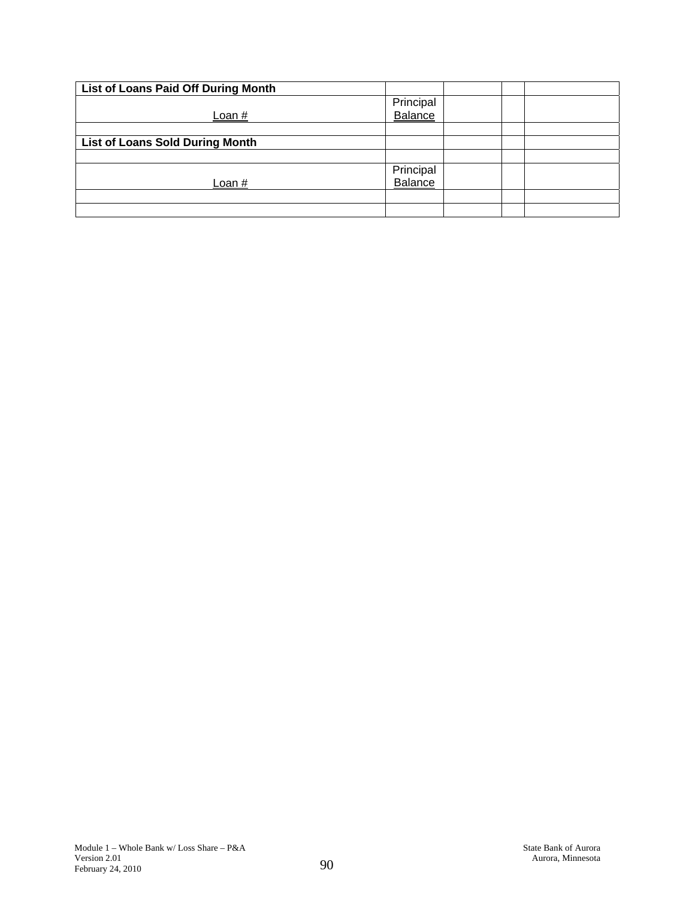| List of Loans Paid Off During Month    |                      |  |  |
|----------------------------------------|----------------------|--|--|
|                                        | Principal            |  |  |
| Loan #                                 | Balance              |  |  |
|                                        |                      |  |  |
| <b>List of Loans Sold During Month</b> |                      |  |  |
|                                        |                      |  |  |
|                                        | Principal<br>Balance |  |  |
| Loan #                                 |                      |  |  |
|                                        |                      |  |  |
|                                        |                      |  |  |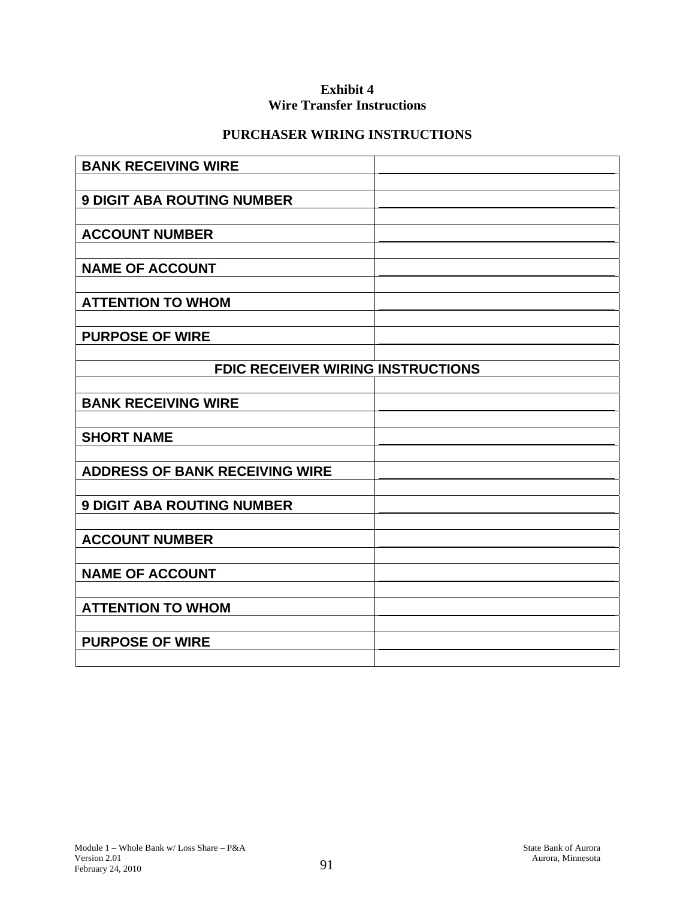### **Exhibit 4 Wire Transfer Instructions**

# **PURCHASER WIRING INSTRUCTIONS**

| <b>BANK RECEIVING WIRE</b>               |  |
|------------------------------------------|--|
|                                          |  |
| <b>9 DIGIT ABA ROUTING NUMBER</b>        |  |
|                                          |  |
| <b>ACCOUNT NUMBER</b>                    |  |
|                                          |  |
| <b>NAME OF ACCOUNT</b>                   |  |
|                                          |  |
| <b>ATTENTION TO WHOM</b>                 |  |
| <b>PURPOSE OF WIRE</b>                   |  |
|                                          |  |
| <b>FDIC RECEIVER WIRING INSTRUCTIONS</b> |  |
|                                          |  |
| <b>BANK RECEIVING WIRE</b>               |  |
|                                          |  |
| <b>SHORT NAME</b>                        |  |
|                                          |  |
| <b>ADDRESS OF BANK RECEIVING WIRE</b>    |  |
|                                          |  |
| <b>9 DIGIT ABA ROUTING NUMBER</b>        |  |
|                                          |  |
| <b>ACCOUNT NUMBER</b>                    |  |
|                                          |  |
| <b>NAME OF ACCOUNT</b>                   |  |
|                                          |  |
| <b>ATTENTION TO WHOM</b>                 |  |
| <b>PURPOSE OF WIRE</b>                   |  |
|                                          |  |
|                                          |  |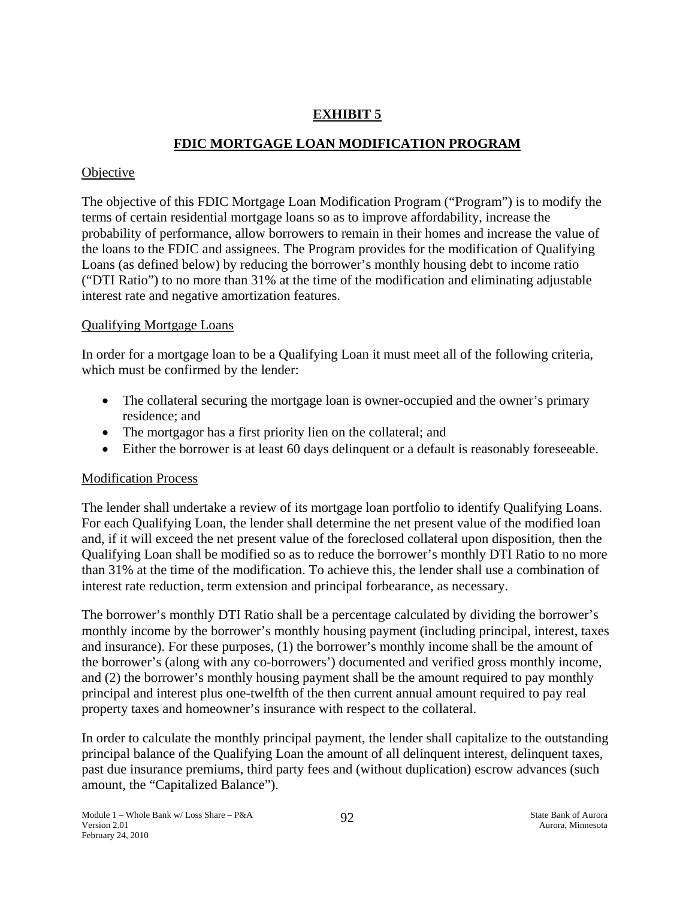# **EXHIBIT 5**

# **FDIC MORTGAGE LOAN MODIFICATION PROGRAM**

### **Objective**

The objective of this FDIC Mortgage Loan Modification Program ("Program") is to modify the terms of certain residential mortgage loans so as to improve affordability, increase the probability of performance, allow borrowers to remain in their homes and increase the value of the loans to the FDIC and assignees. The Program provides for the modification of Qualifying Loans (as defined below) by reducing the borrower's monthly housing debt to income ratio ("DTI Ratio") to no more than 31% at the time of the modification and eliminating adjustable interest rate and negative amortization features.

### Qualifying Mortgage Loans

In order for a mortgage loan to be a Qualifying Loan it must meet all of the following criteria, which must be confirmed by the lender:

- The collateral securing the mortgage loan is owner-occupied and the owner's primary residence; and
- The mortgagor has a first priority lien on the collateral; and
- Either the borrower is at least 60 days delinquent or a default is reasonably foreseeable.

### Modification Process

The lender shall undertake a review of its mortgage loan portfolio to identify Qualifying Loans. For each Qualifying Loan, the lender shall determine the net present value of the modified loan and, if it will exceed the net present value of the foreclosed collateral upon disposition, then the Qualifying Loan shall be modified so as to reduce the borrower's monthly DTI Ratio to no more than 31% at the time of the modification. To achieve this, the lender shall use a combination of interest rate reduction, term extension and principal forbearance, as necessary.

The borrower's monthly DTI Ratio shall be a percentage calculated by dividing the borrower's monthly income by the borrower's monthly housing payment (including principal, interest, taxes and insurance). For these purposes, (1) the borrower's monthly income shall be the amount of the borrower's (along with any co-borrowers') documented and verified gross monthly income, and (2) the borrower's monthly housing payment shall be the amount required to pay monthly principal and interest plus one-twelfth of the then current annual amount required to pay real property taxes and homeowner's insurance with respect to the collateral.

In order to calculate the monthly principal payment, the lender shall capitalize to the outstanding principal balance of the Qualifying Loan the amount of all delinquent interest, delinquent taxes, past due insurance premiums, third party fees and (without duplication) escrow advances (such amount, the "Capitalized Balance").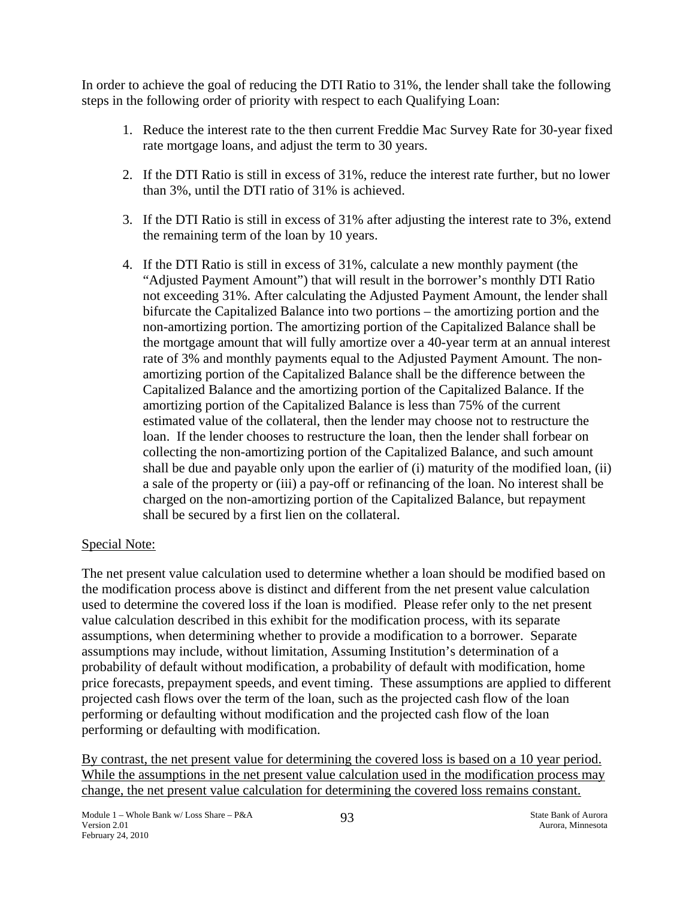In order to achieve the goal of reducing the DTI Ratio to 31%, the lender shall take the following steps in the following order of priority with respect to each Qualifying Loan:

- 1. Reduce the interest rate to the then current Freddie Mac Survey Rate for 30-year fixed rate mortgage loans, and adjust the term to 30 years.
- 2. If the DTI Ratio is still in excess of 31%, reduce the interest rate further, but no lower than 3%, until the DTI ratio of 31% is achieved.
- 3. If the DTI Ratio is still in excess of 31% after adjusting the interest rate to 3%, extend the remaining term of the loan by 10 years.
- 4. If the DTI Ratio is still in excess of 31%, calculate a new monthly payment (the "Adjusted Payment Amount") that will result in the borrower's monthly DTI Ratio not exceeding 31%. After calculating the Adjusted Payment Amount, the lender shall bifurcate the Capitalized Balance into two portions – the amortizing portion and the non-amortizing portion. The amortizing portion of the Capitalized Balance shall be the mortgage amount that will fully amortize over a 40-year term at an annual interest rate of 3% and monthly payments equal to the Adjusted Payment Amount. The nonamortizing portion of the Capitalized Balance shall be the difference between the Capitalized Balance and the amortizing portion of the Capitalized Balance. If the amortizing portion of the Capitalized Balance is less than 75% of the current estimated value of the collateral, then the lender may choose not to restructure the loan. If the lender chooses to restructure the loan, then the lender shall forbear on collecting the non-amortizing portion of the Capitalized Balance, and such amount shall be due and payable only upon the earlier of (i) maturity of the modified loan, (ii) a sale of the property or (iii) a pay-off or refinancing of the loan. No interest shall be charged on the non-amortizing portion of the Capitalized Balance, but repayment shall be secured by a first lien on the collateral.

### Special Note:

The net present value calculation used to determine whether a loan should be modified based on the modification process above is distinct and different from the net present value calculation used to determine the covered loss if the loan is modified. Please refer only to the net present value calculation described in this exhibit for the modification process, with its separate assumptions, when determining whether to provide a modification to a borrower. Separate assumptions may include, without limitation, Assuming Institution's determination of a probability of default without modification, a probability of default with modification, home price forecasts, prepayment speeds, and event timing. These assumptions are applied to different projected cash flows over the term of the loan, such as the projected cash flow of the loan performing or defaulting without modification and the projected cash flow of the loan performing or defaulting with modification.

By contrast, the net present value for determining the covered loss is based on a 10 year period. While the assumptions in the net present value calculation used in the modification process may change, the net present value calculation for determining the covered loss remains constant.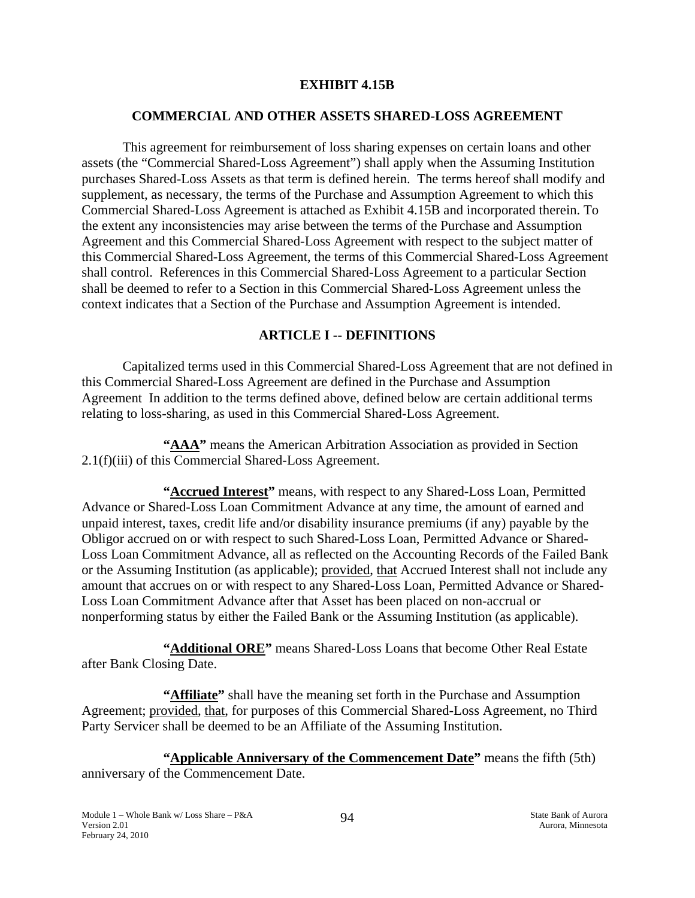#### **EXHIBIT 4.15B**

#### **COMMERCIAL AND OTHER ASSETS SHARED-LOSS AGREEMENT**

This agreement for reimbursement of loss sharing expenses on certain loans and other assets (the "Commercial Shared-Loss Agreement") shall apply when the Assuming Institution purchases Shared-Loss Assets as that term is defined herein. The terms hereof shall modify and supplement, as necessary, the terms of the Purchase and Assumption Agreement to which this Commercial Shared-Loss Agreement is attached as Exhibit 4.15B and incorporated therein. To the extent any inconsistencies may arise between the terms of the Purchase and Assumption Agreement and this Commercial Shared-Loss Agreement with respect to the subject matter of this Commercial Shared-Loss Agreement, the terms of this Commercial Shared-Loss Agreement shall control. References in this Commercial Shared-Loss Agreement to a particular Section shall be deemed to refer to a Section in this Commercial Shared-Loss Agreement unless the context indicates that a Section of the Purchase and Assumption Agreement is intended.

### **ARTICLE I -- DEFINITIONS**

Capitalized terms used in this Commercial Shared-Loss Agreement that are not defined in this Commercial Shared-Loss Agreement are defined in the Purchase and Assumption Agreement In addition to the terms defined above, defined below are certain additional terms relating to loss-sharing, as used in this Commercial Shared-Loss Agreement.

**"AAA"** means the American Arbitration Association as provided in Section 2.1(f)(iii) of this Commercial Shared-Loss Agreement.

**"Accrued Interest"** means, with respect to any Shared-Loss Loan, Permitted Advance or Shared-Loss Loan Commitment Advance at any time, the amount of earned and unpaid interest, taxes, credit life and/or disability insurance premiums (if any) payable by the Obligor accrued on or with respect to such Shared-Loss Loan, Permitted Advance or Shared-Loss Loan Commitment Advance, all as reflected on the Accounting Records of the Failed Bank or the Assuming Institution (as applicable); provided, that Accrued Interest shall not include any amount that accrues on or with respect to any Shared-Loss Loan, Permitted Advance or Shared-Loss Loan Commitment Advance after that Asset has been placed on non-accrual or nonperforming status by either the Failed Bank or the Assuming Institution (as applicable).

**"Additional ORE"** means Shared-Loss Loans that become Other Real Estate after Bank Closing Date.

**"Affiliate"** shall have the meaning set forth in the Purchase and Assumption Agreement; provided, that, for purposes of this Commercial Shared-Loss Agreement, no Third Party Servicer shall be deemed to be an Affiliate of the Assuming Institution.

**"Applicable Anniversary of the Commencement Date"** means the fifth (5th) anniversary of the Commencement Date.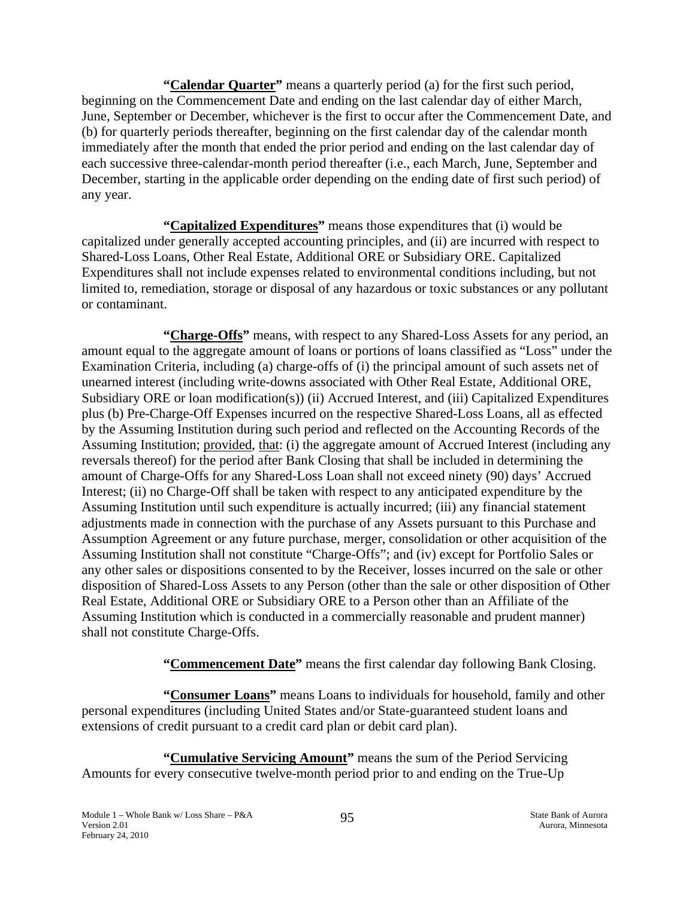**"Calendar Quarter"** means a quarterly period (a) for the first such period, beginning on the Commencement Date and ending on the last calendar day of either March, June, September or December, whichever is the first to occur after the Commencement Date, and (b) for quarterly periods thereafter, beginning on the first calendar day of the calendar month immediately after the month that ended the prior period and ending on the last calendar day of each successive three-calendar-month period thereafter (i.e., each March, June, September and December, starting in the applicable order depending on the ending date of first such period) of any year.

**"Capitalized Expenditures"** means those expenditures that (i) would be capitalized under generally accepted accounting principles, and (ii) are incurred with respect to Shared-Loss Loans, Other Real Estate, Additional ORE or Subsidiary ORE. Capitalized Expenditures shall not include expenses related to environmental conditions including, but not limited to, remediation, storage or disposal of any hazardous or toxic substances or any pollutant or contaminant.

**"Charge-Offs"** means, with respect to any Shared-Loss Assets for any period, an amount equal to the aggregate amount of loans or portions of loans classified as "Loss" under the Examination Criteria, including (a) charge-offs of (i) the principal amount of such assets net of unearned interest (including write-downs associated with Other Real Estate, Additional ORE, Subsidiary ORE or loan modification(s)) (ii) Accrued Interest, and (iii) Capitalized Expenditures plus (b) Pre-Charge-Off Expenses incurred on the respective Shared-Loss Loans, all as effected by the Assuming Institution during such period and reflected on the Accounting Records of the Assuming Institution; provided, that: (i) the aggregate amount of Accrued Interest (including any reversals thereof) for the period after Bank Closing that shall be included in determining the amount of Charge-Offs for any Shared-Loss Loan shall not exceed ninety (90) days' Accrued Interest; (ii) no Charge-Off shall be taken with respect to any anticipated expenditure by the Assuming Institution until such expenditure is actually incurred; (iii) any financial statement adjustments made in connection with the purchase of any Assets pursuant to this Purchase and Assumption Agreement or any future purchase, merger, consolidation or other acquisition of the Assuming Institution shall not constitute "Charge-Offs"; and (iv) except for Portfolio Sales or any other sales or dispositions consented to by the Receiver, losses incurred on the sale or other disposition of Shared-Loss Assets to any Person (other than the sale or other disposition of Other Real Estate, Additional ORE or Subsidiary ORE to a Person other than an Affiliate of the Assuming Institution which is conducted in a commercially reasonable and prudent manner) shall not constitute Charge-Offs.

**"Commencement Date"** means the first calendar day following Bank Closing.

**"Consumer Loans"** means Loans to individuals for household, family and other personal expenditures (including United States and/or State-guaranteed student loans and extensions of credit pursuant to a credit card plan or debit card plan).

 **"Cumulative Servicing Amount"** means the sum of the Period Servicing Amounts for every consecutive twelve-month period prior to and ending on the True-Up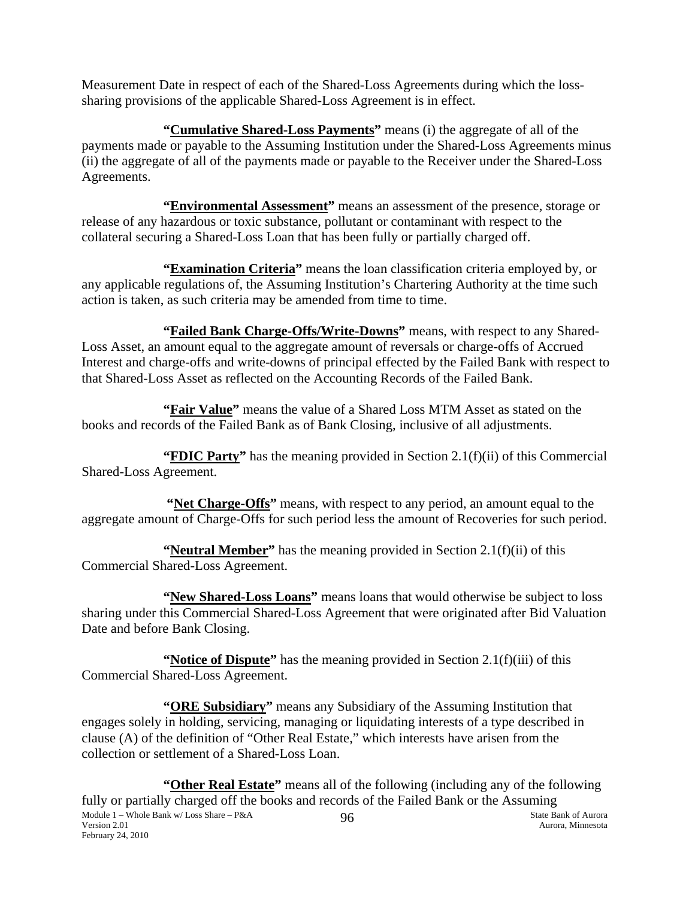Measurement Date in respect of each of the Shared-Loss Agreements during which the losssharing provisions of the applicable Shared-Loss Agreement is in effect.

**"Cumulative Shared-Loss Payments"** means (i) the aggregate of all of the payments made or payable to the Assuming Institution under the Shared-Loss Agreements minus (ii) the aggregate of all of the payments made or payable to the Receiver under the Shared-Loss Agreements.

 **"Environmental Assessment"** means an assessment of the presence, storage or release of any hazardous or toxic substance, pollutant or contaminant with respect to the collateral securing a Shared-Loss Loan that has been fully or partially charged off.

**"Examination Criteria"** means the loan classification criteria employed by, or any applicable regulations of, the Assuming Institution's Chartering Authority at the time such action is taken, as such criteria may be amended from time to time.

**"Failed Bank Charge-Offs/Write-Downs"** means, with respect to any Shared-Loss Asset, an amount equal to the aggregate amount of reversals or charge-offs of Accrued Interest and charge-offs and write-downs of principal effected by the Failed Bank with respect to that Shared-Loss Asset as reflected on the Accounting Records of the Failed Bank.

**"Fair Value"** means the value of a Shared Loss MTM Asset as stated on the books and records of the Failed Bank as of Bank Closing, inclusive of all adjustments.

**"FDIC Party"** has the meaning provided in Section 2.1(f)(ii) of this Commercial Shared-Loss Agreement.

**"Net Charge-Offs"** means, with respect to any period, an amount equal to the aggregate amount of Charge-Offs for such period less the amount of Recoveries for such period.

**"Neutral Member"** has the meaning provided in Section 2.1(f)(ii) of this Commercial Shared-Loss Agreement.

**"New Shared-Loss Loans"** means loans that would otherwise be subject to loss sharing under this Commercial Shared-Loss Agreement that were originated after Bid Valuation Date and before Bank Closing.

**"Notice of Dispute"** has the meaning provided in Section 2.1(f)(iii) of this Commercial Shared-Loss Agreement.

**"ORE Subsidiary"** means any Subsidiary of the Assuming Institution that engages solely in holding, servicing, managing or liquidating interests of a type described in clause (A) of the definition of "Other Real Estate," which interests have arisen from the collection or settlement of a Shared-Loss Loan.

Module 1 – Whole Bank w/ Loss Share – P&A  $\overline{96}$  State Bank of Aurora State Bank of Aurora Version 2.01 Aurora, Minnesota February 24, 2010 96 **"Other Real Estate"** means all of the following (including any of the following fully or partially charged off the books and records of the Failed Bank or the Assuming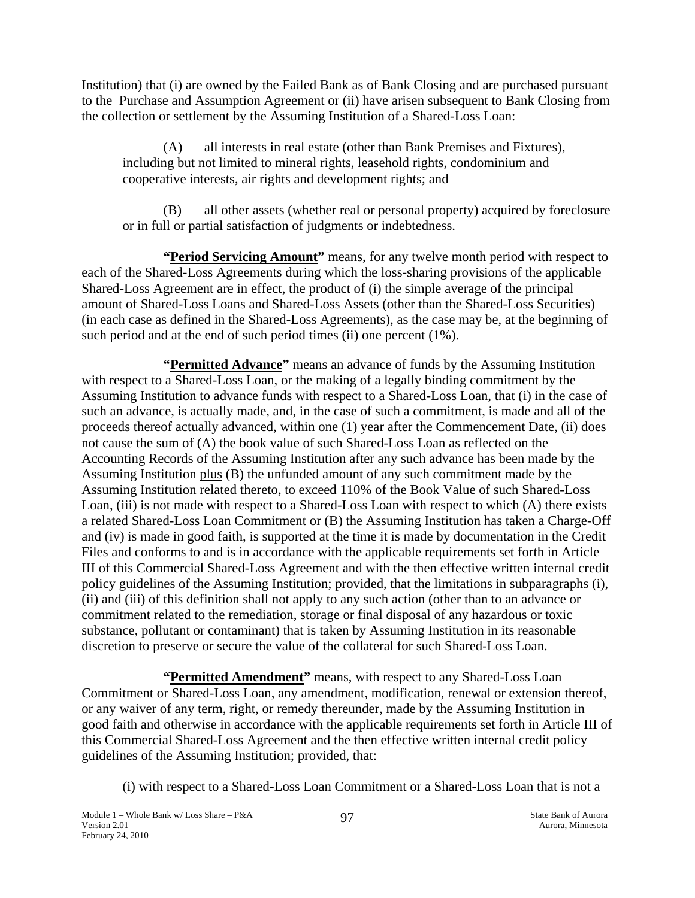Institution) that (i) are owned by the Failed Bank as of Bank Closing and are purchased pursuant to the Purchase and Assumption Agreement or (ii) have arisen subsequent to Bank Closing from the collection or settlement by the Assuming Institution of a Shared-Loss Loan:

(A) all interests in real estate (other than Bank Premises and Fixtures), including but not limited to mineral rights, leasehold rights, condominium and cooperative interests, air rights and development rights; and

(B) all other assets (whether real or personal property) acquired by foreclosure or in full or partial satisfaction of judgments or indebtedness.

 **"Period Servicing Amount"** means, for any twelve month period with respect to each of the Shared-Loss Agreements during which the loss-sharing provisions of the applicable Shared-Loss Agreement are in effect, the product of (i) the simple average of the principal amount of Shared-Loss Loans and Shared-Loss Assets (other than the Shared-Loss Securities) (in each case as defined in the Shared-Loss Agreements), as the case may be, at the beginning of such period and at the end of such period times (ii) one percent (1%).

**"Permitted Advance"** means an advance of funds by the Assuming Institution with respect to a Shared-Loss Loan, or the making of a legally binding commitment by the Assuming Institution to advance funds with respect to a Shared-Loss Loan, that (i) in the case of such an advance, is actually made, and, in the case of such a commitment, is made and all of the proceeds thereof actually advanced, within one (1) year after the Commencement Date, (ii) does not cause the sum of (A) the book value of such Shared-Loss Loan as reflected on the Accounting Records of the Assuming Institution after any such advance has been made by the Assuming Institution plus (B) the unfunded amount of any such commitment made by the Assuming Institution related thereto, to exceed 110% of the Book Value of such Shared-Loss Loan, (iii) is not made with respect to a Shared-Loss Loan with respect to which (A) there exists a related Shared-Loss Loan Commitment or (B) the Assuming Institution has taken a Charge-Off and (iv) is made in good faith, is supported at the time it is made by documentation in the Credit Files and conforms to and is in accordance with the applicable requirements set forth in Article III of this Commercial Shared-Loss Agreement and with the then effective written internal credit policy guidelines of the Assuming Institution; provided, that the limitations in subparagraphs (i), (ii) and (iii) of this definition shall not apply to any such action (other than to an advance or commitment related to the remediation, storage or final disposal of any hazardous or toxic substance, pollutant or contaminant) that is taken by Assuming Institution in its reasonable discretion to preserve or secure the value of the collateral for such Shared-Loss Loan.

**"Permitted Amendment"** means, with respect to any Shared-Loss Loan Commitment or Shared-Loss Loan, any amendment, modification, renewal or extension thereof, or any waiver of any term, right, or remedy thereunder, made by the Assuming Institution in good faith and otherwise in accordance with the applicable requirements set forth in Article III of this Commercial Shared-Loss Agreement and the then effective written internal credit policy guidelines of the Assuming Institution; provided, that:

(i) with respect to a Shared-Loss Loan Commitment or a Shared-Loss Loan that is not a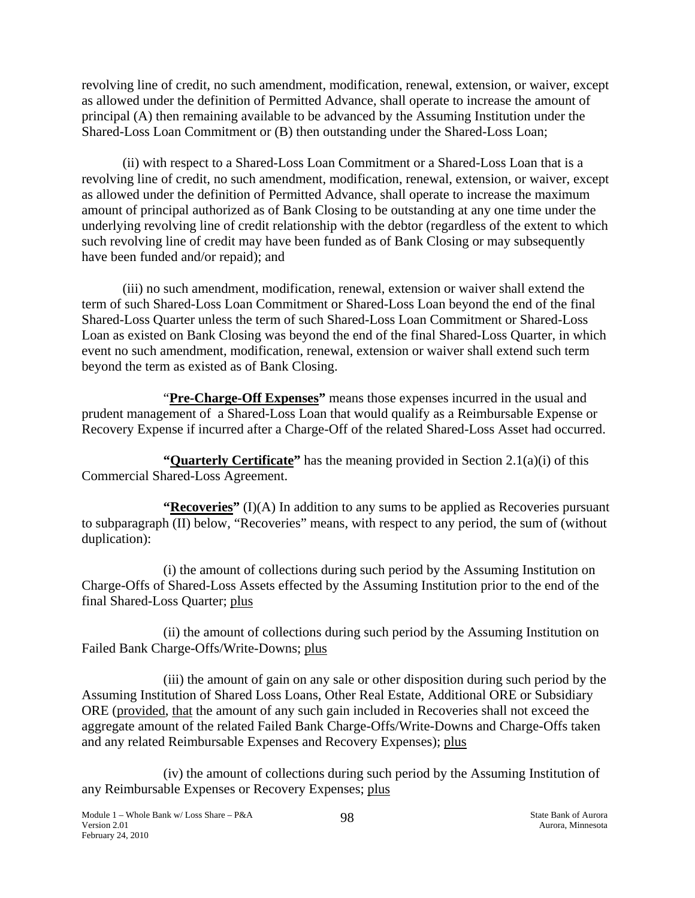revolving line of credit, no such amendment, modification, renewal, extension, or waiver, except as allowed under the definition of Permitted Advance, shall operate to increase the amount of principal (A) then remaining available to be advanced by the Assuming Institution under the Shared-Loss Loan Commitment or (B) then outstanding under the Shared-Loss Loan;

(ii) with respect to a Shared-Loss Loan Commitment or a Shared-Loss Loan that is a revolving line of credit, no such amendment, modification, renewal, extension, or waiver, except as allowed under the definition of Permitted Advance, shall operate to increase the maximum amount of principal authorized as of Bank Closing to be outstanding at any one time under the underlying revolving line of credit relationship with the debtor (regardless of the extent to which such revolving line of credit may have been funded as of Bank Closing or may subsequently have been funded and/or repaid); and

(iii) no such amendment, modification, renewal, extension or waiver shall extend the term of such Shared-Loss Loan Commitment or Shared-Loss Loan beyond the end of the final Shared-Loss Quarter unless the term of such Shared-Loss Loan Commitment or Shared-Loss Loan as existed on Bank Closing was beyond the end of the final Shared-Loss Quarter, in which event no such amendment, modification, renewal, extension or waiver shall extend such term beyond the term as existed as of Bank Closing.

 "**Pre-Charge-Off Expenses"** means those expenses incurred in the usual and prudent management of a Shared-Loss Loan that would qualify as a Reimbursable Expense or Recovery Expense if incurred after a Charge-Off of the related Shared-Loss Asset had occurred.

**"Quarterly Certificate"** has the meaning provided in Section 2.1(a)(i) of this Commercial Shared-Loss Agreement.

**"Recoveries"** (I)(A) In addition to any sums to be applied as Recoveries pursuant to subparagraph (II) below, "Recoveries" means, with respect to any period, the sum of (without duplication):

(i) the amount of collections during such period by the Assuming Institution on Charge-Offs of Shared-Loss Assets effected by the Assuming Institution prior to the end of the final Shared-Loss Quarter; plus

(ii) the amount of collections during such period by the Assuming Institution on Failed Bank Charge-Offs/Write-Downs; plus

(iii) the amount of gain on any sale or other disposition during such period by the Assuming Institution of Shared Loss Loans, Other Real Estate, Additional ORE or Subsidiary ORE (provided, that the amount of any such gain included in Recoveries shall not exceed the aggregate amount of the related Failed Bank Charge-Offs/Write-Downs and Charge-Offs taken and any related Reimbursable Expenses and Recovery Expenses); plus

(iv) the amount of collections during such period by the Assuming Institution of any Reimbursable Expenses or Recovery Expenses; plus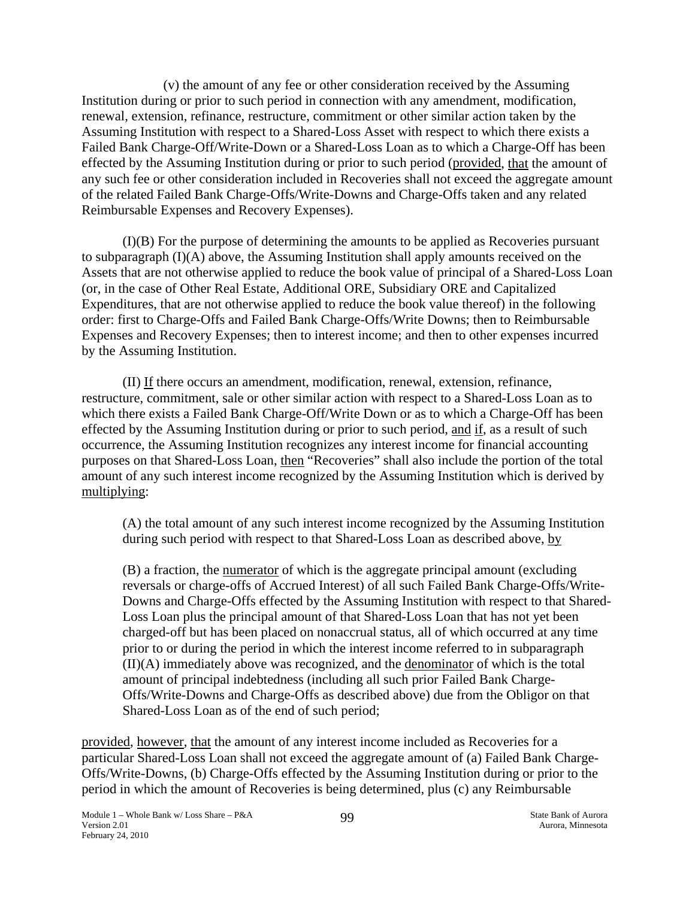(v) the amount of any fee or other consideration received by the Assuming Institution during or prior to such period in connection with any amendment, modification, renewal, extension, refinance, restructure, commitment or other similar action taken by the Assuming Institution with respect to a Shared-Loss Asset with respect to which there exists a Failed Bank Charge-Off/Write-Down or a Shared-Loss Loan as to which a Charge-Off has been effected by the Assuming Institution during or prior to such period (provided, that the amount of any such fee or other consideration included in Recoveries shall not exceed the aggregate amount of the related Failed Bank Charge-Offs/Write-Downs and Charge-Offs taken and any related Reimbursable Expenses and Recovery Expenses).

(I)(B) For the purpose of determining the amounts to be applied as Recoveries pursuant to subparagraph (I)(A) above, the Assuming Institution shall apply amounts received on the Assets that are not otherwise applied to reduce the book value of principal of a Shared-Loss Loan (or, in the case of Other Real Estate, Additional ORE, Subsidiary ORE and Capitalized Expenditures, that are not otherwise applied to reduce the book value thereof) in the following order: first to Charge-Offs and Failed Bank Charge-Offs/Write Downs; then to Reimbursable Expenses and Recovery Expenses; then to interest income; and then to other expenses incurred by the Assuming Institution.

(II) If there occurs an amendment, modification, renewal, extension, refinance, restructure, commitment, sale or other similar action with respect to a Shared-Loss Loan as to which there exists a Failed Bank Charge-Off/Write Down or as to which a Charge-Off has been effected by the Assuming Institution during or prior to such period, and if, as a result of such occurrence, the Assuming Institution recognizes any interest income for financial accounting purposes on that Shared-Loss Loan, then "Recoveries" shall also include the portion of the total amount of any such interest income recognized by the Assuming Institution which is derived by multiplying:

(A) the total amount of any such interest income recognized by the Assuming Institution during such period with respect to that Shared-Loss Loan as described above, by

(B) a fraction, the numerator of which is the aggregate principal amount (excluding reversals or charge-offs of Accrued Interest) of all such Failed Bank Charge-Offs/Write-Downs and Charge-Offs effected by the Assuming Institution with respect to that Shared-Loss Loan plus the principal amount of that Shared-Loss Loan that has not yet been charged-off but has been placed on nonaccrual status, all of which occurred at any time prior to or during the period in which the interest income referred to in subparagraph (II)(A) immediately above was recognized, and the denominator of which is the total amount of principal indebtedness (including all such prior Failed Bank Charge-Offs/Write-Downs and Charge-Offs as described above) due from the Obligor on that Shared-Loss Loan as of the end of such period;

provided, however, that the amount of any interest income included as Recoveries for a particular Shared-Loss Loan shall not exceed the aggregate amount of (a) Failed Bank Charge-Offs/Write-Downs, (b) Charge-Offs effected by the Assuming Institution during or prior to the period in which the amount of Recoveries is being determined, plus (c) any Reimbursable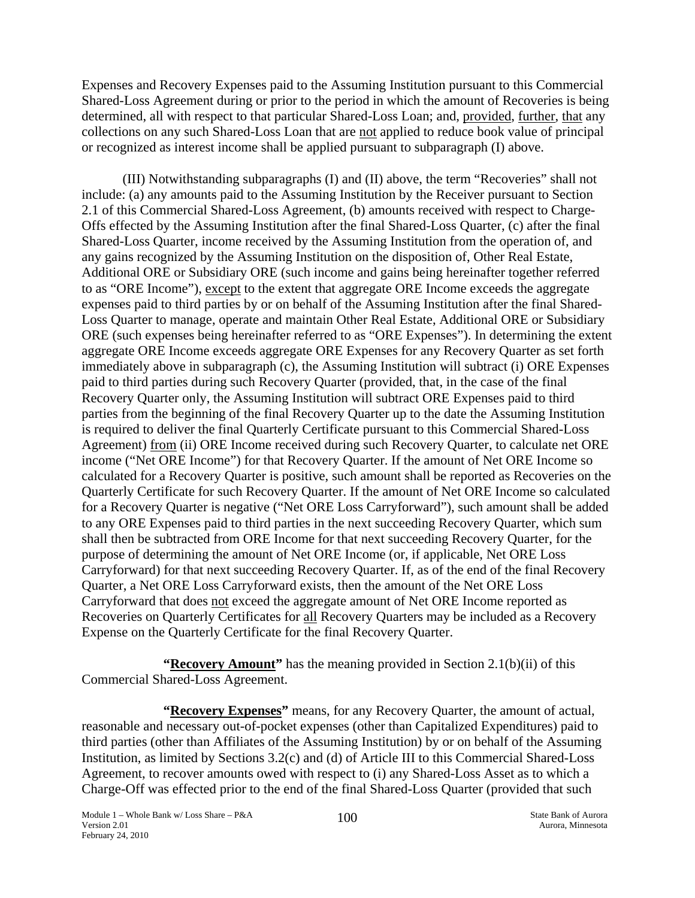Expenses and Recovery Expenses paid to the Assuming Institution pursuant to this Commercial Shared-Loss Agreement during or prior to the period in which the amount of Recoveries is being determined, all with respect to that particular Shared-Loss Loan; and, provided, further, that any collections on any such Shared-Loss Loan that are not applied to reduce book value of principal or recognized as interest income shall be applied pursuant to subparagraph (I) above.

(III) Notwithstanding subparagraphs (I) and (II) above, the term "Recoveries" shall not include: (a) any amounts paid to the Assuming Institution by the Receiver pursuant to Section 2.1 of this Commercial Shared-Loss Agreement, (b) amounts received with respect to Charge-Offs effected by the Assuming Institution after the final Shared-Loss Quarter, (c) after the final Shared-Loss Quarter, income received by the Assuming Institution from the operation of, and any gains recognized by the Assuming Institution on the disposition of, Other Real Estate, Additional ORE or Subsidiary ORE (such income and gains being hereinafter together referred to as "ORE Income"), except to the extent that aggregate ORE Income exceeds the aggregate expenses paid to third parties by or on behalf of the Assuming Institution after the final Shared-Loss Quarter to manage, operate and maintain Other Real Estate, Additional ORE or Subsidiary ORE (such expenses being hereinafter referred to as "ORE Expenses"). In determining the extent aggregate ORE Income exceeds aggregate ORE Expenses for any Recovery Quarter as set forth immediately above in subparagraph (c), the Assuming Institution will subtract (i) ORE Expenses paid to third parties during such Recovery Quarter (provided, that, in the case of the final Recovery Quarter only, the Assuming Institution will subtract ORE Expenses paid to third parties from the beginning of the final Recovery Quarter up to the date the Assuming Institution is required to deliver the final Quarterly Certificate pursuant to this Commercial Shared-Loss Agreement) from (ii) ORE Income received during such Recovery Quarter, to calculate net ORE income ("Net ORE Income") for that Recovery Quarter. If the amount of Net ORE Income so calculated for a Recovery Quarter is positive, such amount shall be reported as Recoveries on the Quarterly Certificate for such Recovery Quarter. If the amount of Net ORE Income so calculated for a Recovery Quarter is negative ("Net ORE Loss Carryforward"), such amount shall be added to any ORE Expenses paid to third parties in the next succeeding Recovery Quarter, which sum shall then be subtracted from ORE Income for that next succeeding Recovery Quarter, for the purpose of determining the amount of Net ORE Income (or, if applicable, Net ORE Loss Carryforward) for that next succeeding Recovery Quarter. If, as of the end of the final Recovery Quarter, a Net ORE Loss Carryforward exists, then the amount of the Net ORE Loss Carryforward that does not exceed the aggregate amount of Net ORE Income reported as Recoveries on Quarterly Certificates for all Recovery Quarters may be included as a Recovery Expense on the Quarterly Certificate for the final Recovery Quarter.

**"Recovery Amount"** has the meaning provided in Section 2.1(b)(ii) of this Commercial Shared-Loss Agreement.

**"Recovery Expenses"** means, for any Recovery Quarter, the amount of actual, reasonable and necessary out-of-pocket expenses (other than Capitalized Expenditures) paid to third parties (other than Affiliates of the Assuming Institution) by or on behalf of the Assuming Institution, as limited by Sections 3.2(c) and (d) of Article III to this Commercial Shared-Loss Agreement, to recover amounts owed with respect to (i) any Shared-Loss Asset as to which a Charge-Off was effected prior to the end of the final Shared-Loss Quarter (provided that such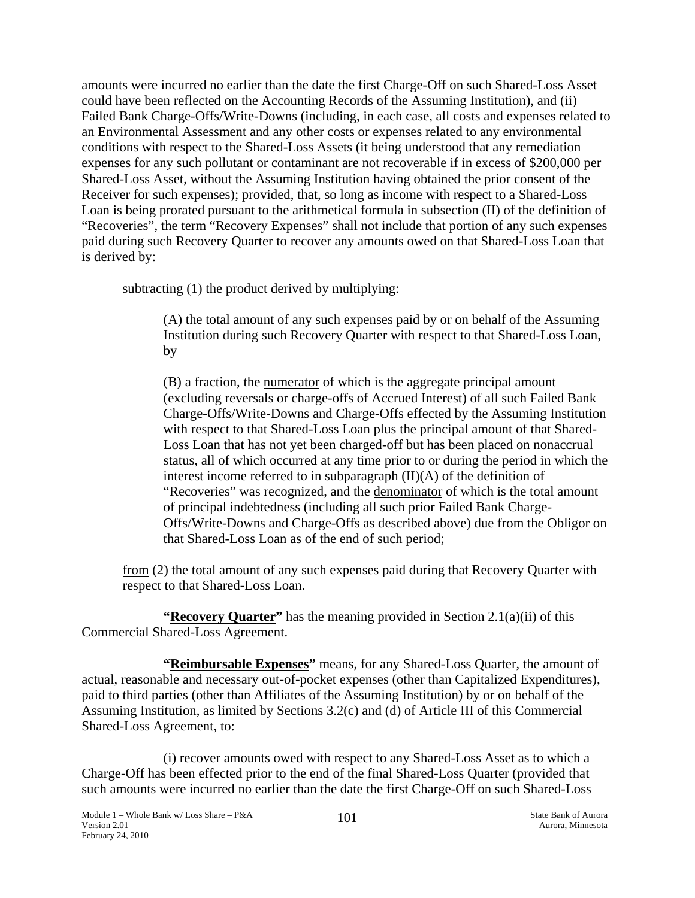amounts were incurred no earlier than the date the first Charge-Off on such Shared-Loss Asset could have been reflected on the Accounting Records of the Assuming Institution), and (ii) Failed Bank Charge-Offs/Write-Downs (including, in each case, all costs and expenses related to an Environmental Assessment and any other costs or expenses related to any environmental conditions with respect to the Shared-Loss Assets (it being understood that any remediation expenses for any such pollutant or contaminant are not recoverable if in excess of \$200,000 per Shared-Loss Asset, without the Assuming Institution having obtained the prior consent of the Receiver for such expenses); provided, that, so long as income with respect to a Shared-Loss Loan is being prorated pursuant to the arithmetical formula in subsection (II) of the definition of "Recoveries", the term "Recovery Expenses" shall not include that portion of any such expenses paid during such Recovery Quarter to recover any amounts owed on that Shared-Loss Loan that is derived by:

subtracting (1) the product derived by multiplying:

(A) the total amount of any such expenses paid by or on behalf of the Assuming Institution during such Recovery Quarter with respect to that Shared-Loss Loan, by

(B) a fraction, the numerator of which is the aggregate principal amount (excluding reversals or charge-offs of Accrued Interest) of all such Failed Bank Charge-Offs/Write-Downs and Charge-Offs effected by the Assuming Institution with respect to that Shared-Loss Loan plus the principal amount of that Shared-Loss Loan that has not yet been charged-off but has been placed on nonaccrual status, all of which occurred at any time prior to or during the period in which the interest income referred to in subparagraph  $(II)(A)$  of the definition of "Recoveries" was recognized, and the denominator of which is the total amount of principal indebtedness (including all such prior Failed Bank Charge-Offs/Write-Downs and Charge-Offs as described above) due from the Obligor on that Shared-Loss Loan as of the end of such period;

from (2) the total amount of any such expenses paid during that Recovery Quarter with respect to that Shared-Loss Loan.

**"Recovery Quarter"** has the meaning provided in Section 2.1(a)(ii) of this Commercial Shared-Loss Agreement.

**"Reimbursable Expenses"** means, for any Shared-Loss Quarter, the amount of actual, reasonable and necessary out-of-pocket expenses (other than Capitalized Expenditures), paid to third parties (other than Affiliates of the Assuming Institution) by or on behalf of the Assuming Institution, as limited by Sections 3.2(c) and (d) of Article III of this Commercial Shared-Loss Agreement, to:

(i) recover amounts owed with respect to any Shared-Loss Asset as to which a Charge-Off has been effected prior to the end of the final Shared-Loss Quarter (provided that such amounts were incurred no earlier than the date the first Charge-Off on such Shared-Loss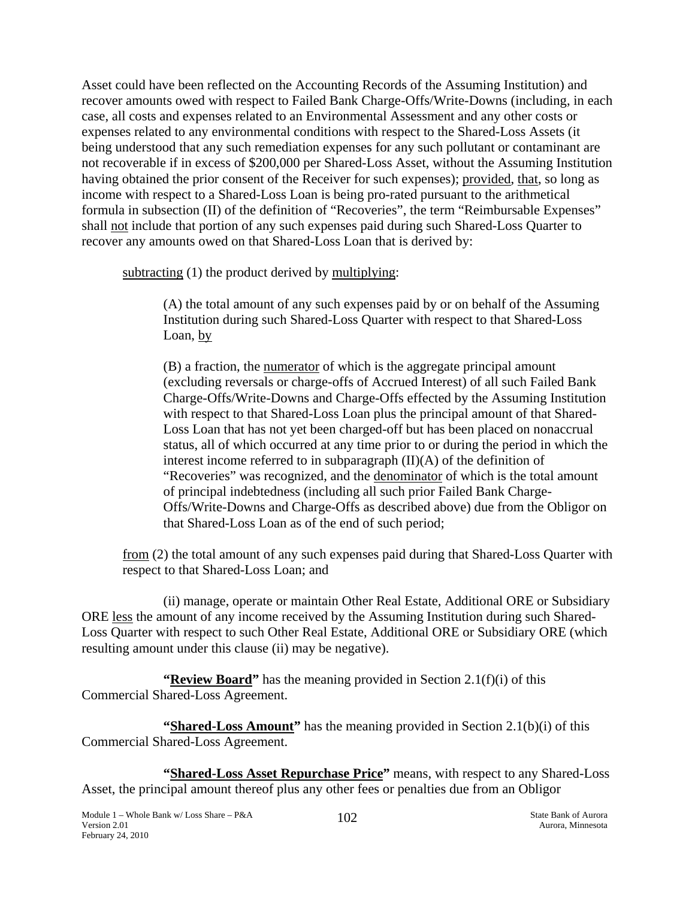Asset could have been reflected on the Accounting Records of the Assuming Institution) and recover amounts owed with respect to Failed Bank Charge-Offs/Write-Downs (including, in each case, all costs and expenses related to an Environmental Assessment and any other costs or expenses related to any environmental conditions with respect to the Shared-Loss Assets (it being understood that any such remediation expenses for any such pollutant or contaminant are not recoverable if in excess of \$200,000 per Shared-Loss Asset, without the Assuming Institution having obtained the prior consent of the Receiver for such expenses); provided, that, so long as income with respect to a Shared-Loss Loan is being pro-rated pursuant to the arithmetical formula in subsection (II) of the definition of "Recoveries", the term "Reimbursable Expenses" shall not include that portion of any such expenses paid during such Shared-Loss Quarter to recover any amounts owed on that Shared-Loss Loan that is derived by:

subtracting (1) the product derived by multiplying:

(A) the total amount of any such expenses paid by or on behalf of the Assuming Institution during such Shared-Loss Quarter with respect to that Shared-Loss Loan, by

(B) a fraction, the numerator of which is the aggregate principal amount (excluding reversals or charge-offs of Accrued Interest) of all such Failed Bank Charge-Offs/Write-Downs and Charge-Offs effected by the Assuming Institution with respect to that Shared-Loss Loan plus the principal amount of that Shared-Loss Loan that has not yet been charged-off but has been placed on nonaccrual status, all of which occurred at any time prior to or during the period in which the interest income referred to in subparagraph  $(II)(A)$  of the definition of "Recoveries" was recognized, and the denominator of which is the total amount of principal indebtedness (including all such prior Failed Bank Charge-Offs/Write-Downs and Charge-Offs as described above) due from the Obligor on that Shared-Loss Loan as of the end of such period;

from (2) the total amount of any such expenses paid during that Shared-Loss Quarter with respect to that Shared-Loss Loan; and

 (ii) manage, operate or maintain Other Real Estate, Additional ORE or Subsidiary ORE less the amount of any income received by the Assuming Institution during such Shared-Loss Quarter with respect to such Other Real Estate, Additional ORE or Subsidiary ORE (which resulting amount under this clause (ii) may be negative).

**"Review Board"** has the meaning provided in Section 2.1(f)(i) of this Commercial Shared-Loss Agreement.

 **"Shared-Loss Amount"** has the meaning provided in Section 2.1(b)(i) of this Commercial Shared-Loss Agreement.

**"Shared-Loss Asset Repurchase Price"** means, with respect to any Shared-Loss Asset, the principal amount thereof plus any other fees or penalties due from an Obligor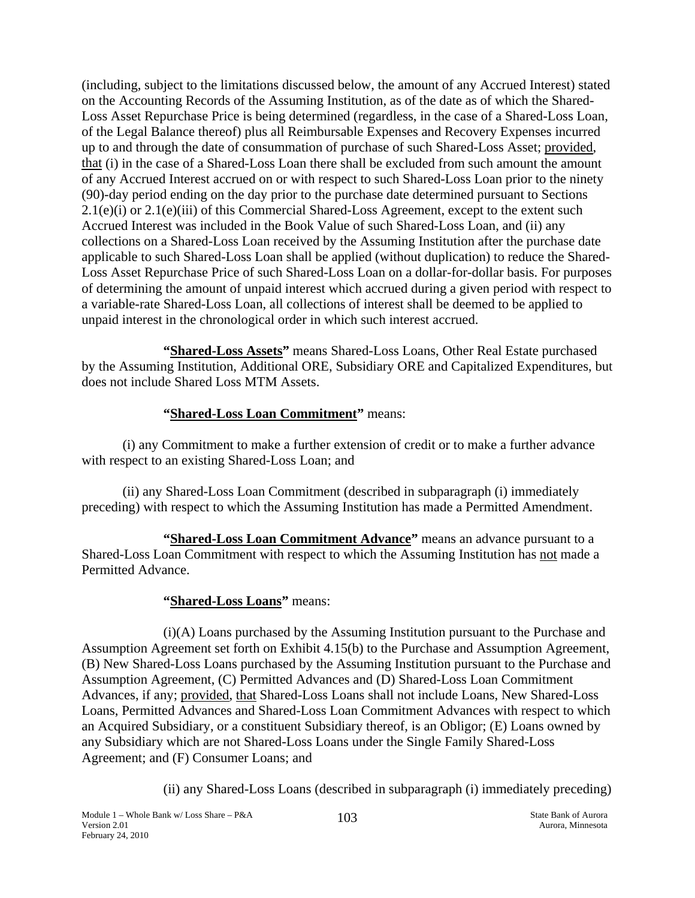(including, subject to the limitations discussed below, the amount of any Accrued Interest) stated on the Accounting Records of the Assuming Institution, as of the date as of which the Shared-Loss Asset Repurchase Price is being determined (regardless, in the case of a Shared-Loss Loan, of the Legal Balance thereof) plus all Reimbursable Expenses and Recovery Expenses incurred up to and through the date of consummation of purchase of such Shared-Loss Asset; provided, that (i) in the case of a Shared-Loss Loan there shall be excluded from such amount the amount of any Accrued Interest accrued on or with respect to such Shared-Loss Loan prior to the ninety (90)-day period ending on the day prior to the purchase date determined pursuant to Sections 2.1(e)(i) or 2.1(e)(iii) of this Commercial Shared-Loss Agreement, except to the extent such Accrued Interest was included in the Book Value of such Shared-Loss Loan, and (ii) any collections on a Shared-Loss Loan received by the Assuming Institution after the purchase date applicable to such Shared-Loss Loan shall be applied (without duplication) to reduce the Shared-Loss Asset Repurchase Price of such Shared-Loss Loan on a dollar-for-dollar basis. For purposes of determining the amount of unpaid interest which accrued during a given period with respect to a variable-rate Shared-Loss Loan, all collections of interest shall be deemed to be applied to unpaid interest in the chronological order in which such interest accrued.

**"Shared-Loss Assets"** means Shared-Loss Loans, Other Real Estate purchased by the Assuming Institution, Additional ORE, Subsidiary ORE and Capitalized Expenditures, but does not include Shared Loss MTM Assets.

### **"Shared-Loss Loan Commitment"** means:

(i) any Commitment to make a further extension of credit or to make a further advance with respect to an existing Shared-Loss Loan; and

(ii) any Shared-Loss Loan Commitment (described in subparagraph (i) immediately preceding) with respect to which the Assuming Institution has made a Permitted Amendment.

"Shared-Loss Loan **Commitment Advance**" means an advance pursuant to a Shared-Loss Loan Commitment with respect to which the Assuming Institution has not made a Permitted Advance.

### **"Shared-Loss Loans"** means:

 (i)(A) Loans purchased by the Assuming Institution pursuant to the Purchase and Assumption Agreement set forth on Exhibit 4.15(b) to the Purchase and Assumption Agreement, (B) New Shared-Loss Loans purchased by the Assuming Institution pursuant to the Purchase and Assumption Agreement, (C) Permitted Advances and (D) Shared-Loss Loan Commitment Advances, if any; provided, that Shared-Loss Loans shall not include Loans, New Shared-Loss Loans, Permitted Advances and Shared-Loss Loan Commitment Advances with respect to which an Acquired Subsidiary, or a constituent Subsidiary thereof, is an Obligor; (E) Loans owned by any Subsidiary which are not Shared-Loss Loans under the Single Family Shared-Loss Agreement; and (F) Consumer Loans; and

(ii) any Shared-Loss Loans (described in subparagraph (i) immediately preceding)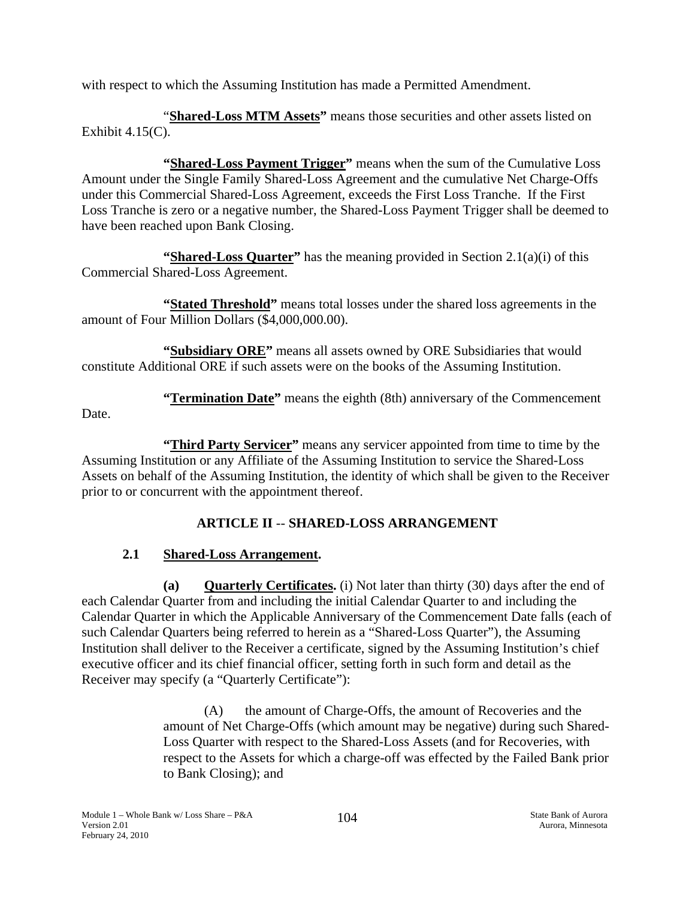with respect to which the Assuming Institution has made a Permitted Amendment.

"**Shared-Loss MTM Assets"** means those securities and other assets listed on Exhibit  $4.15(C)$ .

**"Shared-Loss Payment Trigger"** means when the sum of the Cumulative Loss Amount under the Single Family Shared-Loss Agreement and the cumulative Net Charge-Offs under this Commercial Shared-Loss Agreement, exceeds the First Loss Tranche. If the First Loss Tranche is zero or a negative number, the Shared-Loss Payment Trigger shall be deemed to have been reached upon Bank Closing.

**"Shared-Loss Quarter"** has the meaning provided in Section 2.1(a)(i) of this Commercial Shared-Loss Agreement.

**"Stated Threshold"** means total losses under the shared loss agreements in the amount of Four Million Dollars  $(\$4,000,000.00)$ .

**"Subsidiary ORE"** means all assets owned by ORE Subsidiaries that would constitute Additional ORE if such assets were on the books of the Assuming Institution.

**"Termination Date"** means the eighth (8th) anniversary of the Commencement

Date.

**"Third Party Servicer"** means any servicer appointed from time to time by the Assuming Institution or any Affiliate of the Assuming Institution to service the Shared-Loss Assets on behalf of the Assuming Institution, the identity of which shall be given to the Receiver prior to or concurrent with the appointment thereof.

# **ARTICLE II** -- **SHARED-LOSS ARRANGEMENT**

## **2.1 Shared-Loss Arrangement.**

 **(a) Quarterly Certificates.** (i) Not later than thirty (30) days after the end of each Calendar Quarter from and including the initial Calendar Quarter to and including the Calendar Quarter in which the Applicable Anniversary of the Commencement Date falls (each of such Calendar Quarters being referred to herein as a "Shared-Loss Quarter"), the Assuming Institution shall deliver to the Receiver a certificate, signed by the Assuming Institution's chief executive officer and its chief financial officer, setting forth in such form and detail as the Receiver may specify (a "Quarterly Certificate"):

> (A) the amount of Charge-Offs, the amount of Recoveries and the amount of Net Charge-Offs (which amount may be negative) during such Shared-Loss Quarter with respect to the Shared-Loss Assets (and for Recoveries, with respect to the Assets for which a charge-off was effected by the Failed Bank prior to Bank Closing); and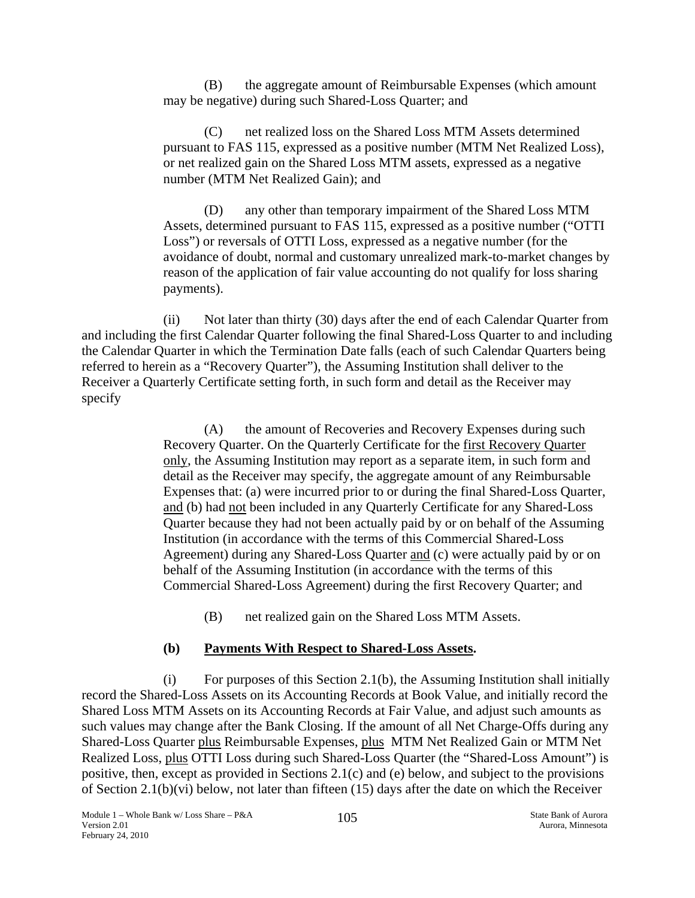(B) the aggregate amount of Reimbursable Expenses (which amount may be negative) during such Shared-Loss Quarter; and

(C) net realized loss on the Shared Loss MTM Assets determined pursuant to FAS 115, expressed as a positive number (MTM Net Realized Loss), or net realized gain on the Shared Loss MTM assets, expressed as a negative number (MTM Net Realized Gain); and

(D) any other than temporary impairment of the Shared Loss MTM Assets, determined pursuant to FAS 115, expressed as a positive number ("OTTI Loss") or reversals of OTTI Loss, expressed as a negative number (for the avoidance of doubt, normal and customary unrealized mark-to-market changes by reason of the application of fair value accounting do not qualify for loss sharing payments).

(ii) Not later than thirty (30) days after the end of each Calendar Quarter from and including the first Calendar Quarter following the final Shared-Loss Quarter to and including the Calendar Quarter in which the Termination Date falls (each of such Calendar Quarters being referred to herein as a "Recovery Quarter"), the Assuming Institution shall deliver to the Receiver a Quarterly Certificate setting forth, in such form and detail as the Receiver may specify

> (A) the amount of Recoveries and Recovery Expenses during such Recovery Quarter. On the Quarterly Certificate for the first Recovery Quarter only, the Assuming Institution may report as a separate item, in such form and detail as the Receiver may specify, the aggregate amount of any Reimbursable Expenses that: (a) were incurred prior to or during the final Shared-Loss Quarter, and (b) had not been included in any Quarterly Certificate for any Shared-Loss Quarter because they had not been actually paid by or on behalf of the Assuming Institution (in accordance with the terms of this Commercial Shared-Loss Agreement) during any Shared-Loss Quarter and (c) were actually paid by or on behalf of the Assuming Institution (in accordance with the terms of this Commercial Shared-Loss Agreement) during the first Recovery Quarter; and

(B) net realized gain on the Shared Loss MTM Assets.

# **(b) Payments With Respect to Shared-Loss Assets.**

 (i) For purposes of this Section 2.1(b), the Assuming Institution shall initially record the Shared-Loss Assets on its Accounting Records at Book Value, and initially record the Shared Loss MTM Assets on its Accounting Records at Fair Value, and adjust such amounts as such values may change after the Bank Closing. If the amount of all Net Charge-Offs during any Shared-Loss Quarter plus Reimbursable Expenses, plus MTM Net Realized Gain or MTM Net Realized Loss, plus OTTI Loss during such Shared-Loss Quarter (the "Shared-Loss Amount") is positive, then, except as provided in Sections 2.1(c) and (e) below, and subject to the provisions of Section 2.1(b)(vi) below, not later than fifteen (15) days after the date on which the Receiver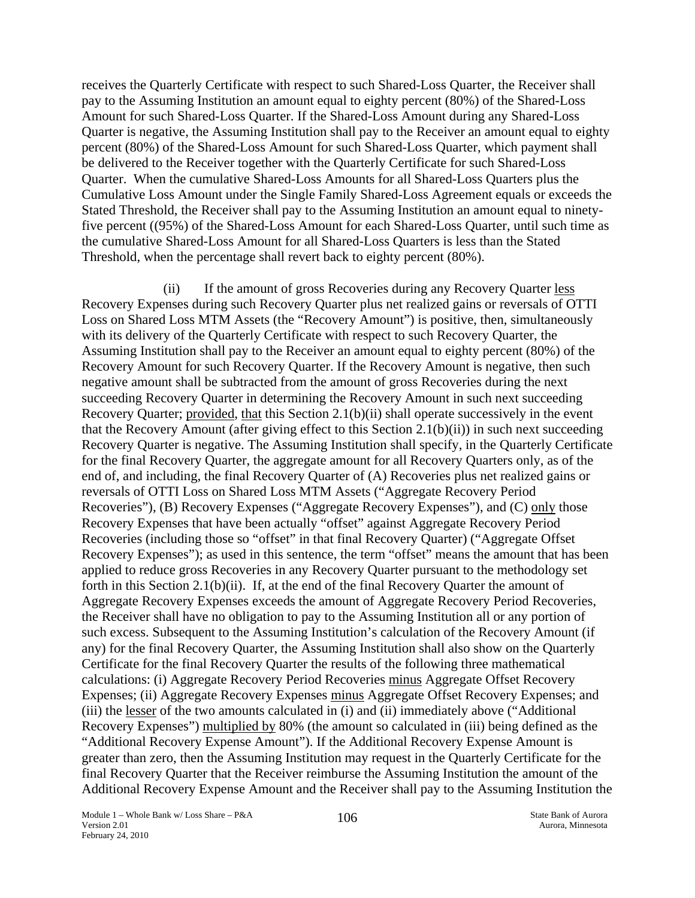receives the Quarterly Certificate with respect to such Shared-Loss Quarter, the Receiver shall pay to the Assuming Institution an amount equal to eighty percent (80%) of the Shared-Loss Amount for such Shared-Loss Quarter. If the Shared-Loss Amount during any Shared-Loss Quarter is negative, the Assuming Institution shall pay to the Receiver an amount equal to eighty percent (80%) of the Shared-Loss Amount for such Shared-Loss Quarter, which payment shall be delivered to the Receiver together with the Quarterly Certificate for such Shared-Loss Quarter. When the cumulative Shared-Loss Amounts for all Shared-Loss Quarters plus the Cumulative Loss Amount under the Single Family Shared-Loss Agreement equals or exceeds the Stated Threshold, the Receiver shall pay to the Assuming Institution an amount equal to ninetyfive percent ((95%) of the Shared-Loss Amount for each Shared-Loss Quarter, until such time as the cumulative Shared-Loss Amount for all Shared-Loss Quarters is less than the Stated Threshold, when the percentage shall revert back to eighty percent (80%).

(ii) If the amount of gross Recoveries during any Recovery Quarter less Recovery Expenses during such Recovery Quarter plus net realized gains or reversals of OTTI Loss on Shared Loss MTM Assets (the "Recovery Amount") is positive, then, simultaneously with its delivery of the Quarterly Certificate with respect to such Recovery Quarter, the Assuming Institution shall pay to the Receiver an amount equal to eighty percent (80%) of the Recovery Amount for such Recovery Quarter. If the Recovery Amount is negative, then such negative amount shall be subtracted from the amount of gross Recoveries during the next succeeding Recovery Quarter in determining the Recovery Amount in such next succeeding Recovery Quarter; provided, that this Section 2.1(b)(ii) shall operate successively in the event that the Recovery Amount (after giving effect to this Section 2.1(b)(ii)) in such next succeeding Recovery Quarter is negative. The Assuming Institution shall specify, in the Quarterly Certificate for the final Recovery Quarter, the aggregate amount for all Recovery Quarters only, as of the end of, and including, the final Recovery Quarter of (A) Recoveries plus net realized gains or reversals of OTTI Loss on Shared Loss MTM Assets ("Aggregate Recovery Period Recoveries"), (B) Recovery Expenses ("Aggregate Recovery Expenses"), and (C) only those Recovery Expenses that have been actually "offset" against Aggregate Recovery Period Recoveries (including those so "offset" in that final Recovery Quarter) ("Aggregate Offset Recovery Expenses"); as used in this sentence, the term "offset" means the amount that has been applied to reduce gross Recoveries in any Recovery Quarter pursuant to the methodology set forth in this Section 2.1(b)(ii). If, at the end of the final Recovery Quarter the amount of Aggregate Recovery Expenses exceeds the amount of Aggregate Recovery Period Recoveries, the Receiver shall have no obligation to pay to the Assuming Institution all or any portion of such excess. Subsequent to the Assuming Institution's calculation of the Recovery Amount (if any) for the final Recovery Quarter, the Assuming Institution shall also show on the Quarterly Certificate for the final Recovery Quarter the results of the following three mathematical calculations: (i) Aggregate Recovery Period Recoveries minus Aggregate Offset Recovery Expenses; (ii) Aggregate Recovery Expenses minus Aggregate Offset Recovery Expenses; and (iii) the lesser of the two amounts calculated in (i) and (ii) immediately above ("Additional Recovery Expenses") multiplied by 80% (the amount so calculated in (iii) being defined as the "Additional Recovery Expense Amount"). If the Additional Recovery Expense Amount is greater than zero, then the Assuming Institution may request in the Quarterly Certificate for the final Recovery Quarter that the Receiver reimburse the Assuming Institution the amount of the Additional Recovery Expense Amount and the Receiver shall pay to the Assuming Institution the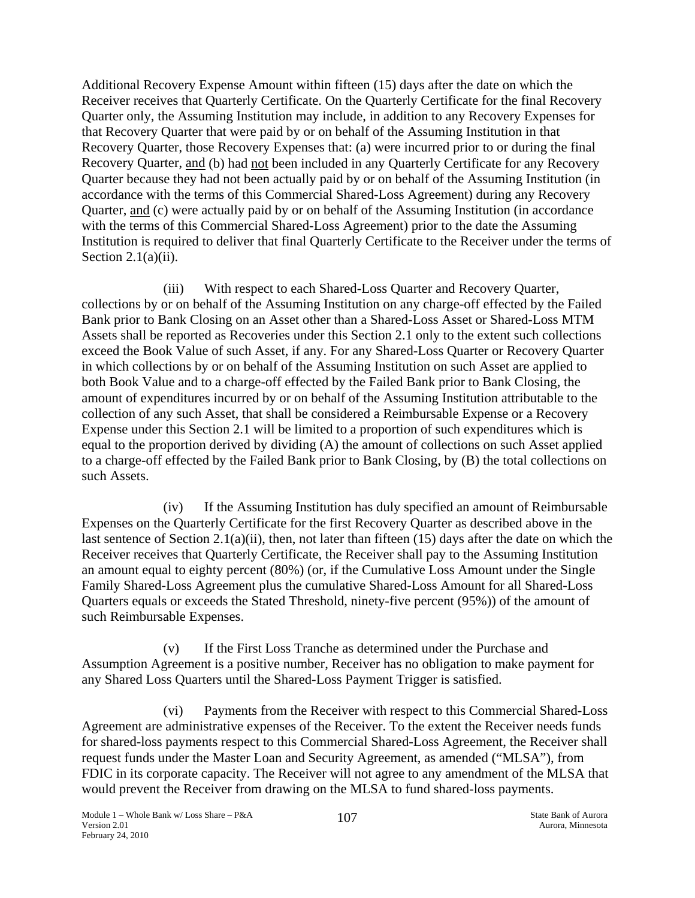Additional Recovery Expense Amount within fifteen (15) days after the date on which the Receiver receives that Quarterly Certificate. On the Quarterly Certificate for the final Recovery Quarter only, the Assuming Institution may include, in addition to any Recovery Expenses for that Recovery Quarter that were paid by or on behalf of the Assuming Institution in that Recovery Quarter, those Recovery Expenses that: (a) were incurred prior to or during the final Recovery Quarter, and (b) had not been included in any Quarterly Certificate for any Recovery Quarter because they had not been actually paid by or on behalf of the Assuming Institution (in accordance with the terms of this Commercial Shared-Loss Agreement) during any Recovery Quarter, and (c) were actually paid by or on behalf of the Assuming Institution (in accordance with the terms of this Commercial Shared-Loss Agreement) prior to the date the Assuming Institution is required to deliver that final Quarterly Certificate to the Receiver under the terms of Section  $2.1(a)(ii)$ .

(iii) With respect to each Shared-Loss Quarter and Recovery Quarter, collections by or on behalf of the Assuming Institution on any charge-off effected by the Failed Bank prior to Bank Closing on an Asset other than a Shared-Loss Asset or Shared-Loss MTM Assets shall be reported as Recoveries under this Section 2.1 only to the extent such collections exceed the Book Value of such Asset, if any. For any Shared-Loss Quarter or Recovery Quarter in which collections by or on behalf of the Assuming Institution on such Asset are applied to both Book Value and to a charge-off effected by the Failed Bank prior to Bank Closing, the amount of expenditures incurred by or on behalf of the Assuming Institution attributable to the collection of any such Asset, that shall be considered a Reimbursable Expense or a Recovery Expense under this Section 2.1 will be limited to a proportion of such expenditures which is equal to the proportion derived by dividing (A) the amount of collections on such Asset applied to a charge-off effected by the Failed Bank prior to Bank Closing, by (B) the total collections on such Assets.

(iv) If the Assuming Institution has duly specified an amount of Reimbursable Expenses on the Quarterly Certificate for the first Recovery Quarter as described above in the last sentence of Section 2.1(a)(ii), then, not later than fifteen (15) days after the date on which the Receiver receives that Quarterly Certificate, the Receiver shall pay to the Assuming Institution an amount equal to eighty percent (80%) (or, if the Cumulative Loss Amount under the Single Family Shared-Loss Agreement plus the cumulative Shared-Loss Amount for all Shared-Loss Quarters equals or exceeds the Stated Threshold, ninety-five percent (95%)) of the amount of such Reimbursable Expenses.

(v) If the First Loss Tranche as determined under the Purchase and Assumption Agreement is a positive number, Receiver has no obligation to make payment for any Shared Loss Quarters until the Shared-Loss Payment Trigger is satisfied.

(vi) Payments from the Receiver with respect to this Commercial Shared-Loss Agreement are administrative expenses of the Receiver. To the extent the Receiver needs funds for shared-loss payments respect to this Commercial Shared-Loss Agreement, the Receiver shall request funds under the Master Loan and Security Agreement, as amended ("MLSA"), from FDIC in its corporate capacity. The Receiver will not agree to any amendment of the MLSA that would prevent the Receiver from drawing on the MLSA to fund shared-loss payments.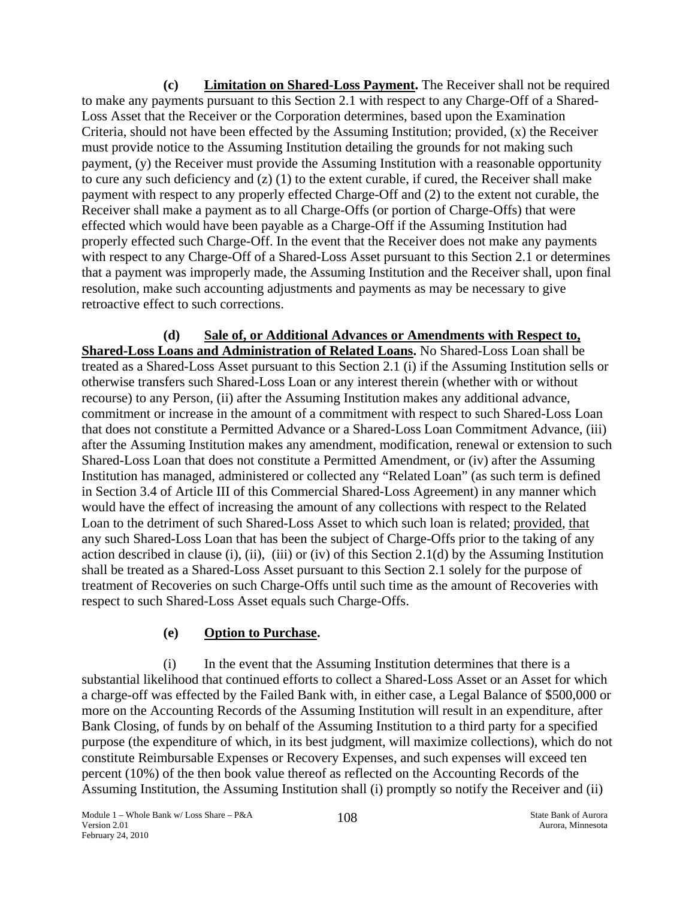**(c) Limitation on Shared-Loss Payment.** The Receiver shall not be required to make any payments pursuant to this Section 2.1 with respect to any Charge-Off of a Shared-Loss Asset that the Receiver or the Corporation determines, based upon the Examination Criteria, should not have been effected by the Assuming Institution; provided, (x) the Receiver must provide notice to the Assuming Institution detailing the grounds for not making such payment, (y) the Receiver must provide the Assuming Institution with a reasonable opportunity to cure any such deficiency and (z) (1) to the extent curable, if cured, the Receiver shall make payment with respect to any properly effected Charge-Off and (2) to the extent not curable, the Receiver shall make a payment as to all Charge-Offs (or portion of Charge-Offs) that were effected which would have been payable as a Charge-Off if the Assuming Institution had properly effected such Charge-Off. In the event that the Receiver does not make any payments with respect to any Charge-Off of a Shared-Loss Asset pursuant to this Section 2.1 or determines that a payment was improperly made, the Assuming Institution and the Receiver shall, upon final resolution, make such accounting adjustments and payments as may be necessary to give retroactive effect to such corrections.

**(d) Sale of, or Additional Advances or Amendments with Respect to, Shared-Loss Loans and Administration of Related Loans.** No Shared-Loss Loan shall be treated as a Shared-Loss Asset pursuant to this Section 2.1 (i) if the Assuming Institution sells or otherwise transfers such Shared-Loss Loan or any interest therein (whether with or without recourse) to any Person, (ii) after the Assuming Institution makes any additional advance, commitment or increase in the amount of a commitment with respect to such Shared-Loss Loan that does not constitute a Permitted Advance or a Shared-Loss Loan Commitment Advance, (iii) after the Assuming Institution makes any amendment, modification, renewal or extension to such Shared-Loss Loan that does not constitute a Permitted Amendment, or (iv) after the Assuming Institution has managed, administered or collected any "Related Loan" (as such term is defined in Section 3.4 of Article III of this Commercial Shared-Loss Agreement) in any manner which would have the effect of increasing the amount of any collections with respect to the Related Loan to the detriment of such Shared-Loss Asset to which such loan is related; provided, that any such Shared-Loss Loan that has been the subject of Charge-Offs prior to the taking of any action described in clause (i), (ii), (iii) or (iv) of this Section 2.1(d) by the Assuming Institution shall be treated as a Shared-Loss Asset pursuant to this Section 2.1 solely for the purpose of treatment of Recoveries on such Charge-Offs until such time as the amount of Recoveries with respect to such Shared-Loss Asset equals such Charge-Offs.

# **(e) Option to Purchase.**

 (i) In the event that the Assuming Institution determines that there is a substantial likelihood that continued efforts to collect a Shared-Loss Asset or an Asset for which a charge-off was effected by the Failed Bank with, in either case, a Legal Balance of \$500,000 or more on the Accounting Records of the Assuming Institution will result in an expenditure, after Bank Closing, of funds by on behalf of the Assuming Institution to a third party for a specified purpose (the expenditure of which, in its best judgment, will maximize collections), which do not constitute Reimbursable Expenses or Recovery Expenses, and such expenses will exceed ten percent (10%) of the then book value thereof as reflected on the Accounting Records of the Assuming Institution, the Assuming Institution shall (i) promptly so notify the Receiver and (ii)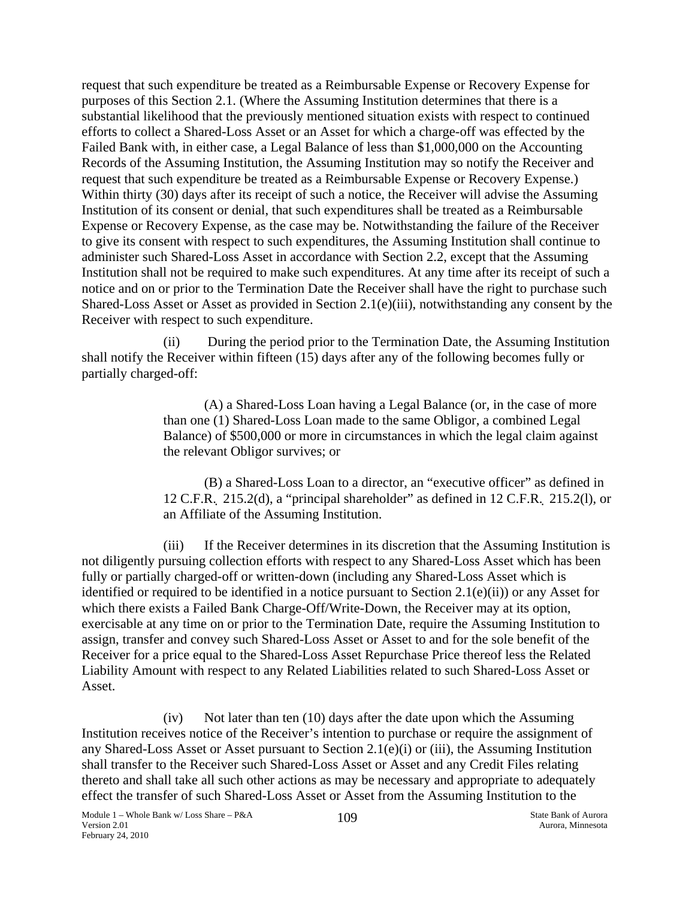request that such expenditure be treated as a Reimbursable Expense or Recovery Expense for purposes of this Section 2.1. (Where the Assuming Institution determines that there is a substantial likelihood that the previously mentioned situation exists with respect to continued efforts to collect a Shared-Loss Asset or an Asset for which a charge-off was effected by the Failed Bank with, in either case, a Legal Balance of less than \$1,000,000 on the Accounting Records of the Assuming Institution, the Assuming Institution may so notify the Receiver and request that such expenditure be treated as a Reimbursable Expense or Recovery Expense.) Within thirty (30) days after its receipt of such a notice, the Receiver will advise the Assuming Institution of its consent or denial, that such expenditures shall be treated as a Reimbursable Expense or Recovery Expense, as the case may be. Notwithstanding the failure of the Receiver to give its consent with respect to such expenditures, the Assuming Institution shall continue to administer such Shared-Loss Asset in accordance with Section 2.2, except that the Assuming Institution shall not be required to make such expenditures. At any time after its receipt of such a notice and on or prior to the Termination Date the Receiver shall have the right to purchase such Shared-Loss Asset or Asset as provided in Section 2.1(e)(iii), notwithstanding any consent by the Receiver with respect to such expenditure.

(ii) During the period prior to the Termination Date, the Assuming Institution shall notify the Receiver within fifteen (15) days after any of the following becomes fully or partially charged-off:

> (A) a Shared-Loss Loan having a Legal Balance (or, in the case of more than one (1) Shared-Loss Loan made to the same Obligor, a combined Legal Balance) of \$500,000 or more in circumstances in which the legal claim against the relevant Obligor survives; or

(B) a Shared-Loss Loan to a director, an "executive officer" as defined in 12 C.F.R. 215.2(d), a "principal shareholder" as defined in 12 C.F.R. 215.2(l), or an Affiliate of the Assuming Institution.

(iii) If the Receiver determines in its discretion that the Assuming Institution is not diligently pursuing collection efforts with respect to any Shared-Loss Asset which has been fully or partially charged-off or written-down (including any Shared-Loss Asset which is identified or required to be identified in a notice pursuant to Section 2.1(e)(ii)) or any Asset for which there exists a Failed Bank Charge-Off/Write-Down, the Receiver may at its option, exercisable at any time on or prior to the Termination Date, require the Assuming Institution to assign, transfer and convey such Shared-Loss Asset or Asset to and for the sole benefit of the Receiver for a price equal to the Shared-Loss Asset Repurchase Price thereof less the Related Liability Amount with respect to any Related Liabilities related to such Shared-Loss Asset or Asset.

(iv) Not later than ten (10) days after the date upon which the Assuming Institution receives notice of the Receiver's intention to purchase or require the assignment of any Shared-Loss Asset or Asset pursuant to Section 2.1(e)(i) or (iii), the Assuming Institution shall transfer to the Receiver such Shared-Loss Asset or Asset and any Credit Files relating thereto and shall take all such other actions as may be necessary and appropriate to adequately effect the transfer of such Shared-Loss Asset or Asset from the Assuming Institution to the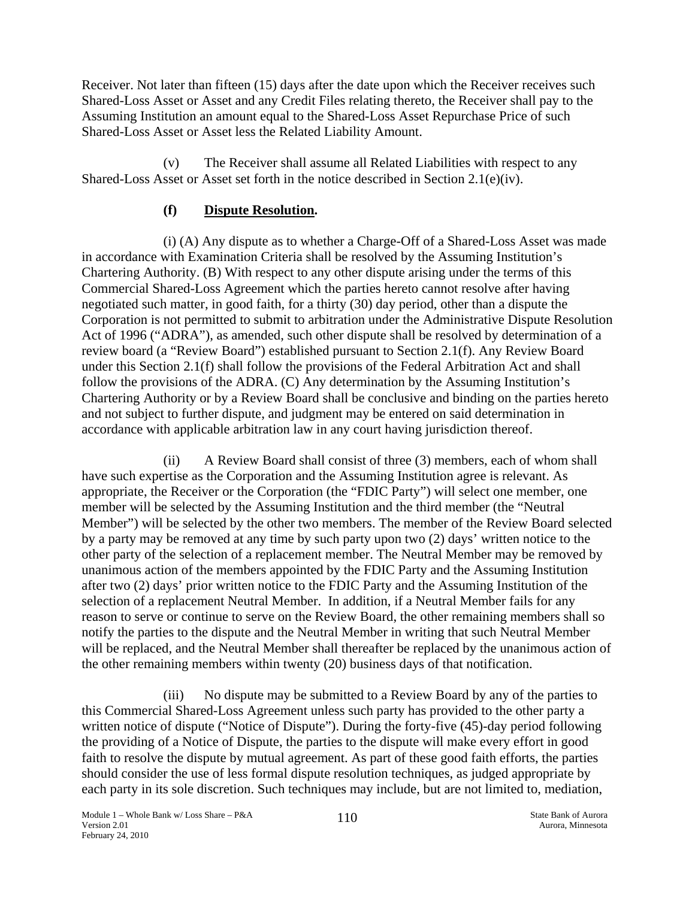Receiver. Not later than fifteen (15) days after the date upon which the Receiver receives such Shared-Loss Asset or Asset and any Credit Files relating thereto, the Receiver shall pay to the Assuming Institution an amount equal to the Shared-Loss Asset Repurchase Price of such Shared-Loss Asset or Asset less the Related Liability Amount.

(v) The Receiver shall assume all Related Liabilities with respect to any Shared-Loss Asset or Asset set forth in the notice described in Section 2.1(e)(iv).

#### **(f) Dispute Resolution.**

(i) (A) Any dispute as to whether a Charge-Off of a Shared-Loss Asset was made in accordance with Examination Criteria shall be resolved by the Assuming Institution's Chartering Authority. (B) With respect to any other dispute arising under the terms of this Commercial Shared-Loss Agreement which the parties hereto cannot resolve after having negotiated such matter, in good faith, for a thirty (30) day period, other than a dispute the Corporation is not permitted to submit to arbitration under the Administrative Dispute Resolution Act of 1996 ("ADRA"), as amended, such other dispute shall be resolved by determination of a review board (a "Review Board") established pursuant to Section 2.1(f). Any Review Board under this Section 2.1(f) shall follow the provisions of the Federal Arbitration Act and shall follow the provisions of the ADRA. (C) Any determination by the Assuming Institution's Chartering Authority or by a Review Board shall be conclusive and binding on the parties hereto and not subject to further dispute, and judgment may be entered on said determination in accordance with applicable arbitration law in any court having jurisdiction thereof.

(ii) A Review Board shall consist of three (3) members, each of whom shall have such expertise as the Corporation and the Assuming Institution agree is relevant. As appropriate, the Receiver or the Corporation (the "FDIC Party") will select one member, one member will be selected by the Assuming Institution and the third member (the "Neutral Member") will be selected by the other two members. The member of the Review Board selected by a party may be removed at any time by such party upon two (2) days' written notice to the other party of the selection of a replacement member. The Neutral Member may be removed by unanimous action of the members appointed by the FDIC Party and the Assuming Institution after two (2) days' prior written notice to the FDIC Party and the Assuming Institution of the selection of a replacement Neutral Member. In addition, if a Neutral Member fails for any reason to serve or continue to serve on the Review Board, the other remaining members shall so notify the parties to the dispute and the Neutral Member in writing that such Neutral Member will be replaced, and the Neutral Member shall thereafter be replaced by the unanimous action of the other remaining members within twenty (20) business days of that notification.

(iii) No dispute may be submitted to a Review Board by any of the parties to this Commercial Shared-Loss Agreement unless such party has provided to the other party a written notice of dispute ("Notice of Dispute"). During the forty-five (45)-day period following the providing of a Notice of Dispute, the parties to the dispute will make every effort in good faith to resolve the dispute by mutual agreement. As part of these good faith efforts, the parties should consider the use of less formal dispute resolution techniques, as judged appropriate by each party in its sole discretion. Such techniques may include, but are not limited to, mediation,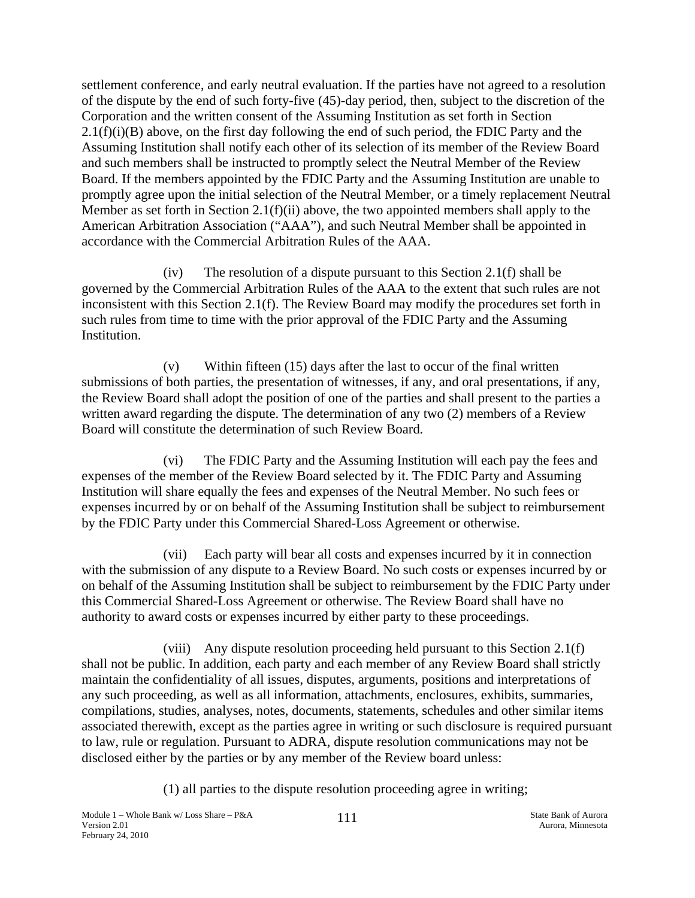settlement conference, and early neutral evaluation. If the parties have not agreed to a resolution of the dispute by the end of such forty-five (45)-day period, then, subject to the discretion of the Corporation and the written consent of the Assuming Institution as set forth in Section  $2.1(f)(i)(B)$  above, on the first day following the end of such period, the FDIC Party and the Assuming Institution shall notify each other of its selection of its member of the Review Board and such members shall be instructed to promptly select the Neutral Member of the Review Board. If the members appointed by the FDIC Party and the Assuming Institution are unable to promptly agree upon the initial selection of the Neutral Member, or a timely replacement Neutral Member as set forth in Section 2.1(f)(ii) above, the two appointed members shall apply to the American Arbitration Association ("AAA"), and such Neutral Member shall be appointed in accordance with the Commercial Arbitration Rules of the AAA.

 (iv) The resolution of a dispute pursuant to this Section 2.1(f) shall be governed by the Commercial Arbitration Rules of the AAA to the extent that such rules are not inconsistent with this Section 2.1(f). The Review Board may modify the procedures set forth in such rules from time to time with the prior approval of the FDIC Party and the Assuming Institution.

(v) Within fifteen (15) days after the last to occur of the final written submissions of both parties, the presentation of witnesses, if any, and oral presentations, if any, the Review Board shall adopt the position of one of the parties and shall present to the parties a written award regarding the dispute. The determination of any two (2) members of a Review Board will constitute the determination of such Review Board.

(vi) The FDIC Party and the Assuming Institution will each pay the fees and expenses of the member of the Review Board selected by it. The FDIC Party and Assuming Institution will share equally the fees and expenses of the Neutral Member. No such fees or expenses incurred by or on behalf of the Assuming Institution shall be subject to reimbursement by the FDIC Party under this Commercial Shared-Loss Agreement or otherwise.

(vii) Each party will bear all costs and expenses incurred by it in connection with the submission of any dispute to a Review Board. No such costs or expenses incurred by or on behalf of the Assuming Institution shall be subject to reimbursement by the FDIC Party under this Commercial Shared-Loss Agreement or otherwise. The Review Board shall have no authority to award costs or expenses incurred by either party to these proceedings.

 (viii) Any dispute resolution proceeding held pursuant to this Section 2.1(f) shall not be public. In addition, each party and each member of any Review Board shall strictly maintain the confidentiality of all issues, disputes, arguments, positions and interpretations of any such proceeding, as well as all information, attachments, enclosures, exhibits, summaries, compilations, studies, analyses, notes, documents, statements, schedules and other similar items associated therewith, except as the parties agree in writing or such disclosure is required pursuant to law, rule or regulation. Pursuant to ADRA, dispute resolution communications may not be disclosed either by the parties or by any member of the Review board unless:

(1) all parties to the dispute resolution proceeding agree in writing;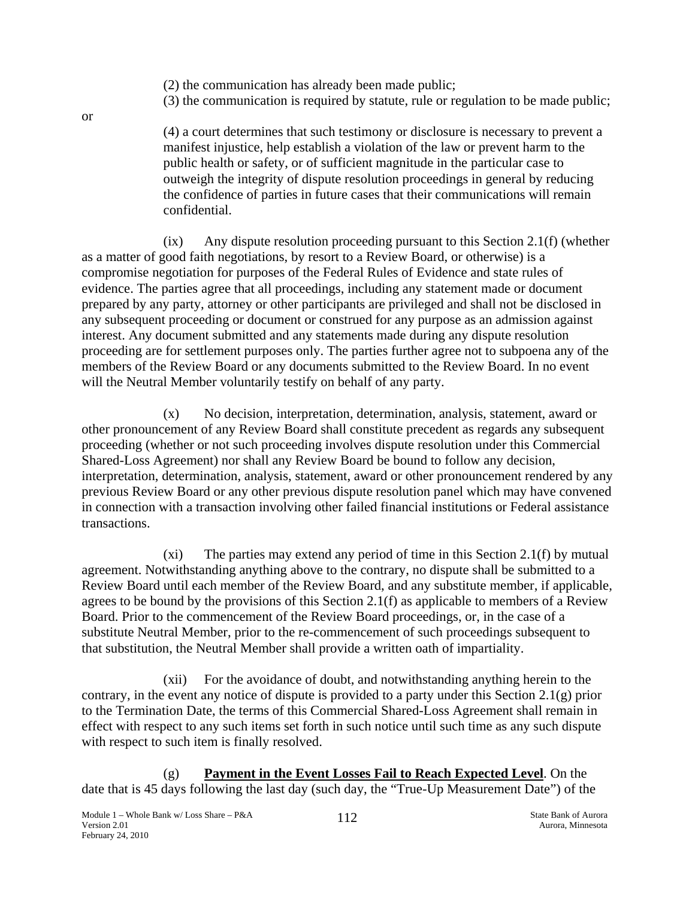- (2) the communication has already been made public;
- (3) the communication is required by statute, rule or regulation to be made public;

(4) a court determines that such testimony or disclosure is necessary to prevent a manifest injustice, help establish a violation of the law or prevent harm to the public health or safety, or of sufficient magnitude in the particular case to outweigh the integrity of dispute resolution proceedings in general by reducing the confidence of parties in future cases that their communications will remain confidential.

(ix) Any dispute resolution proceeding pursuant to this Section 2.1(f) (whether as a matter of good faith negotiations, by resort to a Review Board, or otherwise) is a compromise negotiation for purposes of the Federal Rules of Evidence and state rules of evidence. The parties agree that all proceedings, including any statement made or document prepared by any party, attorney or other participants are privileged and shall not be disclosed in any subsequent proceeding or document or construed for any purpose as an admission against interest. Any document submitted and any statements made during any dispute resolution proceeding are for settlement purposes only. The parties further agree not to subpoena any of the members of the Review Board or any documents submitted to the Review Board. In no event will the Neutral Member voluntarily testify on behalf of any party.

(x) No decision, interpretation, determination, analysis, statement, award or other pronouncement of any Review Board shall constitute precedent as regards any subsequent proceeding (whether or not such proceeding involves dispute resolution under this Commercial Shared-Loss Agreement) nor shall any Review Board be bound to follow any decision, interpretation, determination, analysis, statement, award or other pronouncement rendered by any previous Review Board or any other previous dispute resolution panel which may have convened in connection with a transaction involving other failed financial institutions or Federal assistance transactions.

(xi) The parties may extend any period of time in this Section 2.1(f) by mutual agreement. Notwithstanding anything above to the contrary, no dispute shall be submitted to a Review Board until each member of the Review Board, and any substitute member, if applicable, agrees to be bound by the provisions of this Section 2.1(f) as applicable to members of a Review Board. Prior to the commencement of the Review Board proceedings, or, in the case of a substitute Neutral Member, prior to the re-commencement of such proceedings subsequent to that substitution, the Neutral Member shall provide a written oath of impartiality.

(xii) For the avoidance of doubt, and notwithstanding anything herein to the contrary, in the event any notice of dispute is provided to a party under this Section 2.1(g) prior to the Termination Date, the terms of this Commercial Shared-Loss Agreement shall remain in effect with respect to any such items set forth in such notice until such time as any such dispute with respect to such item is finally resolved.

 (g) **Payment in the Event Losses Fail to Reach Expected Level**. On the date that is 45 days following the last day (such day, the "True-Up Measurement Date") of the

or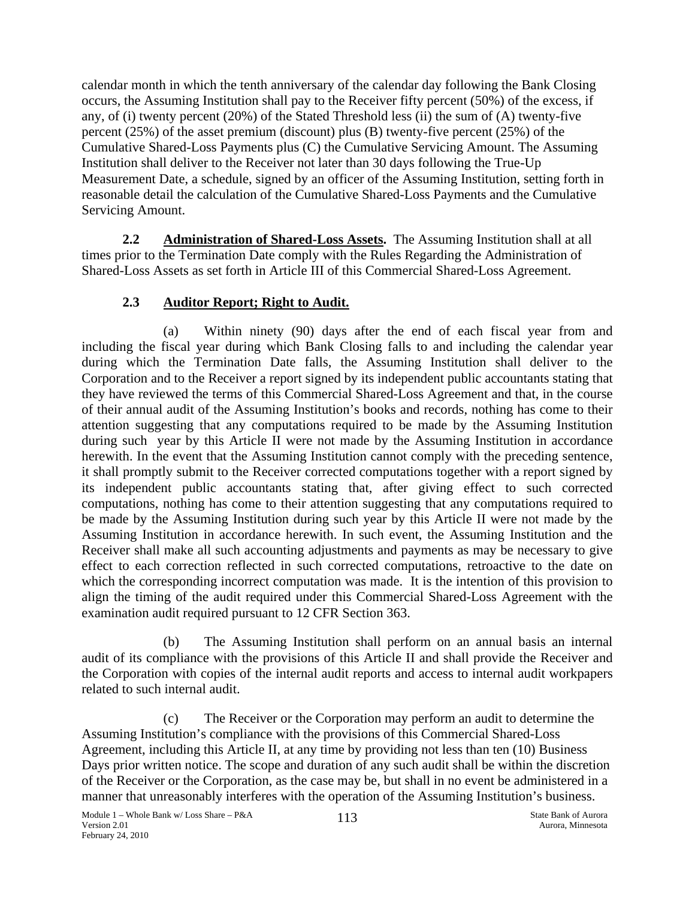calendar month in which the tenth anniversary of the calendar day following the Bank Closing occurs, the Assuming Institution shall pay to the Receiver fifty percent (50%) of the excess, if any, of (i) twenty percent (20%) of the Stated Threshold less (ii) the sum of (A) twenty-five percent (25%) of the asset premium (discount) plus (B) twenty-five percent (25%) of the Cumulative Shared-Loss Payments plus (C) the Cumulative Servicing Amount. The Assuming Institution shall deliver to the Receiver not later than 30 days following the True-Up Measurement Date, a schedule, signed by an officer of the Assuming Institution, setting forth in reasonable detail the calculation of the Cumulative Shared-Loss Payments and the Cumulative Servicing Amount.

**2.2 Administration of Shared-Loss Assets.** The Assuming Institution shall at all times prior to the Termination Date comply with the Rules Regarding the Administration of Shared-Loss Assets as set forth in Article III of this Commercial Shared-Loss Agreement.

# **2.3 Auditor Report; Right to Audit.**

(a) Within ninety (90) days after the end of each fiscal year from and including the fiscal year during which Bank Closing falls to and including the calendar year during which the Termination Date falls, the Assuming Institution shall deliver to the Corporation and to the Receiver a report signed by its independent public accountants stating that they have reviewed the terms of this Commercial Shared-Loss Agreement and that, in the course of their annual audit of the Assuming Institution's books and records, nothing has come to their attention suggesting that any computations required to be made by the Assuming Institution during such year by this Article II were not made by the Assuming Institution in accordance herewith. In the event that the Assuming Institution cannot comply with the preceding sentence, it shall promptly submit to the Receiver corrected computations together with a report signed by its independent public accountants stating that, after giving effect to such corrected computations, nothing has come to their attention suggesting that any computations required to be made by the Assuming Institution during such year by this Article II were not made by the Assuming Institution in accordance herewith. In such event, the Assuming Institution and the Receiver shall make all such accounting adjustments and payments as may be necessary to give effect to each correction reflected in such corrected computations, retroactive to the date on which the corresponding incorrect computation was made. It is the intention of this provision to align the timing of the audit required under this Commercial Shared-Loss Agreement with the examination audit required pursuant to 12 CFR Section 363.

(b) The Assuming Institution shall perform on an annual basis an internal audit of its compliance with the provisions of this Article II and shall provide the Receiver and the Corporation with copies of the internal audit reports and access to internal audit workpapers related to such internal audit.

(c) The Receiver or the Corporation may perform an audit to determine the Assuming Institution's compliance with the provisions of this Commercial Shared-Loss Agreement, including this Article II, at any time by providing not less than ten (10) Business Days prior written notice. The scope and duration of any such audit shall be within the discretion of the Receiver or the Corporation, as the case may be, but shall in no event be administered in a manner that unreasonably interferes with the operation of the Assuming Institution's business.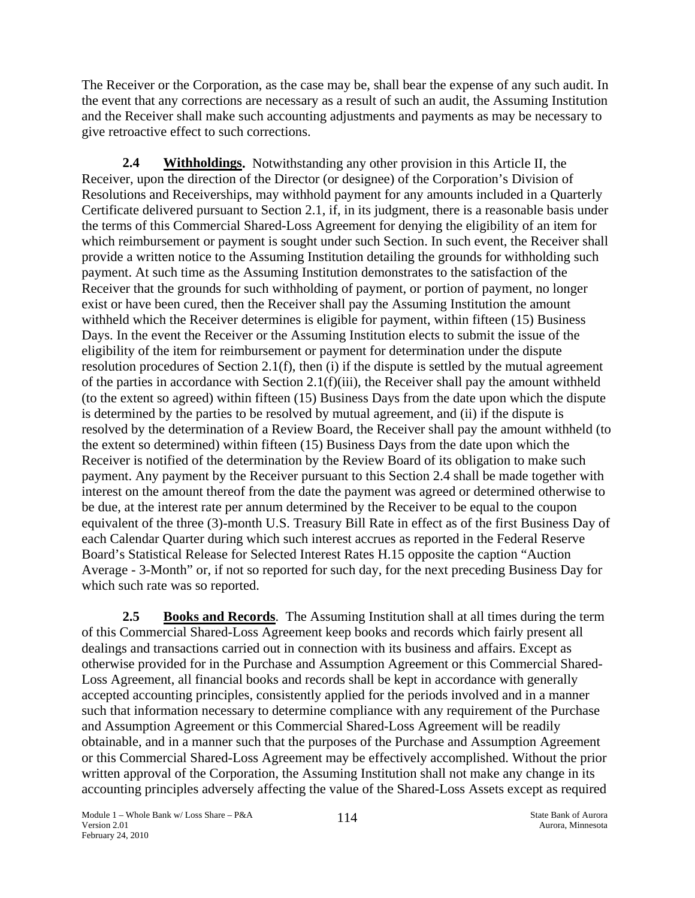The Receiver or the Corporation, as the case may be, shall bear the expense of any such audit. In the event that any corrections are necessary as a result of such an audit, the Assuming Institution and the Receiver shall make such accounting adjustments and payments as may be necessary to give retroactive effect to such corrections.

**2.4 Withholdings.** Notwithstanding any other provision in this Article II, the Receiver, upon the direction of the Director (or designee) of the Corporation's Division of Resolutions and Receiverships, may withhold payment for any amounts included in a Quarterly Certificate delivered pursuant to Section 2.1, if, in its judgment, there is a reasonable basis under the terms of this Commercial Shared-Loss Agreement for denying the eligibility of an item for which reimbursement or payment is sought under such Section. In such event, the Receiver shall provide a written notice to the Assuming Institution detailing the grounds for withholding such payment. At such time as the Assuming Institution demonstrates to the satisfaction of the Receiver that the grounds for such withholding of payment, or portion of payment, no longer exist or have been cured, then the Receiver shall pay the Assuming Institution the amount withheld which the Receiver determines is eligible for payment, within fifteen (15) Business Days. In the event the Receiver or the Assuming Institution elects to submit the issue of the eligibility of the item for reimbursement or payment for determination under the dispute resolution procedures of Section 2.1(f), then (i) if the dispute is settled by the mutual agreement of the parties in accordance with Section 2.1(f)(iii), the Receiver shall pay the amount withheld (to the extent so agreed) within fifteen (15) Business Days from the date upon which the dispute is determined by the parties to be resolved by mutual agreement, and (ii) if the dispute is resolved by the determination of a Review Board, the Receiver shall pay the amount withheld (to the extent so determined) within fifteen (15) Business Days from the date upon which the Receiver is notified of the determination by the Review Board of its obligation to make such payment. Any payment by the Receiver pursuant to this Section 2.4 shall be made together with interest on the amount thereof from the date the payment was agreed or determined otherwise to be due, at the interest rate per annum determined by the Receiver to be equal to the coupon equivalent of the three (3)-month U.S. Treasury Bill Rate in effect as of the first Business Day of each Calendar Quarter during which such interest accrues as reported in the Federal Reserve Board's Statistical Release for Selected Interest Rates H.15 opposite the caption "Auction Average - 3-Month" or, if not so reported for such day, for the next preceding Business Day for which such rate was so reported.

**2.5 Books and Records**. The Assuming Institution shall at all times during the term of this Commercial Shared-Loss Agreement keep books and records which fairly present all dealings and transactions carried out in connection with its business and affairs. Except as otherwise provided for in the Purchase and Assumption Agreement or this Commercial Shared-Loss Agreement, all financial books and records shall be kept in accordance with generally accepted accounting principles, consistently applied for the periods involved and in a manner such that information necessary to determine compliance with any requirement of the Purchase and Assumption Agreement or this Commercial Shared-Loss Agreement will be readily obtainable, and in a manner such that the purposes of the Purchase and Assumption Agreement or this Commercial Shared-Loss Agreement may be effectively accomplished. Without the prior written approval of the Corporation, the Assuming Institution shall not make any change in its accounting principles adversely affecting the value of the Shared-Loss Assets except as required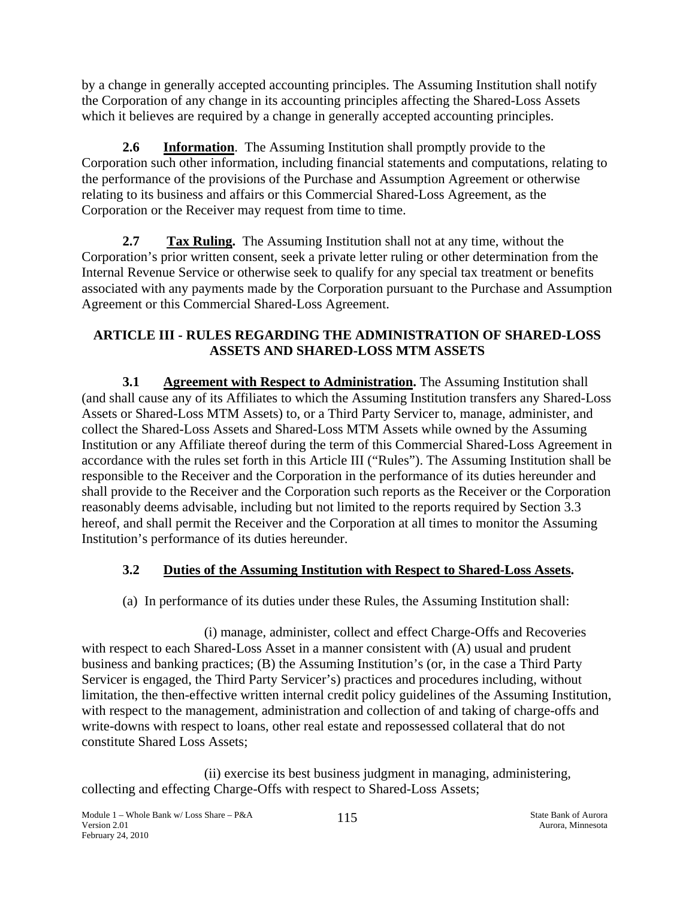by a change in generally accepted accounting principles. The Assuming Institution shall notify the Corporation of any change in its accounting principles affecting the Shared-Loss Assets which it believes are required by a change in generally accepted accounting principles.

**2.6 Information**. The Assuming Institution shall promptly provide to the Corporation such other information, including financial statements and computations, relating to the performance of the provisions of the Purchase and Assumption Agreement or otherwise relating to its business and affairs or this Commercial Shared-Loss Agreement, as the Corporation or the Receiver may request from time to time.

**2.7 Tax Ruling.** The Assuming Institution shall not at any time, without the Corporation's prior written consent, seek a private letter ruling or other determination from the Internal Revenue Service or otherwise seek to qualify for any special tax treatment or benefits associated with any payments made by the Corporation pursuant to the Purchase and Assumption Agreement or this Commercial Shared-Loss Agreement.

# **ARTICLE III - RULES REGARDING THE ADMINISTRATION OF SHARED-LOSS ASSETS AND SHARED-LOSS MTM ASSETS**

**3.1 Agreement with Respect to Administration.** The Assuming Institution shall (and shall cause any of its Affiliates to which the Assuming Institution transfers any Shared-Loss Assets or Shared-Loss MTM Assets) to, or a Third Party Servicer to, manage, administer, and collect the Shared-Loss Assets and Shared-Loss MTM Assets while owned by the Assuming Institution or any Affiliate thereof during the term of this Commercial Shared-Loss Agreement in accordance with the rules set forth in this Article III ("Rules"). The Assuming Institution shall be responsible to the Receiver and the Corporation in the performance of its duties hereunder and shall provide to the Receiver and the Corporation such reports as the Receiver or the Corporation reasonably deems advisable, including but not limited to the reports required by Section 3.3 hereof, and shall permit the Receiver and the Corporation at all times to monitor the Assuming Institution's performance of its duties hereunder.

# **3.2 Duties of the Assuming Institution with Respect to Shared-Loss Assets.**

(a) In performance of its duties under these Rules, the Assuming Institution shall:

(i) manage, administer, collect and effect Charge-Offs and Recoveries with respect to each Shared-Loss Asset in a manner consistent with (A) usual and prudent business and banking practices; (B) the Assuming Institution's (or, in the case a Third Party Servicer is engaged, the Third Party Servicer's) practices and procedures including, without limitation, the then-effective written internal credit policy guidelines of the Assuming Institution, with respect to the management, administration and collection of and taking of charge-offs and write-downs with respect to loans, other real estate and repossessed collateral that do not constitute Shared Loss Assets;

(ii) exercise its best business judgment in managing, administering, collecting and effecting Charge-Offs with respect to Shared-Loss Assets;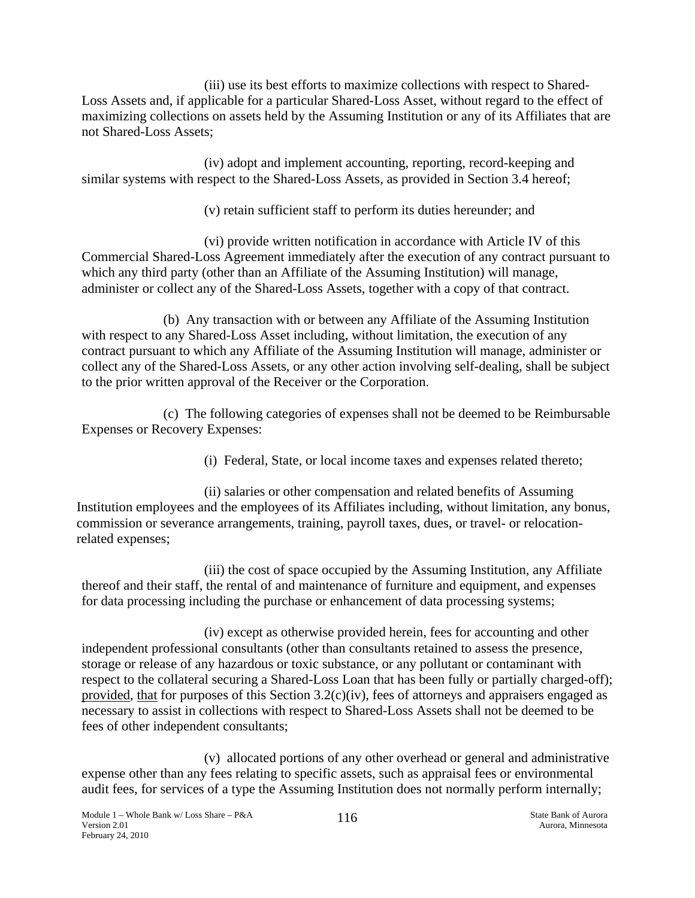(iii) use its best efforts to maximize collections with respect to Shared-Loss Assets and, if applicable for a particular Shared-Loss Asset, without regard to the effect of maximizing collections on assets held by the Assuming Institution or any of its Affiliates that are not Shared-Loss Assets;

(iv) adopt and implement accounting, reporting, record-keeping and similar systems with respect to the Shared-Loss Assets, as provided in Section 3.4 hereof;

(v) retain sufficient staff to perform its duties hereunder; and

(vi) provide written notification in accordance with Article IV of this Commercial Shared-Loss Agreement immediately after the execution of any contract pursuant to which any third party (other than an Affiliate of the Assuming Institution) will manage, administer or collect any of the Shared-Loss Assets, together with a copy of that contract.

(b) Any transaction with or between any Affiliate of the Assuming Institution with respect to any Shared-Loss Asset including, without limitation, the execution of any contract pursuant to which any Affiliate of the Assuming Institution will manage, administer or collect any of the Shared-Loss Assets, or any other action involving self-dealing, shall be subject to the prior written approval of the Receiver or the Corporation.

(c) The following categories of expenses shall not be deemed to be Reimbursable Expenses or Recovery Expenses:

(i) Federal, State, or local income taxes and expenses related thereto;

(ii) salaries or other compensation and related benefits of Assuming Institution employees and the employees of its Affiliates including, without limitation, any bonus, commission or severance arrangements, training, payroll taxes, dues, or travel- or relocationrelated expenses;

(iii) the cost of space occupied by the Assuming Institution, any Affiliate thereof and their staff, the rental of and maintenance of furniture and equipment, and expenses for data processing including the purchase or enhancement of data processing systems;

(iv) except as otherwise provided herein, fees for accounting and other independent professional consultants (other than consultants retained to assess the presence, storage or release of any hazardous or toxic substance, or any pollutant or contaminant with respect to the collateral securing a Shared-Loss Loan that has been fully or partially charged-off); provided, that for purposes of this Section 3.2(c)(iv), fees of attorneys and appraisers engaged as necessary to assist in collections with respect to Shared-Loss Assets shall not be deemed to be fees of other independent consultants;

(v) allocated portions of any other overhead or general and administrative expense other than any fees relating to specific assets, such as appraisal fees or environmental audit fees, for services of a type the Assuming Institution does not normally perform internally;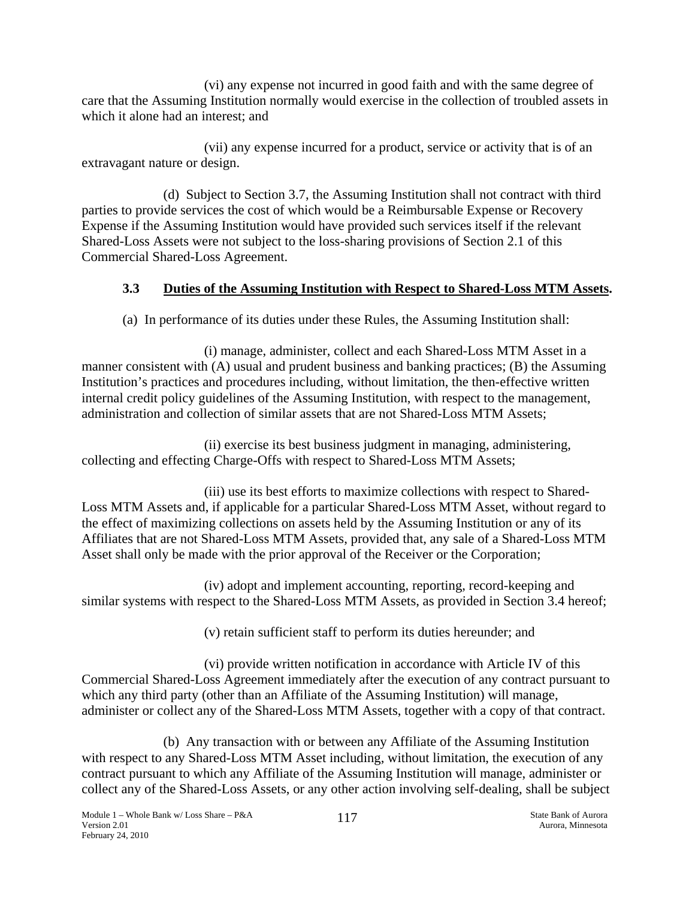(vi) any expense not incurred in good faith and with the same degree of care that the Assuming Institution normally would exercise in the collection of troubled assets in which it alone had an interest; and

(vii) any expense incurred for a product, service or activity that is of an extravagant nature or design.

(d) Subject to Section 3.7, the Assuming Institution shall not contract with third parties to provide services the cost of which would be a Reimbursable Expense or Recovery Expense if the Assuming Institution would have provided such services itself if the relevant Shared-Loss Assets were not subject to the loss-sharing provisions of Section 2.1 of this Commercial Shared-Loss Agreement.

# **3.3 Duties of the Assuming Institution with Respect to Shared-Loss MTM Assets.**

(a) In performance of its duties under these Rules, the Assuming Institution shall:

(i) manage, administer, collect and each Shared-Loss MTM Asset in a manner consistent with (A) usual and prudent business and banking practices; (B) the Assuming Institution's practices and procedures including, without limitation, the then-effective written internal credit policy guidelines of the Assuming Institution, with respect to the management, administration and collection of similar assets that are not Shared-Loss MTM Assets;

(ii) exercise its best business judgment in managing, administering, collecting and effecting Charge-Offs with respect to Shared-Loss MTM Assets;

(iii) use its best efforts to maximize collections with respect to Shared-Loss MTM Assets and, if applicable for a particular Shared-Loss MTM Asset, without regard to the effect of maximizing collections on assets held by the Assuming Institution or any of its Affiliates that are not Shared-Loss MTM Assets, provided that, any sale of a Shared-Loss MTM Asset shall only be made with the prior approval of the Receiver or the Corporation;

(iv) adopt and implement accounting, reporting, record-keeping and similar systems with respect to the Shared-Loss MTM Assets, as provided in Section 3.4 hereof;

(v) retain sufficient staff to perform its duties hereunder; and

(vi) provide written notification in accordance with Article IV of this Commercial Shared-Loss Agreement immediately after the execution of any contract pursuant to which any third party (other than an Affiliate of the Assuming Institution) will manage, administer or collect any of the Shared-Loss MTM Assets, together with a copy of that contract.

(b) Any transaction with or between any Affiliate of the Assuming Institution with respect to any Shared-Loss MTM Asset including, without limitation, the execution of any contract pursuant to which any Affiliate of the Assuming Institution will manage, administer or collect any of the Shared-Loss Assets, or any other action involving self-dealing, shall be subject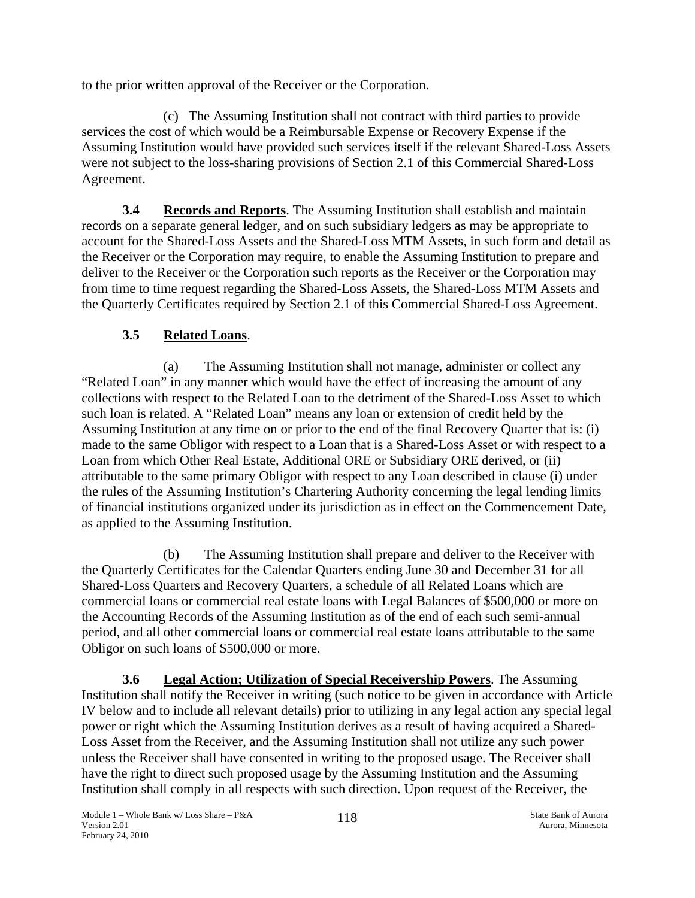to the prior written approval of the Receiver or the Corporation.

(c) The Assuming Institution shall not contract with third parties to provide services the cost of which would be a Reimbursable Expense or Recovery Expense if the Assuming Institution would have provided such services itself if the relevant Shared-Loss Assets were not subject to the loss-sharing provisions of Section 2.1 of this Commercial Shared-Loss Agreement.

**3.4 Records and Reports**. The Assuming Institution shall establish and maintain records on a separate general ledger, and on such subsidiary ledgers as may be appropriate to account for the Shared-Loss Assets and the Shared-Loss MTM Assets, in such form and detail as the Receiver or the Corporation may require, to enable the Assuming Institution to prepare and deliver to the Receiver or the Corporation such reports as the Receiver or the Corporation may from time to time request regarding the Shared-Loss Assets, the Shared-Loss MTM Assets and the Quarterly Certificates required by Section 2.1 of this Commercial Shared-Loss Agreement.

# **3.5 Related Loans**.

(a) The Assuming Institution shall not manage, administer or collect any "Related Loan" in any manner which would have the effect of increasing the amount of any collections with respect to the Related Loan to the detriment of the Shared-Loss Asset to which such loan is related. A "Related Loan" means any loan or extension of credit held by the Assuming Institution at any time on or prior to the end of the final Recovery Quarter that is: (i) made to the same Obligor with respect to a Loan that is a Shared-Loss Asset or with respect to a Loan from which Other Real Estate, Additional ORE or Subsidiary ORE derived, or (ii) attributable to the same primary Obligor with respect to any Loan described in clause (i) under the rules of the Assuming Institution's Chartering Authority concerning the legal lending limits of financial institutions organized under its jurisdiction as in effect on the Commencement Date, as applied to the Assuming Institution.

(b) The Assuming Institution shall prepare and deliver to the Receiver with the Quarterly Certificates for the Calendar Quarters ending June 30 and December 31 for all Shared-Loss Quarters and Recovery Quarters, a schedule of all Related Loans which are commercial loans or commercial real estate loans with Legal Balances of \$500,000 or more on the Accounting Records of the Assuming Institution as of the end of each such semi-annual period, and all other commercial loans or commercial real estate loans attributable to the same Obligor on such loans of \$500,000 or more.

**3.6 Legal Action; Utilization of Special Receivership Powers**. The Assuming Institution shall notify the Receiver in writing (such notice to be given in accordance with Article IV below and to include all relevant details) prior to utilizing in any legal action any special legal power or right which the Assuming Institution derives as a result of having acquired a Shared-Loss Asset from the Receiver, and the Assuming Institution shall not utilize any such power unless the Receiver shall have consented in writing to the proposed usage. The Receiver shall have the right to direct such proposed usage by the Assuming Institution and the Assuming Institution shall comply in all respects with such direction. Upon request of the Receiver, the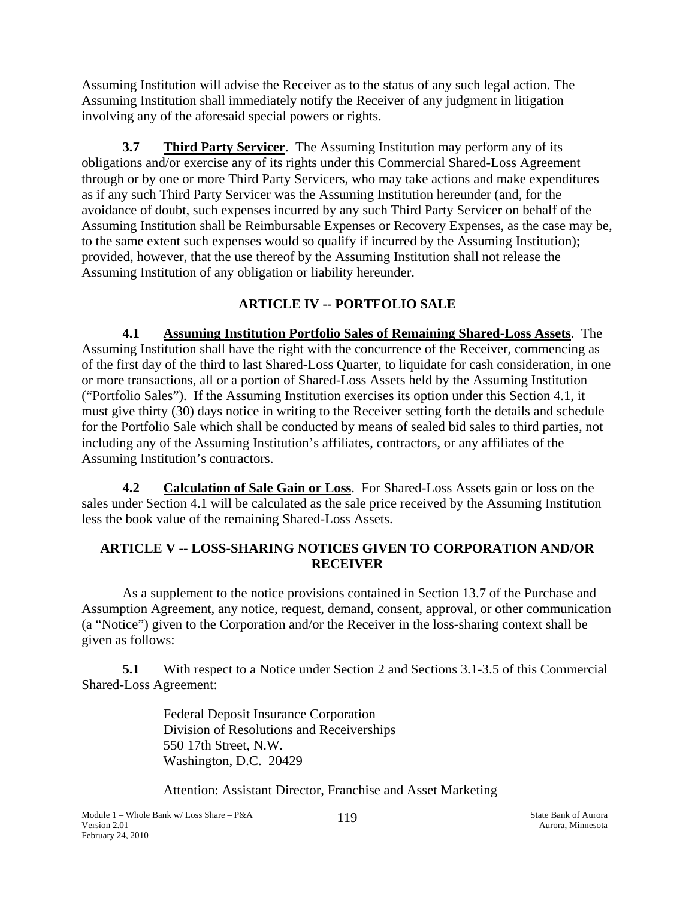Assuming Institution will advise the Receiver as to the status of any such legal action. The Assuming Institution shall immediately notify the Receiver of any judgment in litigation involving any of the aforesaid special powers or rights.

**3.7** Third Party Servicer. The Assuming Institution may perform any of its obligations and/or exercise any of its rights under this Commercial Shared-Loss Agreement through or by one or more Third Party Servicers, who may take actions and make expenditures as if any such Third Party Servicer was the Assuming Institution hereunder (and, for the avoidance of doubt, such expenses incurred by any such Third Party Servicer on behalf of the Assuming Institution shall be Reimbursable Expenses or Recovery Expenses, as the case may be, to the same extent such expenses would so qualify if incurred by the Assuming Institution); provided, however, that the use thereof by the Assuming Institution shall not release the Assuming Institution of any obligation or liability hereunder.

# **ARTICLE IV -- PORTFOLIO SALE**

 **4.1 Assuming Institution Portfolio Sales of Remaining Shared-Loss Assets**. The Assuming Institution shall have the right with the concurrence of the Receiver, commencing as of the first day of the third to last Shared-Loss Quarter, to liquidate for cash consideration, in one or more transactions, all or a portion of Shared-Loss Assets held by the Assuming Institution ("Portfolio Sales"). If the Assuming Institution exercises its option under this Section 4.1, it must give thirty (30) days notice in writing to the Receiver setting forth the details and schedule for the Portfolio Sale which shall be conducted by means of sealed bid sales to third parties, not including any of the Assuming Institution's affiliates, contractors, or any affiliates of the Assuming Institution's contractors.

**4.2 Calculation of Sale Gain or Loss**. For Shared-Loss Assets gain or loss on the sales under Section 4.1 will be calculated as the sale price received by the Assuming Institution less the book value of the remaining Shared-Loss Assets.

### **ARTICLE V -- LOSS-SHARING NOTICES GIVEN TO CORPORATION AND/OR RECEIVER**

As a supplement to the notice provisions contained in Section 13.7 of the Purchase and Assumption Agreement, any notice, request, demand, consent, approval, or other communication (a "Notice") given to the Corporation and/or the Receiver in the loss-sharing context shall be given as follows:

**5.1** With respect to a Notice under Section 2 and Sections 3.1-3.5 of this Commercial Shared-Loss Agreement:

> Federal Deposit Insurance Corporation Division of Resolutions and Receiverships 550 17th Street, N.W. Washington, D.C. 20429

#### Attention: Assistant Director, Franchise and Asset Marketing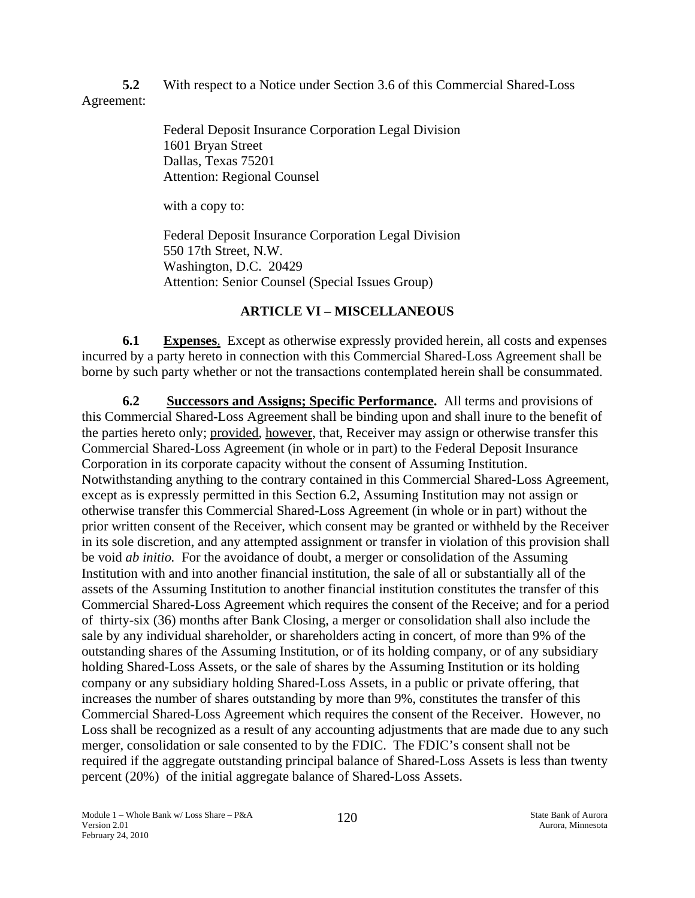**5.2** With respect to a Notice under Section 3.6 of this Commercial Shared-Loss Agreement:

> Federal Deposit Insurance Corporation Legal Division 1601 Bryan Street Dallas, Texas 75201 Attention: Regional Counsel

with a copy to:

Federal Deposit Insurance Corporation Legal Division 550 17th Street, N.W. Washington, D.C. 20429 Attention: Senior Counsel (Special Issues Group)

# **ARTICLE VI – MISCELLANEOUS**

 **6.1 Expenses**. Except as otherwise expressly provided herein, all costs and expenses incurred by a party hereto in connection with this Commercial Shared-Loss Agreement shall be borne by such party whether or not the transactions contemplated herein shall be consummated.

**6.2 Successors and Assigns; Specific Performance.** All terms and provisions of this Commercial Shared-Loss Agreement shall be binding upon and shall inure to the benefit of the parties hereto only; provided, however, that, Receiver may assign or otherwise transfer this Commercial Shared-Loss Agreement (in whole or in part) to the Federal Deposit Insurance Corporation in its corporate capacity without the consent of Assuming Institution. Notwithstanding anything to the contrary contained in this Commercial Shared-Loss Agreement, except as is expressly permitted in this Section 6.2, Assuming Institution may not assign or otherwise transfer this Commercial Shared-Loss Agreement (in whole or in part) without the prior written consent of the Receiver, which consent may be granted or withheld by the Receiver in its sole discretion, and any attempted assignment or transfer in violation of this provision shall be void *ab initio.* For the avoidance of doubt, a merger or consolidation of the Assuming Institution with and into another financial institution, the sale of all or substantially all of the assets of the Assuming Institution to another financial institution constitutes the transfer of this Commercial Shared-Loss Agreement which requires the consent of the Receive; and for a period of thirty-six (36) months after Bank Closing, a merger or consolidation shall also include the sale by any individual shareholder, or shareholders acting in concert, of more than 9% of the outstanding shares of the Assuming Institution, or of its holding company, or of any subsidiary holding Shared-Loss Assets, or the sale of shares by the Assuming Institution or its holding company or any subsidiary holding Shared-Loss Assets, in a public or private offering, that increases the number of shares outstanding by more than 9%, constitutes the transfer of this Commercial Shared-Loss Agreement which requires the consent of the Receiver. However, no Loss shall be recognized as a result of any accounting adjustments that are made due to any such merger, consolidation or sale consented to by the FDIC. The FDIC's consent shall not be required if the aggregate outstanding principal balance of Shared-Loss Assets is less than twenty percent (20%) of the initial aggregate balance of Shared-Loss Assets.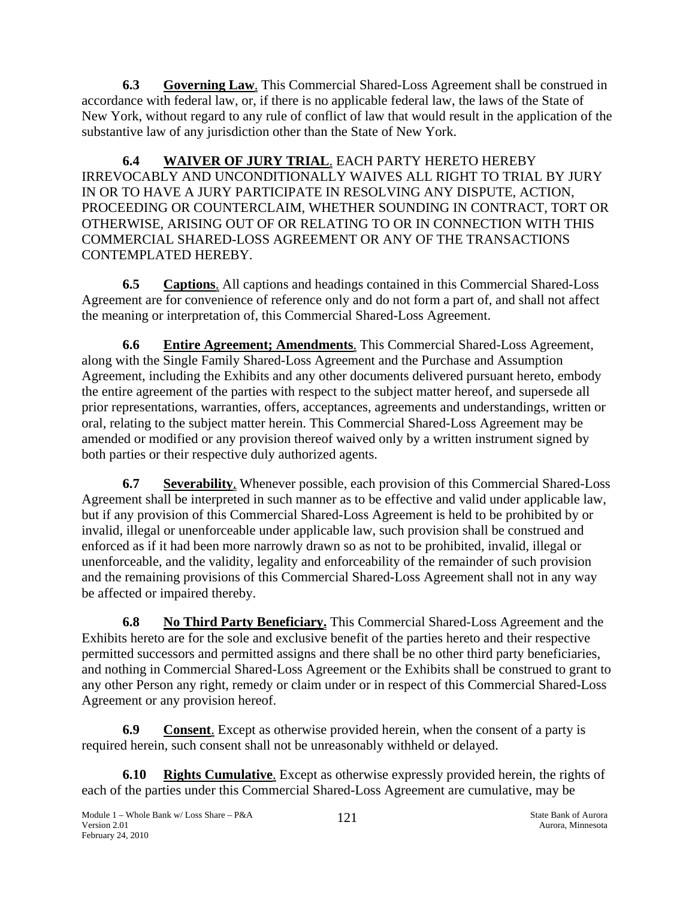**6.3** Governing Law. This Commercial Shared-Loss Agreement shall be construed in accordance with federal law, or, if there is no applicable federal law, the laws of the State of New York, without regard to any rule of conflict of law that would result in the application of the substantive law of any jurisdiction other than the State of New York.

**6.4 WAIVER OF JURY TRIAL**. EACH PARTY HERETO HEREBY IRREVOCABLY AND UNCONDITIONALLY WAIVES ALL RIGHT TO TRIAL BY JURY IN OR TO HAVE A JURY PARTICIPATE IN RESOLVING ANY DISPUTE, ACTION, PROCEEDING OR COUNTERCLAIM, WHETHER SOUNDING IN CONTRACT, TORT OR OTHERWISE, ARISING OUT OF OR RELATING TO OR IN CONNECTION WITH THIS COMMERCIAL SHARED-LOSS AGREEMENT OR ANY OF THE TRANSACTIONS CONTEMPLATED HEREBY.

**6.5 Captions**. All captions and headings contained in this Commercial Shared-Loss Agreement are for convenience of reference only and do not form a part of, and shall not affect the meaning or interpretation of, this Commercial Shared-Loss Agreement.

**6.6 Entire Agreement; Amendments**. This Commercial Shared-Loss Agreement, along with the Single Family Shared-Loss Agreement and the Purchase and Assumption Agreement, including the Exhibits and any other documents delivered pursuant hereto, embody the entire agreement of the parties with respect to the subject matter hereof, and supersede all prior representations, warranties, offers, acceptances, agreements and understandings, written or oral, relating to the subject matter herein. This Commercial Shared-Loss Agreement may be amended or modified or any provision thereof waived only by a written instrument signed by both parties or their respective duly authorized agents.

**6.7 Severability**. Whenever possible, each provision of this Commercial Shared-Loss Agreement shall be interpreted in such manner as to be effective and valid under applicable law, but if any provision of this Commercial Shared-Loss Agreement is held to be prohibited by or invalid, illegal or unenforceable under applicable law, such provision shall be construed and enforced as if it had been more narrowly drawn so as not to be prohibited, invalid, illegal or unenforceable, and the validity, legality and enforceability of the remainder of such provision and the remaining provisions of this Commercial Shared-Loss Agreement shall not in any way be affected or impaired thereby.

**6.8 No Third Party Beneficiary.** This Commercial Shared-Loss Agreement and the Exhibits hereto are for the sole and exclusive benefit of the parties hereto and their respective permitted successors and permitted assigns and there shall be no other third party beneficiaries, and nothing in Commercial Shared-Loss Agreement or the Exhibits shall be construed to grant to any other Person any right, remedy or claim under or in respect of this Commercial Shared-Loss Agreement or any provision hereof.

**6.9 Consent**. Except as otherwise provided herein, when the consent of a party is required herein, such consent shall not be unreasonably withheld or delayed.

**6.10 Rights Cumulative**. Except as otherwise expressly provided herein, the rights of each of the parties under this Commercial Shared-Loss Agreement are cumulative, may be